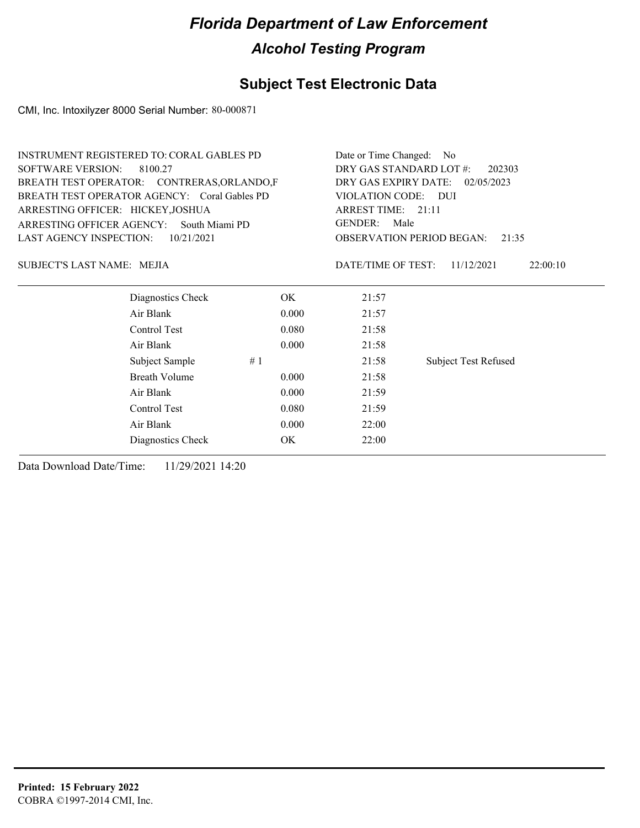## **Subject Test Electronic Data**

CMI, Inc. Intoxilyzer 8000 Serial Number: 80-000871

| INSTRUMENT REGISTERED TO: CORAL GABLES PD    |                | Date or Time Changed: No           |                             |  |  |
|----------------------------------------------|----------------|------------------------------------|-----------------------------|--|--|
| <b>SOFTWARE VERSION:</b><br>8100.27          |                | DRY GAS STANDARD LOT #:<br>202303  |                             |  |  |
| BREATH TEST OPERATOR: CONTRERAS, ORLANDO, F  |                | DRY GAS EXPIRY DATE:<br>02/05/2023 |                             |  |  |
| BREATH TEST OPERATOR AGENCY: Coral Gables PD |                | VIOLATION CODE: DUI                |                             |  |  |
| ARRESTING OFFICER: HICKEY, JOSHUA            |                | ARREST TIME: 21:11                 |                             |  |  |
| ARRESTING OFFICER AGENCY:                    | South Miami PD | <b>GENDER:</b><br>Male             |                             |  |  |
| <b>LAST AGENCY INSPECTION:</b>               | 10/21/2021     | <b>OBSERVATION PERIOD BEGAN:</b>   | 21:35                       |  |  |
| SUBJECT'S LAST NAME: MEJIA                   |                | DATE/TIME OF TEST:                 | 11/12/2021<br>22:00:10      |  |  |
| Diagnostics Check                            | OK.            | 21:57                              |                             |  |  |
| Air Blank                                    | 0.000          | 21:57                              |                             |  |  |
| Control Test                                 | 0.080          | 21:58                              |                             |  |  |
| Air Blank                                    | 0.000          | 21:58                              |                             |  |  |
| Subject Sample                               | #1             | 21:58                              | <b>Subject Test Refused</b> |  |  |
| <b>Breath Volume</b>                         | 0.000          | 21:58                              |                             |  |  |
| Air Blank                                    | 0.000          | 21:59                              |                             |  |  |
| Control Test                                 | 0.080          | 21:59                              |                             |  |  |
| Air Blank                                    | 0.000          | 22:00                              |                             |  |  |
| Diagnostics Check                            | ОK             | 22:00                              |                             |  |  |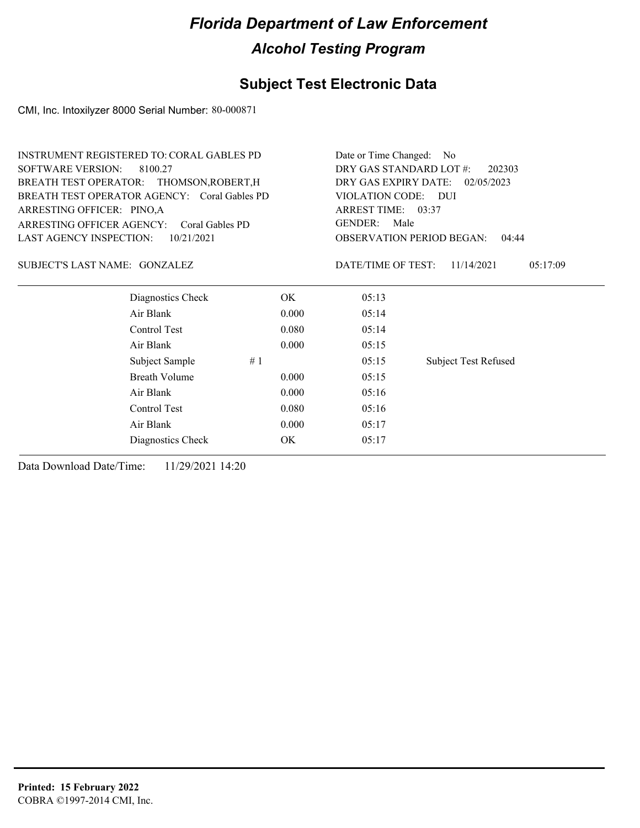## **Subject Test Electronic Data**

CMI, Inc. Intoxilyzer 8000 Serial Number: 80-000871

| <b>SOFTWARE VERSION:</b><br>DRY GAS STANDARD LOT #:<br>8100.27<br>202303<br>DRY GAS EXPIRY DATE:<br>BREATH TEST OPERATOR: THOMSON, ROBERT, H<br>02/05/2023<br>BREATH TEST OPERATOR AGENCY: Coral Gables PD<br>VIOLATION CODE: DUI<br>ARREST TIME: 03:37<br>ARRESTING OFFICER: PINO,A<br><b>GENDER:</b><br>Male<br>ARRESTING OFFICER AGENCY:<br>Coral Gables PD<br>LAST AGENCY INSPECTION:<br>10/21/2021<br><b>OBSERVATION PERIOD BEGAN:</b><br>04:44<br>SUBJECT'S LAST NAME: GONZALEZ<br>DATE/TIME OF TEST:<br>11/14/2021<br>05:17:09<br>Diagnostics Check<br>OK.<br>05:13<br>Air Blank<br>0.000<br>05:14<br>Control Test<br>0.080<br>05:14<br>Air Blank<br>0.000<br>05:15<br>Subject Sample<br>#1<br>05:15<br><b>Subject Test Refused</b><br><b>Breath Volume</b><br>0.000<br>05:15<br>Air Blank<br>0.000<br>05:16<br>Control Test<br>0.080<br>05:16<br>Air Blank<br>0.000<br>05:17<br>OK<br>Diagnostics Check<br>05:17 | <b>INSTRUMENT REGISTERED TO: CORAL GABLES PD</b> |  | Date or Time Changed: No |  |  |  |
|--------------------------------------------------------------------------------------------------------------------------------------------------------------------------------------------------------------------------------------------------------------------------------------------------------------------------------------------------------------------------------------------------------------------------------------------------------------------------------------------------------------------------------------------------------------------------------------------------------------------------------------------------------------------------------------------------------------------------------------------------------------------------------------------------------------------------------------------------------------------------------------------------------------------------|--------------------------------------------------|--|--------------------------|--|--|--|
|                                                                                                                                                                                                                                                                                                                                                                                                                                                                                                                                                                                                                                                                                                                                                                                                                                                                                                                          |                                                  |  |                          |  |  |  |
|                                                                                                                                                                                                                                                                                                                                                                                                                                                                                                                                                                                                                                                                                                                                                                                                                                                                                                                          |                                                  |  |                          |  |  |  |
|                                                                                                                                                                                                                                                                                                                                                                                                                                                                                                                                                                                                                                                                                                                                                                                                                                                                                                                          |                                                  |  |                          |  |  |  |
|                                                                                                                                                                                                                                                                                                                                                                                                                                                                                                                                                                                                                                                                                                                                                                                                                                                                                                                          |                                                  |  |                          |  |  |  |
|                                                                                                                                                                                                                                                                                                                                                                                                                                                                                                                                                                                                                                                                                                                                                                                                                                                                                                                          |                                                  |  |                          |  |  |  |
|                                                                                                                                                                                                                                                                                                                                                                                                                                                                                                                                                                                                                                                                                                                                                                                                                                                                                                                          |                                                  |  |                          |  |  |  |
|                                                                                                                                                                                                                                                                                                                                                                                                                                                                                                                                                                                                                                                                                                                                                                                                                                                                                                                          |                                                  |  |                          |  |  |  |
|                                                                                                                                                                                                                                                                                                                                                                                                                                                                                                                                                                                                                                                                                                                                                                                                                                                                                                                          |                                                  |  |                          |  |  |  |
|                                                                                                                                                                                                                                                                                                                                                                                                                                                                                                                                                                                                                                                                                                                                                                                                                                                                                                                          |                                                  |  |                          |  |  |  |
|                                                                                                                                                                                                                                                                                                                                                                                                                                                                                                                                                                                                                                                                                                                                                                                                                                                                                                                          |                                                  |  |                          |  |  |  |
|                                                                                                                                                                                                                                                                                                                                                                                                                                                                                                                                                                                                                                                                                                                                                                                                                                                                                                                          |                                                  |  |                          |  |  |  |
|                                                                                                                                                                                                                                                                                                                                                                                                                                                                                                                                                                                                                                                                                                                                                                                                                                                                                                                          |                                                  |  |                          |  |  |  |
|                                                                                                                                                                                                                                                                                                                                                                                                                                                                                                                                                                                                                                                                                                                                                                                                                                                                                                                          |                                                  |  |                          |  |  |  |
|                                                                                                                                                                                                                                                                                                                                                                                                                                                                                                                                                                                                                                                                                                                                                                                                                                                                                                                          |                                                  |  |                          |  |  |  |
|                                                                                                                                                                                                                                                                                                                                                                                                                                                                                                                                                                                                                                                                                                                                                                                                                                                                                                                          |                                                  |  |                          |  |  |  |
|                                                                                                                                                                                                                                                                                                                                                                                                                                                                                                                                                                                                                                                                                                                                                                                                                                                                                                                          |                                                  |  |                          |  |  |  |
|                                                                                                                                                                                                                                                                                                                                                                                                                                                                                                                                                                                                                                                                                                                                                                                                                                                                                                                          |                                                  |  |                          |  |  |  |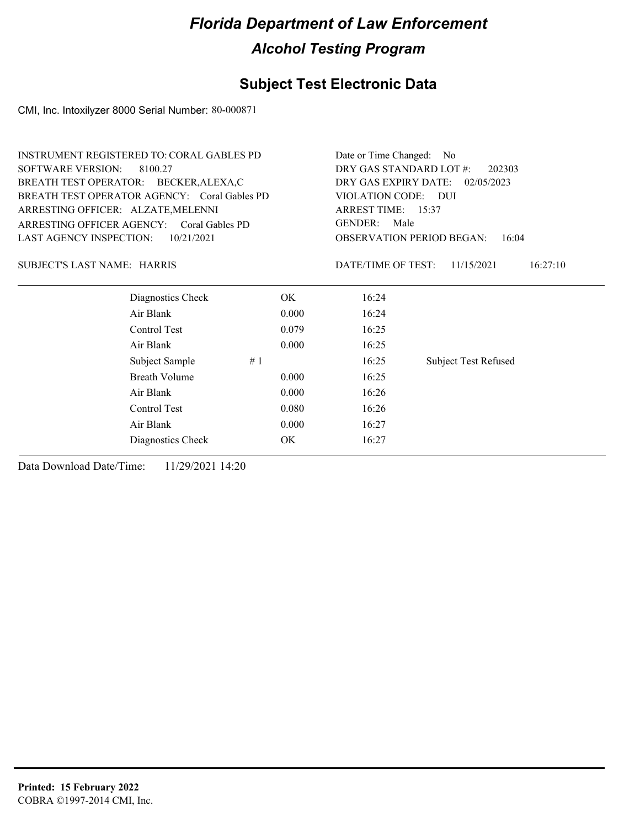## **Subject Test Electronic Data**

CMI, Inc. Intoxilyzer 8000 Serial Number: 80-000871

|                                    | <b>INSTRUMENT REGISTERED TO: CORAL GABLES PD</b> |       | Date or Time Changed:<br>N <sub>0</sub> |                                           |  |  |
|------------------------------------|--------------------------------------------------|-------|-----------------------------------------|-------------------------------------------|--|--|
|                                    | <b>SOFTWARE VERSION:</b><br>8100.27              |       | DRY GAS STANDARD LOT #:<br>202303       |                                           |  |  |
|                                    | BREATH TEST OPERATOR: BECKER, ALEXA, C           |       | DRY GAS EXPIRY DATE:                    | 02/05/2023                                |  |  |
|                                    | BREATH TEST OPERATOR AGENCY: Coral Gables PD     |       | VIOLATION CODE: DUI                     |                                           |  |  |
| ARRESTING OFFICER: ALZATE, MELENNI |                                                  |       | ARREST TIME: 15:37                      |                                           |  |  |
|                                    | ARRESTING OFFICER AGENCY: Coral Gables PD        |       | <b>GENDER:</b><br>Male                  |                                           |  |  |
| <b>LAST AGENCY INSPECTION:</b>     | 10/21/2021                                       |       |                                         | <b>OBSERVATION PERIOD BEGAN:</b><br>16:04 |  |  |
| SUBJECT'S LAST NAME: HARRIS        |                                                  |       | DATE/TIME OF TEST:                      | 16:27:10<br>11/15/2021                    |  |  |
|                                    | Diagnostics Check                                | OK.   | 16:24                                   |                                           |  |  |
|                                    | Air Blank                                        | 0.000 | 16:24                                   |                                           |  |  |
|                                    | Control Test                                     | 0.079 | 16:25                                   |                                           |  |  |
|                                    | Air Blank                                        | 0.000 | 16:25                                   |                                           |  |  |
|                                    | Subject Sample                                   | #1    | 16:25                                   | <b>Subject Test Refused</b>               |  |  |
|                                    | <b>Breath Volume</b>                             | 0.000 | 16:25                                   |                                           |  |  |
|                                    | Air Blank                                        | 0.000 | 16:26                                   |                                           |  |  |
|                                    | Control Test                                     | 0.080 | 16:26                                   |                                           |  |  |
|                                    | Air Blank                                        | 0.000 | 16:27                                   |                                           |  |  |
|                                    | Diagnostics Check                                | OK    | 16:27                                   |                                           |  |  |
|                                    |                                                  |       |                                         |                                           |  |  |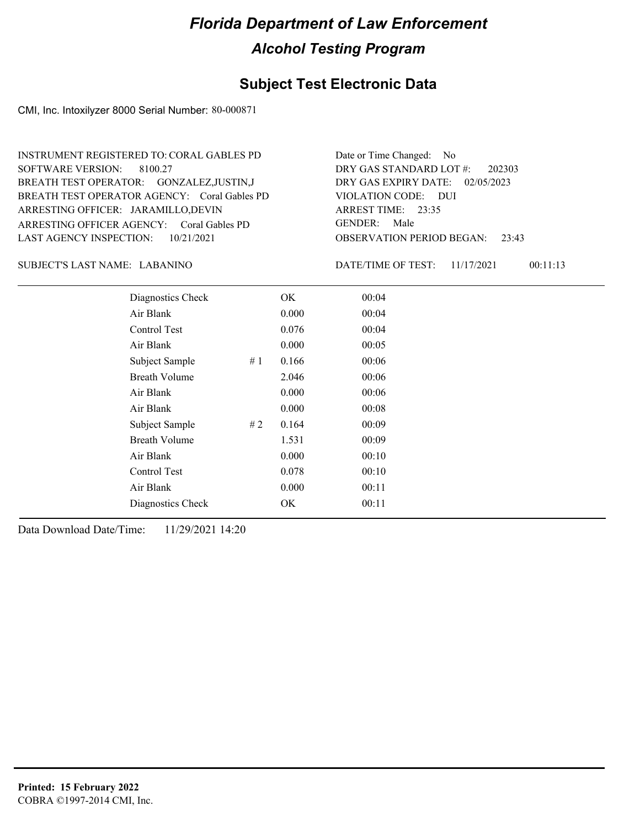#### **Subject Test Electronic Data**

CMI, Inc. Intoxilyzer 8000 Serial Number: 80-000871

ARRESTING OFFICER AGENCY: GENDER: Coral Gables PD BREATH TEST OPERATOR AGENCY: Coral Gables PD VIOLATION CODE: SOFTWARE VERSION: 8100.27 ARRESTING OFFICER: JARAMILLO,DEVIN BREATH TEST OPERATOR: GONZALEZ,JUSTIN,J LAST AGENCY INSPECTION: 10/21/2021 INSTRUMENT REGISTERED TO: CORAL GABLES PD

OBSERVATION PERIOD BEGAN: 23:43 VIOLATION CODE: DUI 23:35 ARREST TIME: DRY GAS EXPIRY DATE: 02/05/2023 202303 DRY GAS STANDARD LOT #: Date or Time Changed: No GENDER: Male

LABANINO SUBJECT'S LAST NAME: DATE/TIME OF TEST:

DATE/TIME OF TEST: 11/17/2021 00:11:13

| Diagnostics Check    |    | OK    | 00:04 |
|----------------------|----|-------|-------|
| Air Blank            |    | 0.000 | 00:04 |
| Control Test         |    | 0.076 | 00:04 |
| Air Blank            |    | 0.000 | 00:05 |
| Subject Sample       | #1 | 0.166 | 00:06 |
| <b>Breath Volume</b> |    | 2.046 | 00:06 |
| Air Blank            |    | 0.000 | 00:06 |
| Air Blank            |    | 0.000 | 00:08 |
| Subject Sample       | #2 | 0.164 | 00:09 |
| <b>Breath Volume</b> |    | 1.531 | 00:09 |
| Air Blank            |    | 0.000 | 00:10 |
| Control Test         |    | 0.078 | 00:10 |
| Air Blank            |    | 0.000 | 00:11 |
| Diagnostics Check    |    | OK    | 00:11 |
|                      |    |       |       |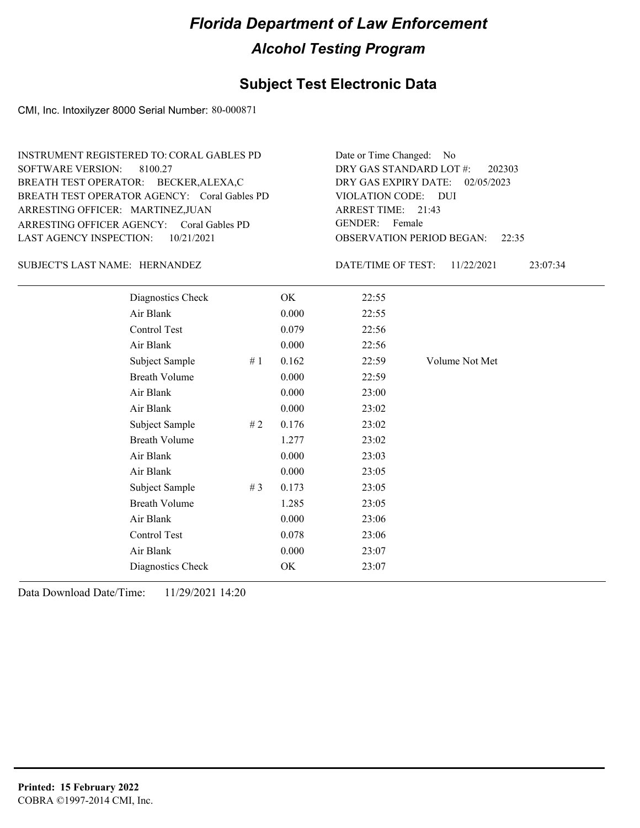## **Subject Test Electronic Data**

CMI, Inc. Intoxilyzer 8000 Serial Number: 80-000871

| INSTRUMENT REGISTERED TO: CORAL GABLES PD    | Date or Time Changed: No               |
|----------------------------------------------|----------------------------------------|
| SOFTWARE VERSION: 8100.27                    | DRY GAS STANDARD LOT $\#$ : 202303     |
| BREATH TEST OPERATOR: BECKER, ALEXA, C       | DRY GAS EXPIRY DATE: 02/05/2023        |
| BREATH TEST OPERATOR AGENCY: Coral Gables PD | VIOLATION CODE: DUI                    |
| ARRESTING OFFICER: MARTINEZ, JUAN            | ARREST TIME: $21:43$                   |
| ARRESTING OFFICER AGENCY: Coral Gables PD    | GENDER: Female                         |
| LAST AGENCY INSPECTION: 10/21/2021           | <b>OBSERVATION PERIOD BEGAN:</b> 22:35 |

#### SUBJECT'S LAST NAME: HERNANDEZ DATE/TIME OF TEST:

DATE/TIME OF TEST: 11/22/2021 23:07:34

| Diagnostics Check    |       | OK    | 22:55 |                |
|----------------------|-------|-------|-------|----------------|
| Air Blank            |       | 0.000 | 22:55 |                |
| Control Test         |       | 0.079 | 22:56 |                |
| Air Blank            |       | 0.000 | 22:56 |                |
| Subject Sample       | #1    | 0.162 | 22:59 | Volume Not Met |
| <b>Breath Volume</b> |       | 0.000 | 22:59 |                |
| Air Blank            |       | 0.000 | 23:00 |                |
| Air Blank            |       | 0.000 | 23:02 |                |
| Subject Sample       | #2    | 0.176 | 23:02 |                |
| <b>Breath Volume</b> |       | 1.277 | 23:02 |                |
| Air Blank            |       | 0.000 | 23:03 |                |
| Air Blank            |       | 0.000 | 23:05 |                |
| Subject Sample       | # $3$ | 0.173 | 23:05 |                |
| <b>Breath Volume</b> |       | 1.285 | 23:05 |                |
| Air Blank            |       | 0.000 | 23:06 |                |
| Control Test         |       | 0.078 | 23:06 |                |
| Air Blank            |       | 0.000 | 23:07 |                |
| Diagnostics Check    |       | OK    | 23:07 |                |
|                      |       |       |       |                |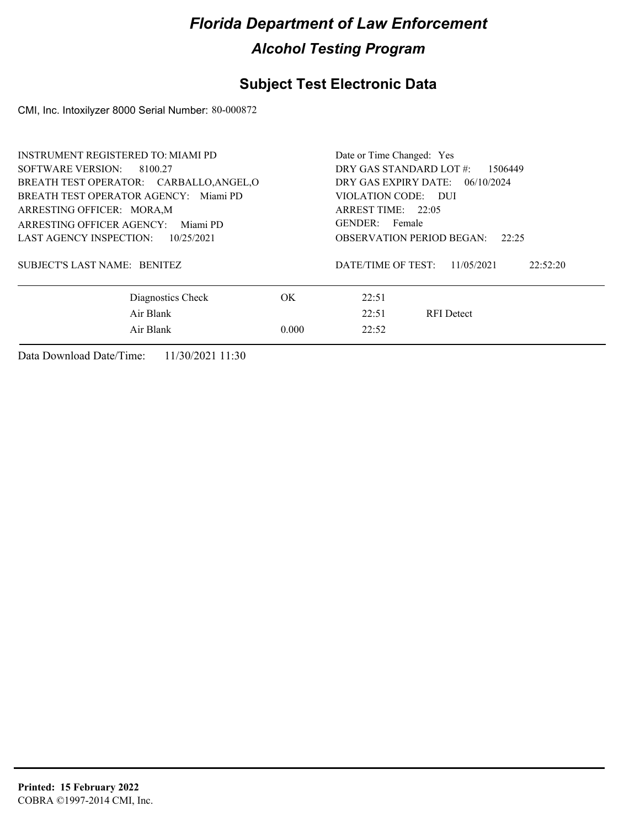## **Subject Test Electronic Data**

CMI, Inc. Intoxilyzer 8000 Serial Number: 80-000872

| INSTRUMENT REGISTERED TO: MIAMI PD<br><b>SOFTWARE VERSION:</b>                                                                                                                                           | 8100.27           |                                                                                                                                                                                   | Date or Time Changed: Yes |                        |  |  |
|----------------------------------------------------------------------------------------------------------------------------------------------------------------------------------------------------------|-------------------|-----------------------------------------------------------------------------------------------------------------------------------------------------------------------------------|---------------------------|------------------------|--|--|
| BREATH TEST OPERATOR: CARBALLO, ANGEL, O<br>BREATH TEST OPERATOR AGENCY: Miami PD<br>ARRESTING OFFICER: MORA, M<br>ARRESTING OFFICER AGENCY:<br>Miami PD<br><b>LAST AGENCY INSPECTION:</b><br>10/25/2021 |                   | DRY GAS STANDARD LOT #:<br>1506449<br>DRY GAS EXPIRY DATE: 06/10/2024<br>VIOLATION CODE: DUI<br>ARREST TIME: 22:05<br>GENDER: Female<br><b>OBSERVATION PERIOD BEGAN:</b><br>22:25 |                           |                        |  |  |
| SUBJECT'S LAST NAME: BENITEZ                                                                                                                                                                             |                   |                                                                                                                                                                                   | DATE/TIME OF TEST:        | 11/05/2021<br>22:52:20 |  |  |
|                                                                                                                                                                                                          | Diagnostics Check | OK.                                                                                                                                                                               | 22:51                     |                        |  |  |
|                                                                                                                                                                                                          | Air Blank         |                                                                                                                                                                                   | 22:51                     | <b>RFI</b> Detect      |  |  |
|                                                                                                                                                                                                          | Air Blank         | 0.000                                                                                                                                                                             | 22:52                     |                        |  |  |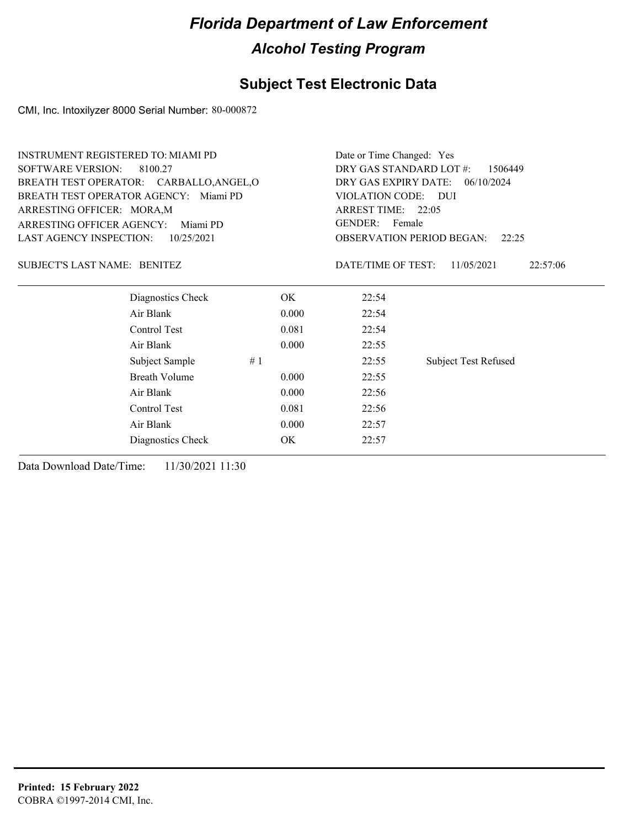## **Subject Test Electronic Data**

CMI, Inc. Intoxilyzer 8000 Serial Number: 80-000872

| <b>INSTRUMENT REGISTERED TO: MIAMI PD</b> |                                       |       | Date or Time Changed: Yes          |                             |  |
|-------------------------------------------|---------------------------------------|-------|------------------------------------|-----------------------------|--|
| <b>SOFTWARE VERSION:</b><br>8100.27       |                                       |       | DRY GAS STANDARD LOT #:<br>1506449 |                             |  |
| BREATH TEST OPERATOR: CARBALLO, ANGEL, O  |                                       |       | DRY GAS EXPIRY DATE:<br>06/10/2024 |                             |  |
|                                           | BREATH TEST OPERATOR AGENCY: Miami PD |       | VIOLATION CODE: DUI                |                             |  |
| ARRESTING OFFICER: MORA, M                |                                       |       | ARREST TIME: 22:05                 |                             |  |
| <b>ARRESTING OFFICER AGENCY:</b>          | Miami PD                              |       | <b>GENDER:</b><br>Female           |                             |  |
| <b>LAST AGENCY INSPECTION:</b>            | 10/25/2021                            |       | <b>OBSERVATION PERIOD BEGAN:</b>   | 22:25                       |  |
| SUBJECT'S LAST NAME: BENITEZ              |                                       |       | DATE/TIME OF TEST:                 | 11/05/2021<br>22:57:06      |  |
|                                           | Diagnostics Check                     | OK.   | 22:54                              |                             |  |
|                                           | Air Blank                             | 0.000 | 22:54                              |                             |  |
|                                           | Control Test                          | 0.081 | 22:54                              |                             |  |
|                                           | Air Blank                             | 0.000 | 22:55                              |                             |  |
|                                           | Subject Sample<br>#1                  |       | 22:55                              | <b>Subject Test Refused</b> |  |
|                                           | <b>Breath Volume</b>                  | 0.000 | 22:55                              |                             |  |
|                                           | Air Blank                             | 0.000 | 22:56                              |                             |  |
|                                           | Control Test                          | 0.081 | 22:56                              |                             |  |
|                                           | Air Blank                             | 0.000 | 22:57                              |                             |  |
|                                           | Diagnostics Check                     | OK    | 22:57                              |                             |  |
|                                           |                                       |       |                                    |                             |  |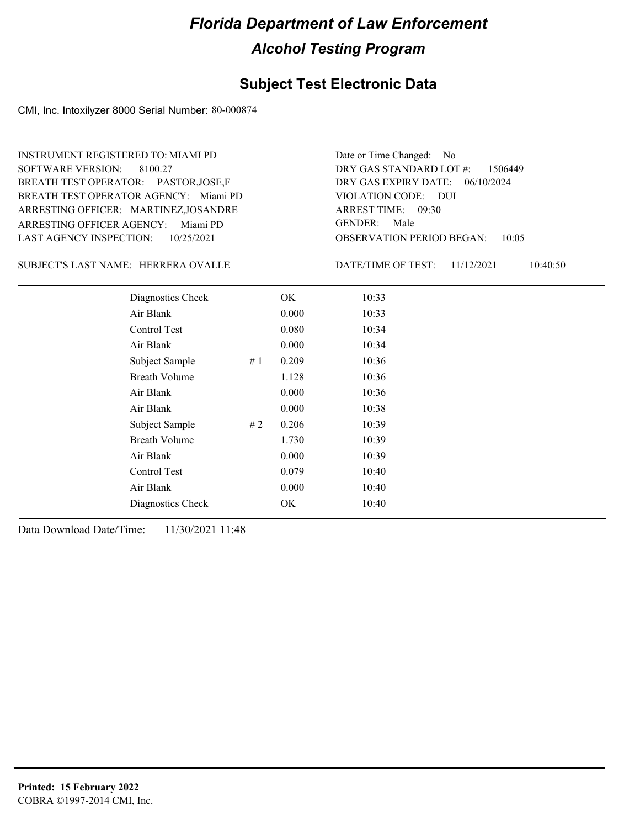## **Subject Test Electronic Data**

CMI, Inc. Intoxilyzer 8000 Serial Number: 80-000874

| <b>SOFTWARE VERSION:</b>                             | INSTRUMENT REGISTERED TO: MIAMI PD<br>8100.27<br>BREATH TEST OPERATOR: PASTOR,JOSE,F<br>BREATH TEST OPERATOR AGENCY: Miami PD<br>ARRESTING OFFICER: MARTINEZ,JOSANDRE |    |       | Date or Time Changed: No<br>DRY GAS STANDARD LOT #:<br>DRY GAS EXPIRY DATE:<br>VIOLATION CODE:<br>- DUI<br>ARREST TIME: 09:30 | 1506449<br>06/10/2024 |          |
|------------------------------------------------------|-----------------------------------------------------------------------------------------------------------------------------------------------------------------------|----|-------|-------------------------------------------------------------------------------------------------------------------------------|-----------------------|----------|
| ARRESTING OFFICER AGENCY:<br>LAST AGENCY INSPECTION: | Miami PD<br>10/25/2021                                                                                                                                                |    |       | <b>GENDER:</b><br>Male<br>OBSERVATION PERIOD BEGAN:                                                                           | 10:05                 |          |
|                                                      | SUBJECT'S LAST NAME: HERRERA OVALLE                                                                                                                                   |    |       | DATE/TIME OF TEST:                                                                                                            | 11/12/2021            | 10:40:50 |
|                                                      | Diagnostics Check                                                                                                                                                     |    | OK.   | 10:33                                                                                                                         |                       |          |
|                                                      | Air Blank                                                                                                                                                             |    | 0.000 | 10:33                                                                                                                         |                       |          |
|                                                      | Control Test                                                                                                                                                          |    | 0.080 | 10:34                                                                                                                         |                       |          |
|                                                      | Air Blank                                                                                                                                                             |    | 0.000 | 10:34                                                                                                                         |                       |          |
|                                                      | Subject Sample                                                                                                                                                        | #1 | 0.209 | 10:36                                                                                                                         |                       |          |
|                                                      | <b>Breath Volume</b>                                                                                                                                                  |    | 1.128 | 10:36                                                                                                                         |                       |          |
|                                                      | Air Blank                                                                                                                                                             |    | 0.000 | 10:36                                                                                                                         |                       |          |
|                                                      | Air Blank                                                                                                                                                             |    | 0.000 | 10:38                                                                                                                         |                       |          |
|                                                      | Subject Sample                                                                                                                                                        | #2 | 0.206 | 10:39                                                                                                                         |                       |          |
|                                                      | <b>Breath Volume</b>                                                                                                                                                  |    | 1.730 | 10:39                                                                                                                         |                       |          |
|                                                      | Air Blank                                                                                                                                                             |    | 0.000 | 10:39                                                                                                                         |                       |          |
|                                                      | Control Test                                                                                                                                                          |    | 0.079 | 10:40                                                                                                                         |                       |          |

Air Blank 0.000 10:40 Diagnostics Check OK 10:40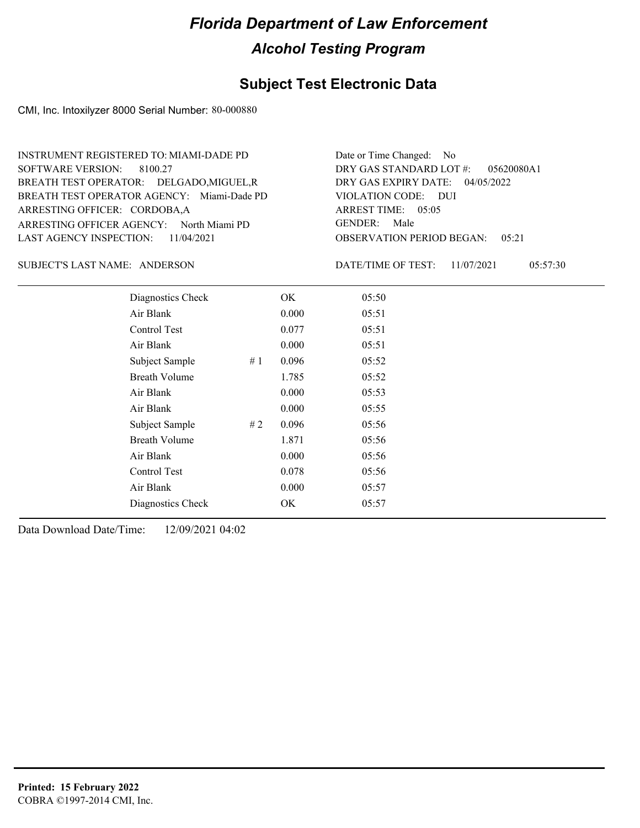#### **Subject Test Electronic Data**

CMI, Inc. Intoxilyzer 8000 Serial Number: 80-000880

ARRESTING OFFICER AGENCY: North Miami PD GENDER: BREATH TEST OPERATOR AGENCY: Miami-Dade PD VIOLATION CODE: SOFTWARE VERSION: 8100.27 ARRESTING OFFICER: CORDOBA,A BREATH TEST OPERATOR: DELGADO,MIGUEL,R LAST AGENCY INSPECTION: 11/04/2021 INSTRUMENT REGISTERED TO: MIAMI-DADE PD

OBSERVATION PERIOD BEGAN: 05:21 VIOLATION CODE: DUI ARREST TIME: 05:05 04/05/2022 DRY GAS EXPIRY DATE: 05620080A1 DRY GAS STANDARD LOT #: Date or Time Changed: No GENDER: Male

SUBJECT'S LAST NAME: ANDERSON DATE/TIME OF TEST:

DATE/TIME OF TEST: 11/07/2021 05:57:30

| Diagnostics Check    | OK    | 05:50 |
|----------------------|-------|-------|
| Air Blank            | 0.000 | 05:51 |
| Control Test         | 0.077 | 05:51 |
| Air Blank            | 0.000 | 05:51 |
| Subject Sample<br>#1 | 0.096 | 05:52 |
| <b>Breath Volume</b> | 1.785 | 05:52 |
| Air Blank            | 0.000 | 05:53 |
| Air Blank            | 0.000 | 05:55 |
| Subject Sample<br>#2 | 0.096 | 05:56 |
| <b>Breath Volume</b> | 1.871 | 05:56 |
| Air Blank            | 0.000 | 05:56 |
| Control Test         | 0.078 | 05:56 |
| Air Blank            | 0.000 | 05:57 |
| Diagnostics Check    | OK    | 05:57 |
|                      |       |       |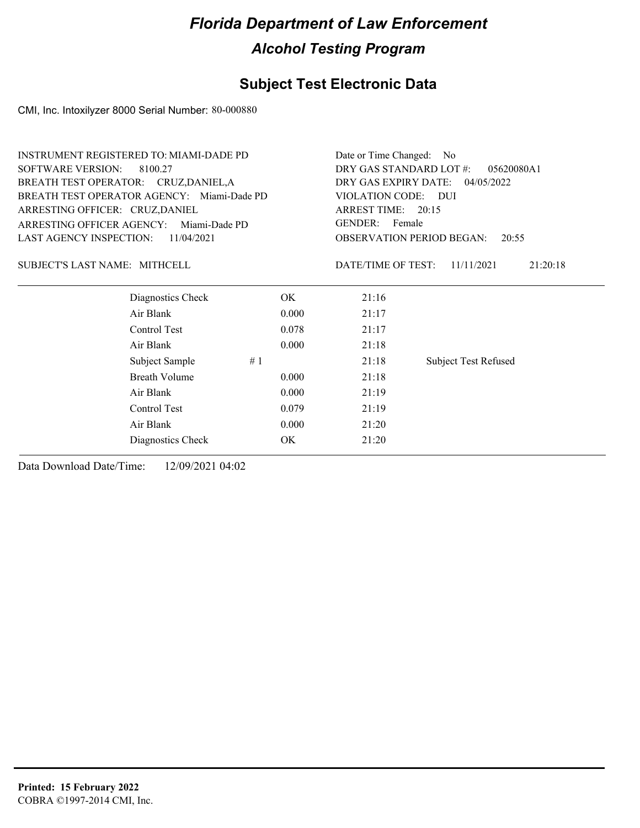## **Subject Test Electronic Data**

CMI, Inc. Intoxilyzer 8000 Serial Number: 80-000880

| <b>INSTRUMENT REGISTERED TO: MIAMI-DADE PD</b> | Date or Time Changed: No              |                                                 |  |
|------------------------------------------------|---------------------------------------|-------------------------------------------------|--|
|                                                | DRY GAS STANDARD LOT #:<br>05620080A1 |                                                 |  |
| BREATH TEST OPERATOR: CRUZ, DANIEL, A          |                                       | DRY GAS EXPIRY DATE: 04/05/2022                 |  |
| BREATH TEST OPERATOR AGENCY: Miami-Dade PD     |                                       |                                                 |  |
|                                                | ARREST TIME: 20:15                    |                                                 |  |
| ARRESTING OFFICER AGENCY:<br>Miami-Dade PD     |                                       |                                                 |  |
|                                                |                                       | <b>OBSERVATION PERIOD BEGAN:</b><br>20:55       |  |
|                                                | DATE/TIME OF TEST:                    | 11/11/2021<br>21:20:18                          |  |
| OK.                                            | 21:16                                 |                                                 |  |
| 0.000                                          | 21:17                                 |                                                 |  |
| 0.078                                          | 21:17                                 |                                                 |  |
| 0.000                                          | 21:18                                 |                                                 |  |
| #1                                             | 21:18                                 | <b>Subject Test Refused</b>                     |  |
| 0.000                                          | 21:18                                 |                                                 |  |
| 0.000                                          | 21:19                                 |                                                 |  |
| 0.079                                          | 21:19                                 |                                                 |  |
| 0.000                                          | 21:20                                 |                                                 |  |
| OK                                             | 21:20                                 |                                                 |  |
|                                                |                                       | VIOLATION CODE: DUI<br><b>GENDER:</b><br>Female |  |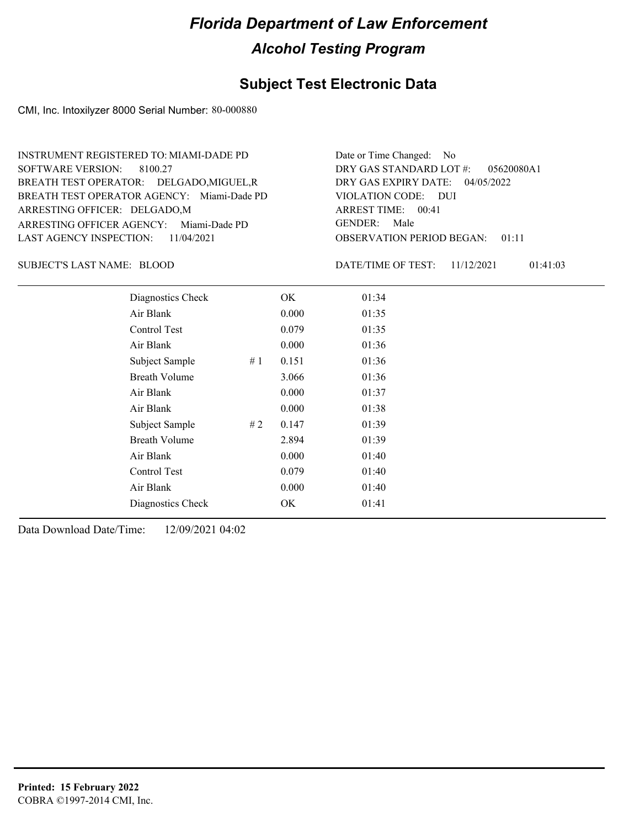#### **Subject Test Electronic Data**

CMI, Inc. Intoxilyzer 8000 Serial Number: 80-000880

ARRESTING OFFICER AGENCY: Miami-Dade PD GENDER: BREATH TEST OPERATOR AGENCY: Miami-Dade PD VIOLATION CODE: SOFTWARE VERSION: 8100.27 ARRESTING OFFICER: DELGADO,M BREATH TEST OPERATOR: DELGADO,MIGUEL,R LAST AGENCY INSPECTION: 11/04/2021 INSTRUMENT REGISTERED TO: MIAMI-DADE PD

OBSERVATION PERIOD BEGAN: 01:11 VIOLATION CODE: DUI ARREST TIME: 00:41 04/05/2022 DRY GAS EXPIRY DATE: 05620080A1 DRY GAS STANDARD LOT #: Date or Time Changed: No GENDER: Male

SUBJECT'S LAST NAME: BLOOD DATE/TIME OF TEST:

DATE/TIME OF TEST: 11/12/2021 01:41:03

| Diagnostics Check    |    | OK    | 01:34 |  |
|----------------------|----|-------|-------|--|
| Air Blank            |    | 0.000 | 01:35 |  |
| Control Test         |    | 0.079 | 01:35 |  |
| Air Blank            |    | 0.000 | 01:36 |  |
| Subject Sample       | #1 | 0.151 | 01:36 |  |
| <b>Breath Volume</b> |    | 3.066 | 01:36 |  |
| Air Blank            |    | 0.000 | 01:37 |  |
| Air Blank            |    | 0.000 | 01:38 |  |
| Subject Sample       | #2 | 0.147 | 01:39 |  |
| <b>Breath Volume</b> |    | 2.894 | 01:39 |  |
| Air Blank            |    | 0.000 | 01:40 |  |
| Control Test         |    | 0.079 | 01:40 |  |
| Air Blank            |    | 0.000 | 01:40 |  |
| Diagnostics Check    |    | OK    | 01:41 |  |
|                      |    |       |       |  |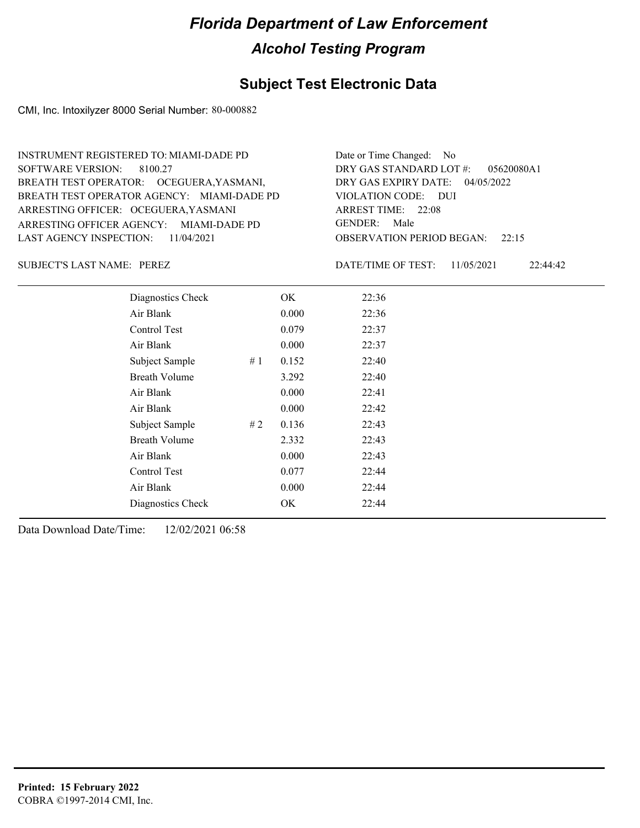#### **Subject Test Electronic Data**

CMI, Inc. Intoxilyzer 8000 Serial Number: 80-000882

ARRESTING OFFICER AGENCY: GENDER: MIAMI-DADE PD BREATH TEST OPERATOR AGENCY: MIAMI-DADE PD VIOLATION CODE: SOFTWARE VERSION: 8100.27 ARRESTING OFFICER: OCEGUERA,YASMANI BREATH TEST OPERATOR: OCEGUERA,YASMANI, LAST AGENCY INSPECTION: 11/04/2021 INSTRUMENT REGISTERED TO: MIAMI-DADE PD

OBSERVATION PERIOD BEGAN: 22:15 VIOLATION CODE: DUI ARREST TIME: 22:08 04/05/2022 DRY GAS EXPIRY DATE: 05620080A1 DRY GAS STANDARD LOT #: Date or Time Changed: No GENDER: Male

SUBJECT'S LAST NAME: PEREZ DATE/TIME OF TEST:

DATE/TIME OF TEST: 11/05/2021 22:44:42

| Diagnostics Check    |    | OK    | 22:36 |
|----------------------|----|-------|-------|
| Air Blank            |    | 0.000 | 22:36 |
| Control Test         |    | 0.079 | 22:37 |
| Air Blank            |    | 0.000 | 22:37 |
| Subject Sample       | #1 | 0.152 | 22:40 |
| <b>Breath Volume</b> |    | 3.292 | 22:40 |
| Air Blank            |    | 0.000 | 22:41 |
| Air Blank            |    | 0.000 | 22:42 |
| Subject Sample       | #2 | 0.136 | 22:43 |
| <b>Breath Volume</b> |    | 2.332 | 22:43 |
| Air Blank            |    | 0.000 | 22:43 |
| Control Test         |    | 0.077 | 22:44 |
| Air Blank            |    | 0.000 | 22:44 |
| Diagnostics Check    |    | OK.   | 22:44 |
|                      |    |       |       |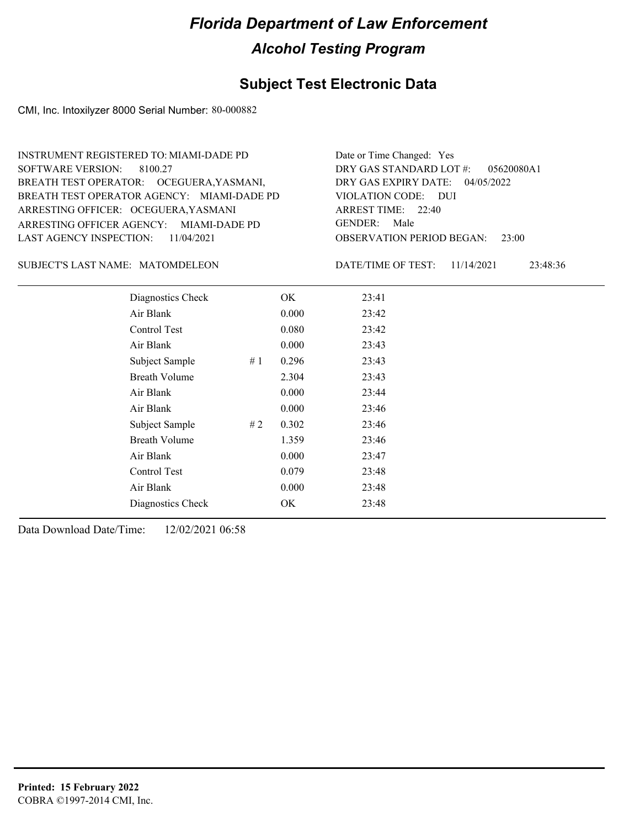#### **Subject Test Electronic Data**

CMI, Inc. Intoxilyzer 8000 Serial Number: 80-000882

ARRESTING OFFICER AGENCY: GENDER: MIAMI-DADE PD BREATH TEST OPERATOR AGENCY: MIAMI-DADE PD VIOLATION CODE: SOFTWARE VERSION: 8100.27 ARRESTING OFFICER: OCEGUERA,YASMANI BREATH TEST OPERATOR: OCEGUERA,YASMANI, LAST AGENCY INSPECTION: 11/04/2021 INSTRUMENT REGISTERED TO: MIAMI-DADE PD

OBSERVATION PERIOD BEGAN: 23:00 VIOLATION CODE: DUI ARREST TIME: 22:40 04/05/2022 DRY GAS EXPIRY DATE: 05620080A1 DRY GAS STANDARD LOT #: Date or Time Changed: Yes GENDER: Male

SUBJECT'S LAST NAME: MATOMDELEON DATE/TIME OF TEST:

DATE/TIME OF TEST: 11/14/2021 23:48:36

| Diagnostics Check    |    | OK    | 23:41 |
|----------------------|----|-------|-------|
| Air Blank            |    | 0.000 | 23:42 |
| Control Test         |    | 0.080 | 23:42 |
| Air Blank            |    | 0.000 | 23:43 |
| Subject Sample       | #1 | 0.296 | 23:43 |
| <b>Breath Volume</b> |    | 2.304 | 23:43 |
| Air Blank            |    | 0.000 | 23:44 |
| Air Blank            |    | 0.000 | 23:46 |
| Subject Sample       | #2 | 0.302 | 23:46 |
| <b>Breath Volume</b> |    | 1.359 | 23:46 |
| Air Blank            |    | 0.000 | 23:47 |
| Control Test         |    | 0.079 | 23:48 |
| Air Blank            |    | 0.000 | 23:48 |
| Diagnostics Check    |    | OK    | 23:48 |
|                      |    |       |       |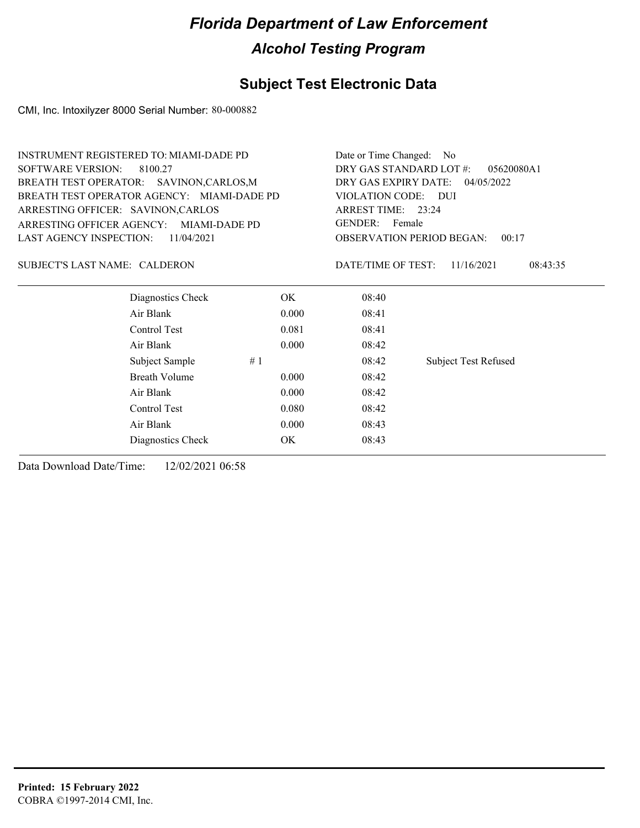#### **Subject Test Electronic Data**

CMI, Inc. Intoxilyzer 8000 Serial Number: 80-000882

ARRESTING OFFICER AGENCY: GENDER: MIAMI-DADE PD BREATH TEST OPERATOR AGENCY: MIAMI-DADE PD VIOLATION CODE: SOFTWARE VERSION: 8100.27 ARRESTING OFFICER: SAVINON,CARLOS BREATH TEST OPERATOR: SAVINON,CARLOS,M LAST AGENCY INSPECTION: 11/04/2021 INSTRUMENT REGISTERED TO: MIAMI-DADE PD

OBSERVATION PERIOD BEGAN: 00:17 VIOLATION CODE: DUI 23:24 ARREST TIME: 04/05/2022 DRY GAS EXPIRY DATE: 05620080A1 DRY GAS STANDARD LOT #: Date or Time Changed: No GENDER: Female

#### SUBJECT'S LAST NAME: CALDERON DATE/TIME OF TEST:

DATE/TIME OF TEST: 11/16/2021 08:43:35

| Diagnostics Check    | OK    | 08:40 |                             |
|----------------------|-------|-------|-----------------------------|
| Air Blank            | 0.000 | 08:41 |                             |
| Control Test         | 0.081 | 08:41 |                             |
| Air Blank            | 0.000 | 08:42 |                             |
| Subject Sample<br>#1 |       | 08:42 | <b>Subject Test Refused</b> |
| <b>Breath Volume</b> | 0.000 | 08:42 |                             |
| Air Blank            | 0.000 | 08:42 |                             |
| Control Test         | 0.080 | 08:42 |                             |
| Air Blank            | 0.000 | 08:43 |                             |
| Diagnostics Check    | OK    | 08:43 |                             |
|                      |       |       |                             |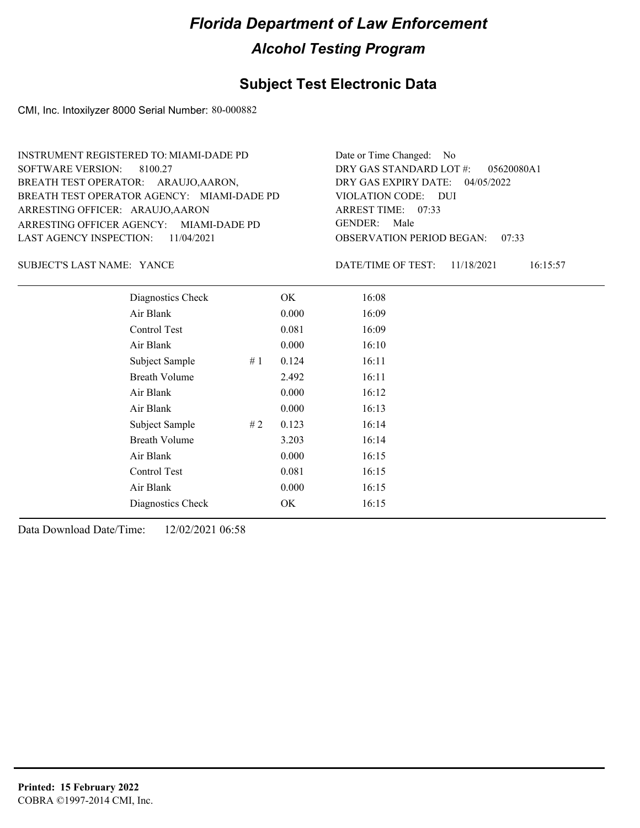#### **Subject Test Electronic Data**

CMI, Inc. Intoxilyzer 8000 Serial Number: 80-000882

ARRESTING OFFICER AGENCY: GENDER: MIAMI-DADE PD BREATH TEST OPERATOR AGENCY: MIAMI-DADE PD VIOLATION CODE: SOFTWARE VERSION: 8100.27 ARRESTING OFFICER: ARAUJO, AARON BREATH TEST OPERATOR: ARAUJO,AARON, LAST AGENCY INSPECTION: 11/04/2021 INSTRUMENT REGISTERED TO: MIAMI-DADE PD

OBSERVATION PERIOD BEGAN: 07:33 VIOLATION CODE: DUI ARREST TIME: 07:33 04/05/2022 DRY GAS EXPIRY DATE: 05620080A1 DRY GAS STANDARD LOT #: Date or Time Changed: No GENDER: Male

SUBJECT'S LAST NAME: YANCE **Example 20** DATE/TIME OF TEST:

DATE/TIME OF TEST: 11/18/2021 16:15:57

| Diagnostics Check    |    | OK    | 16:08 |
|----------------------|----|-------|-------|
| Air Blank            |    | 0.000 | 16:09 |
| Control Test         |    | 0.081 | 16:09 |
| Air Blank            |    | 0.000 | 16:10 |
| Subject Sample       | #1 | 0.124 | 16:11 |
| <b>Breath Volume</b> |    | 2.492 | 16:11 |
| Air Blank            |    | 0.000 | 16:12 |
| Air Blank            |    | 0.000 | 16:13 |
| Subject Sample       | #2 | 0.123 | 16:14 |
| <b>Breath Volume</b> |    | 3.203 | 16:14 |
| Air Blank            |    | 0.000 | 16:15 |
| Control Test         |    | 0.081 | 16:15 |
| Air Blank            |    | 0.000 | 16:15 |
| Diagnostics Check    |    | OK    | 16:15 |
|                      |    |       |       |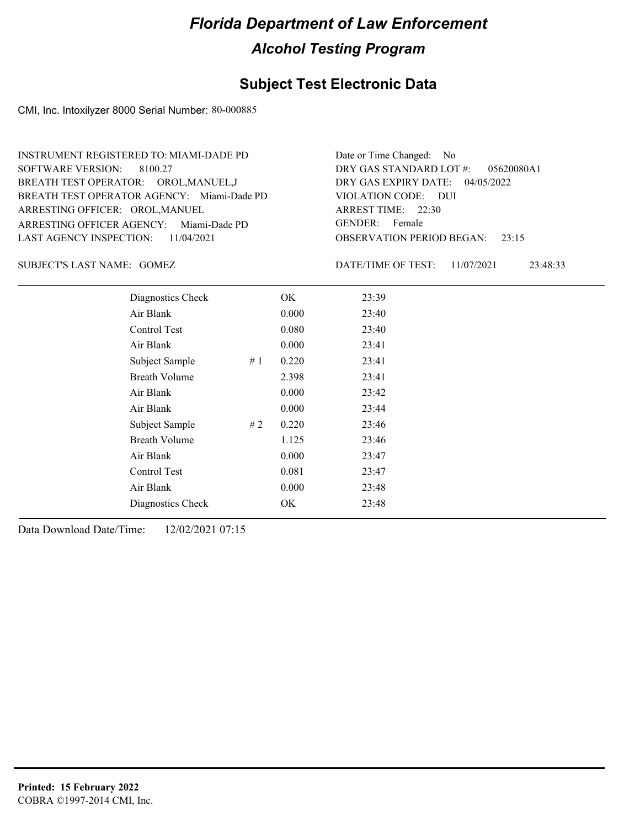#### **Subject Test Electronic Data**

CMI, Inc. Intoxilyzer 8000 Serial Number: 80-000885

ARRESTING OFFICER AGENCY: Miami-Dade PD GENDER: BREATH TEST OPERATOR AGENCY: Miami-Dade PD VIOLATION CODE: SOFTWARE VERSION: 8100.27 ARRESTING OFFICER: OROL, MANUEL BREATH TEST OPERATOR: OROL,MANUEL,J LAST AGENCY INSPECTION: 11/04/2021 INSTRUMENT REGISTERED TO: MIAMI-DADE PD

OBSERVATION PERIOD BEGAN: 23:15 VIOLATION CODE: DUI ARREST TIME: 22:30 04/05/2022 DRY GAS EXPIRY DATE: 05620080A1 DRY GAS STANDARD LOT #: Date or Time Changed: No GENDER: Female

GOMEZ SUBJECT'S LAST NAME: DATE/TIME OF TEST:

DATE/TIME OF TEST: 11/07/2021 23:48:33

| Diagnostics Check    |    | OK    | 23:39 |
|----------------------|----|-------|-------|
| Air Blank            |    | 0.000 | 23:40 |
| Control Test         |    | 0.080 | 23:40 |
| Air Blank            |    | 0.000 | 23:41 |
| Subject Sample       | #1 | 0.220 | 23:41 |
| <b>Breath Volume</b> |    | 2.398 | 23:41 |
| Air Blank            |    | 0.000 | 23:42 |
| Air Blank            |    | 0.000 | 23:44 |
| Subject Sample       | #2 | 0.220 | 23:46 |
| <b>Breath Volume</b> |    | 1.125 | 23:46 |
| Air Blank            |    | 0.000 | 23:47 |
| Control Test         |    | 0.081 | 23:47 |
| Air Blank            |    | 0.000 | 23:48 |
| Diagnostics Check    |    | OK    | 23:48 |
|                      |    |       |       |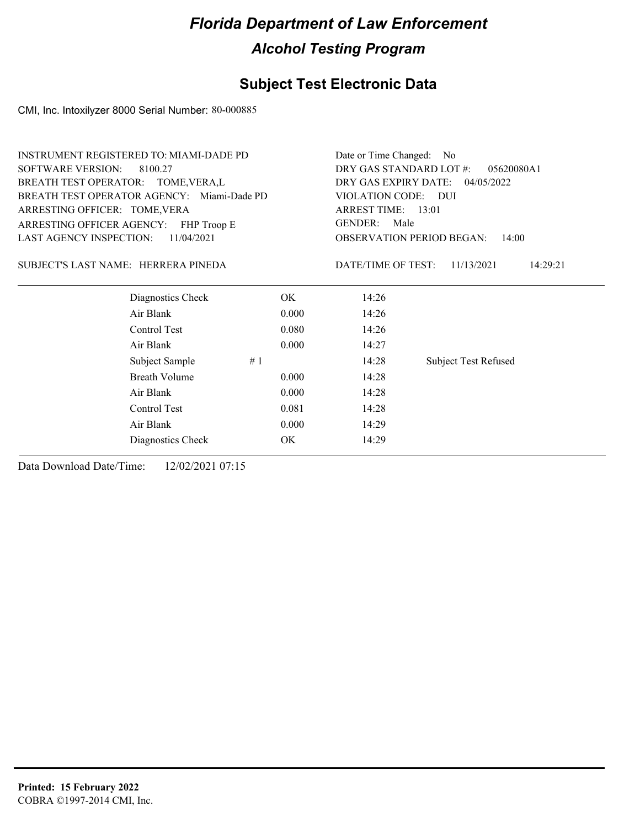## **Subject Test Electronic Data**

CMI, Inc. Intoxilyzer 8000 Serial Number: 80-000885

| <b>INSTRUMENT REGISTERED TO: MIAMI-DADE PD</b>                              |                                           | Date or Time Changed: No                                                                                                          |  |                                       |
|-----------------------------------------------------------------------------|-------------------------------------------|-----------------------------------------------------------------------------------------------------------------------------------|--|---------------------------------------|
| <b>SOFTWARE VERSION:</b><br>8100.27                                         |                                           |                                                                                                                                   |  |                                       |
| BREATH TEST OPERATOR: TOME, VERA, L                                         |                                           |                                                                                                                                   |  |                                       |
| BREATH TEST OPERATOR AGENCY: Miami-Dade PD<br>ARRESTING OFFICER: TOME, VERA |                                           |                                                                                                                                   |  |                                       |
|                                                                             |                                           |                                                                                                                                   |  | ARRESTING OFFICER AGENCY: FHP Troop E |
|                                                                             | <b>OBSERVATION PERIOD BEGAN:</b><br>14:00 |                                                                                                                                   |  |                                       |
|                                                                             | DATE/TIME OF TEST:                        | 11/13/2021<br>14:29:21                                                                                                            |  |                                       |
| OK.                                                                         | 14:26                                     |                                                                                                                                   |  |                                       |
| 0.000                                                                       | 14:26                                     |                                                                                                                                   |  |                                       |
| 0.080                                                                       | 14:26                                     |                                                                                                                                   |  |                                       |
| 0.000                                                                       | 14:27                                     |                                                                                                                                   |  |                                       |
| #1                                                                          | 14:28                                     | <b>Subject Test Refused</b>                                                                                                       |  |                                       |
| 0.000                                                                       | 14:28                                     |                                                                                                                                   |  |                                       |
| 0.000                                                                       | 14:28                                     |                                                                                                                                   |  |                                       |
| 0.081                                                                       | 14:28                                     |                                                                                                                                   |  |                                       |
| 0.000                                                                       | 14:29                                     |                                                                                                                                   |  |                                       |
| OK                                                                          | 14:29                                     |                                                                                                                                   |  |                                       |
|                                                                             |                                           | DRY GAS STANDARD LOT #:<br>DRY GAS EXPIRY DATE: 04/05/2022<br>VIOLATION CODE: DUI<br>ARREST TIME: 13:01<br><b>GENDER:</b><br>Male |  |                                       |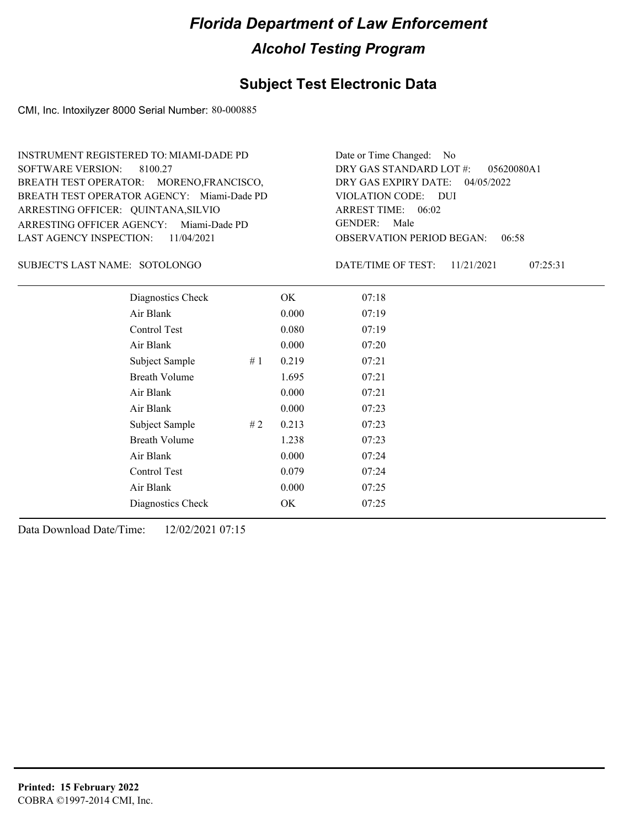#### **Subject Test Electronic Data**

CMI, Inc. Intoxilyzer 8000 Serial Number: 80-000885

ARRESTING OFFICER AGENCY: Miami-Dade PD GENDER: BREATH TEST OPERATOR AGENCY: Miami-Dade PD VIOLATION CODE: SOFTWARE VERSION: 8100.27 ARRESTING OFFICER: QUINTANA, SILVIO BREATH TEST OPERATOR: MORENO,FRANCISCO, LAST AGENCY INSPECTION: 11/04/2021 INSTRUMENT REGISTERED TO: MIAMI-DADE PD

OBSERVATION PERIOD BEGAN: 06:58 VIOLATION CODE: DUI ARREST TIME: 06:02 04/05/2022 DRY GAS EXPIRY DATE: 05620080A1 DRY GAS STANDARD LOT #: Date or Time Changed: No GENDER: Male

#### SOTOLONGO SUBJECT'S LAST NAME: DATE/TIME OF TEST:

DATE/TIME OF TEST: 11/21/2021 07:25:31

| Diagnostics Check    |    | OK    | 07:18 |
|----------------------|----|-------|-------|
| Air Blank            |    | 0.000 | 07:19 |
| Control Test         |    | 0.080 | 07:19 |
| Air Blank            |    | 0.000 | 07:20 |
| Subject Sample       | #1 | 0.219 | 07:21 |
| <b>Breath Volume</b> |    | 1.695 | 07:21 |
| Air Blank            |    | 0.000 | 07:21 |
| Air Blank            |    | 0.000 | 07:23 |
| Subject Sample       | #2 | 0.213 | 07:23 |
| <b>Breath Volume</b> |    | 1.238 | 07:23 |
| Air Blank            |    | 0.000 | 07:24 |
| Control Test         |    | 0.079 | 07:24 |
| Air Blank            |    | 0.000 | 07:25 |
| Diagnostics Check    |    | OK    | 07:25 |
|                      |    |       |       |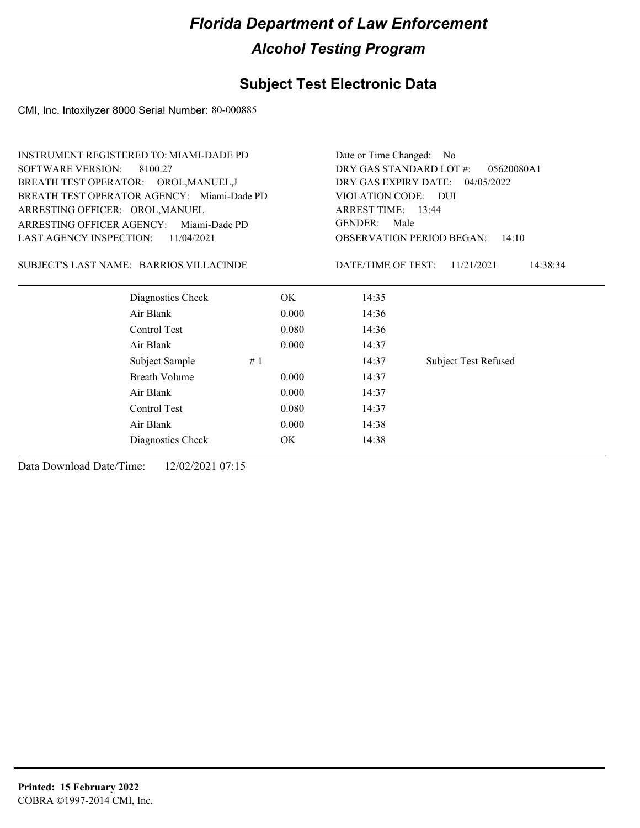## **Subject Test Electronic Data**

CMI, Inc. Intoxilyzer 8000 Serial Number: 80-000885

| <b>INSTRUMENT REGISTERED TO: MIAMI-DADE PD</b> |                      |                                              | Date or Time Changed: No                  |                             |  |
|------------------------------------------------|----------------------|----------------------------------------------|-------------------------------------------|-----------------------------|--|
| <b>SOFTWARE VERSION:</b>                       | 8100.27              | DRY GAS STANDARD LOT #:<br>05620080A1        |                                           |                             |  |
| BREATH TEST OPERATOR: OROL, MANUEL, J          |                      | DRY GAS EXPIRY DATE:<br>04/05/2022           |                                           |                             |  |
| BREATH TEST OPERATOR AGENCY: Miami-Dade PD     |                      |                                              | VIOLATION CODE: DUI                       |                             |  |
| ARRESTING OFFICER: OROL, MANUEL                |                      | ARREST TIME: 13:44<br><b>GENDER:</b><br>Male |                                           |                             |  |
| <b>ARRESTING OFFICER AGENCY:</b>               | Miami-Dade PD        |                                              |                                           |                             |  |
| <b>LAST AGENCY INSPECTION:</b>                 | 11/04/2021           |                                              | <b>OBSERVATION PERIOD BEGAN:</b><br>14:10 |                             |  |
| SUBJECT'S LAST NAME: BARRIOS VILLACINDE        |                      |                                              | DATE/TIME OF TEST:                        | 11/21/2021<br>14:38:34      |  |
|                                                | Diagnostics Check    | OK.                                          | 14:35                                     |                             |  |
|                                                | Air Blank            | 0.000                                        | 14:36                                     |                             |  |
|                                                | Control Test         | 0.080                                        | 14:36                                     |                             |  |
|                                                | Air Blank            | 0.000                                        | 14:37                                     |                             |  |
|                                                | Subject Sample       | #1                                           | 14:37                                     | <b>Subject Test Refused</b> |  |
|                                                | <b>Breath Volume</b> | 0.000                                        | 14:37                                     |                             |  |
|                                                | Air Blank            | 0.000                                        | 14:37                                     |                             |  |
|                                                | Control Test         | 0.080                                        | 14:37                                     |                             |  |
|                                                | Air Blank            | 0.000                                        | 14:38                                     |                             |  |
|                                                | Diagnostics Check    | ОK                                           | 14:38                                     |                             |  |
|                                                |                      |                                              |                                           |                             |  |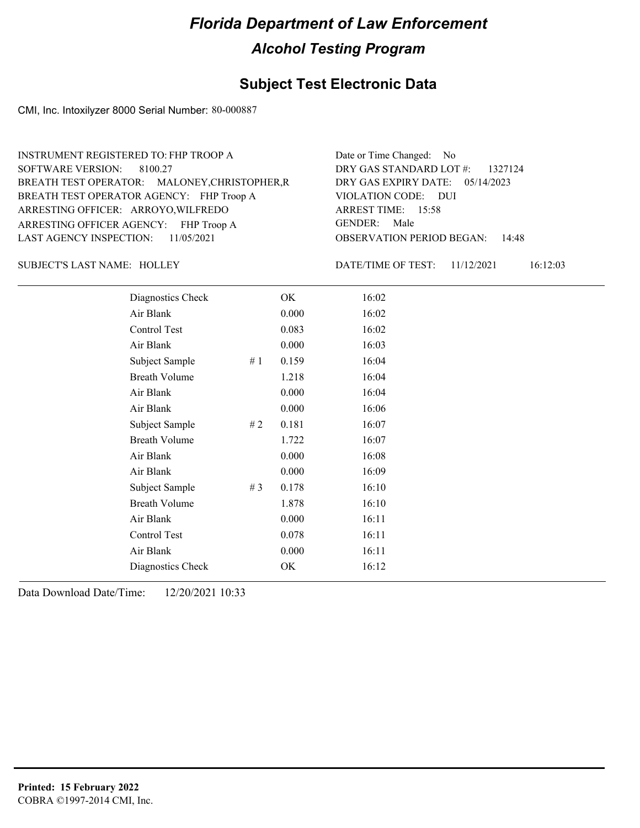#### **Subject Test Electronic Data**

CMI, Inc. Intoxilyzer 8000 Serial Number: 80-000887

ARRESTING OFFICER AGENCY: FHP Troop A GENDER: BREATH TEST OPERATOR AGENCY: FHP Troop A VIOLATION CODE: SOFTWARE VERSION: 8100.27 ARRESTING OFFICER: ARROYO, WILFREDO BREATH TEST OPERATOR: MALONEY,CHRISTOPHER,R LAST AGENCY INSPECTION: 11/05/2021 INSTRUMENT REGISTERED TO: FHP TROOP A

OBSERVATION PERIOD BEGAN: 14:48 VIOLATION CODE: DUI ARREST TIME: 15:58 05/14/2023 DRY GAS EXPIRY DATE: DRY GAS STANDARD LOT #: 1327124 Date or Time Changed: No GENDER: Male

SUBJECT'S LAST NAME: HOLLEY DATE/TIME OF TEST:

DATE/TIME OF TEST: 11/12/2021 16:12:03

| Diagnostics Check    |     | OK    | 16:02 |
|----------------------|-----|-------|-------|
| Air Blank            |     | 0.000 | 16:02 |
| Control Test         |     | 0.083 | 16:02 |
| Air Blank            |     | 0.000 | 16:03 |
| Subject Sample       | #1  | 0.159 | 16:04 |
| <b>Breath Volume</b> |     | 1.218 | 16:04 |
| Air Blank            |     | 0.000 | 16:04 |
| Air Blank            |     | 0.000 | 16:06 |
| Subject Sample       | # 2 | 0.181 | 16:07 |
| <b>Breath Volume</b> |     | 1.722 | 16:07 |
| Air Blank            |     | 0.000 | 16:08 |
| Air Blank            |     | 0.000 | 16:09 |
| Subject Sample       | #3  | 0.178 | 16:10 |
| <b>Breath Volume</b> |     | 1.878 | 16:10 |
| Air Blank            |     | 0.000 | 16:11 |
| Control Test         |     | 0.078 | 16:11 |
| Air Blank            |     | 0.000 | 16:11 |
| Diagnostics Check    |     | OK    | 16:12 |
|                      |     |       |       |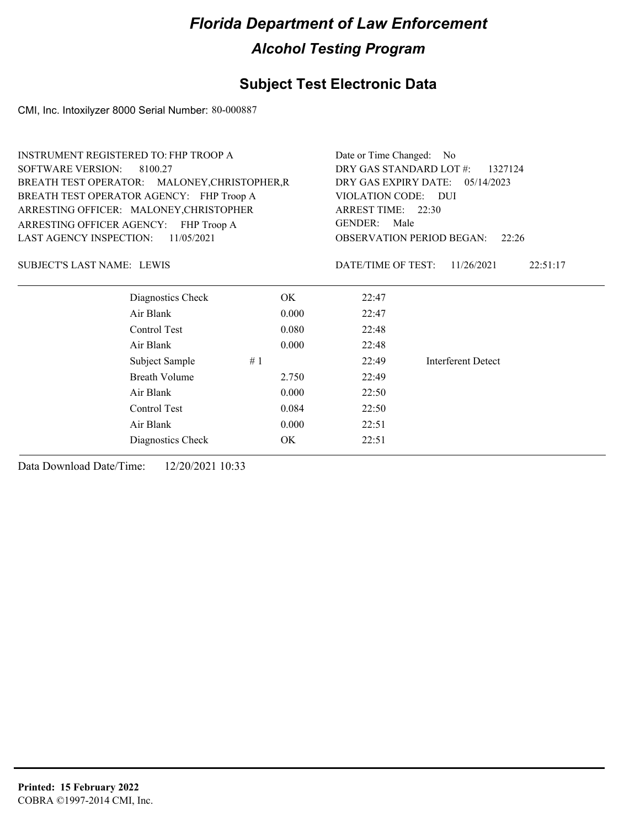## **Subject Test Electronic Data**

CMI, Inc. Intoxilyzer 8000 Serial Number: 80-000887

| <b>INSTRUMENT REGISTERED TO: FHP TROOP A</b>  | Date or Time Changed:<br>- No             |                        |                                                  |  |  |
|-----------------------------------------------|-------------------------------------------|------------------------|--------------------------------------------------|--|--|
|                                               | DRY GAS STANDARD LOT #:<br>1327124        |                        |                                                  |  |  |
| BREATH TEST OPERATOR: MALONEY, CHRISTOPHER, R | DRY GAS EXPIRY DATE:<br>05/14/2023        |                        |                                                  |  |  |
| BREATH TEST OPERATOR AGENCY: FHP Troop A      | VIOLATION CODE: DUI                       |                        |                                                  |  |  |
| ARRESTING OFFICER: MALONEY, CHRISTOPHER       |                                           |                        |                                                  |  |  |
| ARRESTING OFFICER AGENCY: FHP Troop A         | <b>GENDER:</b>                            |                        |                                                  |  |  |
|                                               | <b>OBSERVATION PERIOD BEGAN:</b><br>22:26 |                        |                                                  |  |  |
|                                               |                                           | 11/26/2021<br>22:51:17 |                                                  |  |  |
| OK.                                           | 22:47                                     |                        |                                                  |  |  |
| 0.000                                         | 22:47                                     |                        |                                                  |  |  |
| 0.080                                         | 22:48                                     |                        |                                                  |  |  |
| 0.000                                         | 22:48                                     |                        |                                                  |  |  |
| #1                                            | 22:49                                     | Interferent Detect     |                                                  |  |  |
| 2.750                                         | 22:49                                     |                        |                                                  |  |  |
| 0.000                                         | 22:50                                     |                        |                                                  |  |  |
| 0.084                                         | 22:50                                     |                        |                                                  |  |  |
| 0.000                                         | 22:51                                     |                        |                                                  |  |  |
| OK.                                           | 22:51                                     |                        |                                                  |  |  |
|                                               |                                           |                        | ARREST TIME: 22:30<br>Male<br>DATE/TIME OF TEST: |  |  |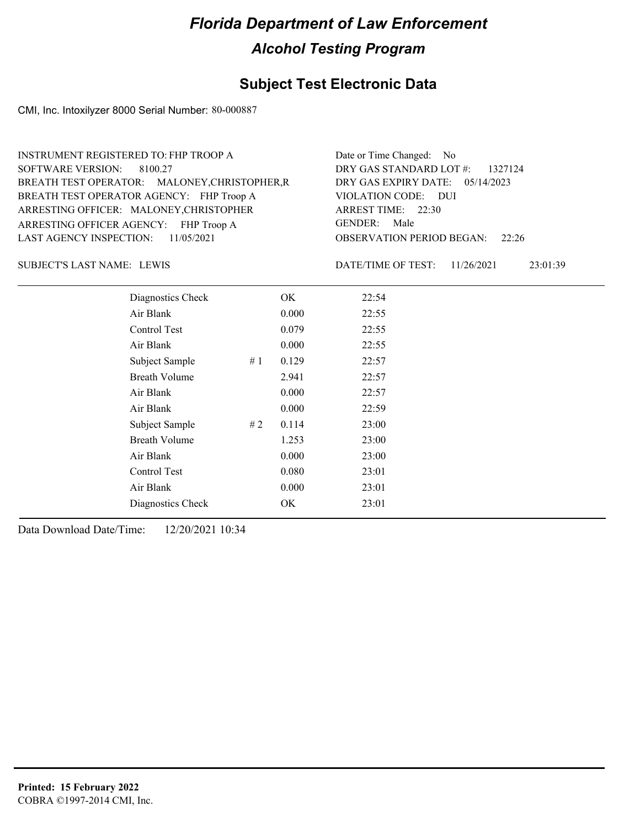#### **Subject Test Electronic Data**

CMI, Inc. Intoxilyzer 8000 Serial Number: 80-000887

| Date or Time Changed: No<br>DRY GAS STANDARD LOT #:<br>1327124<br>DRY GAS EXPIRY DATE:<br>05/14/2023<br>VIOLATION CODE: DUI<br>ARREST TIME: 22:30<br>GENDER:<br>Male<br><b>OBSERVATION PERIOD BEGAN:</b><br>22:26<br>DATE/TIME OF TEST:<br>11/26/2021<br>23:01:39 |  |  |  |
|-------------------------------------------------------------------------------------------------------------------------------------------------------------------------------------------------------------------------------------------------------------------|--|--|--|
|                                                                                                                                                                                                                                                                   |  |  |  |
|                                                                                                                                                                                                                                                                   |  |  |  |

Subject Sample # 1 0.129 22:57 Breath Volume 2.941 22:57 Air Blank 0.000 22:57 Air Blank 0.000 22:59 Subject Sample # 2 0.114 23:00 Breath Volume 1.253 23:00 Air Blank 0.000 23:00 Control Test 0.080 23:01 Air Blank 0.000 23:01 Diagnostics Check OK 23:01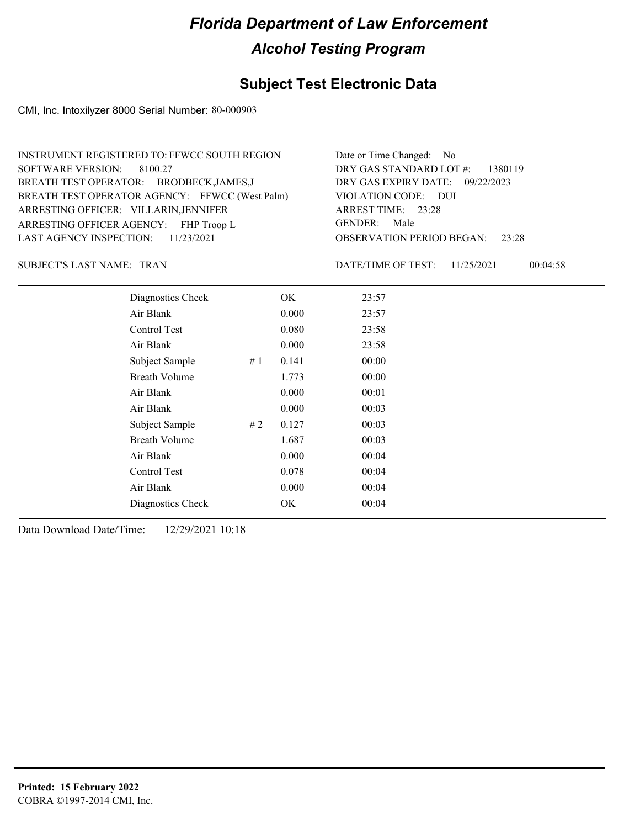## **Subject Test Electronic Data**

CMI, Inc. Intoxilyzer 8000 Serial Number: 80-000903

| Date or Time Changed: No               |
|----------------------------------------|
| DRY GAS STANDARD LOT $\#$ : 1380119    |
| DRY GAS EXPIRY DATE: 09/22/2023        |
| VIOLATION CODE: DUI                    |
| ARREST TIME: 23:28                     |
| GENDER: Male                           |
| <b>OBSERVATION PERIOD BEGAN:</b> 23:28 |
|                                        |

SUBJECT'S LAST NAME: TRAN DATE/TIME OF TEST:

DATE/TIME OF TEST: 11/25/2021 00:04:58

| Diagnostics Check    |    | OK    | 23:57 |  |
|----------------------|----|-------|-------|--|
| Air Blank            |    | 0.000 | 23:57 |  |
| Control Test         |    | 0.080 | 23:58 |  |
| Air Blank            |    | 0.000 | 23:58 |  |
| Subject Sample       | #1 | 0.141 | 00:00 |  |
| <b>Breath Volume</b> |    | 1.773 | 00:00 |  |
| Air Blank            |    | 0.000 | 00:01 |  |
| Air Blank            |    | 0.000 | 00:03 |  |
| Subject Sample       | #2 | 0.127 | 00:03 |  |
| <b>Breath Volume</b> |    | 1.687 | 00:03 |  |
| Air Blank            |    | 0.000 | 00:04 |  |
| Control Test         |    | 0.078 | 00:04 |  |
| Air Blank            |    | 0.000 | 00:04 |  |
| Diagnostics Check    |    | OK    | 00:04 |  |
|                      |    |       |       |  |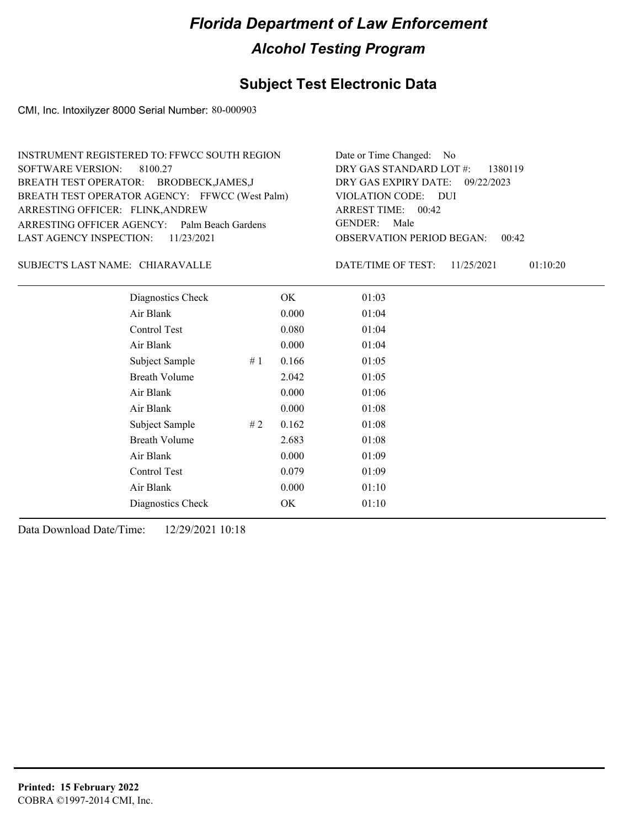## **Subject Test Electronic Data**

CMI, Inc. Intoxilyzer 8000 Serial Number: 80-000903

| Date or Time Changed: No            |
|-------------------------------------|
| DRY GAS STANDARD LOT $\#$ : 1380119 |
| DRY GAS EXPIRY DATE: 09/22/2023     |
| VIOLATION CODE: DUI                 |
| ARREST TIME: 00:42                  |
| GENDER: Male                        |
| OBSERVATION PERIOD BEGAN:<br>00:42  |
|                                     |

#### CHIARAVALLE SUBJECT'S LAST NAME: DATE/TIME OF TEST:

DATE/TIME OF TEST: 11/25/2021 01:10:20

| Diagnostics Check    |    | OK    | 01:03 |
|----------------------|----|-------|-------|
| Air Blank            |    | 0.000 | 01:04 |
| Control Test         |    | 0.080 | 01:04 |
| Air Blank            |    | 0.000 | 01:04 |
| Subject Sample       | #1 | 0.166 | 01:05 |
| <b>Breath Volume</b> |    | 2.042 | 01:05 |
| Air Blank            |    | 0.000 | 01:06 |
| Air Blank            |    | 0.000 | 01:08 |
| Subject Sample       | #2 | 0.162 | 01:08 |
| <b>Breath Volume</b> |    | 2.683 | 01:08 |
| Air Blank            |    | 0.000 | 01:09 |
| Control Test         |    | 0.079 | 01:09 |
| Air Blank            |    | 0.000 | 01:10 |
| Diagnostics Check    |    | OK    | 01:10 |
|                      |    |       |       |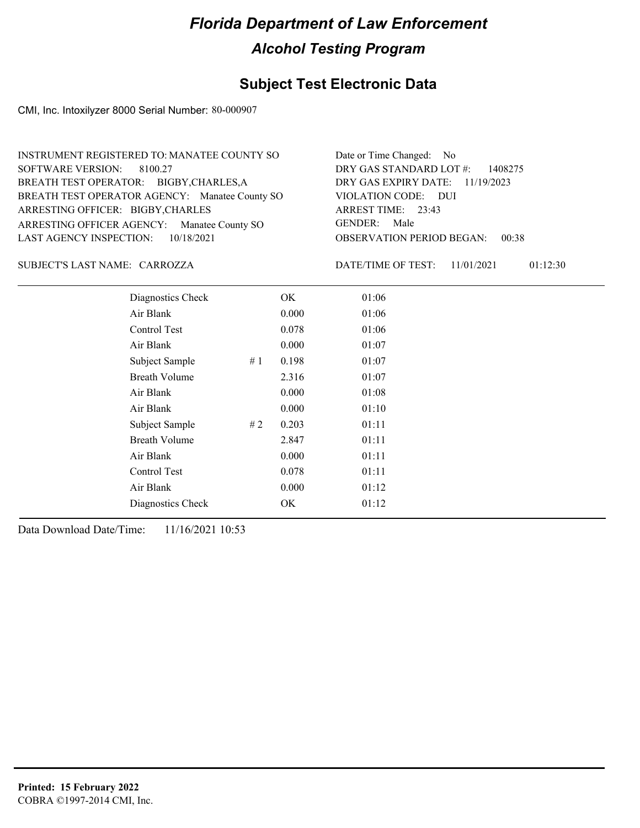## **Subject Test Electronic Data**

CMI, Inc. Intoxilyzer 8000 Serial Number: 80-000907

| INSTRUMENT REGISTERED TO: MANATEE COUNTY SO    | Date or Time Changed: No               |
|------------------------------------------------|----------------------------------------|
| SOFTWARE VERSION: 8100.27                      | DRY GAS STANDARD LOT $\#$ : 1408275    |
| BREATH TEST OPERATOR: BIGBY, CHARLES, A        | DRY GAS EXPIRY DATE: 11/19/2023        |
| BREATH TEST OPERATOR AGENCY: Manatee County SO | VIOLATION CODE: DUI                    |
| ARRESTING OFFICER: BIGBY, CHARLES              | ARREST TIME: 23:43                     |
| ARRESTING OFFICER AGENCY: Manatee County SO    | GENDER: Male                           |
| LAST AGENCY INSPECTION: $10/18/2021$           | <b>OBSERVATION PERIOD BEGAN: 00:38</b> |

CARROZZA SUBJECT'S LAST NAME: DATE/TIME OF TEST:

DATE/TIME OF TEST: 11/01/2021 01:12:30

| Diagnostics Check    |    | OK    | 01:06 |
|----------------------|----|-------|-------|
| Air Blank            |    | 0.000 | 01:06 |
| Control Test         |    | 0.078 | 01:06 |
| Air Blank            |    | 0.000 | 01:07 |
| Subject Sample       | #1 | 0.198 | 01:07 |
| <b>Breath Volume</b> |    | 2.316 | 01:07 |
| Air Blank            |    | 0.000 | 01:08 |
| Air Blank            |    | 0.000 | 01:10 |
| Subject Sample       | #2 | 0.203 | 01:11 |
| <b>Breath Volume</b> |    | 2.847 | 01:11 |
| Air Blank            |    | 0.000 | 01:11 |
| Control Test         |    | 0.078 | 01:11 |
| Air Blank            |    | 0.000 | 01:12 |
| Diagnostics Check    |    | OK    | 01:12 |
|                      |    |       |       |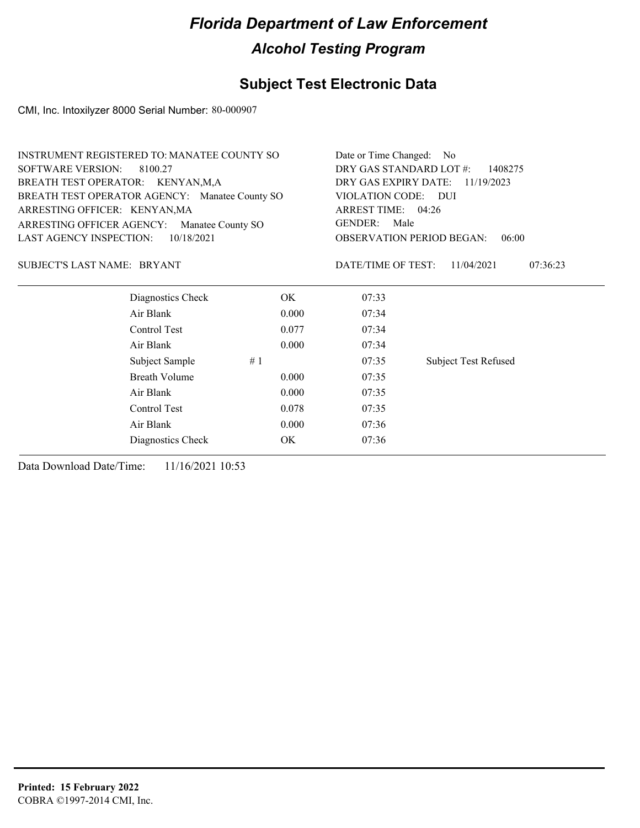## **Subject Test Electronic Data**

CMI, Inc. Intoxilyzer 8000 Serial Number: 80-000907

| INSTRUMENT REGISTERED TO: MANATEE COUNTY SO    |                      | Date or Time Changed: No |                                                |                             |  |
|------------------------------------------------|----------------------|--------------------------|------------------------------------------------|-----------------------------|--|
| <b>SOFTWARE VERSION:</b>                       | 8100.27              |                          | DRY GAS STANDARD LOT #:<br>1408275             |                             |  |
| BREATH TEST OPERATOR: KENYAN,M,A               |                      |                          | DRY GAS EXPIRY DATE: 11/19/2023                |                             |  |
| BREATH TEST OPERATOR AGENCY: Manatee County SO |                      |                          | VIOLATION CODE:<br>- DUI<br>ARREST TIME: 04:26 |                             |  |
| ARRESTING OFFICER: KENYAN, MA                  |                      |                          |                                                |                             |  |
| ARRESTING OFFICER AGENCY:                      | Manatee County SO    |                          | <b>GENDER:</b><br>Male                         |                             |  |
| LAST AGENCY INSPECTION:                        | 10/18/2021           |                          | <b>OBSERVATION PERIOD BEGAN:</b><br>06:00      |                             |  |
| SUBJECT'S LAST NAME: BRYANT                    |                      |                          | DATE/TIME OF TEST:                             | 11/04/2021<br>07:36:23      |  |
|                                                | Diagnostics Check    | OK                       | 07:33                                          |                             |  |
|                                                | Air Blank            | 0.000                    | 07:34                                          |                             |  |
|                                                | Control Test         | 0.077                    | 07:34                                          |                             |  |
|                                                | Air Blank            | 0.000                    | 07:34                                          |                             |  |
|                                                | Subject Sample       | #1                       | 07:35                                          | <b>Subject Test Refused</b> |  |
|                                                | <b>Breath Volume</b> | 0.000                    | 07:35                                          |                             |  |
|                                                | Air Blank            | 0.000                    | 07:35                                          |                             |  |
|                                                | Control Test         | 0.078                    | 07:35                                          |                             |  |
|                                                | Air Blank            | 0.000                    | 07:36                                          |                             |  |
|                                                | Diagnostics Check    | ОK                       | 07:36                                          |                             |  |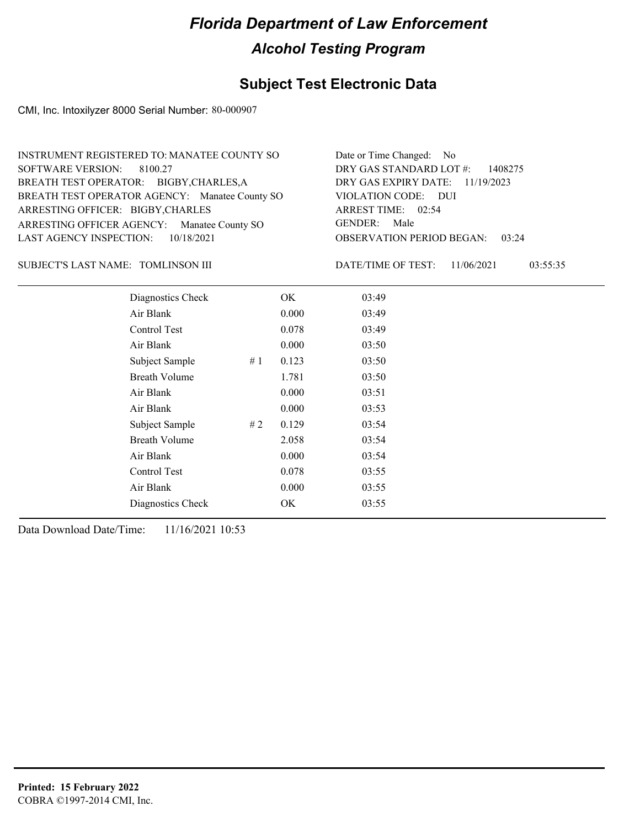## **Subject Test Electronic Data**

CMI, Inc. Intoxilyzer 8000 Serial Number: 80-000907

| INSTRUMENT REGISTERED TO: MANATEE COUNTY SO    | Date or Time Changed: No               |
|------------------------------------------------|----------------------------------------|
| SOFTWARE VERSION: 8100.27                      | DRY GAS STANDARD LOT $\#$ : 1408275    |
| BREATH TEST OPERATOR: BIGBY, CHARLES, A        | DRY GAS EXPIRY DATE: $11/19/2023$      |
| BREATH TEST OPERATOR AGENCY: Manatee County SO | VIOLATION CODE: DUI                    |
| ARRESTING OFFICER: BIGBY, CHARLES              | ARREST TIME: 02:54                     |
| ARRESTING OFFICER AGENCY: Manatee County SO    | GENDER: Male                           |
| LAST AGENCY INSPECTION: $10/18/2021$           | <b>OBSERVATION PERIOD BEGAN: 03:24</b> |

#### TOMLINSON III SUBJECT'S LAST NAME: DATE/TIME OF TEST:

DATE/TIME OF TEST: 11/06/2021 03:55:35

| Diagnostics Check    |    | OK    | 03:49 |
|----------------------|----|-------|-------|
| Air Blank            |    | 0.000 | 03:49 |
| Control Test         |    | 0.078 | 03:49 |
| Air Blank            |    | 0.000 | 03:50 |
| Subject Sample       | #1 | 0.123 | 03:50 |
| <b>Breath Volume</b> |    | 1.781 | 03:50 |
| Air Blank            |    | 0.000 | 03:51 |
| Air Blank            |    | 0.000 | 03:53 |
| Subject Sample       | #2 | 0.129 | 03:54 |
| <b>Breath Volume</b> |    | 2.058 | 03:54 |
| Air Blank            |    | 0.000 | 03:54 |
| Control Test         |    | 0.078 | 03:55 |
| Air Blank            |    | 0.000 | 03:55 |
| Diagnostics Check    |    | OK    | 03:55 |
|                      |    |       |       |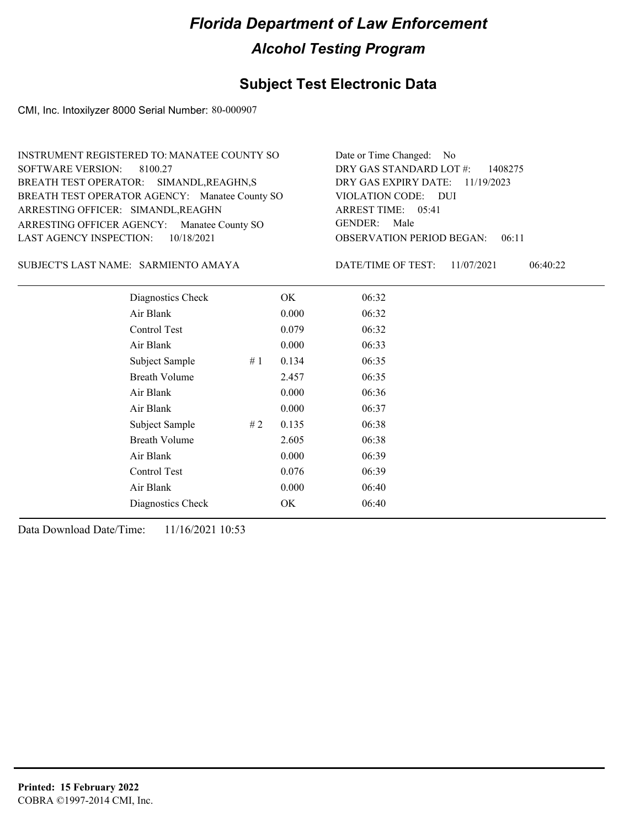## **Subject Test Electronic Data**

CMI, Inc. Intoxilyzer 8000 Serial Number: 80-000907

| INSTRUMENT REGISTERED TO: MANATEE COUNTY SO    | Date or Time Changed: No               |
|------------------------------------------------|----------------------------------------|
| SOFTWARE VERSION: 8100.27                      | DRY GAS STANDARD LOT $\#$ : 1408275    |
| BREATH TEST OPERATOR: SIMANDL, REAGHN, S       | DRY GAS EXPIRY DATE: 11/19/2023        |
| BREATH TEST OPERATOR AGENCY: Manatee County SO | VIOLATION CODE: DUI                    |
| ARRESTING OFFICER: SIMANDL, REAGHN             | ARREST TIME: 05:41                     |
| ARRESTING OFFICER AGENCY: Manatee County SO    | GENDER: Male                           |
| LAST AGENCY INSPECTION: $10/18/2021$           | <b>OBSERVATION PERIOD BEGAN: 06:11</b> |

#### SARMIENTO AMAYA SUBJECT'S LAST NAME: DATE/TIME OF TEST:

DATE/TIME OF TEST: 11/07/2021 06:40:22

| Diagnostics Check    |    | OK    | 06:32 |
|----------------------|----|-------|-------|
| Air Blank            |    | 0.000 | 06:32 |
| Control Test         |    | 0.079 | 06:32 |
| Air Blank            |    | 0.000 | 06:33 |
| Subject Sample       | #1 | 0.134 | 06:35 |
| <b>Breath Volume</b> |    | 2.457 | 06:35 |
| Air Blank            |    | 0.000 | 06:36 |
| Air Blank            |    | 0.000 | 06:37 |
| Subject Sample       | #2 | 0.135 | 06:38 |
| <b>Breath Volume</b> |    | 2.605 | 06:38 |
| Air Blank            |    | 0.000 | 06:39 |
| Control Test         |    | 0.076 | 06:39 |
| Air Blank            |    | 0.000 | 06:40 |
| Diagnostics Check    |    | OK    | 06:40 |
|                      |    |       |       |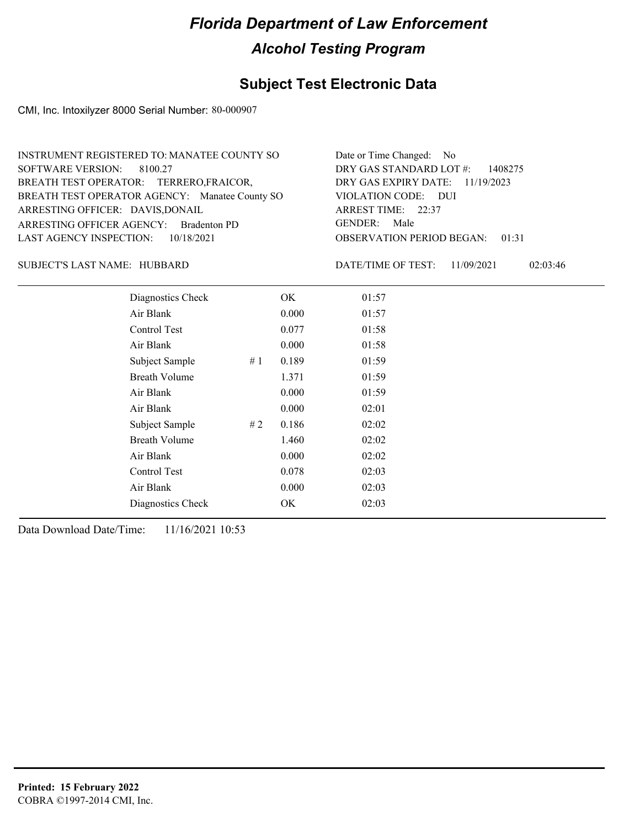## **Subject Test Electronic Data**

CMI, Inc. Intoxilyzer 8000 Serial Number: 80-000907

| INSTRUMENT REGISTERED TO: MANATEE COUNTY SO    | Date or Time Changed: No               |
|------------------------------------------------|----------------------------------------|
| SOFTWARE VERSION: 8100.27                      | DRY GAS STANDARD LOT $\#$ : 1408275    |
| BREATH TEST OPERATOR: TERRERO, FRAICOR,        | DRY GAS EXPIRY DATE: 11/19/2023        |
| BREATH TEST OPERATOR AGENCY: Manatee County SO | VIOLATION CODE: DUI                    |
| ARRESTING OFFICER: DAVIS, DONAIL               | ARREST TIME: 22:37                     |
| ARRESTING OFFICER AGENCY: Bradenton PD         | GENDER: Male                           |
| LAST AGENCY INSPECTION: $10/18/2021$           | <b>OBSERVATION PERIOD BEGAN: 01:31</b> |

#### SUBJECT'S LAST NAME: HUBBARD DATE/TIME OF TEST:

DATE/TIME OF TEST: 11/09/2021 02:03:46

| Diagnostics Check    |    | OK    | 01:57 |
|----------------------|----|-------|-------|
| Air Blank            |    | 0.000 | 01:57 |
| Control Test         |    | 0.077 | 01:58 |
| Air Blank            |    | 0.000 | 01:58 |
| Subject Sample       | #1 | 0.189 | 01:59 |
| <b>Breath Volume</b> |    | 1.371 | 01:59 |
| Air Blank            |    | 0.000 | 01:59 |
| Air Blank            |    | 0.000 | 02:01 |
| Subject Sample       | #2 | 0.186 | 02:02 |
| <b>Breath Volume</b> |    | 1.460 | 02:02 |
| Air Blank            |    | 0.000 | 02:02 |
| <b>Control Test</b>  |    | 0.078 | 02:03 |
| Air Blank            |    | 0.000 | 02:03 |
| Diagnostics Check    |    | OK    | 02:03 |
|                      |    |       |       |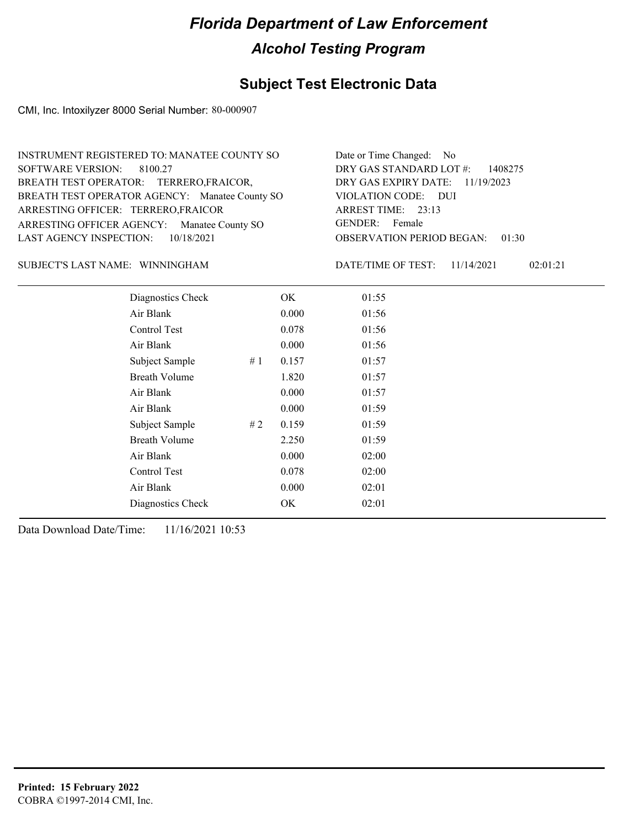## **Subject Test Electronic Data**

CMI, Inc. Intoxilyzer 8000 Serial Number: 80-000907

| INSTRUMENT REGISTERED TO: MANATEE COUNTY SO    | Date or Time Changed: No               |
|------------------------------------------------|----------------------------------------|
| SOFTWARE VERSION: 8100.27                      | DRY GAS STANDARD LOT $\#$ : 1408275    |
| BREATH TEST OPERATOR: TERRERO, FRAICOR,        | DRY GAS EXPIRY DATE: 11/19/2023        |
| BREATH TEST OPERATOR AGENCY: Manatee County SO | VIOLATION CODE: DUI                    |
| ARRESTING OFFICER: TERRERO, FRAICOR            | ARREST TIME: 23:13                     |
| ARRESTING OFFICER AGENCY: Manatee County SO    | GENDER: Female                         |
| LAST AGENCY INSPECTION: 10/18/2021             | <b>OBSERVATION PERIOD BEGAN: 01:30</b> |

#### WINNINGHAM SUBJECT'S LAST NAME: DATE/TIME OF TEST:

DATE/TIME OF TEST: 11/14/2021 02:01:21

| Diagnostics Check    |     | OK    | 01:55 |
|----------------------|-----|-------|-------|
| Air Blank            |     | 0.000 | 01:56 |
| Control Test         |     | 0.078 | 01:56 |
| Air Blank            |     | 0.000 | 01:56 |
| Subject Sample       | #1  | 0.157 | 01:57 |
| <b>Breath Volume</b> |     | 1.820 | 01:57 |
| Air Blank            |     | 0.000 | 01:57 |
| Air Blank            |     | 0.000 | 01:59 |
| Subject Sample       | # 2 | 0.159 | 01:59 |
| <b>Breath Volume</b> |     | 2.250 | 01:59 |
| Air Blank            |     | 0.000 | 02:00 |
| Control Test         |     | 0.078 | 02:00 |
| Air Blank            |     | 0.000 | 02:01 |
| Diagnostics Check    |     | OK    | 02:01 |
|                      |     |       |       |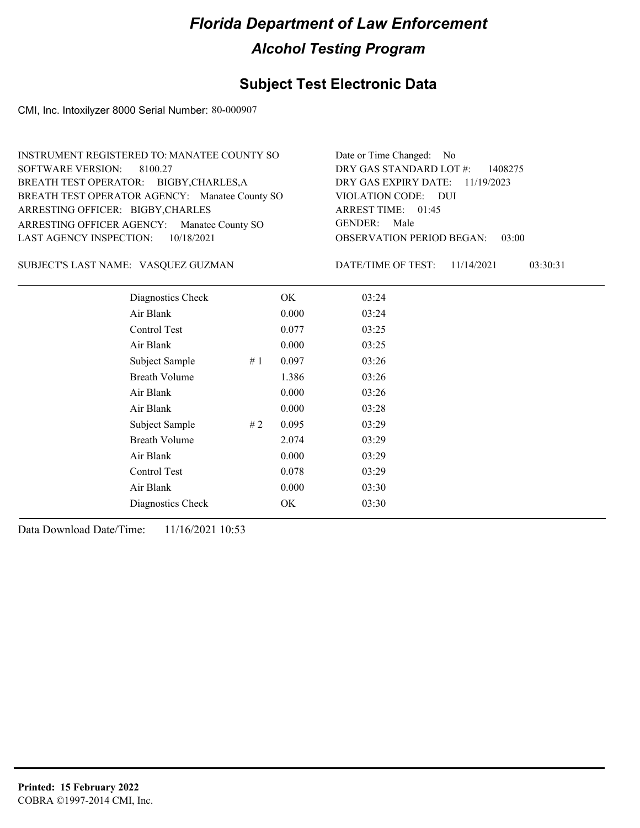## **Subject Test Electronic Data**

CMI, Inc. Intoxilyzer 8000 Serial Number: 80-000907

| INSTRUMENT REGISTERED TO: MANATEE COUNTY SO    | Date or Time Changed: No               |
|------------------------------------------------|----------------------------------------|
| SOFTWARE VERSION: 8100.27                      | DRY GAS STANDARD LOT $\#$ : 1408275    |
| BREATH TEST OPERATOR: BIGBY, CHARLES, A        | DRY GAS EXPIRY DATE: 11/19/2023        |
| BREATH TEST OPERATOR AGENCY: Manatee County SO | VIOLATION CODE: DUI                    |
| ARRESTING OFFICER: BIGBY, CHARLES              | ARREST TIME: 01:45                     |
| ARRESTING OFFICER AGENCY: Manatee County SO    | GENDER: Male                           |
| LAST AGENCY INSPECTION: $10/18/2021$           | <b>OBSERVATION PERIOD BEGAN: 03:00</b> |

#### VASQUEZ GUZMAN SUBJECT'S LAST NAME: DATE/TIME OF TEST:

DATE/TIME OF TEST: 11/14/2021 03:30:31

| Diagnostics Check    | OK    | 03:24 |
|----------------------|-------|-------|
| Air Blank            | 0.000 | 03:24 |
| Control Test         | 0.077 | 03:25 |
| Air Blank            | 0.000 | 03:25 |
| Subject Sample<br>#1 | 0.097 | 03:26 |
| <b>Breath Volume</b> | 1.386 | 03:26 |
| Air Blank            | 0.000 | 03:26 |
| Air Blank            | 0.000 | 03:28 |
| Subject Sample<br>#2 | 0.095 | 03:29 |
| <b>Breath Volume</b> | 2.074 | 03:29 |
| Air Blank            | 0.000 | 03:29 |
| Control Test         | 0.078 | 03:29 |
| Air Blank            | 0.000 | 03:30 |
| Diagnostics Check    | OK    | 03:30 |
|                      |       |       |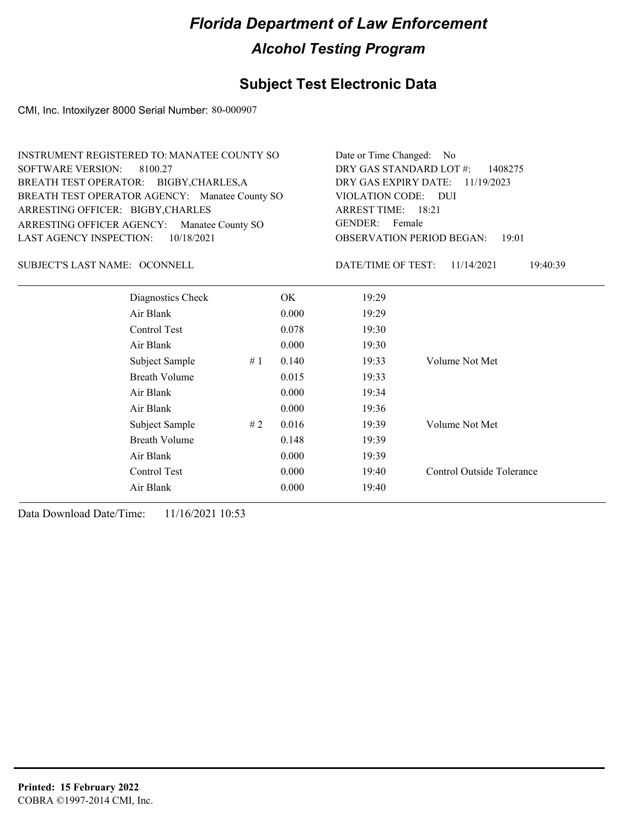## **Subject Test Electronic Data**

CMI, Inc. Intoxilyzer 8000 Serial Number: 80-000907

| <b>INSTRUMENT REGISTERED TO: MANATEE COUNTY SO</b><br><b>SOFTWARE VERSION:</b><br>8100.27<br>BREATH TEST OPERATOR: BIGBY, CHARLES, A<br>BREATH TEST OPERATOR AGENCY: Manatee County SO<br>ARRESTING OFFICER: BIGBY, CHARLES<br>ARRESTING OFFICER AGENCY:<br>Manatee County SO<br>10/18/2021<br><b>LAST AGENCY INSPECTION:</b> |                      | Date or Time Changed: No<br>DRY GAS STANDARD LOT #:<br>1408275<br>DRY GAS EXPIRY DATE:<br>11/19/2023<br>VIOLATION CODE: DUI<br><b>ARREST TIME: 18:21</b><br><b>GENDER:</b><br>Female<br><b>OBSERVATION PERIOD BEGAN:</b><br>19:01 |       |                    |                           |
|-------------------------------------------------------------------------------------------------------------------------------------------------------------------------------------------------------------------------------------------------------------------------------------------------------------------------------|----------------------|-----------------------------------------------------------------------------------------------------------------------------------------------------------------------------------------------------------------------------------|-------|--------------------|---------------------------|
| SUBJECT'S LAST NAME: OCONNELL                                                                                                                                                                                                                                                                                                 |                      |                                                                                                                                                                                                                                   |       | DATE/TIME OF TEST: | 11/14/2021<br>19:40:39    |
|                                                                                                                                                                                                                                                                                                                               | Diagnostics Check    |                                                                                                                                                                                                                                   | OK.   | 19:29              |                           |
|                                                                                                                                                                                                                                                                                                                               | Air Blank            |                                                                                                                                                                                                                                   | 0.000 | 19:29              |                           |
|                                                                                                                                                                                                                                                                                                                               | Control Test         |                                                                                                                                                                                                                                   | 0.078 | 19:30              |                           |
|                                                                                                                                                                                                                                                                                                                               | Air Blank            |                                                                                                                                                                                                                                   | 0.000 | 19:30              |                           |
|                                                                                                                                                                                                                                                                                                                               | Subject Sample       | #1                                                                                                                                                                                                                                | 0.140 | 19:33              | Volume Not Met            |
|                                                                                                                                                                                                                                                                                                                               | <b>Breath Volume</b> |                                                                                                                                                                                                                                   | 0.015 | 19:33              |                           |
|                                                                                                                                                                                                                                                                                                                               | Air Blank            |                                                                                                                                                                                                                                   | 0.000 | 19:34              |                           |
|                                                                                                                                                                                                                                                                                                                               | Air Blank            |                                                                                                                                                                                                                                   | 0.000 | 19:36              |                           |
|                                                                                                                                                                                                                                                                                                                               | Subject Sample       | #2                                                                                                                                                                                                                                | 0.016 | 19:39              | Volume Not Met            |
|                                                                                                                                                                                                                                                                                                                               | <b>Breath Volume</b> |                                                                                                                                                                                                                                   | 0.148 | 19:39              |                           |
|                                                                                                                                                                                                                                                                                                                               | Air Blank            |                                                                                                                                                                                                                                   | 0.000 | 19:39              |                           |
|                                                                                                                                                                                                                                                                                                                               | Control Test         |                                                                                                                                                                                                                                   | 0.000 | 19:40              | Control Outside Tolerance |
|                                                                                                                                                                                                                                                                                                                               | Air Blank            |                                                                                                                                                                                                                                   | 0.000 | 19:40              |                           |
|                                                                                                                                                                                                                                                                                                                               |                      |                                                                                                                                                                                                                                   |       |                    |                           |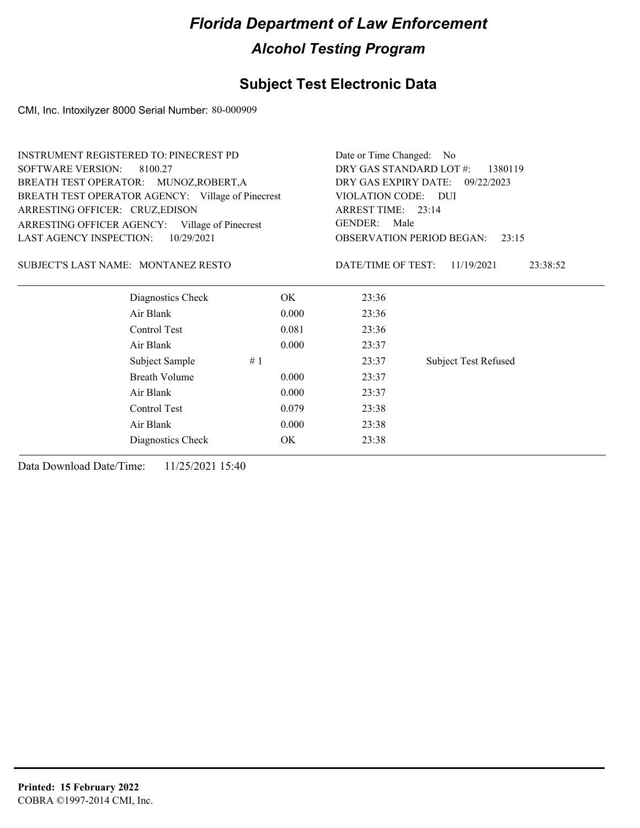### **Subject Test Electronic Data**

CMI, Inc. Intoxilyzer 8000 Serial Number: 80-000909

| DRY GAS STANDARD LOT #:<br><b>SOFTWARE VERSION:</b><br>8100.27<br>1380119<br>DRY GAS EXPIRY DATE:<br>BREATH TEST OPERATOR: MUNOZ, ROBERT, A<br>09/22/2023<br>BREATH TEST OPERATOR AGENCY: Village of Pinecrest<br>VIOLATION CODE: DUI<br>ARREST TIME: 23:14<br>ARRESTING OFFICER: CRUZ, EDISON<br><b>GENDER:</b><br>Male<br>ARRESTING OFFICER AGENCY: Village of Pinecrest<br><b>LAST AGENCY INSPECTION:</b><br>10/29/2021<br><b>OBSERVATION PERIOD BEGAN:</b><br>23:15<br>SUBJECT'S LAST NAME: MONTANEZ RESTO<br>DATE/TIME OF TEST:<br>11/19/2021<br>23:38:52<br>Diagnostics Check<br>OK.<br>23:36<br>Air Blank<br>0.000<br>23:36<br>Control Test<br>0.081<br>23:36<br>Air Blank<br>0.000<br>23:37<br>Subject Sample<br>#1<br>23:37<br><b>Subject Test Refused</b><br><b>Breath Volume</b><br>0.000<br>23:37<br>Air Blank<br>0.000<br>23:37<br>Control Test<br>0.079<br>23:38<br>Air Blank<br>0.000<br>23:38<br>OK<br>23:38 | <b>INSTRUMENT REGISTERED TO: PINECREST PD</b> |  | Date or Time Changed: No |  |  |
|------------------------------------------------------------------------------------------------------------------------------------------------------------------------------------------------------------------------------------------------------------------------------------------------------------------------------------------------------------------------------------------------------------------------------------------------------------------------------------------------------------------------------------------------------------------------------------------------------------------------------------------------------------------------------------------------------------------------------------------------------------------------------------------------------------------------------------------------------------------------------------------------------------------------------|-----------------------------------------------|--|--------------------------|--|--|
|                                                                                                                                                                                                                                                                                                                                                                                                                                                                                                                                                                                                                                                                                                                                                                                                                                                                                                                              |                                               |  |                          |  |  |
|                                                                                                                                                                                                                                                                                                                                                                                                                                                                                                                                                                                                                                                                                                                                                                                                                                                                                                                              |                                               |  |                          |  |  |
|                                                                                                                                                                                                                                                                                                                                                                                                                                                                                                                                                                                                                                                                                                                                                                                                                                                                                                                              |                                               |  |                          |  |  |
|                                                                                                                                                                                                                                                                                                                                                                                                                                                                                                                                                                                                                                                                                                                                                                                                                                                                                                                              |                                               |  |                          |  |  |
|                                                                                                                                                                                                                                                                                                                                                                                                                                                                                                                                                                                                                                                                                                                                                                                                                                                                                                                              |                                               |  |                          |  |  |
|                                                                                                                                                                                                                                                                                                                                                                                                                                                                                                                                                                                                                                                                                                                                                                                                                                                                                                                              |                                               |  |                          |  |  |
|                                                                                                                                                                                                                                                                                                                                                                                                                                                                                                                                                                                                                                                                                                                                                                                                                                                                                                                              |                                               |  |                          |  |  |
|                                                                                                                                                                                                                                                                                                                                                                                                                                                                                                                                                                                                                                                                                                                                                                                                                                                                                                                              |                                               |  |                          |  |  |
|                                                                                                                                                                                                                                                                                                                                                                                                                                                                                                                                                                                                                                                                                                                                                                                                                                                                                                                              |                                               |  |                          |  |  |
|                                                                                                                                                                                                                                                                                                                                                                                                                                                                                                                                                                                                                                                                                                                                                                                                                                                                                                                              |                                               |  |                          |  |  |
|                                                                                                                                                                                                                                                                                                                                                                                                                                                                                                                                                                                                                                                                                                                                                                                                                                                                                                                              |                                               |  |                          |  |  |
|                                                                                                                                                                                                                                                                                                                                                                                                                                                                                                                                                                                                                                                                                                                                                                                                                                                                                                                              |                                               |  |                          |  |  |
|                                                                                                                                                                                                                                                                                                                                                                                                                                                                                                                                                                                                                                                                                                                                                                                                                                                                                                                              |                                               |  |                          |  |  |
|                                                                                                                                                                                                                                                                                                                                                                                                                                                                                                                                                                                                                                                                                                                                                                                                                                                                                                                              |                                               |  |                          |  |  |
|                                                                                                                                                                                                                                                                                                                                                                                                                                                                                                                                                                                                                                                                                                                                                                                                                                                                                                                              |                                               |  |                          |  |  |
|                                                                                                                                                                                                                                                                                                                                                                                                                                                                                                                                                                                                                                                                                                                                                                                                                                                                                                                              |                                               |  |                          |  |  |
|                                                                                                                                                                                                                                                                                                                                                                                                                                                                                                                                                                                                                                                                                                                                                                                                                                                                                                                              | Diagnostics Check                             |  |                          |  |  |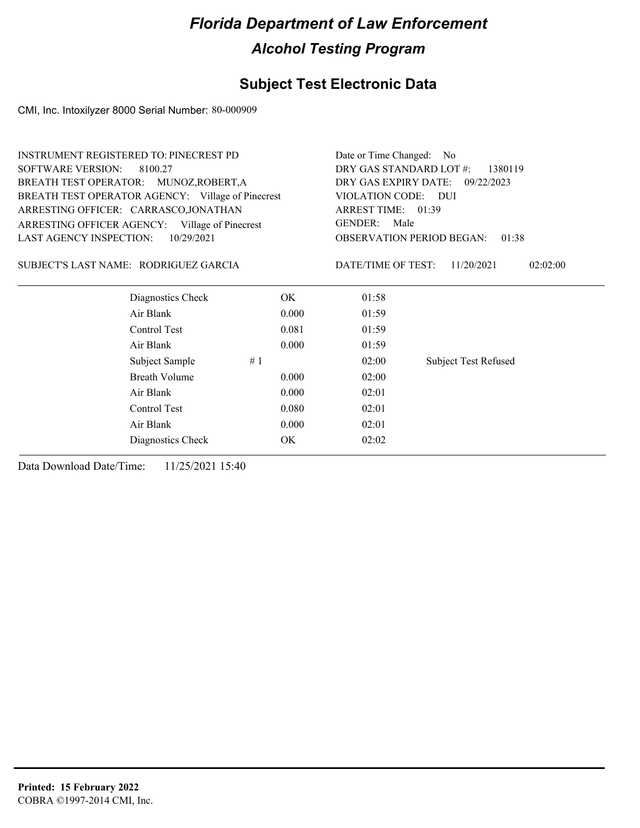## **Subject Test Electronic Data**

CMI, Inc. Intoxilyzer 8000 Serial Number: 80-000909

| <b>INSTRUMENT REGISTERED TO: PINECREST PD</b>     |       |                                              | Date or Time Changed: No                  |  |  |
|---------------------------------------------------|-------|----------------------------------------------|-------------------------------------------|--|--|
| <b>SOFTWARE VERSION:</b><br>8100.27               |       |                                              | DRY GAS STANDARD LOT #:<br>1380119        |  |  |
| BREATH TEST OPERATOR: MUNOZ, ROBERT, A            |       | DRY GAS EXPIRY DATE:<br>09/22/2023           |                                           |  |  |
| BREATH TEST OPERATOR AGENCY: Village of Pinecrest |       | VIOLATION CODE: DUI                          |                                           |  |  |
| ARRESTING OFFICER: CARRASCO,JONATHAN              |       | ARREST TIME: 01:39                           |                                           |  |  |
| ARRESTING OFFICER AGENCY: Village of Pinecrest    |       | <b>GENDER:</b><br>Male                       |                                           |  |  |
| LAST AGENCY INSPECTION:<br>10/29/2021             |       |                                              | <b>OBSERVATION PERIOD BEGAN:</b><br>01:38 |  |  |
| SUBJECT'S LAST NAME: RODRIGUEZ GARCIA             |       | DATE/TIME OF TEST:<br>11/20/2021<br>02:02:00 |                                           |  |  |
| Diagnostics Check                                 | OK.   | 01:58                                        |                                           |  |  |
| Air Blank                                         | 0.000 | 01:59                                        |                                           |  |  |
| Control Test                                      | 0.081 | 01:59                                        |                                           |  |  |
| Air Blank                                         | 0.000 | 01:59                                        |                                           |  |  |
| Subject Sample                                    | #1    | 02:00                                        | <b>Subject Test Refused</b>               |  |  |
| <b>Breath Volume</b>                              | 0.000 | 02:00                                        |                                           |  |  |
| Air Blank                                         | 0.000 | 02:01                                        |                                           |  |  |
| Control Test                                      | 0.080 | 02:01                                        |                                           |  |  |
| Air Blank                                         | 0.000 | 02:01                                        |                                           |  |  |
| Diagnostics Check                                 | OK    | 02:02                                        |                                           |  |  |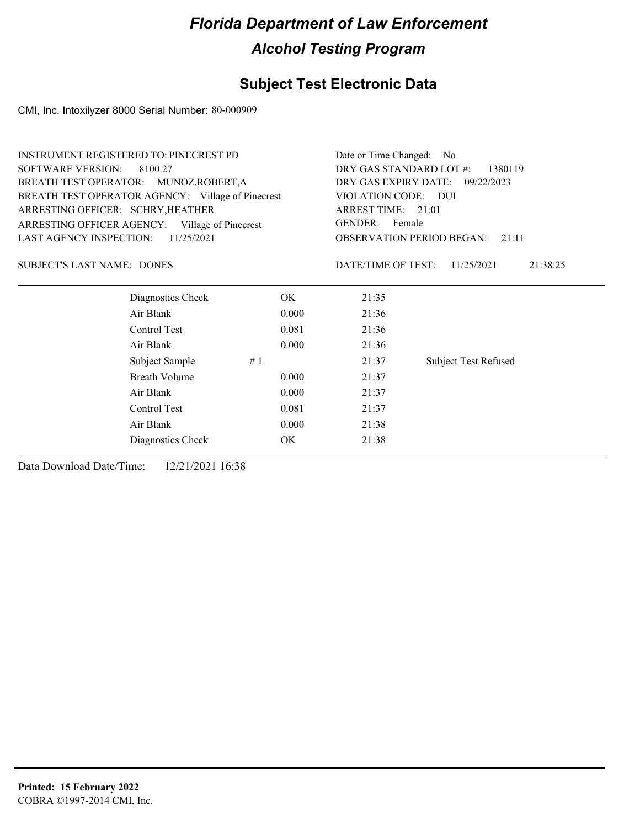## **Subject Test Electronic Data**

CMI, Inc. Intoxilyzer 8000 Serial Number: 80-000909

|                                     | <b>INSTRUMENT REGISTERED TO: PINECREST PD</b>     |       |                                                                                                                    | Date or Time Changed: No           |  |  |
|-------------------------------------|---------------------------------------------------|-------|--------------------------------------------------------------------------------------------------------------------|------------------------------------|--|--|
| <b>SOFTWARE VERSION:</b><br>8100.27 |                                                   |       | DRY GAS STANDARD LOT #:<br>1380119                                                                                 |                                    |  |  |
|                                     | BREATH TEST OPERATOR: MUNOZ, ROBERT, A            |       |                                                                                                                    | DRY GAS EXPIRY DATE:<br>09/22/2023 |  |  |
|                                     | BREATH TEST OPERATOR AGENCY: Village of Pinecrest |       | VIOLATION CODE: DUI<br>ARREST TIME: 21:01<br><b>GENDER:</b><br>Female<br><b>OBSERVATION PERIOD BEGAN:</b><br>21:11 |                                    |  |  |
| ARRESTING OFFICER: SCHRY, HEATHER   |                                                   |       |                                                                                                                    |                                    |  |  |
|                                     | ARRESTING OFFICER AGENCY: Village of Pinecrest    |       |                                                                                                                    |                                    |  |  |
| LAST AGENCY INSPECTION:             | 11/25/2021                                        |       |                                                                                                                    |                                    |  |  |
| <b>SUBJECT'S LAST NAME: DONES</b>   |                                                   |       | DATE/TIME OF TEST:                                                                                                 | 11/25/2021<br>21:38:25             |  |  |
|                                     | Diagnostics Check                                 | OK.   | 21:35                                                                                                              |                                    |  |  |
|                                     | Air Blank                                         | 0.000 | 21:36                                                                                                              |                                    |  |  |
|                                     | Control Test                                      | 0.081 | 21:36                                                                                                              |                                    |  |  |
|                                     | Air Blank                                         | 0.000 | 21:36                                                                                                              |                                    |  |  |
|                                     | Subject Sample                                    | #1    | 21:37                                                                                                              | <b>Subject Test Refused</b>        |  |  |
|                                     | Breath Volume                                     | 0.000 | 21:37                                                                                                              |                                    |  |  |
|                                     | Air Blank                                         | 0.000 | 21:37                                                                                                              |                                    |  |  |
|                                     | Control Test                                      | 0.081 | 21:37                                                                                                              |                                    |  |  |
| Air Blank<br>0.000                  |                                                   | 21:38 |                                                                                                                    |                                    |  |  |
|                                     | Diagnostics Check                                 | OK    | 21:38                                                                                                              |                                    |  |  |
|                                     |                                                   |       |                                                                                                                    |                                    |  |  |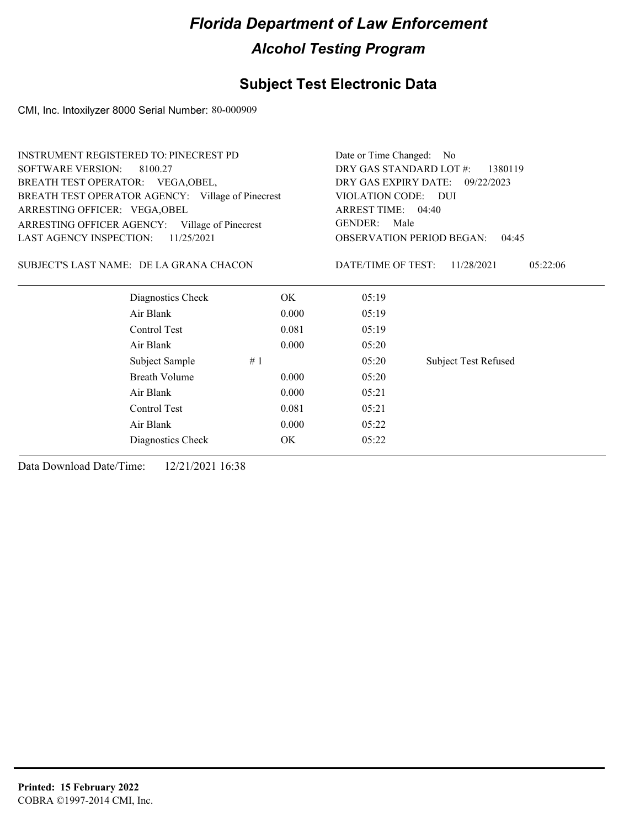## **Subject Test Electronic Data**

CMI, Inc. Intoxilyzer 8000 Serial Number: 80-000909

|                                | <b>INSTRUMENT REGISTERED TO: PINECREST PD</b>     |       |                                    | Date or Time Changed: No                  |  |  |
|--------------------------------|---------------------------------------------------|-------|------------------------------------|-------------------------------------------|--|--|
| <b>SOFTWARE VERSION:</b>       | 8100.27                                           |       | DRY GAS STANDARD LOT #:<br>1380119 |                                           |  |  |
|                                | BREATH TEST OPERATOR: VEGA, OBEL,                 |       |                                    | DRY GAS EXPIRY DATE:<br>09/22/2023        |  |  |
|                                | BREATH TEST OPERATOR AGENCY: Village of Pinecrest |       | VIOLATION CODE: DUI                |                                           |  |  |
| ARRESTING OFFICER: VEGA, OBEL  |                                                   |       | ARREST TIME: 04:40                 |                                           |  |  |
|                                | ARRESTING OFFICER AGENCY: Village of Pinecrest    |       | <b>GENDER:</b><br>Male             |                                           |  |  |
| <b>LAST AGENCY INSPECTION:</b> | 11/25/2021                                        |       |                                    | <b>OBSERVATION PERIOD BEGAN:</b><br>04:45 |  |  |
|                                | SUBJECT'S LAST NAME: DE LA GRANA CHACON           |       | DATE/TIME OF TEST:                 | 11/28/2021<br>05:22:06                    |  |  |
|                                | Diagnostics Check                                 | ОK    | 05:19                              |                                           |  |  |
|                                | Air Blank                                         | 0.000 | 05:19                              |                                           |  |  |
|                                | Control Test                                      | 0.081 | 05:19                              |                                           |  |  |
|                                | Air Blank                                         | 0.000 | 05:20                              |                                           |  |  |
|                                | Subject Sample                                    | #1    | 05:20                              | <b>Subject Test Refused</b>               |  |  |
|                                | <b>Breath Volume</b>                              | 0.000 | 05:20                              |                                           |  |  |
|                                | Air Blank                                         | 0.000 | 05:21                              |                                           |  |  |
|                                | Control Test                                      | 0.081 | 05:21                              |                                           |  |  |
|                                | Air Blank                                         | 0.000 | 05:22                              |                                           |  |  |
|                                | Diagnostics Check                                 | ОK    | 05:22                              |                                           |  |  |
|                                |                                                   |       |                                    |                                           |  |  |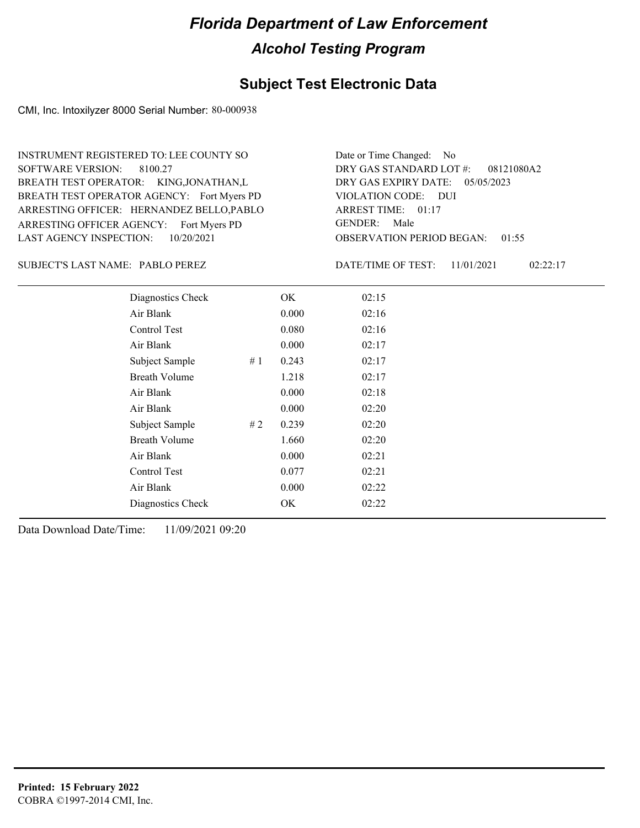### **Subject Test Electronic Data**

CMI, Inc. Intoxilyzer 8000 Serial Number: 80-000938

ARRESTING OFFICER AGENCY: Fort Myers PD GENDER: BREATH TEST OPERATOR AGENCY: Fort Myers PD VIOLATION CODE: SOFTWARE VERSION: ARRESTING OFFICER: HERNANDEZ BELLO,PABLO BREATH TEST OPERATOR: KING,JONATHAN,L LAST AGENCY INSPECTION: 10/20/2021 8100.27 INSTRUMENT REGISTERED TO: LEE COUNTY SO

OBSERVATION PERIOD BEGAN: 01:55 VIOLATION CODE: DUI ARREST TIME: 01:17 DRY GAS EXPIRY DATE: 05/05/2023 08121080A2 DRY GAS STANDARD LOT #: Date or Time Changed: No GENDER: Male

SUBJECT'S LAST NAME: PABLO PEREZ DATE/TIME OF TEST:

DATE/TIME OF TEST: 11/01/2021 02:22:17

| Diagnostics Check    |    | OK    | 02:15 |
|----------------------|----|-------|-------|
| Air Blank            |    | 0.000 | 02:16 |
| Control Test         |    | 0.080 | 02:16 |
| Air Blank            |    | 0.000 | 02:17 |
| Subject Sample       | #1 | 0.243 | 02:17 |
| <b>Breath Volume</b> |    | 1.218 | 02:17 |
| Air Blank            |    | 0.000 | 02:18 |
| Air Blank            |    | 0.000 | 02:20 |
| Subject Sample       | #2 | 0.239 | 02:20 |
| <b>Breath Volume</b> |    | 1.660 | 02:20 |
| Air Blank            |    | 0.000 | 02:21 |
| Control Test         |    | 0.077 | 02:21 |
| Air Blank            |    | 0.000 | 02:22 |
| Diagnostics Check    |    | OK    | 02:22 |
|                      |    |       |       |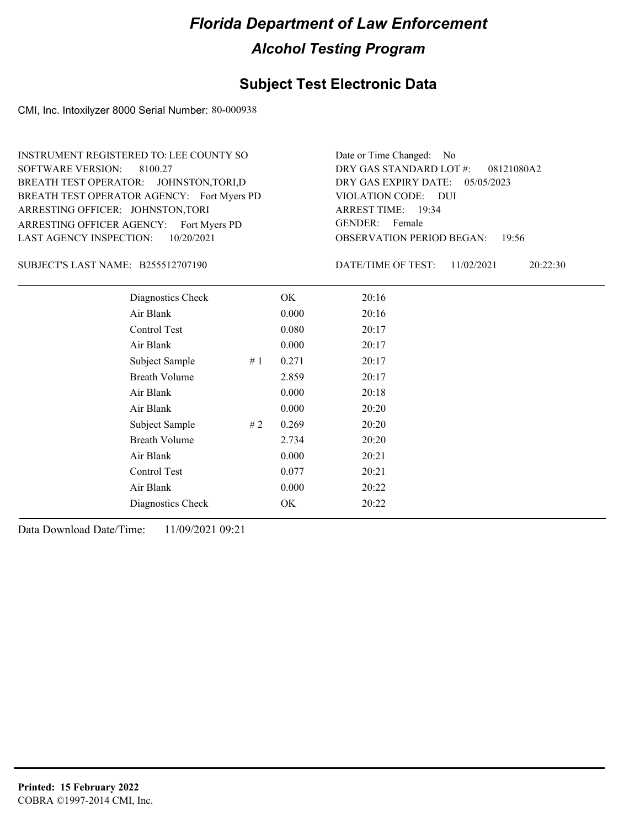### **Subject Test Electronic Data**

CMI, Inc. Intoxilyzer 8000 Serial Number: 80-000938

ARRESTING OFFICER AGENCY: Fort Myers PD GENDER: BREATH TEST OPERATOR AGENCY: Fort Myers PD VIOLATION CODE: SOFTWARE VERSION: 8100.27 ARRESTING OFFICER: JOHNSTON,TORI BREATH TEST OPERATOR: JOHNSTON,TORI,D LAST AGENCY INSPECTION: 10/20/2021 INSTRUMENT REGISTERED TO: LEE COUNTY SO

OBSERVATION PERIOD BEGAN: 19:56 VIOLATION CODE: DUI 19:34 ARREST TIME: DRY GAS EXPIRY DATE: 05/05/2023 08121080A2 DRY GAS STANDARD LOT #: Date or Time Changed: No GENDER: Female

SUBJECT'S LAST NAME: B255512707190 DATE/TIME OF TEST:

DATE/TIME OF TEST: 11/02/2021 20:22:30

| Diagnostics Check    |    | OK    | 20:16 |
|----------------------|----|-------|-------|
| Air Blank            |    | 0.000 | 20:16 |
| Control Test         |    | 0.080 | 20:17 |
| Air Blank            |    | 0.000 | 20:17 |
| Subject Sample       | #1 | 0.271 | 20:17 |
| <b>Breath Volume</b> |    | 2.859 | 20:17 |
| Air Blank            |    | 0.000 | 20:18 |
| Air Blank            |    | 0.000 | 20:20 |
| Subject Sample       | #2 | 0.269 | 20:20 |
| <b>Breath Volume</b> |    | 2.734 | 20:20 |
| Air Blank            |    | 0.000 | 20:21 |
| Control Test         |    | 0.077 | 20:21 |
| Air Blank            |    | 0.000 | 20:22 |
| Diagnostics Check    |    | OK.   | 20:22 |
|                      |    |       |       |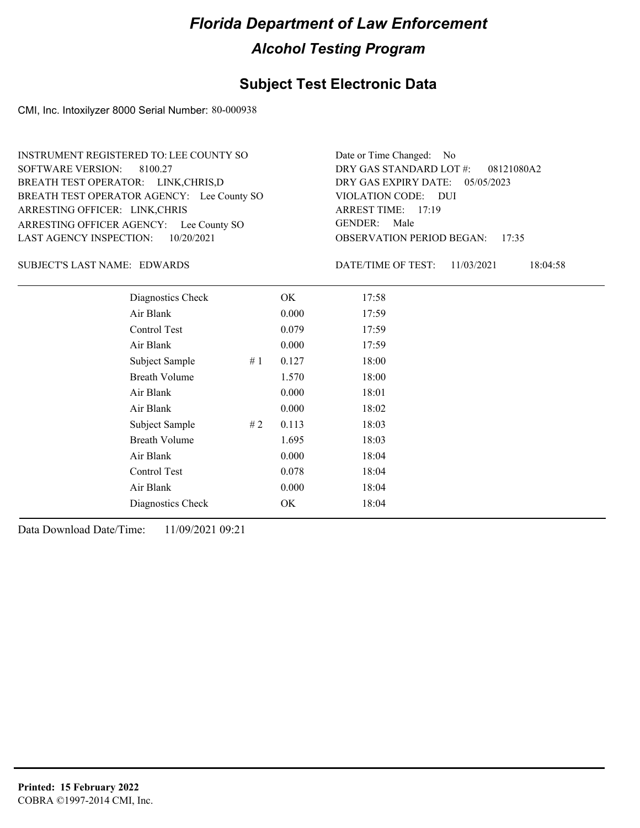### **Subject Test Electronic Data**

CMI, Inc. Intoxilyzer 8000 Serial Number: 80-000938

ARRESTING OFFICER AGENCY: Lee County SO GENDER: BREATH TEST OPERATOR AGENCY: Lee County SO VIOLATION CODE: SOFTWARE VERSION: 8100.27 ARRESTING OFFICER: LINK,CHRIS BREATH TEST OPERATOR: LINK,CHRIS,D LAST AGENCY INSPECTION: 10/20/2021 INSTRUMENT REGISTERED TO: LEE COUNTY SO

OBSERVATION PERIOD BEGAN: 17:35 VIOLATION CODE: DUI ARREST TIME: 17:19 DRY GAS EXPIRY DATE: 05/05/2023 08121080A2 DRY GAS STANDARD LOT #: Date or Time Changed: No GENDER: Male

SUBJECT'S LAST NAME: EDWARDS DATE/TIME OF TEST:

DATE/TIME OF TEST: 11/03/2021 18:04:58

| Diagnostics Check    | OK    | 17:58 |
|----------------------|-------|-------|
| Air Blank            | 0.000 | 17:59 |
| Control Test         | 0.079 | 17:59 |
| Air Blank            | 0.000 | 17:59 |
| Subject Sample<br>#1 | 0.127 | 18:00 |
| <b>Breath Volume</b> | 1.570 | 18:00 |
| Air Blank            | 0.000 | 18:01 |
| Air Blank            | 0.000 | 18:02 |
| Subject Sample<br>#2 | 0.113 | 18:03 |
| <b>Breath Volume</b> | 1.695 | 18:03 |
| Air Blank            | 0.000 | 18:04 |
| Control Test         | 0.078 | 18:04 |
| Air Blank            | 0.000 | 18:04 |
| Diagnostics Check    | OK    | 18:04 |
|                      |       |       |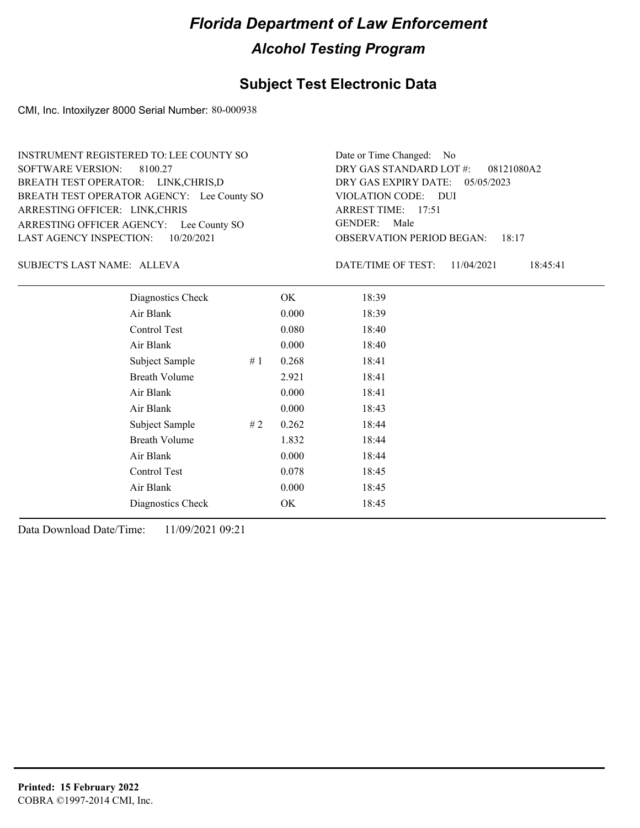### **Subject Test Electronic Data**

CMI, Inc. Intoxilyzer 8000 Serial Number: 80-000938

ARRESTING OFFICER AGENCY: Lee County SO GENDER: BREATH TEST OPERATOR AGENCY: Lee County SO VIOLATION CODE: SOFTWARE VERSION: 8100.27 ARRESTING OFFICER: LINK,CHRIS BREATH TEST OPERATOR: LINK,CHRIS,D LAST AGENCY INSPECTION: 10/20/2021 INSTRUMENT REGISTERED TO: LEE COUNTY SO

OBSERVATION PERIOD BEGAN: 18:17 VIOLATION CODE: DUI ARREST TIME: 17:51 DRY GAS EXPIRY DATE: 05/05/2023 08121080A2 DRY GAS STANDARD LOT #: Date or Time Changed: No GENDER: Male

ALLEVA SUBJECT'S LAST NAME: DATE/TIME OF TEST:

DATE/TIME OF TEST: 11/04/2021 18:45:41

| Diagnostics Check    |    | OK    | 18:39 |  |
|----------------------|----|-------|-------|--|
| Air Blank            |    | 0.000 | 18:39 |  |
| Control Test         |    | 0.080 | 18:40 |  |
| Air Blank            |    | 0.000 | 18:40 |  |
| Subject Sample       | #1 | 0.268 | 18:41 |  |
| <b>Breath Volume</b> |    | 2.921 | 18:41 |  |
| Air Blank            |    | 0.000 | 18:41 |  |
| Air Blank            |    | 0.000 | 18:43 |  |
| Subject Sample       | #2 | 0.262 | 18:44 |  |
| <b>Breath Volume</b> |    | 1.832 | 18:44 |  |
| Air Blank            |    | 0.000 | 18:44 |  |
| Control Test         |    | 0.078 | 18:45 |  |
| Air Blank            |    | 0.000 | 18:45 |  |
| Diagnostics Check    |    | OK    | 18:45 |  |
|                      |    |       |       |  |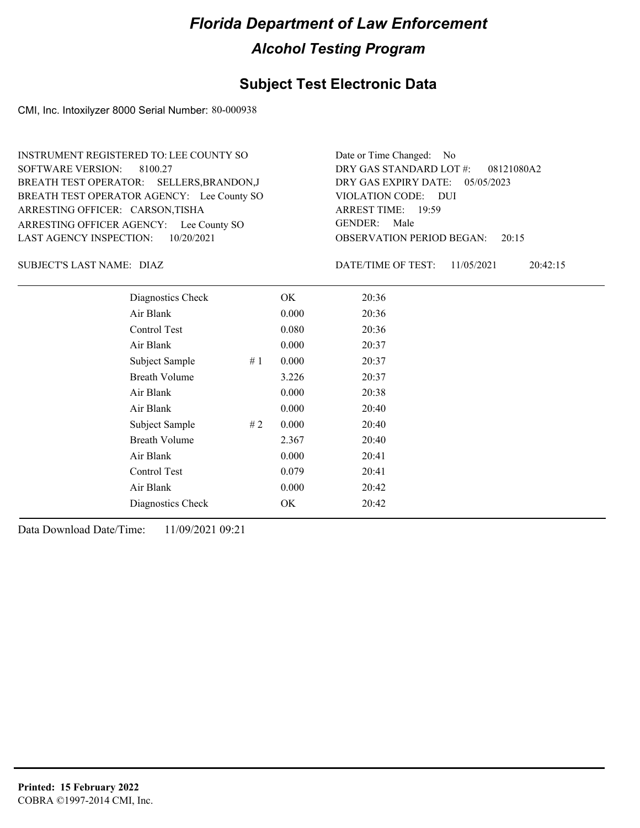### **Subject Test Electronic Data**

CMI, Inc. Intoxilyzer 8000 Serial Number: 80-000938

ARRESTING OFFICER AGENCY: Lee County SO GENDER: BREATH TEST OPERATOR AGENCY: Lee County SO VIOLATION CODE: SOFTWARE VERSION: 8100.27 ARRESTING OFFICER: CARSON,TISHA BREATH TEST OPERATOR: SELLERS,BRANDON,J LAST AGENCY INSPECTION: 10/20/2021 INSTRUMENT REGISTERED TO: LEE COUNTY SO

OBSERVATION PERIOD BEGAN: 20:15 VIOLATION CODE: DUI ARREST TIME: 19:59 DRY GAS EXPIRY DATE: 05/05/2023 08121080A2 DRY GAS STANDARD LOT #: Date or Time Changed: No GENDER: Male

DIAZ SUBJECT'S LAST NAME: DATE/TIME OF TEST:

DATE/TIME OF TEST: 11/05/2021 20:42:15

| Diagnostics Check    |    | OK    | 20:36 |
|----------------------|----|-------|-------|
| Air Blank            |    | 0.000 | 20:36 |
| Control Test         |    | 0.080 | 20:36 |
| Air Blank            |    | 0.000 | 20:37 |
| Subject Sample       | #1 | 0.000 | 20:37 |
| <b>Breath Volume</b> |    | 3.226 | 20:37 |
| Air Blank            |    | 0.000 | 20:38 |
| Air Blank            |    | 0.000 | 20:40 |
| Subject Sample       | #2 | 0.000 | 20:40 |
| <b>Breath Volume</b> |    | 2.367 | 20:40 |
| Air Blank            |    | 0.000 | 20:41 |
| Control Test         |    | 0.079 | 20:41 |
| Air Blank            |    | 0.000 | 20:42 |
| Diagnostics Check    |    | OK    | 20:42 |
|                      |    |       |       |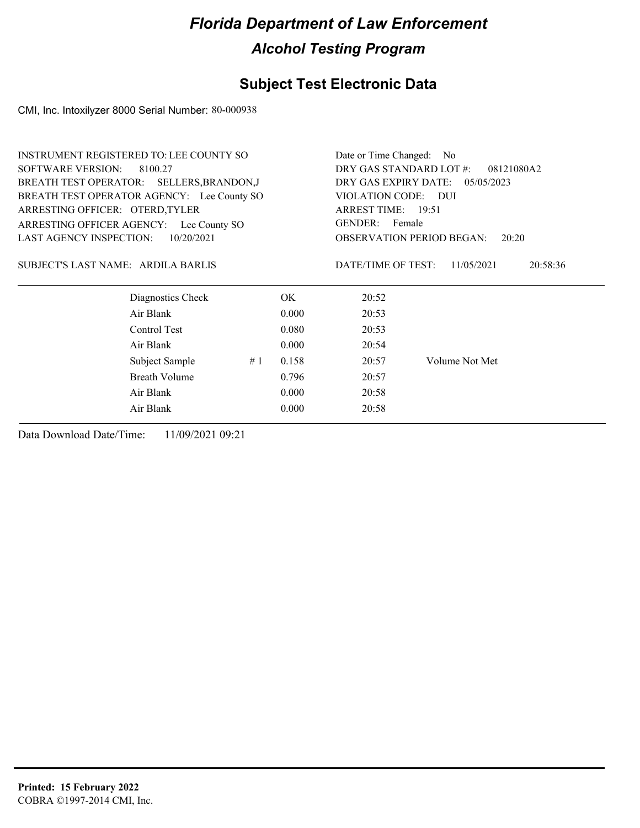### **Subject Test Electronic Data**

CMI, Inc. Intoxilyzer 8000 Serial Number: 80-000938

| <b>INSTRUMENT REGISTERED TO: LEE COUNTY SO</b> | Date or Time Changed: No              |                                              |  |  |  |
|------------------------------------------------|---------------------------------------|----------------------------------------------|--|--|--|
| <b>SOFTWARE VERSION:</b><br>8100.27            | DRY GAS STANDARD LOT #:<br>08121080A2 |                                              |  |  |  |
| BREATH TEST OPERATOR: SELLERS, BRANDON, J      | DRY GAS EXPIRY DATE: 05/05/2023       |                                              |  |  |  |
| BREATH TEST OPERATOR AGENCY: Lee County SO     |                                       | VIOLATION CODE: DUI                          |  |  |  |
| ARRESTING OFFICER: OTERD, TYLER                | ARREST TIME: 19:51                    |                                              |  |  |  |
| ARRESTING OFFICER AGENCY:<br>Lee County SO     | GENDER: Female                        |                                              |  |  |  |
| <b>LAST AGENCY INSPECTION:</b><br>10/20/2021   |                                       | <b>OBSERVATION PERIOD BEGAN:</b><br>20:20    |  |  |  |
| SUBJECT'S LAST NAME: ARDILA BARLIS             |                                       | DATE/TIME OF TEST:<br>11/05/2021<br>20:58:36 |  |  |  |
| Diagnostics Check                              | OK.                                   | 20:52                                        |  |  |  |
| Air Blank                                      | 0.000                                 | 20:53                                        |  |  |  |
| Control Test                                   | 0.080                                 | 20:53                                        |  |  |  |
| Air Blank                                      | 0.000                                 | 20:54                                        |  |  |  |
| Subject Sample                                 | 0.158<br>#1                           | Volume Not Met<br>20:57                      |  |  |  |
| <b>Breath Volume</b>                           | 0.796                                 | 20:57                                        |  |  |  |
| Air Blank                                      | 0.000                                 | 20:58                                        |  |  |  |
| Air Blank                                      | 0.000                                 | 20:58                                        |  |  |  |
|                                                |                                       |                                              |  |  |  |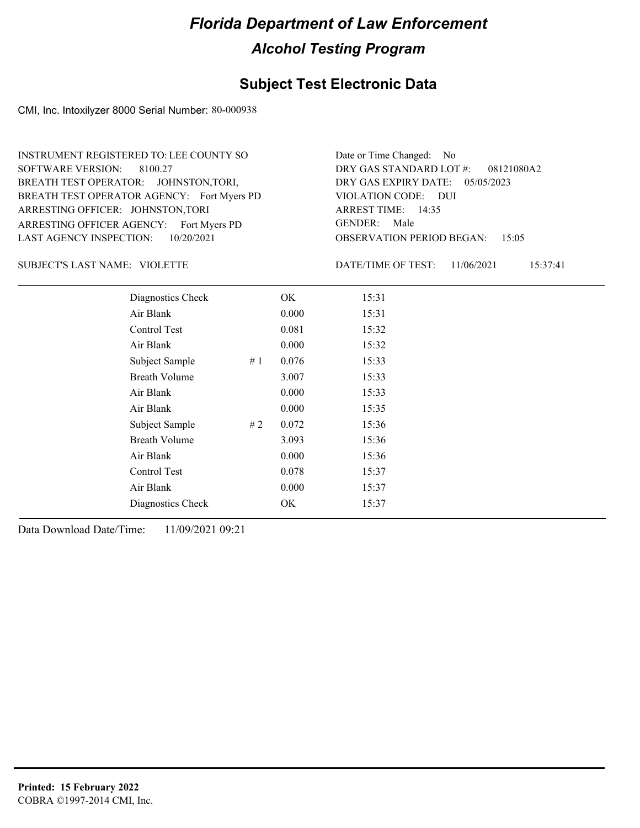### **Subject Test Electronic Data**

CMI, Inc. Intoxilyzer 8000 Serial Number: 80-000938

ARRESTING OFFICER AGENCY: Fort Myers PD GENDER: BREATH TEST OPERATOR AGENCY: Fort Myers PD VIOLATION CODE: SOFTWARE VERSION: 8100.27 ARRESTING OFFICER: JOHNSTON,TORI BREATH TEST OPERATOR: JOHNSTON,TORI, LAST AGENCY INSPECTION: 10/20/2021 INSTRUMENT REGISTERED TO: LEE COUNTY SO

OBSERVATION PERIOD BEGAN: 15:05 VIOLATION CODE: DUI ARREST TIME: 14:35 DRY GAS EXPIRY DATE: 05/05/2023 08121080A2 DRY GAS STANDARD LOT #: Date or Time Changed: No GENDER: Male

VIOLETTE SUBJECT'S LAST NAME: DATE/TIME OF TEST:

DATE/TIME OF TEST: 11/06/2021 15:37:41

| Diagnostics Check    |    | OK    | 15:31 |
|----------------------|----|-------|-------|
| Air Blank            |    | 0.000 | 15:31 |
| Control Test         |    | 0.081 | 15:32 |
| Air Blank            |    | 0.000 | 15:32 |
| Subject Sample       | #1 | 0.076 | 15:33 |
| <b>Breath Volume</b> |    | 3.007 | 15:33 |
| Air Blank            |    | 0.000 | 15:33 |
| Air Blank            |    | 0.000 | 15:35 |
| Subject Sample       | #2 | 0.072 | 15:36 |
| <b>Breath Volume</b> |    | 3.093 | 15:36 |
| Air Blank            |    | 0.000 | 15:36 |
| Control Test         |    | 0.078 | 15:37 |
| Air Blank            |    | 0.000 | 15:37 |
| Diagnostics Check    |    | OK    | 15:37 |
|                      |    |       |       |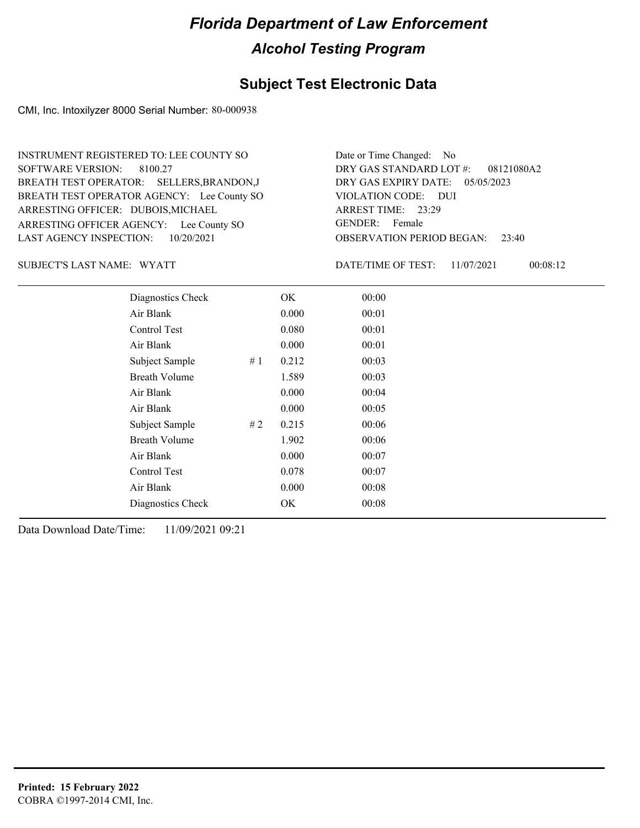### **Subject Test Electronic Data**

CMI, Inc. Intoxilyzer 8000 Serial Number: 80-000938

ARRESTING OFFICER AGENCY: Lee County SO GENDER: BREATH TEST OPERATOR AGENCY: Lee County SO VIOLATION CODE: SOFTWARE VERSION: 8100.27 ARRESTING OFFICER: DUBOIS, MICHAEL BREATH TEST OPERATOR: SELLERS,BRANDON,J LAST AGENCY INSPECTION: 10/20/2021 INSTRUMENT REGISTERED TO: LEE COUNTY SO

OBSERVATION PERIOD BEGAN: 23:40 VIOLATION CODE: DUI 23:29 ARREST TIME: DRY GAS EXPIRY DATE: 05/05/2023 08121080A2 DRY GAS STANDARD LOT #: Date or Time Changed: No GENDER: Female

SUBJECT'S LAST NAME: WYATT **Example 2018** DATE/TIME OF TEST:

DATE/TIME OF TEST: 11/07/2021 00:08:12

| Diagnostics Check    |    | OK    | 00:00 |
|----------------------|----|-------|-------|
| Air Blank            |    | 0.000 | 00:01 |
| Control Test         |    | 0.080 | 00:01 |
| Air Blank            |    | 0.000 | 00:01 |
| Subject Sample       | #1 | 0.212 | 00:03 |
| <b>Breath Volume</b> |    | 1.589 | 00:03 |
| Air Blank            |    | 0.000 | 00:04 |
| Air Blank            |    | 0.000 | 00:05 |
| Subject Sample       | #2 | 0.215 | 00:06 |
| <b>Breath Volume</b> |    | 1.902 | 00:06 |
| Air Blank            |    | 0.000 | 00:07 |
| Control Test         |    | 0.078 | 00:07 |
| Air Blank            |    | 0.000 | 00:08 |
| Diagnostics Check    |    | OK    | 00:08 |
|                      |    |       |       |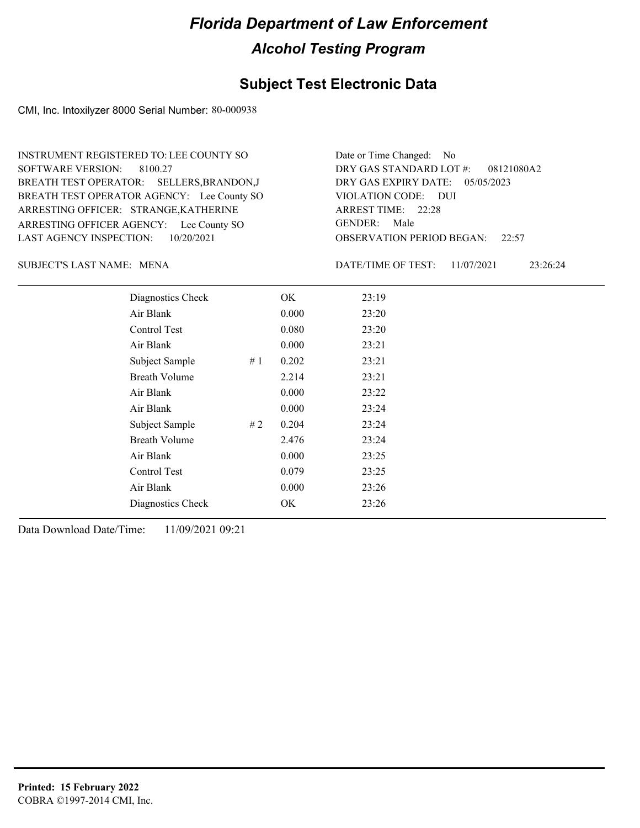### **Subject Test Electronic Data**

CMI, Inc. Intoxilyzer 8000 Serial Number: 80-000938

ARRESTING OFFICER AGENCY: Lee County SO GENDER: BREATH TEST OPERATOR AGENCY: Lee County SO VIOLATION CODE: SOFTWARE VERSION: 8100.27 ARRESTING OFFICER: STRANGE,KATHERINE BREATH TEST OPERATOR: SELLERS,BRANDON,J LAST AGENCY INSPECTION: 10/20/2021 INSTRUMENT REGISTERED TO: LEE COUNTY SO

OBSERVATION PERIOD BEGAN: 22:57 VIOLATION CODE: DUI ARREST TIME: 22:28 DRY GAS EXPIRY DATE: 05/05/2023 08121080A2 DRY GAS STANDARD LOT #: Date or Time Changed: No GENDER: Male

MENA SUBJECT'S LAST NAME: DATE/TIME OF TEST:

DATE/TIME OF TEST: 11/07/2021 23:26:24

| Diagnostics Check    | OK    | 23:19 |
|----------------------|-------|-------|
| Air Blank            | 0.000 | 23:20 |
| Control Test         | 0.080 | 23:20 |
| Air Blank            | 0.000 | 23:21 |
| Subject Sample<br>#1 | 0.202 | 23:21 |
| <b>Breath Volume</b> | 2.214 | 23:21 |
| Air Blank            | 0.000 | 23:22 |
| Air Blank            | 0.000 | 23:24 |
| Subject Sample<br>#2 | 0.204 | 23:24 |
| <b>Breath Volume</b> | 2.476 | 23:24 |
| Air Blank            | 0.000 | 23:25 |
| Control Test         | 0.079 | 23:25 |
| Air Blank            | 0.000 | 23:26 |
| Diagnostics Check    | OK    | 23:26 |
|                      |       |       |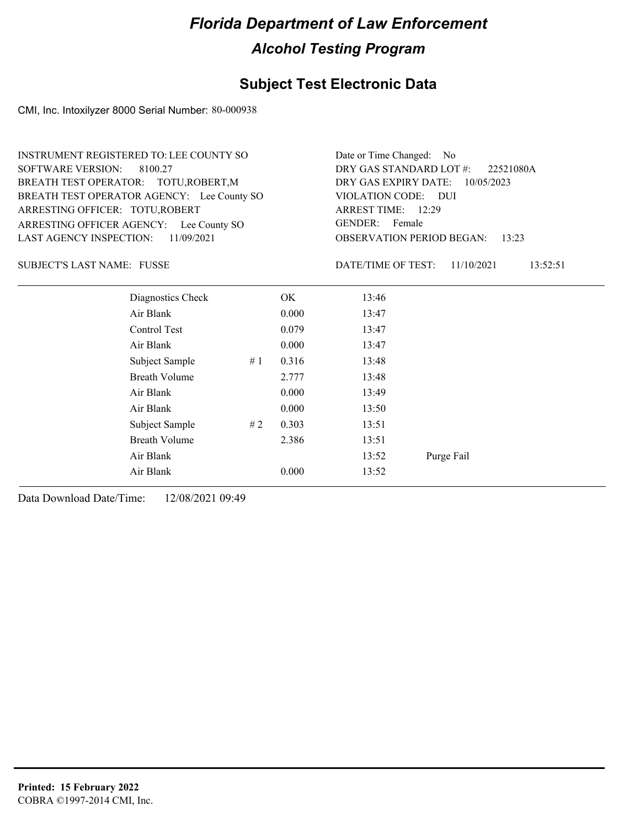### **Subject Test Electronic Data**

CMI, Inc. Intoxilyzer 8000 Serial Number: 80-000938

| <b>INSTRUMENT REGISTERED TO: LEE COUNTY SO</b> |                                                         |    |       | Date or Time Changed:   | N <sub>0</sub> |           |
|------------------------------------------------|---------------------------------------------------------|----|-------|-------------------------|----------------|-----------|
| <b>SOFTWARE VERSION:</b>                       | 8100.27                                                 |    |       | DRY GAS STANDARD LOT #: |                | 22521080A |
| BREATH TEST OPERATOR: TOTU, ROBERT, M          |                                                         |    |       | DRY GAS EXPIRY DATE:    | 10/05/2023     |           |
| BREATH TEST OPERATOR AGENCY: Lee County SO     |                                                         |    |       | VIOLATION CODE:         | <b>DUI</b>     |           |
| ARRESTING OFFICER: TOTU, ROBERT                |                                                         |    |       | ARREST TIME: 12:29      |                |           |
| ARRESTING OFFICER AGENCY: Lee County SO        |                                                         |    |       | GENDER:<br>Female       |                |           |
| <b>LAST AGENCY INSPECTION:</b>                 | <b>OBSERVATION PERIOD BEGAN:</b><br>11/09/2021<br>13:23 |    |       |                         |                |           |
| <b>SUBJECT'S LAST NAME: FUSSE</b>              |                                                         |    |       | DATE/TIME OF TEST:      | 11/10/2021     | 13:52:51  |
|                                                | Diagnostics Check                                       |    | OK.   | 13:46                   |                |           |
|                                                | Air Blank                                               |    | 0.000 | 13:47                   |                |           |
|                                                | Control Test                                            |    | 0.079 | 13:47                   |                |           |
|                                                | Air Blank                                               |    | 0.000 | 13:47                   |                |           |
|                                                | Subject Sample                                          | #1 | 0.316 | 13:48                   |                |           |
|                                                | <b>Breath Volume</b>                                    |    | 2.777 | 13:48                   |                |           |
|                                                | Air Blank                                               |    | 0.000 | 13:49                   |                |           |
|                                                | Air Blank                                               |    | 0.000 | 13:50                   |                |           |
|                                                | Subject Sample                                          | #2 | 0.303 | 13:51                   |                |           |
|                                                | Breath Volume                                           |    | 2.386 | 13:51                   |                |           |
|                                                | Air Blank                                               |    |       | 13:52                   | Purge Fail     |           |

Air Blank 0.000 13:52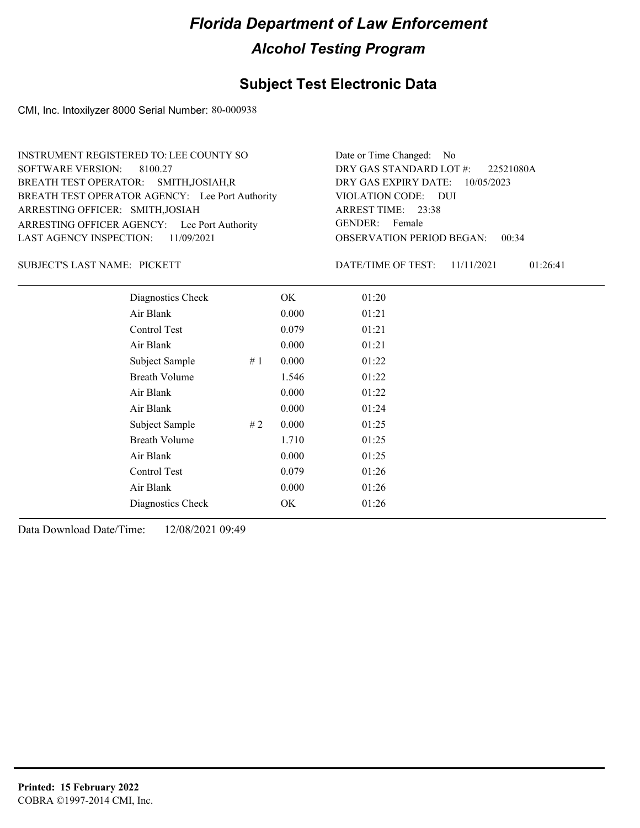### **Subject Test Electronic Data**

CMI, Inc. Intoxilyzer 8000 Serial Number: 80-000938

ARRESTING OFFICER AGENCY: Lee Port Authority GENDER: BREATH TEST OPERATOR AGENCY: Lee Port Authority VIOLATION CODE: SOFTWARE VERSION: 8100.27 VIOLATION CODE: DUI 23:38 ARREST TIME: ARRESTING OFFICER: SMITH,JOSIAH DRY GAS EXPIRY DATE: 10/05/2023 BREATH TEST OPERATOR: SMITH,JOSIAH,R LAST AGENCY INSPECTION: 11/09/2021 INSTRUMENT REGISTERED TO: LEE COUNTY SO DRY GAS STANDARD LOT #: Date or Time Changed: No

SUBJECT'S LAST NAME: PICKETT DESCRIPTION OF TEST:

OBSERVATION PERIOD BEGAN: 00:34 GENDER: Female

22521080A

DATE/TIME OF TEST: 11/11/2021 01:26:41

| Diagnostics Check    |    | OK    | 01:20 |  |
|----------------------|----|-------|-------|--|
| Air Blank            |    | 0.000 | 01:21 |  |
| <b>Control Test</b>  |    | 0.079 | 01:21 |  |
| Air Blank            |    | 0.000 | 01:21 |  |
| Subject Sample       | #1 | 0.000 | 01:22 |  |
| <b>Breath Volume</b> |    | 1.546 | 01:22 |  |
| Air Blank            |    | 0.000 | 01:22 |  |
| Air Blank            |    | 0.000 | 01:24 |  |
| Subject Sample       | #2 | 0.000 | 01:25 |  |
| <b>Breath Volume</b> |    | 1.710 | 01:25 |  |
| Air Blank            |    | 0.000 | 01:25 |  |
| <b>Control Test</b>  |    | 0.079 | 01:26 |  |
| Air Blank            |    | 0.000 | 01:26 |  |
| Diagnostics Check    |    | OK    | 01:26 |  |
|                      |    |       |       |  |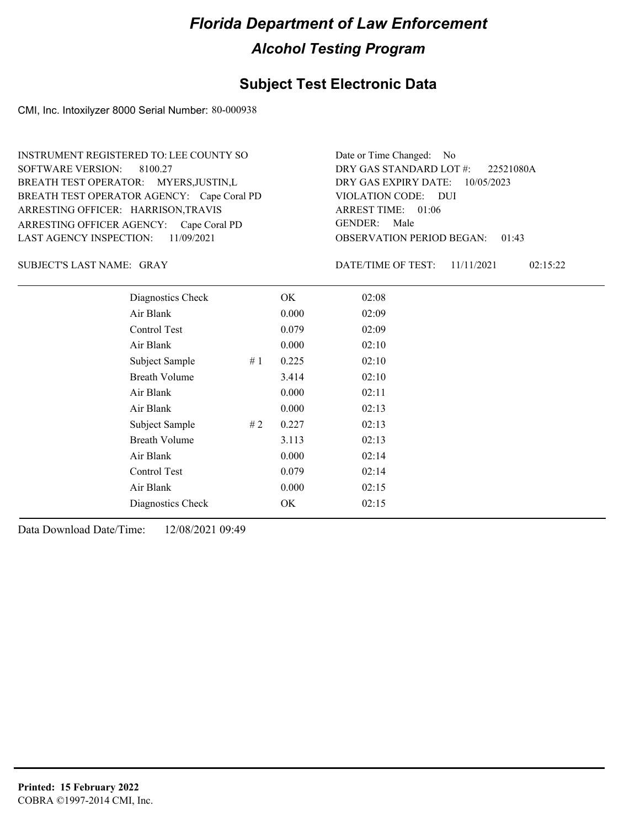#### **Subject Test Electronic Data**

CMI, Inc. Intoxilyzer 8000 Serial Number: 80-000938

ARRESTING OFFICER AGENCY: Cape Coral PD GENDER: BREATH TEST OPERATOR AGENCY: Cape Coral PD VIOLATION CODE: SOFTWARE VERSION: 8100.27 ARRESTING OFFICER: HARRISON,TRAVIS BREATH TEST OPERATOR: MYERS,JUSTIN,L LAST AGENCY INSPECTION: 11/09/2021 INSTRUMENT REGISTERED TO: LEE COUNTY SO

OBSERVATION PERIOD BEGAN: 01:43 VIOLATION CODE: DUI ARREST TIME: 01:06 DRY GAS EXPIRY DATE: 10/05/2023 22521080A DRY GAS STANDARD LOT #: Date or Time Changed: No GENDER: Male

SUBJECT'S LAST NAME: GRAY **Example 20** OATE/TIME OF TEST:

DATE/TIME OF TEST: 11/11/2021 02:15:22

| Diagnostics Check    | OK    | 02:08 |
|----------------------|-------|-------|
| Air Blank            | 0.000 | 02:09 |
| Control Test         | 0.079 | 02:09 |
| Air Blank            | 0.000 | 02:10 |
| Subject Sample<br>#1 | 0.225 | 02:10 |
| <b>Breath Volume</b> | 3.414 | 02:10 |
| Air Blank            | 0.000 | 02:11 |
| Air Blank            | 0.000 | 02:13 |
| Subject Sample<br>#2 | 0.227 | 02:13 |
| <b>Breath Volume</b> | 3.113 | 02:13 |
| Air Blank            | 0.000 | 02:14 |
| Control Test         | 0.079 | 02:14 |
| Air Blank            | 0.000 | 02:15 |
| Diagnostics Check    | OK    | 02:15 |
|                      |       |       |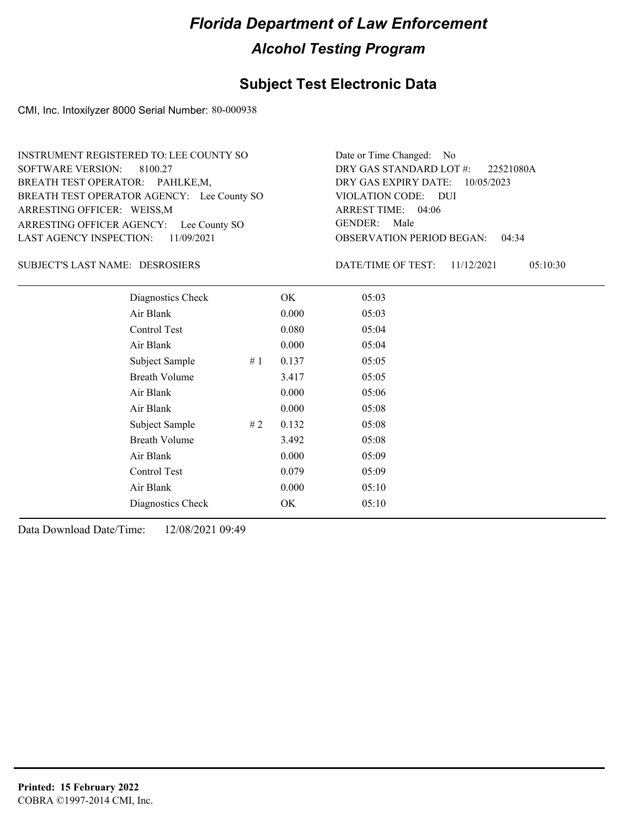### **Subject Test Electronic Data**

CMI, Inc. Intoxilyzer 8000 Serial Number: 80-000938

| INSTRUMENT REGISTERED TO: LEE COUNTY SO    | Date or Time Changed: No    |
|--------------------------------------------|-----------------------------|
| SOFTWARE VERSION: 8100.27                  | DRY GAS STANDARD LOT        |
| BREATH TEST OPERATOR: PAHLKE,M,            | DRY GAS EXPIRY DATE:        |
| BREATH TEST OPERATOR AGENCY: Lee County SO | VIOLATION CODE: DUI         |
| ARRESTING OFFICER: WEISS, M                | ARREST TIME: 04:06          |
| ARRESTING OFFICER AGENCY: Lee County SO    | GENDER: Male                |
| LAST AGENCY INSPECTION: 11/09/2021         | <b>OBSERVATION PERIOD B</b> |

OBSERVATION PERIOD BEGAN: 04:34 ARREST TIME: 04:06 DRY GAS EXPIRY DATE: 10/05/2023 DRY GAS STANDARD LOT #: 22521080A Date or Time Changed: No GENDER: Male

DESROSIERS SUBJECT'S LAST NAME: DATE/TIME OF TEST:

DATE/TIME OF TEST: 11/12/2021 05:10:30

| Diagnostics Check    |    | OK    | 05:03 |  |
|----------------------|----|-------|-------|--|
| Air Blank            |    | 0.000 | 05:03 |  |
| Control Test         |    | 0.080 | 05:04 |  |
| Air Blank            |    | 0.000 | 05:04 |  |
| Subject Sample       | #1 | 0.137 | 05:05 |  |
| <b>Breath Volume</b> |    | 3.417 | 05:05 |  |
| Air Blank            |    | 0.000 | 05:06 |  |
| Air Blank            |    | 0.000 | 05:08 |  |
| Subject Sample       | #2 | 0.132 | 05:08 |  |
| <b>Breath Volume</b> |    | 3.492 | 05:08 |  |
| Air Blank            |    | 0.000 | 05:09 |  |
| Control Test         |    | 0.079 | 05:09 |  |
| Air Blank            |    | 0.000 | 05:10 |  |
| Diagnostics Check    |    | OK    | 05:10 |  |
|                      |    |       |       |  |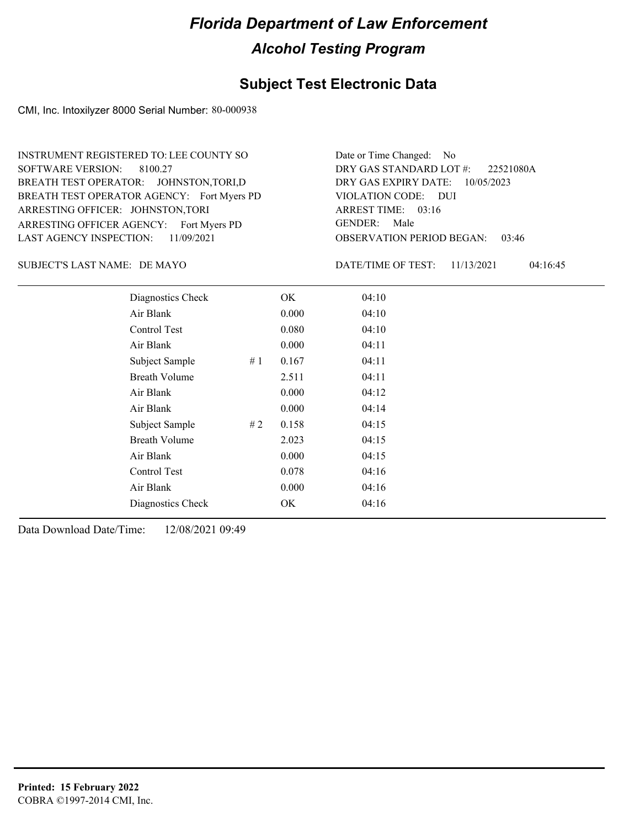### **Subject Test Electronic Data**

CMI, Inc. Intoxilyzer 8000 Serial Number: 80-000938

ARRESTING OFFICER AGENCY: Fort Myers PD GENDER: BREATH TEST OPERATOR AGENCY: Fort Myers PD VIOLATION CODE: SOFTWARE VERSION: 8100.27 ARRESTING OFFICER: JOHNSTON,TORI BREATH TEST OPERATOR: JOHNSTON,TORI,D LAST AGENCY INSPECTION: 11/09/2021 INSTRUMENT REGISTERED TO: LEE COUNTY SO

OBSERVATION PERIOD BEGAN: 03:46 VIOLATION CODE: DUI 03:16 ARREST TIME: DRY GAS EXPIRY DATE: 10/05/2023 22521080A DRY GAS STANDARD LOT #: Date or Time Changed: No GENDER: Male

DE MAYO SUBJECT'S LAST NAME: DATE/TIME OF TEST:

DATE/TIME OF TEST: 11/13/2021 04:16:45

| Diagnostics Check    |    | OK    | 04:10 |
|----------------------|----|-------|-------|
| Air Blank            |    | 0.000 | 04:10 |
| Control Test         |    | 0.080 | 04:10 |
| Air Blank            |    | 0.000 | 04:11 |
| Subject Sample       | #1 | 0.167 | 04:11 |
| <b>Breath Volume</b> |    | 2.511 | 04:11 |
| Air Blank            |    | 0.000 | 04:12 |
| Air Blank            |    | 0.000 | 04:14 |
| Subject Sample       | #2 | 0.158 | 04:15 |
| <b>Breath Volume</b> |    | 2.023 | 04:15 |
| Air Blank            |    | 0.000 | 04:15 |
| Control Test         |    | 0.078 | 04:16 |
| Air Blank            |    | 0.000 | 04:16 |
| Diagnostics Check    |    | OK    | 04:16 |
|                      |    |       |       |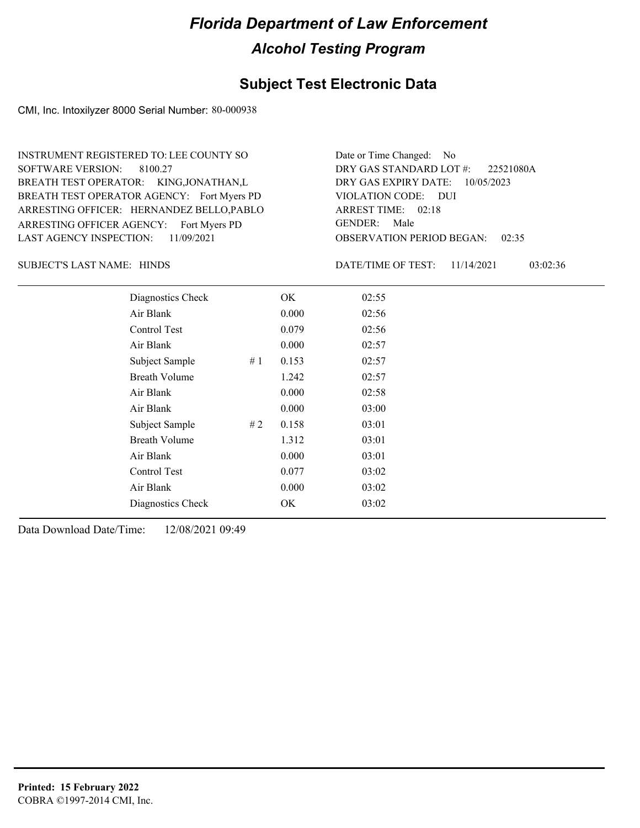### **Subject Test Electronic Data**

CMI, Inc. Intoxilyzer 8000 Serial Number: 80-000938

ARRESTING OFFICER AGENCY: Fort Myers PD GENDER: BREATH TEST OPERATOR AGENCY: Fort Myers PD VIOLATION CODE: SOFTWARE VERSION: ARRESTING OFFICER: HERNANDEZ BELLO,PABLO BREATH TEST OPERATOR: KING,JONATHAN,L LAST AGENCY INSPECTION: 11/09/2021 8100.27 INSTRUMENT REGISTERED TO: LEE COUNTY SO

OBSERVATION PERIOD BEGAN: 02:35 VIOLATION CODE: DUI ARREST TIME: 02:18 DRY GAS EXPIRY DATE: 10/05/2023 22521080A DRY GAS STANDARD LOT #: Date or Time Changed: No GENDER: Male

SUBJECT'S LAST NAME: HINDS DATE/TIME OF TEST:

DATE/TIME OF TEST: 11/14/2021 03:02:36

| Diagnostics Check    |    | OK    | 02:55 |
|----------------------|----|-------|-------|
| Air Blank            |    | 0.000 | 02:56 |
| Control Test         |    | 0.079 | 02:56 |
| Air Blank            |    | 0.000 | 02:57 |
| Subject Sample       | #1 | 0.153 | 02:57 |
| <b>Breath Volume</b> |    | 1.242 | 02:57 |
| Air Blank            |    | 0.000 | 02:58 |
| Air Blank            |    | 0.000 | 03:00 |
| Subject Sample       | #2 | 0.158 | 03:01 |
| <b>Breath Volume</b> |    | 1.312 | 03:01 |
| Air Blank            |    | 0.000 | 03:01 |
| Control Test         |    | 0.077 | 03:02 |
| Air Blank            |    | 0.000 | 03:02 |
| Diagnostics Check    |    | OK    | 03:02 |
|                      |    |       |       |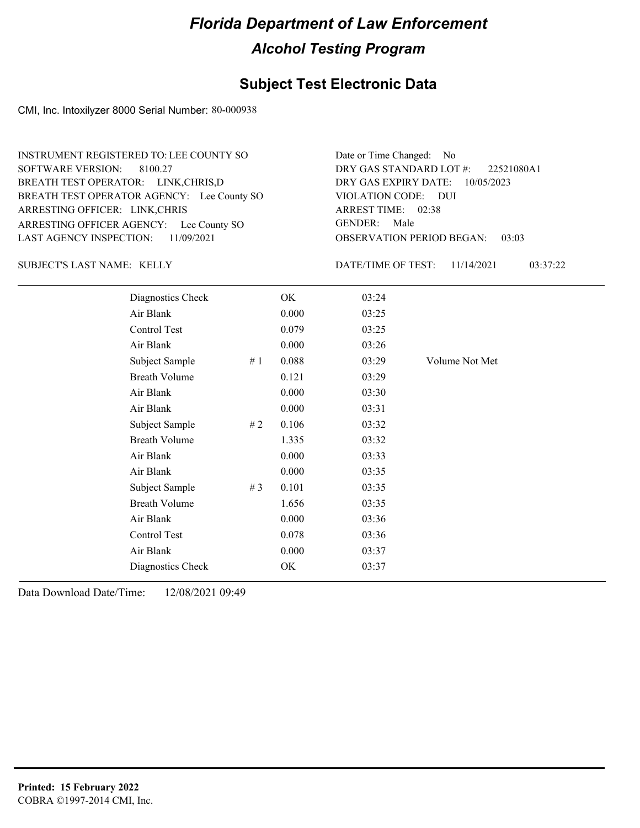### **Subject Test Electronic Data**

CMI, Inc. Intoxilyzer 8000 Serial Number: 80-000938

| INSTRUMENT REGISTERED TO: LEE COUNTY SO    | Date or Time Changed: No    |
|--------------------------------------------|-----------------------------|
| SOFTWARE VERSION: 8100.27                  | DRY GAS STANDARD LOT        |
| BREATH TEST OPERATOR: LINK, CHRIS, D       | DRY GAS EXPIRY DATE:        |
| BREATH TEST OPERATOR AGENCY: Lee County SO | VIOLATION CODE: DUI         |
| ARRESTING OFFICER: LINK, CHRIS             | ARREST TIME: 02:38          |
| ARRESTING OFFICER AGENCY: Lee County SO    | GENDER: Male                |
| LAST AGENCY INSPECTION: 11/09/2021         | <b>OBSERVATION PERIOD B</b> |

OBSERVATION PERIOD BEGAN: 03:03 ARREST TIME: 02:38 DRY GAS EXPIRY DATE: 10/05/2023 22521080A1 DRY GAS STANDARD LOT #: Date or Time Changed: No GENDER: Male

SUBJECT'S LAST NAME: KELLY DATE/TIME OF TEST:

DATE/TIME OF TEST: 11/14/2021 03:37:22

| Diagnostics Check    |     | OK    | 03:24 |                |
|----------------------|-----|-------|-------|----------------|
| Air Blank            |     | 0.000 | 03:25 |                |
| Control Test         |     | 0.079 | 03:25 |                |
| Air Blank            |     | 0.000 | 03:26 |                |
| Subject Sample       | #1  | 0.088 | 03:29 | Volume Not Met |
| <b>Breath Volume</b> |     | 0.121 | 03:29 |                |
| Air Blank            |     | 0.000 | 03:30 |                |
| Air Blank            |     | 0.000 | 03:31 |                |
| Subject Sample       | # 2 | 0.106 | 03:32 |                |
| <b>Breath Volume</b> |     | 1.335 | 03:32 |                |
| Air Blank            |     | 0.000 | 03:33 |                |
| Air Blank            |     | 0.000 | 03:35 |                |
| Subject Sample       | #3  | 0.101 | 03:35 |                |
| <b>Breath Volume</b> |     | 1.656 | 03:35 |                |
| Air Blank            |     | 0.000 | 03:36 |                |
| <b>Control Test</b>  |     | 0.078 | 03:36 |                |
| Air Blank            |     | 0.000 | 03:37 |                |
| Diagnostics Check    |     | OK    | 03:37 |                |
|                      |     |       |       |                |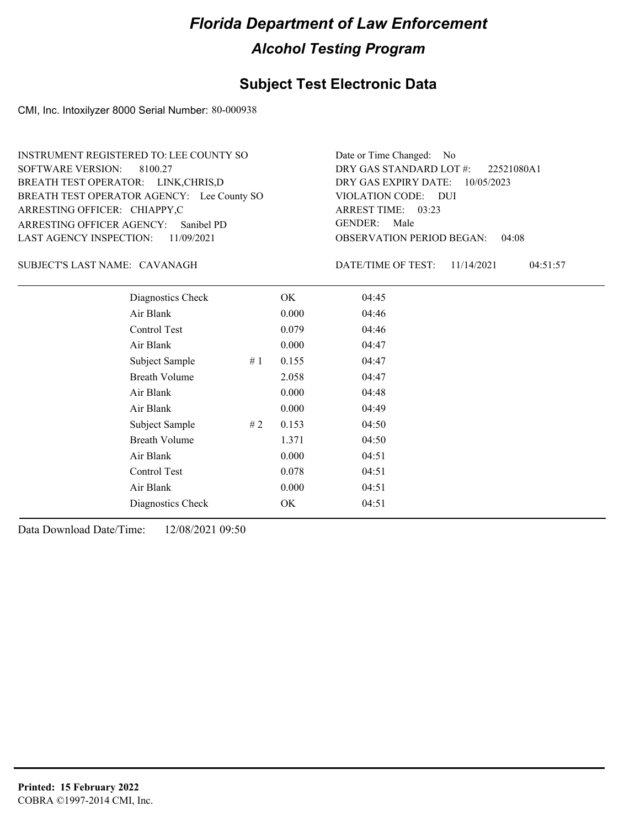### **Subject Test Electronic Data**

CMI, Inc. Intoxilyzer 8000 Serial Number: 80-000938

ARRESTING OFFICER AGENCY: GENDER: Sanibel PD BREATH TEST OPERATOR AGENCY: Lee County SO VIOLATION CODE: SOFTWARE VERSION: 8100.27 ARRESTING OFFICER: CHIAPPY,C BREATH TEST OPERATOR: LINK,CHRIS,D LAST AGENCY INSPECTION: 11/09/2021 INSTRUMENT REGISTERED TO: LEE COUNTY SO

OBSERVATION PERIOD BEGAN: 04:08 VIOLATION CODE: DUI 03:23 ARREST TIME: DRY GAS EXPIRY DATE: 10/05/2023 22521080A1 DRY GAS STANDARD LOT #: Date or Time Changed: No GENDER: Male

SUBJECT'S LAST NAME: CAVANAGH DATE/TIME OF TEST:

DATE/TIME OF TEST: 11/14/2021 04:51:57

| Diagnostics Check    |    | OK    | 04:45 |
|----------------------|----|-------|-------|
| Air Blank            |    | 0.000 | 04:46 |
| Control Test         |    | 0.079 | 04:46 |
| Air Blank            |    | 0.000 | 04:47 |
| Subject Sample       | #1 | 0.155 | 04:47 |
| <b>Breath Volume</b> |    | 2.058 | 04:47 |
| Air Blank            |    | 0.000 | 04:48 |
| Air Blank            |    | 0.000 | 04:49 |
| Subject Sample       | #2 | 0.153 | 04:50 |
| <b>Breath Volume</b> |    | 1.371 | 04:50 |
| Air Blank            |    | 0.000 | 04:51 |
| Control Test         |    | 0.078 | 04:51 |
| Air Blank            |    | 0.000 | 04:51 |
| Diagnostics Check    |    | OK    | 04:51 |
|                      |    |       |       |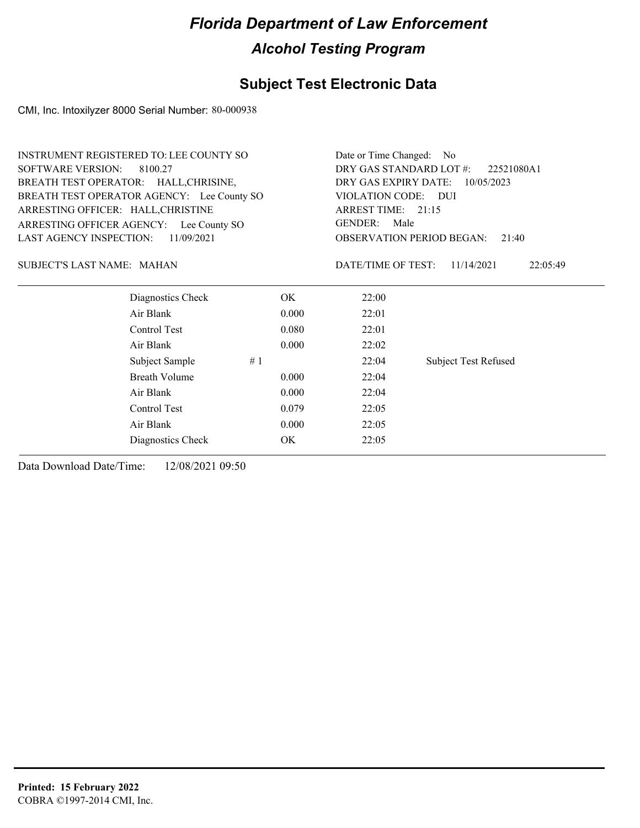### **Subject Test Electronic Data**

CMI, Inc. Intoxilyzer 8000 Serial Number: 80-000938

| <b>SOFTWARE VERSION:</b><br>DRY GAS STANDARD LOT #:<br>8100.27<br>22521080A1<br>BREATH TEST OPERATOR: HALL, CHRISINE,<br>DRY GAS EXPIRY DATE:<br>10/05/2023<br>BREATH TEST OPERATOR AGENCY: Lee County SO<br>VIOLATION CODE: DUI<br>ARREST TIME: 21:15<br>ARRESTING OFFICER: HALL, CHRISTINE<br><b>GENDER:</b><br>Male<br>ARRESTING OFFICER AGENCY: Lee County SO<br><b>LAST AGENCY INSPECTION:</b><br>11/09/2021<br><b>OBSERVATION PERIOD BEGAN:</b><br>21:40<br>DATE/TIME OF TEST:<br><b>SUBJECT'S LAST NAME: MAHAN</b><br>11/14/2021<br>22:05:49 | <b>INSTRUMENT REGISTERED TO: LEE COUNTY SO</b> |  |  | Date or Time Changed: | - No |  |  |
|-----------------------------------------------------------------------------------------------------------------------------------------------------------------------------------------------------------------------------------------------------------------------------------------------------------------------------------------------------------------------------------------------------------------------------------------------------------------------------------------------------------------------------------------------------|------------------------------------------------|--|--|-----------------------|------|--|--|
|                                                                                                                                                                                                                                                                                                                                                                                                                                                                                                                                                     |                                                |  |  |                       |      |  |  |
|                                                                                                                                                                                                                                                                                                                                                                                                                                                                                                                                                     |                                                |  |  |                       |      |  |  |
|                                                                                                                                                                                                                                                                                                                                                                                                                                                                                                                                                     |                                                |  |  |                       |      |  |  |
|                                                                                                                                                                                                                                                                                                                                                                                                                                                                                                                                                     |                                                |  |  |                       |      |  |  |
|                                                                                                                                                                                                                                                                                                                                                                                                                                                                                                                                                     |                                                |  |  |                       |      |  |  |
|                                                                                                                                                                                                                                                                                                                                                                                                                                                                                                                                                     |                                                |  |  |                       |      |  |  |
|                                                                                                                                                                                                                                                                                                                                                                                                                                                                                                                                                     |                                                |  |  |                       |      |  |  |
| Diagnostics Check<br>OK.<br>22:00                                                                                                                                                                                                                                                                                                                                                                                                                                                                                                                   |                                                |  |  |                       |      |  |  |
| Air Blank<br>0.000<br>22:01                                                                                                                                                                                                                                                                                                                                                                                                                                                                                                                         |                                                |  |  |                       |      |  |  |
| Control Test<br>0.080<br>22:01                                                                                                                                                                                                                                                                                                                                                                                                                                                                                                                      |                                                |  |  |                       |      |  |  |
| Air Blank<br>0.000<br>22:02                                                                                                                                                                                                                                                                                                                                                                                                                                                                                                                         |                                                |  |  |                       |      |  |  |
| Subject Sample<br>22:04<br><b>Subject Test Refused</b><br>#1                                                                                                                                                                                                                                                                                                                                                                                                                                                                                        |                                                |  |  |                       |      |  |  |
| Breath Volume<br>0.000<br>22:04                                                                                                                                                                                                                                                                                                                                                                                                                                                                                                                     |                                                |  |  |                       |      |  |  |
| Air Blank<br>0.000<br>22:04                                                                                                                                                                                                                                                                                                                                                                                                                                                                                                                         |                                                |  |  |                       |      |  |  |
| Control Test<br>0.079<br>22:05                                                                                                                                                                                                                                                                                                                                                                                                                                                                                                                      |                                                |  |  |                       |      |  |  |
| Air Blank<br>0.000<br>22:05                                                                                                                                                                                                                                                                                                                                                                                                                                                                                                                         |                                                |  |  |                       |      |  |  |
| OK.<br>22:05<br>Diagnostics Check                                                                                                                                                                                                                                                                                                                                                                                                                                                                                                                   |                                                |  |  |                       |      |  |  |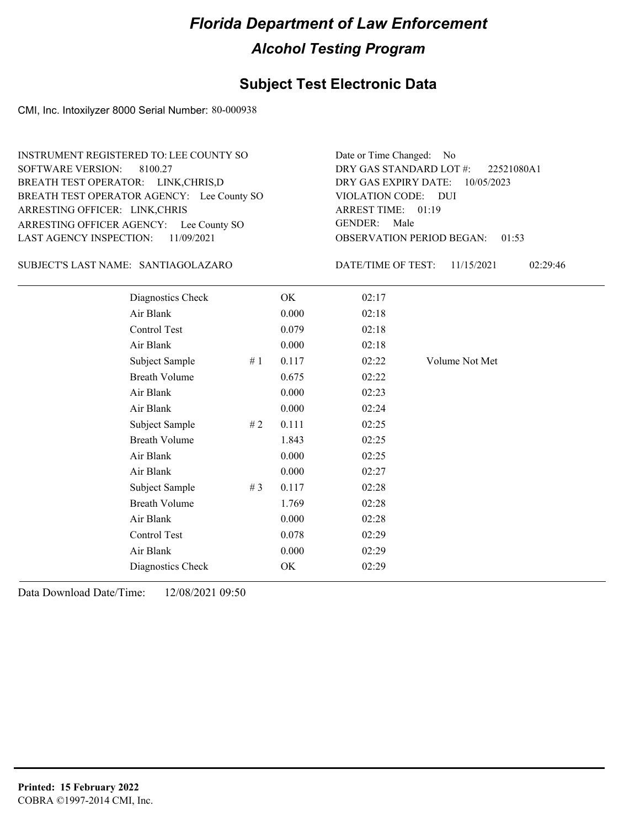### **Subject Test Electronic Data**

CMI, Inc. Intoxilyzer 8000 Serial Number: 80-000938

| INSTRUMENT REGISTERED TO: LEE COUNTY SO    | Date or Time Changed: No    |
|--------------------------------------------|-----------------------------|
| SOFTWARE VERSION: 8100.27                  | DRY GAS STANDARD LOT        |
| BREATH TEST OPERATOR: LINK, CHRIS, D       | DRY GAS EXPIRY DATE:        |
| BREATH TEST OPERATOR AGENCY: Lee County SO | VIOLATION CODE: DUI         |
| ARRESTING OFFICER: LINK, CHRIS             | ARREST TIME: 01:19          |
| ARRESTING OFFICER AGENCY: Lee County SO    | GENDER: Male                |
| LAST AGENCY INSPECTION: 11/09/2021         | <b>OBSERVATION PERIOD B</b> |

SANTIAGOLAZARO SUBJECT'S LAST NAME: DATE/TIME OF TEST:

OBSERVATION PERIOD BEGAN: 01:53 ARREST TIME: 01:19 DRY GAS EXPIRY DATE: 10/05/2023 22521080A1 DRY GAS STANDARD LOT #: Date or Time Changed: No GENDER: Male

DATE/TIME OF TEST: 11/15/2021 02:29:46

| Diagnostics Check    |       | OK    | 02:17 |                |
|----------------------|-------|-------|-------|----------------|
| Air Blank            |       | 0.000 | 02:18 |                |
| Control Test         |       | 0.079 | 02:18 |                |
| Air Blank            |       | 0.000 | 02:18 |                |
| Subject Sample       | #1    | 0.117 | 02:22 | Volume Not Met |
| <b>Breath Volume</b> |       | 0.675 | 02:22 |                |
| Air Blank            |       | 0.000 | 02:23 |                |
| Air Blank            |       | 0.000 | 02:24 |                |
| Subject Sample       | #2    | 0.111 | 02:25 |                |
| <b>Breath Volume</b> |       | 1.843 | 02:25 |                |
| Air Blank            |       | 0.000 | 02:25 |                |
| Air Blank            |       | 0.000 | 02:27 |                |
| Subject Sample       | # $3$ | 0.117 | 02:28 |                |
| <b>Breath Volume</b> |       | 1.769 | 02:28 |                |
| Air Blank            |       | 0.000 | 02:28 |                |
| Control Test         |       | 0.078 | 02:29 |                |
| Air Blank            |       | 0.000 | 02:29 |                |
| Diagnostics Check    |       | OK    | 02:29 |                |
|                      |       |       |       |                |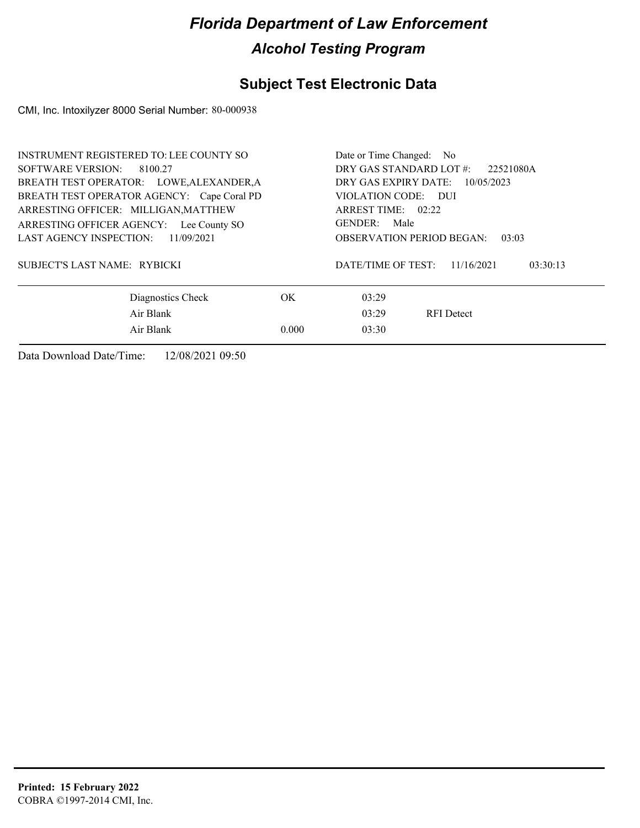### **Subject Test Electronic Data**

CMI, Inc. Intoxilyzer 8000 Serial Number: 80-000938

| <b>INSTRUMENT REGISTERED TO: LEE COUNTY SO</b><br>SOFTWARE VERSION: 8100.27<br>BREATH TEST OPERATOR: LOWE, ALEXANDER, A<br>BREATH TEST OPERATOR AGENCY: Cape Coral PD | Date or Time Changed: No<br>DRY GAS STANDARD LOT #:<br>22521080A<br>DRY GAS EXPIRY DATE:<br>10/05/2023<br>VIOLATION CODE: DUI   |  |
|-----------------------------------------------------------------------------------------------------------------------------------------------------------------------|---------------------------------------------------------------------------------------------------------------------------------|--|
| ARRESTING OFFICER: MILLIGAN, MATTHEW<br>ARRESTING OFFICER AGENCY: Lee County SO<br>LAST AGENCY INSPECTION:<br>11/09/2021<br>SUBJECT'S LAST NAME: RYBICKI              | ARREST TIME: 02:22<br>GENDER: Male<br><b>OBSERVATION PERIOD BEGAN:</b><br>03:03<br>DATE/TIME OF TEST:<br>03:30:13<br>11/16/2021 |  |
| Diagnostics Check<br>Air Blank<br>Air Blank                                                                                                                           | OK.<br>03:29<br>03:29<br><b>RFI</b> Detect<br>03:30<br>0.000                                                                    |  |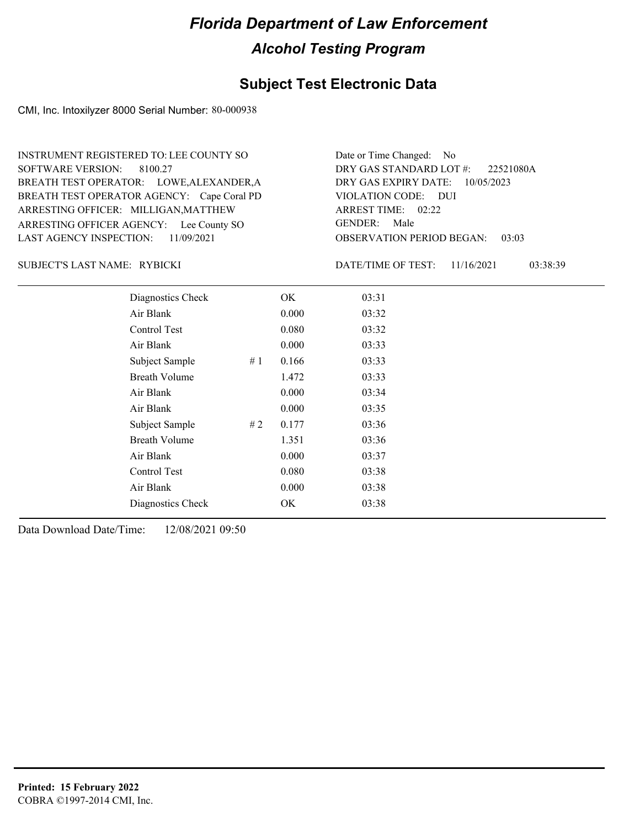### **Subject Test Electronic Data**

CMI, Inc. Intoxilyzer 8000 Serial Number: 80-000938

ARRESTING OFFICER AGENCY: Lee County SO GENDER: BREATH TEST OPERATOR AGENCY: Cape Coral PD VIOLATION CODE: SOFTWARE VERSION: ARRESTING OFFICER: MILLIGAN, MATTHEW BREATH TEST OPERATOR: LOWE,ALEXANDER,A LAST AGENCY INSPECTION: 11/09/2021 8100.27 INSTRUMENT REGISTERED TO: LEE COUNTY SO

OBSERVATION PERIOD BEGAN: 03:03 VIOLATION CODE: DUI 02:22 ARREST TIME: DRY GAS EXPIRY DATE: 10/05/2023 22521080A DRY GAS STANDARD LOT #: Date or Time Changed: No GENDER: Male

RYBICKI SUBJECT'S LAST NAME: DATE/TIME OF TEST:

DATE/TIME OF TEST: 11/16/2021 03:38:39

| Diagnostics Check    |    | OK    | 03:31 |
|----------------------|----|-------|-------|
| Air Blank            |    | 0.000 | 03:32 |
| Control Test         |    | 0.080 | 03:32 |
| Air Blank            |    | 0.000 | 03:33 |
| Subject Sample       | #1 | 0.166 | 03:33 |
| <b>Breath Volume</b> |    | 1.472 | 03:33 |
| Air Blank            |    | 0.000 | 03:34 |
| Air Blank            |    | 0.000 | 03:35 |
| Subject Sample       | #2 | 0.177 | 03:36 |
| <b>Breath Volume</b> |    | 1.351 | 03:36 |
| Air Blank            |    | 0.000 | 03:37 |
| Control Test         |    | 0.080 | 03:38 |
| Air Blank            |    | 0.000 | 03:38 |
| Diagnostics Check    |    | OK    | 03:38 |
|                      |    |       |       |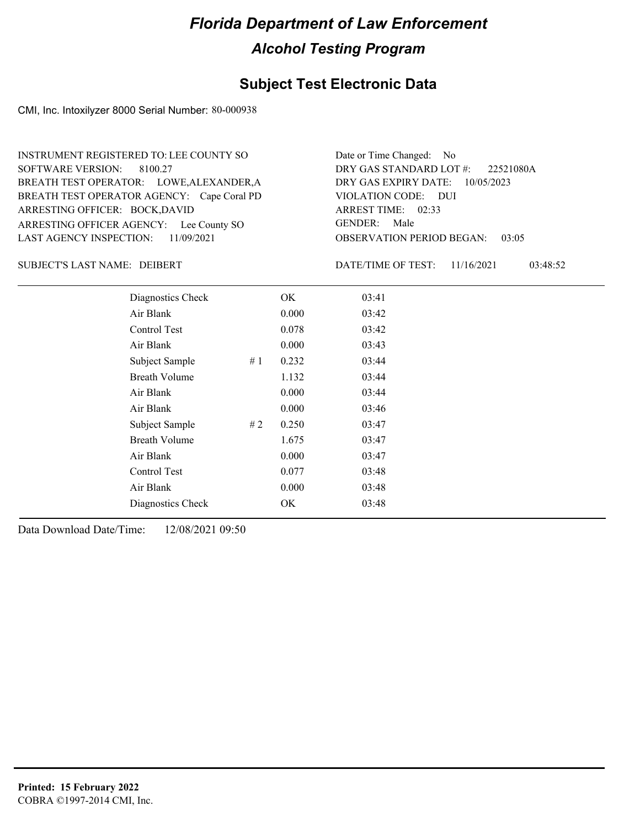### **Subject Test Electronic Data**

CMI, Inc. Intoxilyzer 8000 Serial Number: 80-000938

ARRESTING OFFICER AGENCY: Lee County SO GENDER: BREATH TEST OPERATOR AGENCY: Cape Coral PD VIOLATION CODE: SOFTWARE VERSION: 8100.27 ARRESTING OFFICER: BOCK,DAVID BREATH TEST OPERATOR: LOWE,ALEXANDER,A LAST AGENCY INSPECTION: 11/09/2021 INSTRUMENT REGISTERED TO: LEE COUNTY SO

OBSERVATION PERIOD BEGAN: 03:05 VIOLATION CODE: DUI ARREST TIME: 02:33 DRY GAS EXPIRY DATE: 10/05/2023 22521080A DRY GAS STANDARD LOT #: Date or Time Changed: No GENDER: Male

DEIBERT SUBJECT'S LAST NAME: DATE/TIME OF TEST:

DATE/TIME OF TEST: 11/16/2021 03:48:52

| Diagnostics Check    | OK    | 03:41 |
|----------------------|-------|-------|
| Air Blank            | 0.000 | 03:42 |
| Control Test         | 0.078 | 03:42 |
| Air Blank            | 0.000 | 03:43 |
| Subject Sample<br>#1 | 0.232 | 03:44 |
| <b>Breath Volume</b> | 1.132 | 03:44 |
| Air Blank            | 0.000 | 03:44 |
| Air Blank            | 0.000 | 03:46 |
| Subject Sample<br>#2 | 0.250 | 03:47 |
| <b>Breath Volume</b> | 1.675 | 03:47 |
| Air Blank            | 0.000 | 03:47 |
| Control Test         | 0.077 | 03:48 |
| Air Blank            | 0.000 | 03:48 |
| Diagnostics Check    | OK    | 03:48 |
|                      |       |       |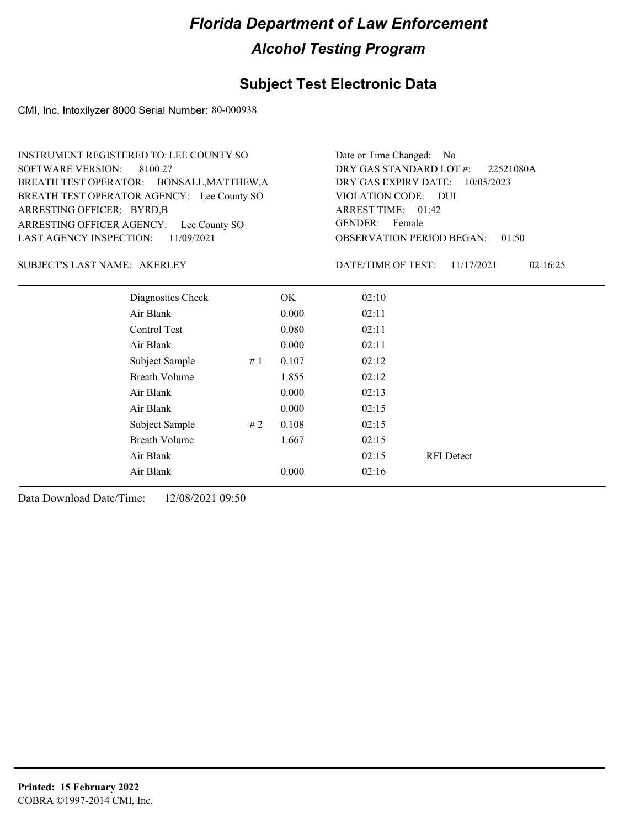### **Subject Test Electronic Data**

CMI, Inc. Intoxilyzer 8000 Serial Number: 80-000938

| <b>INSTRUMENT REGISTERED TO: LEE COUNTY SO</b> | Date or Time Changed: No               |
|------------------------------------------------|----------------------------------------|
| SOFTWARE VERSION: 8100.27                      | DRY GAS STANDARD LOT #: 22521080A      |
| BREATH TEST OPERATOR: BONSALL, MATTHEW, A      | DRY GAS EXPIRY DATE: 10/05/2023        |
| BREATH TEST OPERATOR AGENCY: Lee County SO     | VIOLATION CODE: DUI                    |
| ARRESTING OFFICER: BYRD, B                     | ARREST TIME: 01:42                     |
| ARRESTING OFFICER AGENCY: Lee County SO        | GENDER: Female                         |
| LAST AGENCY INSPECTION: 11/09/2021             | <b>OBSERVATION PERIOD BEGAN: 01:50</b> |

#### SUBJECT'S LAST NAME: AKERLEY DATE/TIME OF TEST:

DATE/TIME OF TEST: 11/17/2021 02:16:25

| Diagnostics Check    |    | OK    | 02:10 |                   |
|----------------------|----|-------|-------|-------------------|
| Air Blank            |    | 0.000 | 02:11 |                   |
| Control Test         |    | 0.080 | 02:11 |                   |
| Air Blank            |    | 0.000 | 02:11 |                   |
| Subject Sample       | #1 | 0.107 | 02:12 |                   |
| <b>Breath Volume</b> |    | 1.855 | 02:12 |                   |
| Air Blank            |    | 0.000 | 02:13 |                   |
| Air Blank            |    | 0.000 | 02:15 |                   |
| Subject Sample       | #2 | 0.108 | 02:15 |                   |
| <b>Breath Volume</b> |    | 1.667 | 02:15 |                   |
| Air Blank            |    |       | 02:15 | <b>RFI</b> Detect |
| Air Blank            |    | 0.000 | 02:16 |                   |
|                      |    |       |       |                   |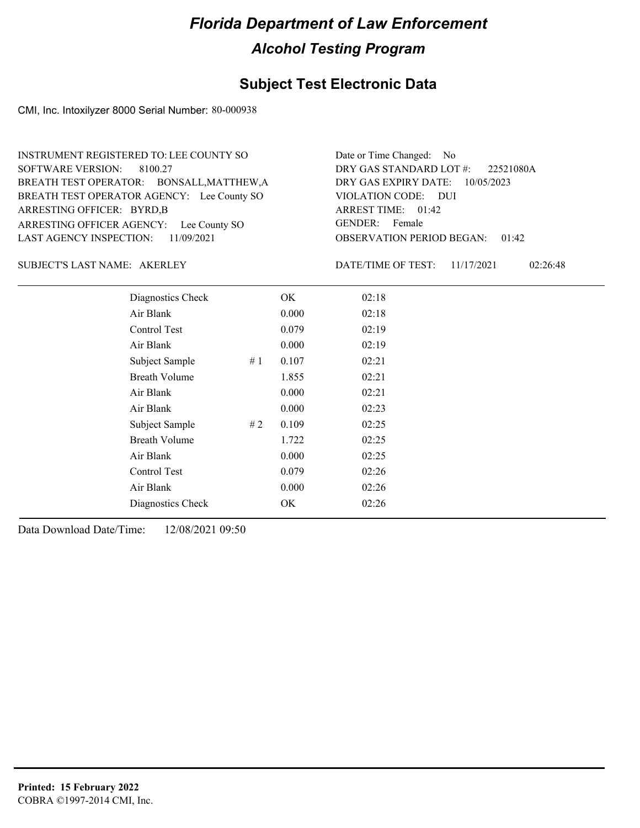### **Subject Test Electronic Data**

CMI, Inc. Intoxilyzer 8000 Serial Number: 80-000938

OBSERVATION PERIOD BEGAN: 01:42 ARRESTING OFFICER AGENCY: Lee County SO GENDER: BREATH TEST OPERATOR AGENCY: Lee County SO VIOLATION CODE: SOFTWARE VERSION: 8100.27 VIOLATION CODE: DUI ARREST TIME: 01:42 ARRESTING OFFICER: BYRD,B DRY GAS EXPIRY DATE: 10/05/2023 BREATH TEST OPERATOR: BONSALL,MATTHEW,A LAST AGENCY INSPECTION: 11/09/2021 INSTRUMENT REGISTERED TO: LEE COUNTY SO DRY GAS STANDARD LOT #: Date or Time Changed: No GENDER: Female

#### SUBJECT'S LAST NAME: AKERLEY DATE/TIME OF TEST:

DATE/TIME OF TEST: 11/17/2021 02:26:48

22521080A

| Diagnostics Check    |    | OK    | 02:18 |  |
|----------------------|----|-------|-------|--|
| Air Blank            |    | 0.000 | 02:18 |  |
| Control Test         |    | 0.079 | 02:19 |  |
| Air Blank            |    | 0.000 | 02:19 |  |
| Subject Sample       | #1 | 0.107 | 02:21 |  |
| <b>Breath Volume</b> |    | 1.855 | 02:21 |  |
| Air Blank            |    | 0.000 | 02:21 |  |
| Air Blank            |    | 0.000 | 02:23 |  |
| Subject Sample       | #2 | 0.109 | 02:25 |  |
| <b>Breath Volume</b> |    | 1.722 | 02:25 |  |
| Air Blank            |    | 0.000 | 02:25 |  |
| Control Test         |    | 0.079 | 02:26 |  |
| Air Blank            |    | 0.000 | 02:26 |  |
| Diagnostics Check    |    | OK    | 02:26 |  |
|                      |    |       |       |  |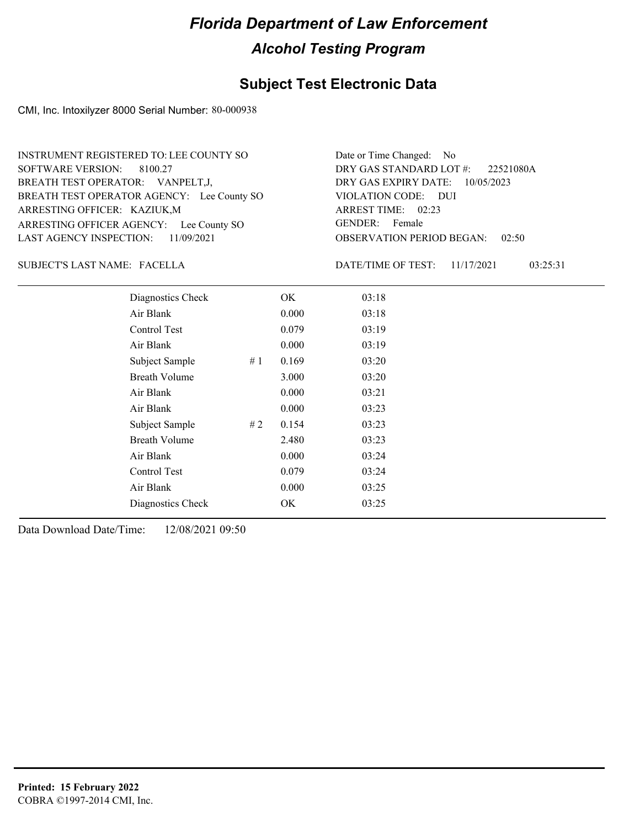### **Subject Test Electronic Data**

CMI, Inc. Intoxilyzer 8000 Serial Number: 80-000938

ARRESTING OFFICER AGENCY: Lee County SO GENDER: BREATH TEST OPERATOR AGENCY: Lee County SO VIOLATION CODE: SOFTWARE VERSION: 8100.27 ARRESTING OFFICER: KAZIUK,M BREATH TEST OPERATOR: VANPELT,J, LAST AGENCY INSPECTION: 11/09/2021 INSTRUMENT REGISTERED TO: LEE COUNTY SO

OBSERVATION PERIOD BEGAN: 02:50 VIOLATION CODE: DUI ARREST TIME: 02:23 DRY GAS EXPIRY DATE: 10/05/2023 22521080A DRY GAS STANDARD LOT #: Date or Time Changed: No GENDER: Female

#### FACELLA SUBJECT'S LAST NAME: DATE/TIME OF TEST:

DATE/TIME OF TEST: 11/17/2021 03:25:31

| Diagnostics Check    |     | OK    | 03:18 |
|----------------------|-----|-------|-------|
| Air Blank            |     | 0.000 | 03:18 |
| Control Test         |     | 0.079 | 03:19 |
| Air Blank            |     | 0.000 | 03:19 |
| Subject Sample       | #1  | 0.169 | 03:20 |
| <b>Breath Volume</b> |     | 3.000 | 03:20 |
| Air Blank            |     | 0.000 | 03:21 |
| Air Blank            |     | 0.000 | 03:23 |
| Subject Sample       | # 2 | 0.154 | 03:23 |
| <b>Breath Volume</b> |     | 2.480 | 03:23 |
| Air Blank            |     | 0.000 | 03:24 |
| Control Test         |     | 0.079 | 03:24 |
| Air Blank            |     | 0.000 | 03:25 |
| Diagnostics Check    |     | OK    | 03:25 |
|                      |     |       |       |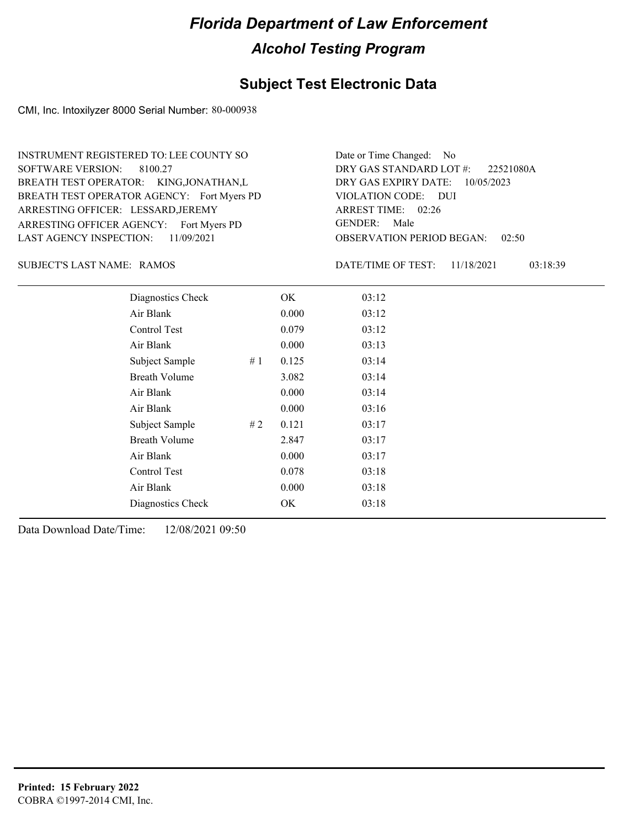### **Subject Test Electronic Data**

CMI, Inc. Intoxilyzer 8000 Serial Number: 80-000938

ARRESTING OFFICER AGENCY: Fort Myers PD GENDER: BREATH TEST OPERATOR AGENCY: Fort Myers PD VIOLATION CODE: SOFTWARE VERSION: 8100.27 ARRESTING OFFICER: LESSARD, JEREMY BREATH TEST OPERATOR: KING,JONATHAN,L LAST AGENCY INSPECTION: 11/09/2021 INSTRUMENT REGISTERED TO: LEE COUNTY SO

OBSERVATION PERIOD BEGAN: 02:50 VIOLATION CODE: DUI 02:26 ARREST TIME: DRY GAS EXPIRY DATE: 10/05/2023 22521080A DRY GAS STANDARD LOT #: Date or Time Changed: No GENDER: Male

SUBJECT'S LAST NAME: RAMOS DATE/TIME OF TEST:

DATE/TIME OF TEST: 11/18/2021 03:18:39

| Diagnostics Check    |    | OK    | 03:12 |
|----------------------|----|-------|-------|
| Air Blank            |    | 0.000 | 03:12 |
| Control Test         |    | 0.079 | 03:12 |
| Air Blank            |    | 0.000 | 03:13 |
| Subject Sample       | #1 | 0.125 | 03:14 |
| <b>Breath Volume</b> |    | 3.082 | 03:14 |
| Air Blank            |    | 0.000 | 03:14 |
| Air Blank            |    | 0.000 | 03:16 |
| Subject Sample       | #2 | 0.121 | 03:17 |
| <b>Breath Volume</b> |    | 2.847 | 03:17 |
| Air Blank            |    | 0.000 | 03:17 |
| Control Test         |    | 0.078 | 03:18 |
| Air Blank            |    | 0.000 | 03:18 |
| Diagnostics Check    |    | OK    | 03:18 |
|                      |    |       |       |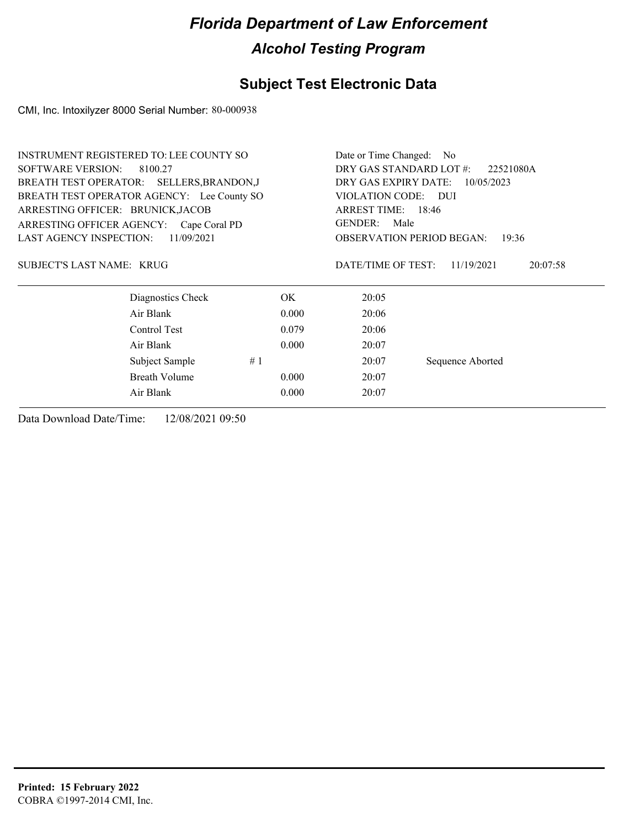### **Subject Test Electronic Data**

CMI, Inc. Intoxilyzer 8000 Serial Number: 80-000938

| <b>SOFTWARE VERSION:</b><br>DRY GAS STANDARD LOT #:<br>8100.27<br>22521080A<br>DRY GAS EXPIRY DATE:<br>BREATH TEST OPERATOR: SELLERS, BRANDON, J<br>10/05/2023<br>BREATH TEST OPERATOR AGENCY: Lee County SO<br>VIOLATION CODE: DUI<br>ARRESTING OFFICER: BRUNICK, JACOB<br>ARREST TIME: 18:46<br>GENDER: Male<br>ARRESTING OFFICER AGENCY: Cape Coral PD<br><b>LAST AGENCY INSPECTION:</b><br>11/09/2021<br><b>OBSERVATION PERIOD BEGAN:</b><br>19:36<br>SUBJECT'S LAST NAME: KRUG<br>DATE/TIME OF TEST:<br>11/19/2021<br>20:07:58<br>Diagnostics Check<br>OK.<br>20:05<br>Air Blank<br>0.000<br>20:06<br>Control Test<br>20:06<br>0.079<br>Air Blank<br>0.000<br>20:07<br>#1<br>Sequence Aborted<br>Subject Sample<br>20:07<br>Breath Volume<br>0.000<br>20:07<br>Air Blank<br>0.000<br>20:07 | <b>INSTRUMENT REGISTERED TO: LEE COUNTY SO</b> |  |  | Date or Time Changed: No |  |  |  |  |
|-------------------------------------------------------------------------------------------------------------------------------------------------------------------------------------------------------------------------------------------------------------------------------------------------------------------------------------------------------------------------------------------------------------------------------------------------------------------------------------------------------------------------------------------------------------------------------------------------------------------------------------------------------------------------------------------------------------------------------------------------------------------------------------------------|------------------------------------------------|--|--|--------------------------|--|--|--|--|
|                                                                                                                                                                                                                                                                                                                                                                                                                                                                                                                                                                                                                                                                                                                                                                                                 |                                                |  |  |                          |  |  |  |  |
|                                                                                                                                                                                                                                                                                                                                                                                                                                                                                                                                                                                                                                                                                                                                                                                                 |                                                |  |  |                          |  |  |  |  |
|                                                                                                                                                                                                                                                                                                                                                                                                                                                                                                                                                                                                                                                                                                                                                                                                 |                                                |  |  |                          |  |  |  |  |
|                                                                                                                                                                                                                                                                                                                                                                                                                                                                                                                                                                                                                                                                                                                                                                                                 |                                                |  |  |                          |  |  |  |  |
|                                                                                                                                                                                                                                                                                                                                                                                                                                                                                                                                                                                                                                                                                                                                                                                                 |                                                |  |  |                          |  |  |  |  |
|                                                                                                                                                                                                                                                                                                                                                                                                                                                                                                                                                                                                                                                                                                                                                                                                 |                                                |  |  |                          |  |  |  |  |
|                                                                                                                                                                                                                                                                                                                                                                                                                                                                                                                                                                                                                                                                                                                                                                                                 |                                                |  |  |                          |  |  |  |  |
|                                                                                                                                                                                                                                                                                                                                                                                                                                                                                                                                                                                                                                                                                                                                                                                                 |                                                |  |  |                          |  |  |  |  |
|                                                                                                                                                                                                                                                                                                                                                                                                                                                                                                                                                                                                                                                                                                                                                                                                 |                                                |  |  |                          |  |  |  |  |
|                                                                                                                                                                                                                                                                                                                                                                                                                                                                                                                                                                                                                                                                                                                                                                                                 |                                                |  |  |                          |  |  |  |  |
|                                                                                                                                                                                                                                                                                                                                                                                                                                                                                                                                                                                                                                                                                                                                                                                                 |                                                |  |  |                          |  |  |  |  |
|                                                                                                                                                                                                                                                                                                                                                                                                                                                                                                                                                                                                                                                                                                                                                                                                 |                                                |  |  |                          |  |  |  |  |
|                                                                                                                                                                                                                                                                                                                                                                                                                                                                                                                                                                                                                                                                                                                                                                                                 |                                                |  |  |                          |  |  |  |  |
|                                                                                                                                                                                                                                                                                                                                                                                                                                                                                                                                                                                                                                                                                                                                                                                                 |                                                |  |  |                          |  |  |  |  |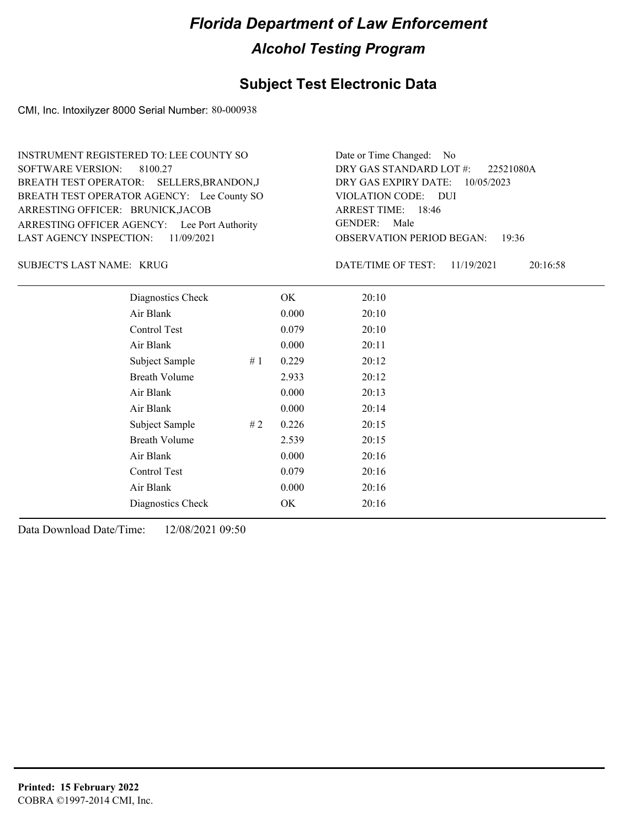### **Subject Test Electronic Data**

CMI, Inc. Intoxilyzer 8000 Serial Number: 80-000938

ARRESTING OFFICER AGENCY: Lee Port Authority GENDER: BREATH TEST OPERATOR AGENCY: Lee County SO VIOLATION CODE: SOFTWARE VERSION: 8100.27 ARRESTING OFFICER: BRUNICK,JACOB BREATH TEST OPERATOR: SELLERS,BRANDON,J LAST AGENCY INSPECTION: 11/09/2021 INSTRUMENT REGISTERED TO: LEE COUNTY SO

OBSERVATION PERIOD BEGAN: 19:36 VIOLATION CODE: DUI 18:46 ARREST TIME: DRY GAS EXPIRY DATE: 10/05/2023 22521080A DRY GAS STANDARD LOT #: Date or Time Changed: No GENDER: Male

KRUG SUBJECT'S LAST NAME: DATE/TIME OF TEST:

DATE/TIME OF TEST: 11/19/2021 20:16:58

| Diagnostics Check    |    | OK    | 20:10 |
|----------------------|----|-------|-------|
| Air Blank            |    | 0.000 | 20:10 |
| Control Test         |    | 0.079 | 20:10 |
| Air Blank            |    | 0.000 | 20:11 |
| Subject Sample       | #1 | 0.229 | 20:12 |
| <b>Breath Volume</b> |    | 2.933 | 20:12 |
| Air Blank            |    | 0.000 | 20:13 |
| Air Blank            |    | 0.000 | 20:14 |
| Subject Sample       | #2 | 0.226 | 20:15 |
| <b>Breath Volume</b> |    | 2.539 | 20:15 |
| Air Blank            |    | 0.000 | 20:16 |
| Control Test         |    | 0.079 | 20:16 |
| Air Blank            |    | 0.000 | 20:16 |
| Diagnostics Check    |    | OK    | 20:16 |
|                      |    |       |       |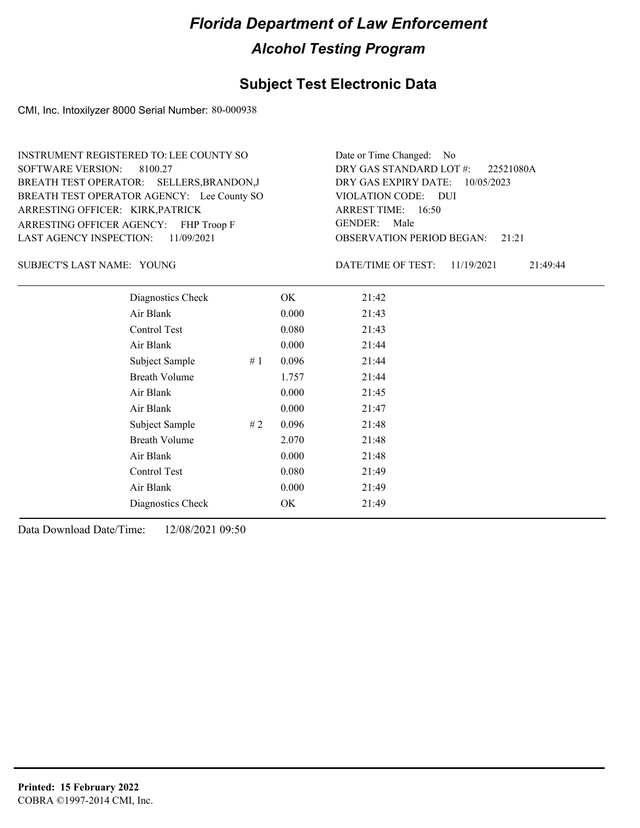### **Subject Test Electronic Data**

CMI, Inc. Intoxilyzer 8000 Serial Number: 80-000938

ARRESTING OFFICER AGENCY: FHP Troop F GENDER: BREATH TEST OPERATOR AGENCY: Lee County SO VIOLATION CODE: SOFTWARE VERSION: 8100.27 ARRESTING OFFICER: KIRK,PATRICK BREATH TEST OPERATOR: SELLERS,BRANDON,J LAST AGENCY INSPECTION: 11/09/2021 INSTRUMENT REGISTERED TO: LEE COUNTY SO

OBSERVATION PERIOD BEGAN: 21:21 VIOLATION CODE: DUI ARREST TIME: 16:50 DRY GAS EXPIRY DATE: 10/05/2023 22521080A DRY GAS STANDARD LOT #: Date or Time Changed: No GENDER: Male

SUBJECT'S LAST NAME: YOUNG DATE/TIME OF TEST:

DATE/TIME OF TEST: 11/19/2021 21:49:44

| Diagnostics Check    | OK    | 21:42 |
|----------------------|-------|-------|
| Air Blank            | 0.000 | 21:43 |
| Control Test         | 0.080 | 21:43 |
| Air Blank            | 0.000 | 21:44 |
| Subject Sample<br>#1 | 0.096 | 21:44 |
| <b>Breath Volume</b> | 1.757 | 21:44 |
| Air Blank            | 0.000 | 21:45 |
| Air Blank            | 0.000 | 21:47 |
| Subject Sample<br>#2 | 0.096 | 21:48 |
| <b>Breath Volume</b> | 2.070 | 21:48 |
| Air Blank            | 0.000 | 21:48 |
| Control Test         | 0.080 | 21:49 |
| Air Blank            | 0.000 | 21:49 |
| Diagnostics Check    | OK    | 21:49 |
|                      |       |       |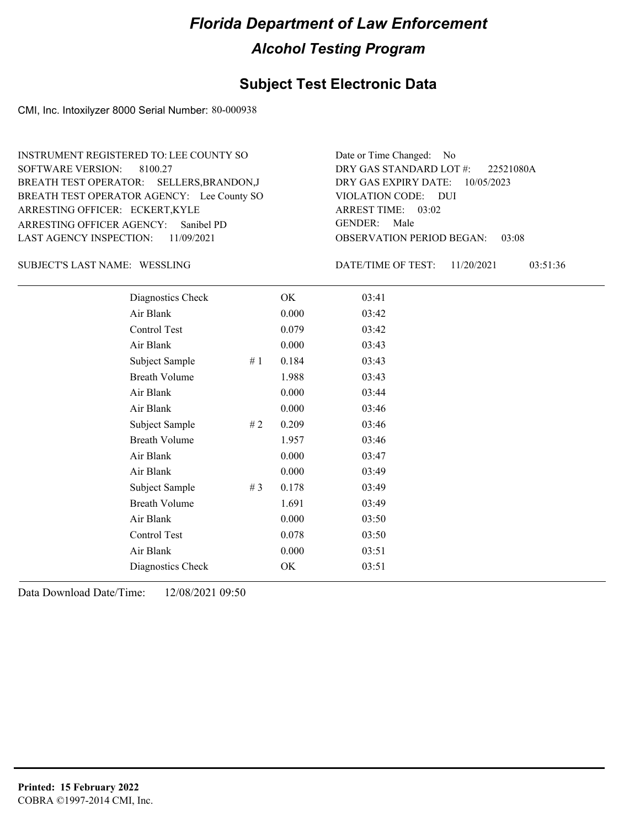### **Subject Test Electronic Data**

CMI, Inc. Intoxilyzer 8000 Serial Number: 80-000938

ARRESTING OFFICER AGENCY: GENDER: Sanibel PD BREATH TEST OPERATOR AGENCY: Lee County SO VIOLATION CODE: SOFTWARE VERSION: ARRESTING OFFICER: ECKERT,KYLE BREATH TEST OPERATOR: SELLERS,BRANDON,J LAST AGENCY INSPECTION: 11/09/2021 8100.27 INSTRUMENT REGISTERED TO: LEE COUNTY SO

OBSERVATION PERIOD BEGAN: 03:08 VIOLATION CODE: DUI ARREST TIME: 03:02 DRY GAS EXPIRY DATE: 10/05/2023 22521080A DRY GAS STANDARD LOT #: Date or Time Changed: No GENDER: Male

SUBJECT'S LAST NAME: WESSLING **Example 20 SOLID** DATE/TIME OF TEST:

DATE/TIME OF TEST: 11/20/2021 03:51:36

| Diagnostics Check    |       | OK    | 03:41 |
|----------------------|-------|-------|-------|
| Air Blank            |       | 0.000 | 03:42 |
| Control Test         |       | 0.079 | 03:42 |
| Air Blank            |       | 0.000 | 03:43 |
| Subject Sample       | #1    | 0.184 | 03:43 |
| <b>Breath Volume</b> |       | 1.988 | 03:43 |
| Air Blank            |       | 0.000 | 03:44 |
| Air Blank            |       | 0.000 | 03:46 |
| Subject Sample       | #2    | 0.209 | 03:46 |
| <b>Breath Volume</b> |       | 1.957 | 03:46 |
| Air Blank            |       | 0.000 | 03:47 |
| Air Blank            |       | 0.000 | 03:49 |
| Subject Sample       | # $3$ | 0.178 | 03:49 |
| <b>Breath Volume</b> |       | 1.691 | 03:49 |
| Air Blank            |       | 0.000 | 03:50 |
| Control Test         |       | 0.078 | 03:50 |
| Air Blank            |       | 0.000 | 03:51 |
| Diagnostics Check    |       | OK    | 03:51 |
|                      |       |       |       |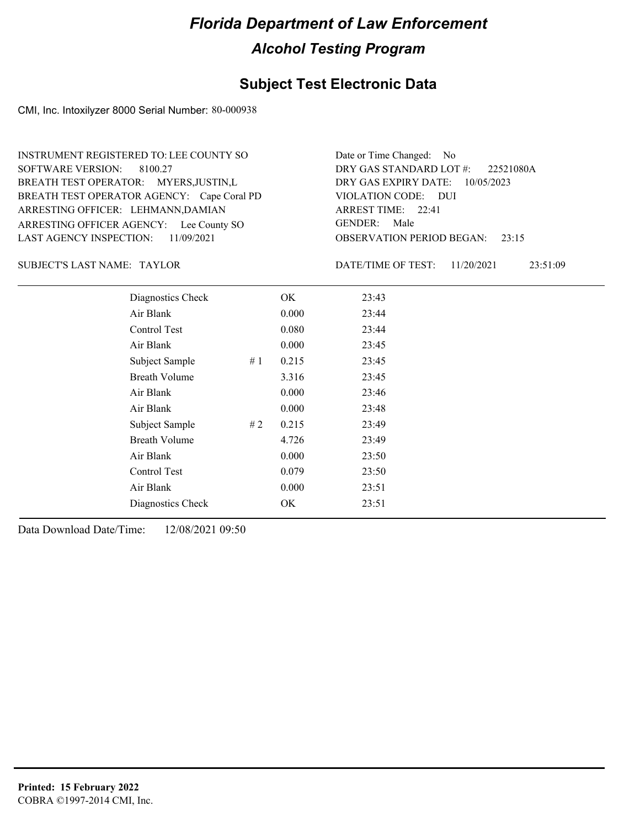### **Subject Test Electronic Data**

CMI, Inc. Intoxilyzer 8000 Serial Number: 80-000938

ARRESTING OFFICER AGENCY: Lee County SO GENDER: BREATH TEST OPERATOR AGENCY: Cape Coral PD VIOLATION CODE: SOFTWARE VERSION: 8100.27 ARRESTING OFFICER: LEHMANN,DAMIAN BREATH TEST OPERATOR: MYERS,JUSTIN,L LAST AGENCY INSPECTION: 11/09/2021 INSTRUMENT REGISTERED TO: LEE COUNTY SO

OBSERVATION PERIOD BEGAN: 23:15 VIOLATION CODE: DUI ARREST TIME: 22:41 DRY GAS EXPIRY DATE: 10/05/2023 22521080A DRY GAS STANDARD LOT #: Date or Time Changed: No GENDER: Male

SUBJECT'S LAST NAME: TAYLOR DATE/TIME OF TEST:

DATE/TIME OF TEST: 11/20/2021 23:51:09

| Diagnostics Check    |    | OK    | 23:43 |
|----------------------|----|-------|-------|
| Air Blank            |    | 0.000 | 23:44 |
| Control Test         |    | 0.080 | 23:44 |
| Air Blank            |    | 0.000 | 23:45 |
| Subject Sample       | #1 | 0.215 | 23:45 |
| <b>Breath Volume</b> |    | 3.316 | 23:45 |
| Air Blank            |    | 0.000 | 23:46 |
| Air Blank            |    | 0.000 | 23:48 |
| Subject Sample       | #2 | 0.215 | 23:49 |
| <b>Breath Volume</b> |    | 4.726 | 23:49 |
| Air Blank            |    | 0.000 | 23:50 |
| Control Test         |    | 0.079 | 23:50 |
| Air Blank            |    | 0.000 | 23:51 |
| Diagnostics Check    |    | OK    | 23:51 |
|                      |    |       |       |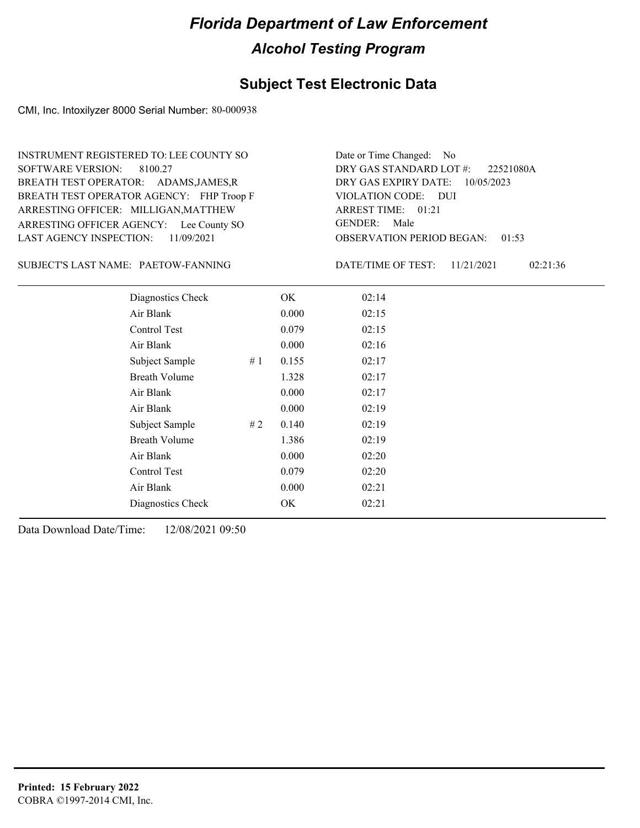### **Subject Test Electronic Data**

CMI, Inc. Intoxilyzer 8000 Serial Number: 80-000938

ARRESTING OFFICER AGENCY: Lee County SO GENDER: BREATH TEST OPERATOR AGENCY: FHP Troop F VIOLATION CODE: SOFTWARE VERSION: ARRESTING OFFICER: MILLIGAN, MATTHEW BREATH TEST OPERATOR: ADAMS,JAMES,R LAST AGENCY INSPECTION: 11/09/2021 8100.27 INSTRUMENT REGISTERED TO: LEE COUNTY SO

OBSERVATION PERIOD BEGAN: 01:53 VIOLATION CODE: DUI ARREST TIME: 01:21 DRY GAS EXPIRY DATE: 10/05/2023 22521080A DRY GAS STANDARD LOT #: Date or Time Changed: No GENDER: Male

PAETOW-FANNING SUBJECT'S LAST NAME: DATE/TIME OF TEST:

DATE/TIME OF TEST: 11/21/2021 02:21:36

| Diagnostics Check    |    | OK    | 02:14 |
|----------------------|----|-------|-------|
| Air Blank            |    | 0.000 | 02:15 |
| Control Test         |    | 0.079 | 02:15 |
| Air Blank            |    | 0.000 | 02:16 |
| Subject Sample       | #1 | 0.155 | 02:17 |
| <b>Breath Volume</b> |    | 1.328 | 02:17 |
| Air Blank            |    | 0.000 | 02:17 |
| Air Blank            |    | 0.000 | 02:19 |
| Subject Sample       | #2 | 0.140 | 02:19 |
| <b>Breath Volume</b> |    | 1.386 | 02:19 |
| Air Blank            |    | 0.000 | 02:20 |
| Control Test         |    | 0.079 | 02:20 |
| Air Blank            |    | 0.000 | 02:21 |
| Diagnostics Check    |    | OK    | 02:21 |
|                      |    |       |       |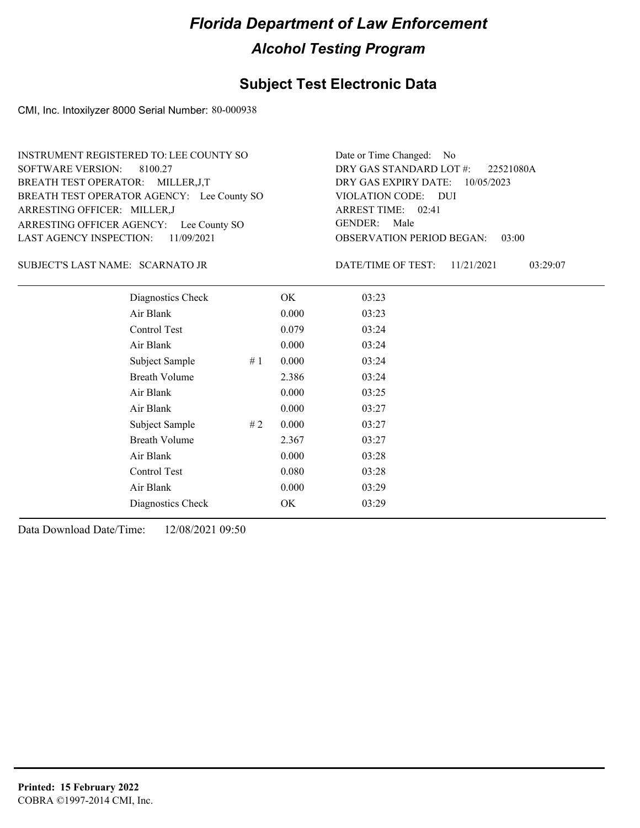### **Subject Test Electronic Data**

CMI, Inc. Intoxilyzer 8000 Serial Number: 80-000938

ARRESTING OFFICER AGENCY: Lee County SO GENDER: BREATH TEST OPERATOR AGENCY: Lee County SO VIOLATION CODE: SOFTWARE VERSION: 8100.27 ARRESTING OFFICER: MILLER,J BREATH TEST OPERATOR: MILLER,J,T LAST AGENCY INSPECTION: 11/09/2021 INSTRUMENT REGISTERED TO: LEE COUNTY SO

OBSERVATION PERIOD BEGAN: 03:00 VIOLATION CODE: DUI 02:41 ARREST TIME: DRY GAS EXPIRY DATE: 10/05/2023 22521080A DRY GAS STANDARD LOT #: Date or Time Changed: No GENDER: Male

SCARNATO JR SUBJECT'S LAST NAME: DATE/TIME OF TEST:

DATE/TIME OF TEST: 11/21/2021 03:29:07

| Diagnostics Check    |    | OK    | 03:23 |
|----------------------|----|-------|-------|
| Air Blank            |    | 0.000 | 03:23 |
| Control Test         |    | 0.079 | 03:24 |
| Air Blank            |    | 0.000 | 03:24 |
| Subject Sample       | #1 | 0.000 | 03:24 |
| <b>Breath Volume</b> |    | 2.386 | 03:24 |
| Air Blank            |    | 0.000 | 03:25 |
| Air Blank            |    | 0.000 | 03:27 |
| Subject Sample       | #2 | 0.000 | 03:27 |
| <b>Breath Volume</b> |    | 2.367 | 03:27 |
| Air Blank            |    | 0.000 | 03:28 |
| Control Test         |    | 0.080 | 03:28 |
| Air Blank            |    | 0.000 | 03:29 |
| Diagnostics Check    |    | OK    | 03:29 |
|                      |    |       |       |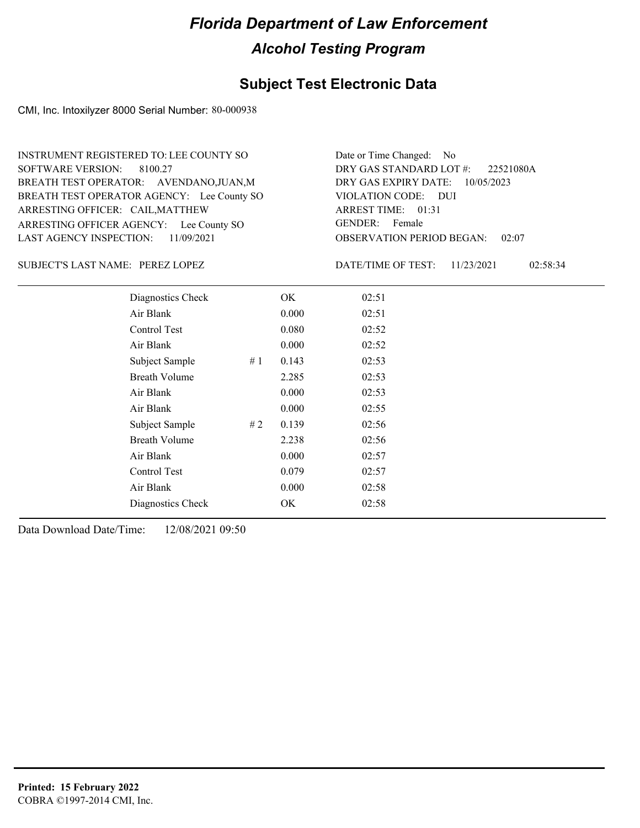### **Subject Test Electronic Data**

CMI, Inc. Intoxilyzer 8000 Serial Number: 80-000938

ARRESTING OFFICER AGENCY: Lee County SO GENDER: BREATH TEST OPERATOR AGENCY: Lee County SO VIOLATION CODE: SOFTWARE VERSION: 8100.27 ARRESTING OFFICER: CAIL, MATTHEW BREATH TEST OPERATOR: AVENDANO,JUAN,M LAST AGENCY INSPECTION: 11/09/2021 INSTRUMENT REGISTERED TO: LEE COUNTY SO

OBSERVATION PERIOD BEGAN: 02:07 VIOLATION CODE: DUI ARREST TIME: 01:31 DRY GAS EXPIRY DATE: 10/05/2023 22521080A DRY GAS STANDARD LOT #: Date or Time Changed: No GENDER: Female

PEREZ LOPEZ SUBJECT'S LAST NAME: DATE/TIME OF TEST:

DATE/TIME OF TEST: 11/23/2021 02:58:34

| Diagnostics Check    |    | OK    | 02:51 |
|----------------------|----|-------|-------|
| Air Blank            |    | 0.000 | 02:51 |
| Control Test         |    | 0.080 | 02:52 |
| Air Blank            |    | 0.000 | 02:52 |
| Subject Sample       | #1 | 0.143 | 02:53 |
| <b>Breath Volume</b> |    | 2.285 | 02:53 |
| Air Blank            |    | 0.000 | 02:53 |
| Air Blank            |    | 0.000 | 02:55 |
| Subject Sample       | #2 | 0.139 | 02:56 |
| <b>Breath Volume</b> |    | 2.238 | 02:56 |
| Air Blank            |    | 0.000 | 02:57 |
| <b>Control Test</b>  |    | 0.079 | 02:57 |
| Air Blank            |    | 0.000 | 02:58 |
| Diagnostics Check    |    | OK    | 02:58 |
|                      |    |       |       |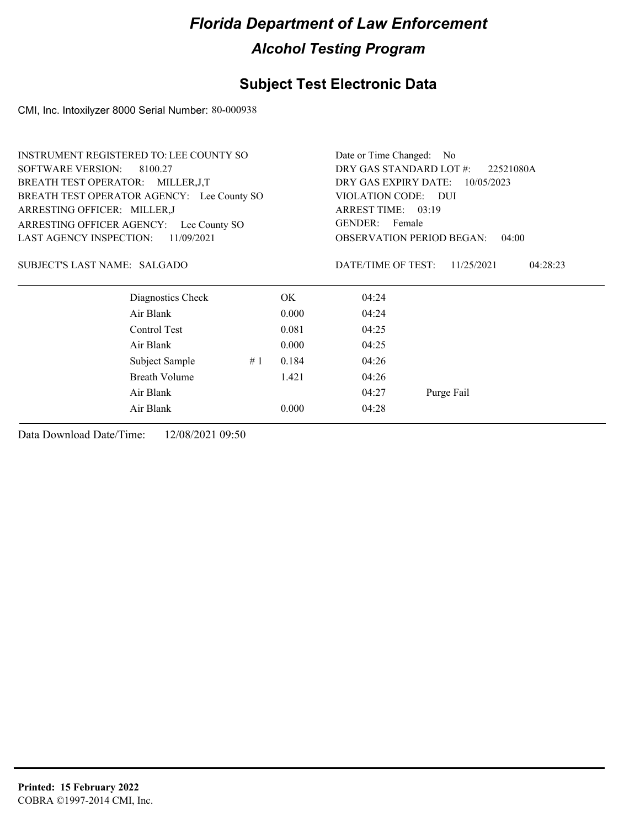### **Subject Test Electronic Data**

CMI, Inc. Intoxilyzer 8000 Serial Number: 80-000938

|                                    | <b>INSTRUMENT REGISTERED TO: LEE COUNTY SO</b> |    |       | Date or Time Changed: No    |                                           |
|------------------------------------|------------------------------------------------|----|-------|-----------------------------|-------------------------------------------|
| <b>SOFTWARE VERSION:</b>           | 8100.27                                        |    |       | DRY GAS STANDARD LOT #:     | 22521080A                                 |
| BREATH TEST OPERATOR: MILLER, J, T |                                                |    |       | DRY GAS EXPIRY DATE:        | 10/05/2023                                |
|                                    | BREATH TEST OPERATOR AGENCY: Lee County SO     |    |       | VIOLATION CODE: DUI         |                                           |
| ARRESTING OFFICER: MILLER,J        |                                                |    |       | ARREST TIME: 03:19          |                                           |
| ARRESTING OFFICER AGENCY:          | Lee County SO                                  |    |       | GENDER: Female              |                                           |
| <b>LAST AGENCY INSPECTION:</b>     | 11/09/2021                                     |    |       |                             | <b>OBSERVATION PERIOD BEGAN:</b><br>04:00 |
| SUBJECT'S LAST NAME: SALGADO       | Diagnostics Check                              |    | OK    | DATE/TIME OF TEST:<br>04:24 | 11/25/2021<br>04:28:23                    |
|                                    |                                                |    |       |                             |                                           |
|                                    | Air Blank                                      |    | 0.000 | 04:24                       |                                           |
|                                    | Control Test                                   |    | 0.081 | 04:25                       |                                           |
|                                    | Air Blank                                      |    | 0.000 | 04:25                       |                                           |
|                                    | Subject Sample                                 | #1 | 0.184 | 04:26                       |                                           |
|                                    | <b>Breath Volume</b>                           |    | 1.421 | 04:26                       |                                           |
|                                    | Air Blank                                      |    |       | 04:27                       | Purge Fail                                |
|                                    | Air Blank                                      |    | 0.000 | 04:28                       |                                           |
|                                    |                                                |    |       |                             |                                           |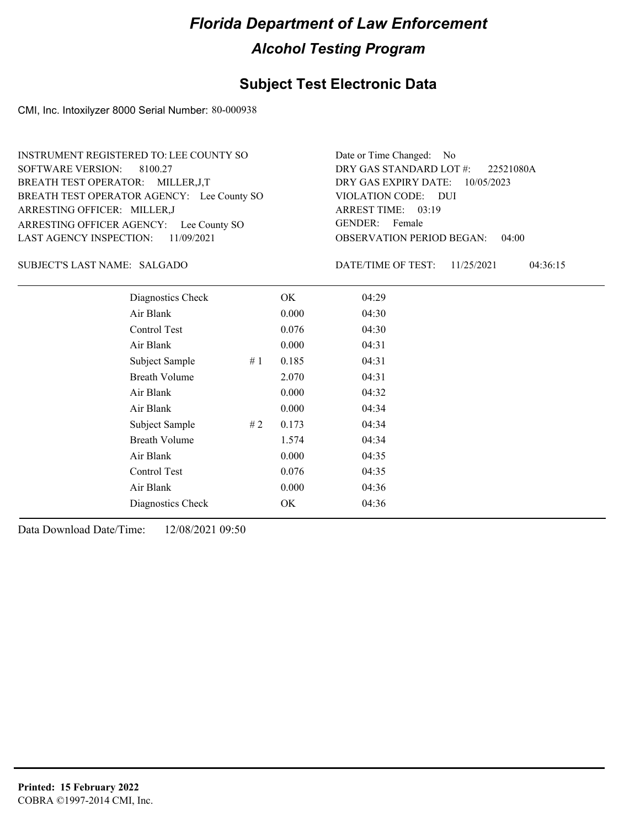### **Subject Test Electronic Data**

CMI, Inc. Intoxilyzer 8000 Serial Number: 80-000938

ARRESTING OFFICER AGENCY: Lee County SO GENDER: BREATH TEST OPERATOR AGENCY: Lee County SO VIOLATION CODE: SOFTWARE VERSION: 8100.27 ARRESTING OFFICER: MILLER,J BREATH TEST OPERATOR: MILLER,J,T LAST AGENCY INSPECTION: 11/09/2021 INSTRUMENT REGISTERED TO: LEE COUNTY SO

OBSERVATION PERIOD BEGAN: 04:00 VIOLATION CODE: DUI 03:19 ARREST TIME: DRY GAS EXPIRY DATE: 10/05/2023 22521080A DRY GAS STANDARD LOT #: Date or Time Changed: No GENDER: Female

#### SALGADO SUBJECT'S LAST NAME: DATE/TIME OF TEST:

DATE/TIME OF TEST: 11/25/2021 04:36:15

| Diagnostics Check    |    | OK    | 04:29 |
|----------------------|----|-------|-------|
| Air Blank            |    | 0.000 | 04:30 |
| Control Test         |    | 0.076 | 04:30 |
| Air Blank            |    | 0.000 | 04:31 |
| Subject Sample       | #1 | 0.185 | 04:31 |
| <b>Breath Volume</b> |    | 2.070 | 04:31 |
| Air Blank            |    | 0.000 | 04:32 |
| Air Blank            |    | 0.000 | 04:34 |
| Subject Sample       | #2 | 0.173 | 04:34 |
| <b>Breath Volume</b> |    | 1.574 | 04:34 |
| Air Blank            |    | 0.000 | 04:35 |
| <b>Control Test</b>  |    | 0.076 | 04:35 |
| Air Blank            |    | 0.000 | 04:36 |
| Diagnostics Check    |    | OK    | 04:36 |
|                      |    |       |       |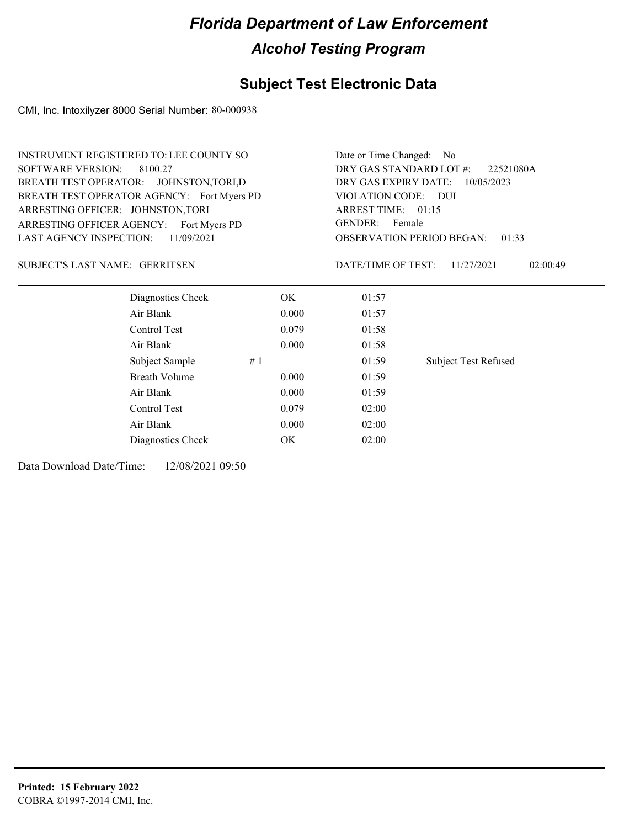### **Subject Test Electronic Data**

CMI, Inc. Intoxilyzer 8000 Serial Number: 80-000938

|                                         | <b>INSTRUMENT REGISTERED TO: LEE COUNTY SO</b> |       | Date or Time Changed:<br>No.                                               |                             |  |  |
|-----------------------------------------|------------------------------------------------|-------|----------------------------------------------------------------------------|-----------------------------|--|--|
| <b>SOFTWARE VERSION:</b>                | 8100.27                                        |       | DRY GAS STANDARD LOT #:<br>22521080A<br>DRY GAS EXPIRY DATE:<br>10/05/2023 |                             |  |  |
| <b>BREATH TEST OPERATOR:</b>            | JOHNSTON, TORI, D                              |       |                                                                            |                             |  |  |
|                                         | BREATH TEST OPERATOR AGENCY: Fort Myers PD     |       | VIOLATION CODE: DUI                                                        |                             |  |  |
| ARRESTING OFFICER: JOHNSTON, TORI       |                                                |       | ARREST TIME: 01:15                                                         |                             |  |  |
| ARRESTING OFFICER AGENCY: Fort Myers PD |                                                |       | <b>GENDER:</b><br>Female                                                   |                             |  |  |
| <b>LAST AGENCY INSPECTION:</b>          | 11/09/2021                                     |       | <b>OBSERVATION PERIOD BEGAN:</b><br>01:33                                  |                             |  |  |
| SUBJECT'S LAST NAME: GERRITSEN          |                                                |       | DATE/TIME OF TEST:                                                         | 11/27/2021<br>02:00:49      |  |  |
|                                         | Diagnostics Check                              | OK.   | 01:57                                                                      |                             |  |  |
|                                         | Air Blank                                      | 0.000 | 01:57                                                                      |                             |  |  |
|                                         | Control Test                                   | 0.079 | 01:58                                                                      |                             |  |  |
|                                         | Air Blank                                      | 0.000 | 01:58                                                                      |                             |  |  |
|                                         | Subject Sample<br>#1                           |       | 01:59                                                                      | <b>Subject Test Refused</b> |  |  |
|                                         | <b>Breath Volume</b>                           | 0.000 | 01:59                                                                      |                             |  |  |
|                                         | Air Blank                                      | 0.000 | 01:59                                                                      |                             |  |  |
|                                         | Control Test                                   | 0.079 | 02:00                                                                      |                             |  |  |
|                                         | Air Blank                                      | 0.000 | 02:00                                                                      |                             |  |  |
|                                         | Diagnostics Check                              | OK    | 02:00                                                                      |                             |  |  |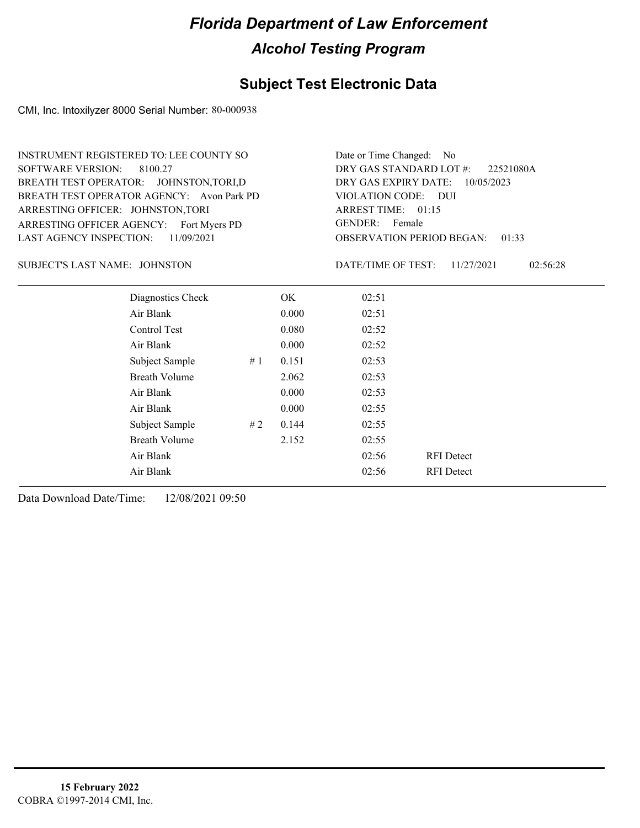### **Subject Test Electronic Data**

CMI, Inc. Intoxilyzer 8000 Serial Number: 80-000938

ARRESTING OFFICER AGENCY: Fort Myers PD GENDER: BREATH TEST OPERATOR AGENCY: Avon Park PD VIOLATION CODE: SOFTWARE VERSION: ARRESTING OFFICER: JOHNSTON,TORI BREATH TEST OPERATOR: JOHNSTON,TORI,D LAST AGENCY INSPECTION: 11/09/2021 8100.27 INSTRUMENT REGISTERED TO: LEE COUNTY SO

OBSERVATION PERIOD BEGAN: 01:33 VIOLATION CODE: DUI ARREST TIME: 01:15 DRY GAS EXPIRY DATE: 10/05/2023 22521080A DRY GAS STANDARD LOT #: Date or Time Changed: No GENDER: Female

JOHNSTON SUBJECT'S LAST NAME: DATE/TIME OF TEST:

DATE/TIME OF TEST: 11/27/2021 02:56:28

| Diagnostics Check    |    | OK    | 02:51 |                   |
|----------------------|----|-------|-------|-------------------|
| Air Blank            |    | 0.000 | 02:51 |                   |
| Control Test         |    | 0.080 | 02:52 |                   |
| Air Blank            |    | 0.000 | 02:52 |                   |
| Subject Sample       | #1 | 0.151 | 02:53 |                   |
| <b>Breath Volume</b> |    | 2.062 | 02:53 |                   |
| Air Blank            |    | 0.000 | 02:53 |                   |
| Air Blank            |    | 0.000 | 02:55 |                   |
| Subject Sample       | #2 | 0.144 | 02:55 |                   |
| <b>Breath Volume</b> |    | 2.152 | 02:55 |                   |
| Air Blank            |    |       | 02:56 | <b>RFI</b> Detect |
| Air Blank            |    |       | 02:56 | <b>RFI</b> Detect |
|                      |    |       |       |                   |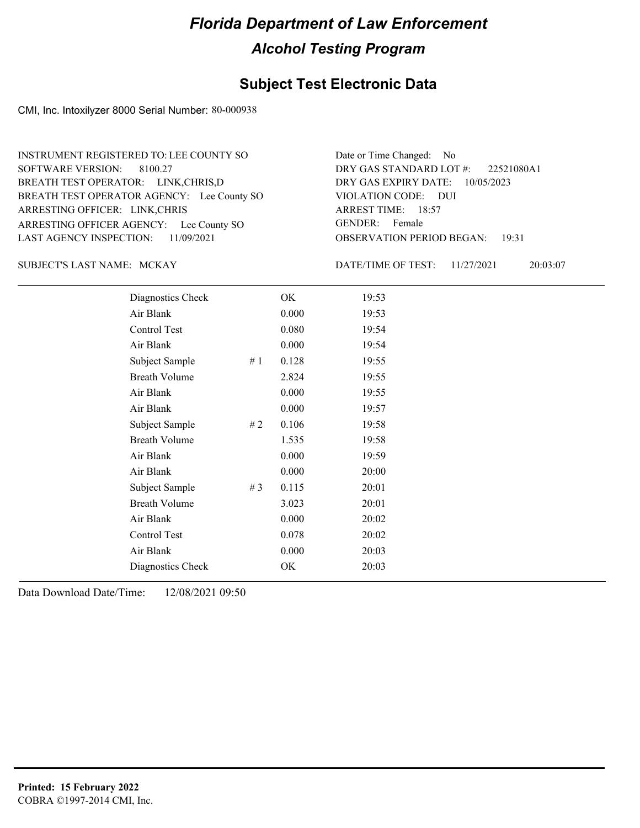### **Subject Test Electronic Data**

CMI, Inc. Intoxilyzer 8000 Serial Number: 80-000938

ARRESTING OFFICER AGENCY: Lee County SO GENDER: BREATH TEST OPERATOR AGENCY: Lee County SO VIOLATION CODE: SOFTWARE VERSION: ARRESTING OFFICER: LINK,CHRIS BREATH TEST OPERATOR: LINK,CHRIS,D LAST AGENCY INSPECTION: 11/09/2021 8100.27 INSTRUMENT REGISTERED TO: LEE COUNTY SO

OBSERVATION PERIOD BEGAN: 19:31 VIOLATION CODE: DUI ARREST TIME: 18:57 DRY GAS EXPIRY DATE: 10/05/2023 22521080A1 DRY GAS STANDARD LOT #: Date or Time Changed: No GENDER: Female

SUBJECT'S LAST NAME: MCKAY DATE/TIME OF TEST:

DATE/TIME OF TEST: 11/27/2021 20:03:07

| Diagnostics Check    |       | OK    | 19:53 |
|----------------------|-------|-------|-------|
| Air Blank            |       | 0.000 | 19:53 |
| Control Test         |       | 0.080 | 19:54 |
| Air Blank            |       | 0.000 | 19:54 |
| Subject Sample       | #1    | 0.128 | 19:55 |
| <b>Breath Volume</b> |       | 2.824 | 19:55 |
| Air Blank            |       | 0.000 | 19:55 |
| Air Blank            |       | 0.000 | 19:57 |
| Subject Sample       | #2    | 0.106 | 19:58 |
| <b>Breath Volume</b> |       | 1.535 | 19:58 |
| Air Blank            |       | 0.000 | 19:59 |
| Air Blank            |       | 0.000 | 20:00 |
| Subject Sample       | # $3$ | 0.115 | 20:01 |
| <b>Breath Volume</b> |       | 3.023 | 20:01 |
| Air Blank            |       | 0.000 | 20:02 |
| Control Test         |       | 0.078 | 20:02 |
| Air Blank            |       | 0.000 | 20:03 |
| Diagnostics Check    |       | OK    | 20:03 |
|                      |       |       |       |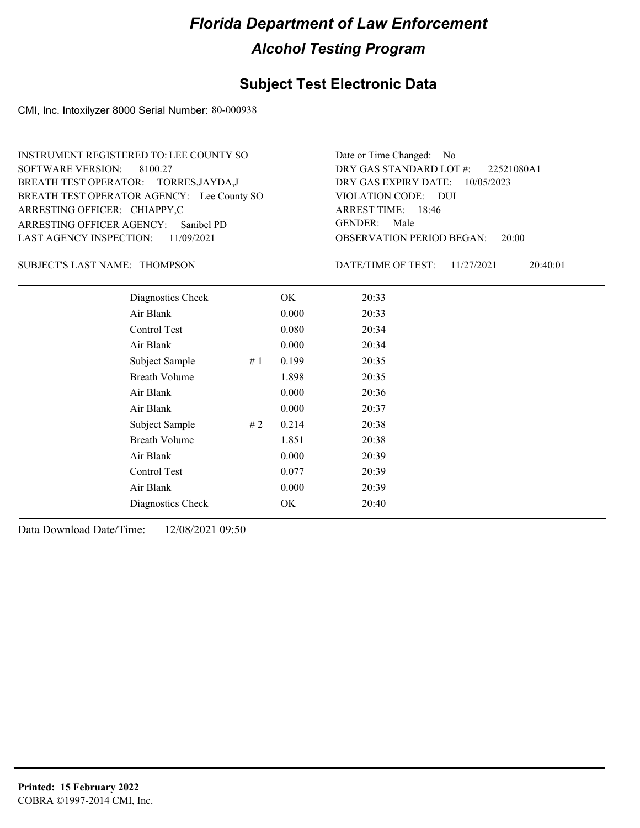### **Subject Test Electronic Data**

CMI, Inc. Intoxilyzer 8000 Serial Number: 80-000938

ARRESTING OFFICER AGENCY: GENDER: Sanibel PD BREATH TEST OPERATOR AGENCY: Lee County SO VIOLATION CODE: SOFTWARE VERSION: 8100.27 ARRESTING OFFICER: CHIAPPY,C BREATH TEST OPERATOR: TORRES,JAYDA,J LAST AGENCY INSPECTION: 11/09/2021 INSTRUMENT REGISTERED TO: LEE COUNTY SO

OBSERVATION PERIOD BEGAN: 20:00 VIOLATION CODE: DUI 18:46 ARREST TIME: DRY GAS EXPIRY DATE: 10/05/2023 22521080A1 DRY GAS STANDARD LOT #: Date or Time Changed: No GENDER: Male

SUBJECT'S LAST NAME: THOMPSON DATE/TIME OF TEST:

DATE/TIME OF TEST: 11/27/2021 20:40:01

| Diagnostics Check    |    | OK    | 20:33 |
|----------------------|----|-------|-------|
| Air Blank            |    | 0.000 | 20:33 |
| Control Test         |    | 0.080 | 20:34 |
| Air Blank            |    | 0.000 | 20:34 |
| Subject Sample       | #1 | 0.199 | 20:35 |
| <b>Breath Volume</b> |    | 1.898 | 20:35 |
| Air Blank            |    | 0.000 | 20:36 |
| Air Blank            |    | 0.000 | 20:37 |
| Subject Sample       | #2 | 0.214 | 20:38 |
| <b>Breath Volume</b> |    | 1.851 | 20:38 |
| Air Blank            |    | 0.000 | 20:39 |
| Control Test         |    | 0.077 | 20:39 |
| Air Blank            |    | 0.000 | 20:39 |
| Diagnostics Check    |    | OK    | 20:40 |
|                      |    |       |       |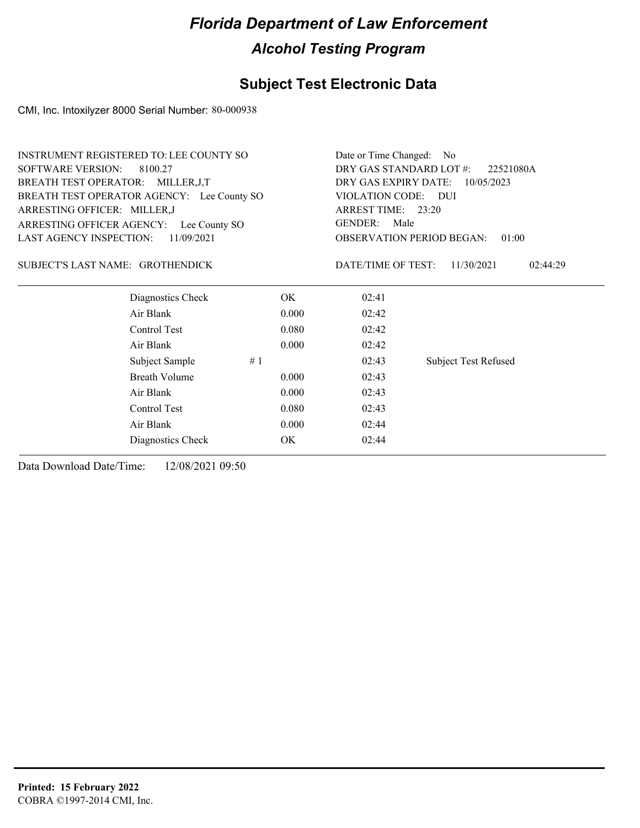### **Subject Test Electronic Data**

CMI, Inc. Intoxilyzer 8000 Serial Number: 80-000938

| <b>INSTRUMENT REGISTERED TO: LEE COUNTY SO</b> |                                                                                                                                         | Date or Time Changed: No                                    |                                                   |  |  |
|------------------------------------------------|-----------------------------------------------------------------------------------------------------------------------------------------|-------------------------------------------------------------|---------------------------------------------------|--|--|
|                                                |                                                                                                                                         | DRY GAS STANDARD LOT #:<br>22521080A                        |                                                   |  |  |
|                                                |                                                                                                                                         | DRY GAS EXPIRY DATE:<br>10/05/2023                          |                                                   |  |  |
|                                                |                                                                                                                                         |                                                             |                                                   |  |  |
|                                                |                                                                                                                                         | ARREST TIME: 23:20                                          |                                                   |  |  |
|                                                | <b>GENDER:</b>                                                                                                                          |                                                             |                                                   |  |  |
|                                                |                                                                                                                                         | <b>OBSERVATION PERIOD BEGAN:</b><br>01:00                   |                                                   |  |  |
|                                                |                                                                                                                                         | 11/30/2021<br>02:44:29                                      |                                                   |  |  |
| OK.                                            | 02:41                                                                                                                                   |                                                             |                                                   |  |  |
|                                                | 02:42                                                                                                                                   |                                                             |                                                   |  |  |
|                                                | 02:42                                                                                                                                   |                                                             |                                                   |  |  |
|                                                | 02:42                                                                                                                                   |                                                             |                                                   |  |  |
| #1                                             | 02:43                                                                                                                                   | <b>Subject Test Refused</b>                                 |                                                   |  |  |
|                                                | 02:43                                                                                                                                   |                                                             |                                                   |  |  |
|                                                | 02:43                                                                                                                                   |                                                             |                                                   |  |  |
|                                                | 02:43                                                                                                                                   |                                                             |                                                   |  |  |
|                                                | 02:44                                                                                                                                   |                                                             |                                                   |  |  |
| OK                                             | 02:44                                                                                                                                   |                                                             |                                                   |  |  |
|                                                | BREATH TEST OPERATOR AGENCY: Lee County SO<br>ARRESTING OFFICER AGENCY: Lee County SO<br>11/09/2021<br>SUBJECT'S LAST NAME: GROTHENDICK | 0.000<br>0.080<br>0.000<br>0.000<br>0.000<br>0.080<br>0.000 | VIOLATION CODE: DUI<br>Male<br>DATE/TIME OF TEST: |  |  |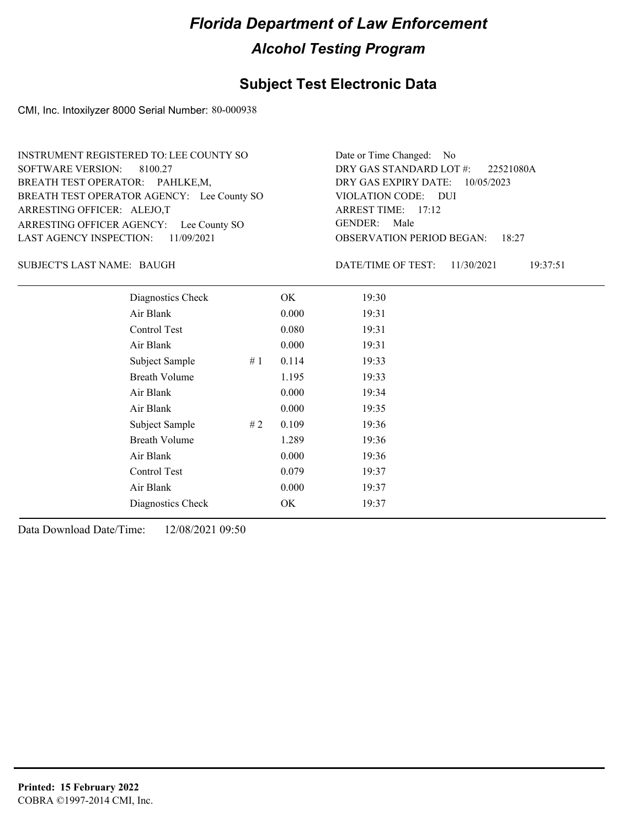### **Subject Test Electronic Data**

CMI, Inc. Intoxilyzer 8000 Serial Number: 80-000938

ARRESTING OFFICER AGENCY: Lee County SO GENDER: BREATH TEST OPERATOR AGENCY: Lee County SO VIOLATION CODE: SOFTWARE VERSION: 8100.27 ARRESTING OFFICER: ALEJO,T BREATH TEST OPERATOR: PAHLKE,M, LAST AGENCY INSPECTION: 11/09/2021 INSTRUMENT REGISTERED TO: LEE COUNTY SO

OBSERVATION PERIOD BEGAN: 18:27 VIOLATION CODE: DUI ARREST TIME: 17:12 DRY GAS EXPIRY DATE: 10/05/2023 22521080A DRY GAS STANDARD LOT #: Date or Time Changed: No GENDER: Male

SUBJECT'S LAST NAME: BAUGH **Example 20** BATE/TIME OF TEST:

DATE/TIME OF TEST: 11/30/2021 19:37:51

| Diagnostics Check    | OK    | 19:30 |
|----------------------|-------|-------|
| Air Blank            | 0.000 | 19:31 |
| Control Test         | 0.080 | 19:31 |
| Air Blank            | 0.000 | 19:31 |
| Subject Sample<br>#1 | 0.114 | 19:33 |
| <b>Breath Volume</b> | 1.195 | 19:33 |
| Air Blank            | 0.000 | 19:34 |
| Air Blank            | 0.000 | 19:35 |
| Subject Sample<br>#2 | 0.109 | 19:36 |
| <b>Breath Volume</b> | 1.289 | 19:36 |
| Air Blank            | 0.000 | 19:36 |
| Control Test         | 0.079 | 19:37 |
| Air Blank            | 0.000 | 19:37 |
| Diagnostics Check    | OK    | 19:37 |
|                      |       |       |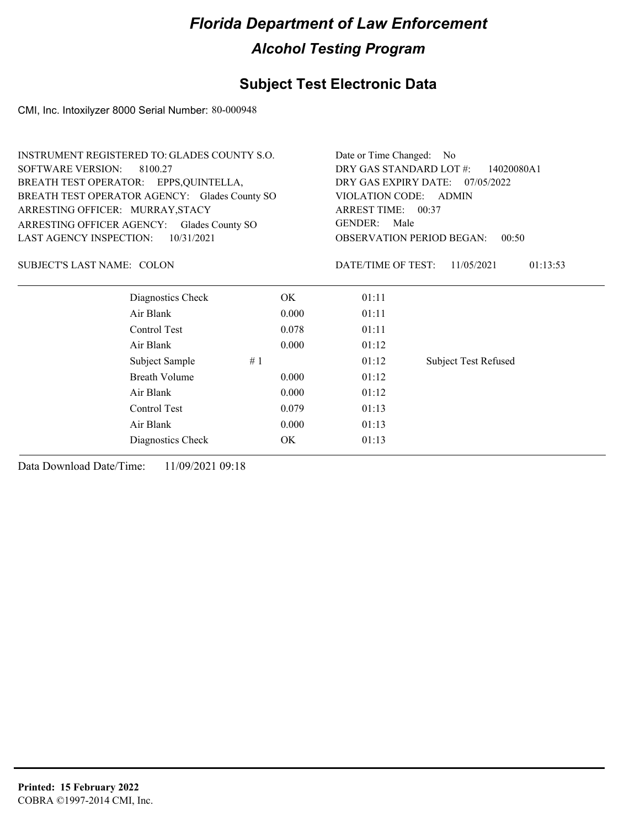### **Subject Test Electronic Data**

CMI, Inc. Intoxilyzer 8000 Serial Number: 80-000948

| <b>INSTRUMENT REGISTERED TO: GLADES COUNTY S.O.</b> |       | Date or Time Changed: No                                 |                             |  |
|-----------------------------------------------------|-------|----------------------------------------------------------|-----------------------------|--|
| <b>SOFTWARE VERSION:</b><br>8100.27                 |       | DRY GAS STANDARD LOT #:<br>14020080A1                    |                             |  |
| BREATH TEST OPERATOR: EPPS, QUINTELLA,              |       | DRY GAS EXPIRY DATE: 07/05/2022<br>VIOLATION CODE: ADMIN |                             |  |
| BREATH TEST OPERATOR AGENCY: Glades County SO       |       |                                                          |                             |  |
| ARRESTING OFFICER: MURRAY, STACY                    |       | ARREST TIME: 00:37                                       |                             |  |
| ARRESTING OFFICER AGENCY:<br>Glades County SO       |       | <b>GENDER:</b><br>Male                                   |                             |  |
| 10/31/2021<br>LAST AGENCY INSPECTION:               |       | <b>OBSERVATION PERIOD BEGAN:</b><br>00:50                |                             |  |
| SUBJECT'S LAST NAME: COLON                          |       | DATE/TIME OF TEST:                                       | 11/05/2021<br>01:13:53      |  |
| Diagnostics Check                                   | OK    | 01:11                                                    |                             |  |
| Air Blank                                           | 0.000 | 01:11                                                    |                             |  |
| Control Test                                        | 0.078 | 01:11                                                    |                             |  |
| Air Blank                                           | 0.000 | 01:12                                                    |                             |  |
| Subject Sample                                      | #1    | 01:12                                                    | <b>Subject Test Refused</b> |  |
| Breath Volume                                       | 0.000 | 01:12                                                    |                             |  |
| Air Blank                                           | 0.000 | 01:12                                                    |                             |  |
| Control Test                                        | 0.079 | 01:13                                                    |                             |  |
| Air Blank                                           | 0.000 | 01:13                                                    |                             |  |
| Diagnostics Check                                   | OK    | 01:13                                                    |                             |  |
|                                                     |       |                                                          |                             |  |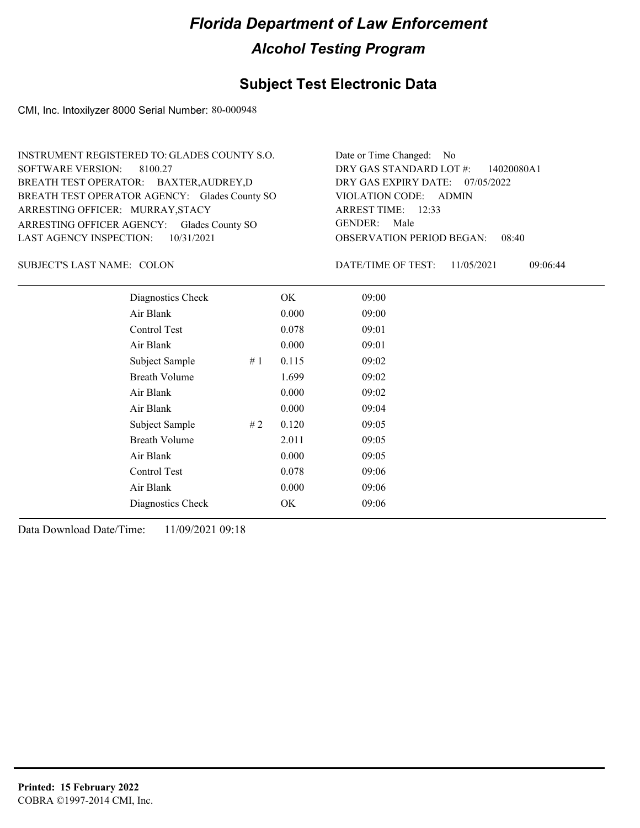### **Subject Test Electronic Data**

CMI, Inc. Intoxilyzer 8000 Serial Number: 80-000948

| INSTRUMENT REGISTERED TO: GLADES COUNTY S.O.  | Date or Time Changed: No               |
|-----------------------------------------------|----------------------------------------|
| SOFTWARE VERSION: 8100.27                     | DRY GAS STANDARD LOT $\#$ : 14020080A1 |
| BREATH TEST OPERATOR: BAXTER, AUDREY, D       | DRY GAS EXPIRY DATE: 07/05/2022        |
| BREATH TEST OPERATOR AGENCY: Glades County SO | VIOLATION CODE: ADMIN                  |
| ARRESTING OFFICER: MURRAY, STACY              | ARREST TIME: 12:33                     |
| ARRESTING OFFICER AGENCY: Glades County SO    | GENDER: Male                           |
| LAST AGENCY INSPECTION: $10/31/2021$          | <b>OBSERVATION PERIOD BEGAN: 08:40</b> |

SUBJECT'S LAST NAME: COLON DATE/TIME OF TEST:

DATE/TIME OF TEST: 11/05/2021 09:06:44

| Diagnostics Check    |       | OK    | 09:00 |  |
|----------------------|-------|-------|-------|--|
| Air Blank            |       | 0.000 | 09:00 |  |
| Control Test         |       | 0.078 | 09:01 |  |
| Air Blank            |       | 0.000 | 09:01 |  |
| Subject Sample       | # $1$ | 0.115 | 09:02 |  |
| <b>Breath Volume</b> |       | 1.699 | 09:02 |  |
| Air Blank            |       | 0.000 | 09:02 |  |
| Air Blank            |       | 0.000 | 09:04 |  |
| Subject Sample       | #2    | 0.120 | 09:05 |  |
| <b>Breath Volume</b> |       | 2.011 | 09:05 |  |
| Air Blank            |       | 0.000 | 09:05 |  |
| Control Test         |       | 0.078 | 09:06 |  |
| Air Blank            |       | 0.000 | 09:06 |  |
| Diagnostics Check    |       | OK    | 09:06 |  |
|                      |       |       |       |  |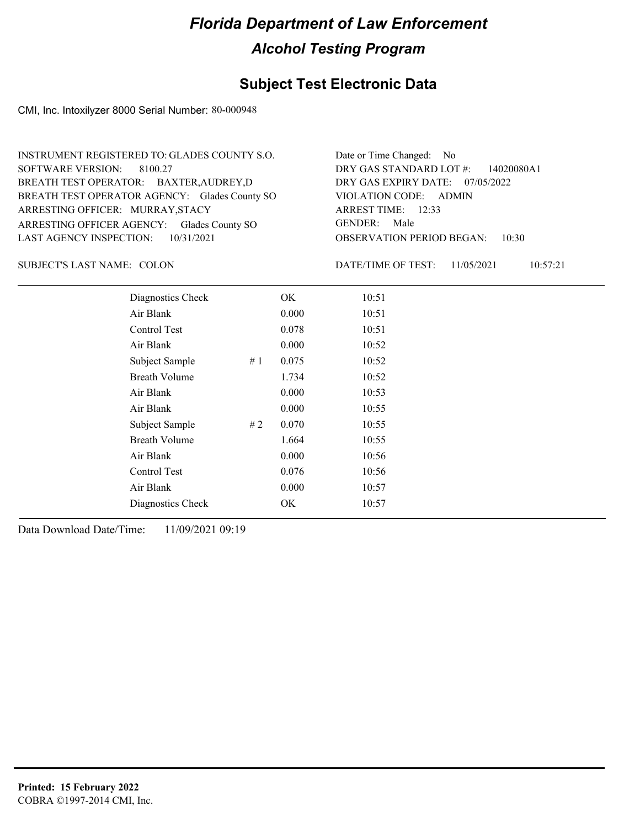### **Subject Test Electronic Data**

CMI, Inc. Intoxilyzer 8000 Serial Number: 80-000948

| INSTRUMENT REGISTERED TO: GLADES COUNTY S.O.  | Date or Time Changed: No               |
|-----------------------------------------------|----------------------------------------|
| SOFTWARE VERSION: 8100.27                     | DRY GAS STANDARD LOT #: 14020080A1     |
| BREATH TEST OPERATOR: BAXTER, AUDREY, D       | DRY GAS EXPIRY DATE: 07/05/2022        |
| BREATH TEST OPERATOR AGENCY: Glades County SO | VIOLATION CODE: ADMIN                  |
| ARRESTING OFFICER: MURRAY, STACY              | ARREST TIME: 12:33                     |
| ARRESTING OFFICER AGENCY: Glades County SO    | GENDER: Male                           |
| LAST AGENCY INSPECTION: $10/31/2021$          | <b>OBSERVATION PERIOD BEGAN: 10:30</b> |

SUBJECT'S LAST NAME: COLON DATE/TIME OF TEST:

DATE/TIME OF TEST: 11/05/2021 10:57:21

| Diagnostics Check    |    | OK    | 10:51 |
|----------------------|----|-------|-------|
| Air Blank            |    | 0.000 | 10:51 |
| Control Test         |    | 0.078 | 10:51 |
| Air Blank            |    | 0.000 | 10:52 |
| Subject Sample       | #1 | 0.075 | 10:52 |
| <b>Breath Volume</b> |    | 1.734 | 10:52 |
| Air Blank            |    | 0.000 | 10:53 |
| Air Blank            |    | 0.000 | 10:55 |
| Subject Sample       | #2 | 0.070 | 10:55 |
| <b>Breath Volume</b> |    | 1.664 | 10:55 |
| Air Blank            |    | 0.000 | 10:56 |
| Control Test         |    | 0.076 | 10:56 |
| Air Blank            |    | 0.000 | 10:57 |
| Diagnostics Check    |    | OK    | 10:57 |
|                      |    |       |       |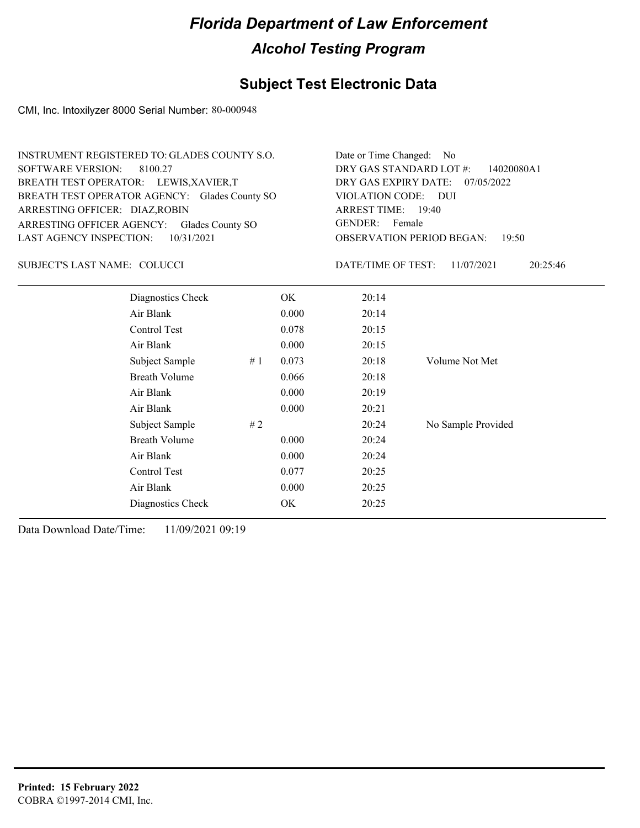### **Subject Test Electronic Data**

CMI, Inc. Intoxilyzer 8000 Serial Number: 80-000948

| INSTRUMENT REGISTERED TO: GLADES COUNTY S.O.                                     | Date or Time Changed: No               |
|----------------------------------------------------------------------------------|----------------------------------------|
| SOFTWARE VERSION: 8100.27                                                        | DRY GAS STANDARD LOT $\#$ : 14020080A1 |
| BREATH TEST OPERATOR: LEWIS, XAVIER, T                                           | DRY GAS EXPIRY DATE: 07/05/2022        |
|                                                                                  | VIOLATION CODE: DUI                    |
| BREATH TEST OPERATOR AGENCY: Glades County SO                                    | ARREST TIME: 19:40                     |
| ARRESTING OFFICER: DIAZ, ROBIN                                                   | GENDER: Female                         |
| ARRESTING OFFICER AGENCY: Glades County SO<br>LAST AGENCY INSPECTION: 10/31/2021 | <b>OBSERVATION PERIOD BEGAN: 19:50</b> |

#### SUBJECT'S LAST NAME: COLUCCI DATE/TIME OF TEST:

DATE/TIME OF TEST: 11/07/2021 20:25:46

| Diagnostics Check    | OK    | 20:14 |                    |
|----------------------|-------|-------|--------------------|
| Air Blank            | 0.000 | 20:14 |                    |
| Control Test         | 0.078 | 20:15 |                    |
| Air Blank            | 0.000 | 20:15 |                    |
| Subject Sample<br>#1 | 0.073 | 20:18 | Volume Not Met     |
| <b>Breath Volume</b> | 0.066 | 20:18 |                    |
| Air Blank            | 0.000 | 20:19 |                    |
| Air Blank            | 0.000 | 20:21 |                    |
| Subject Sample<br>#2 |       | 20:24 | No Sample Provided |
| <b>Breath Volume</b> | 0.000 | 20:24 |                    |
| Air Blank            | 0.000 | 20:24 |                    |
| Control Test         | 0.077 | 20:25 |                    |
| Air Blank            | 0.000 | 20:25 |                    |
| Diagnostics Check    | OK    | 20:25 |                    |
|                      |       |       |                    |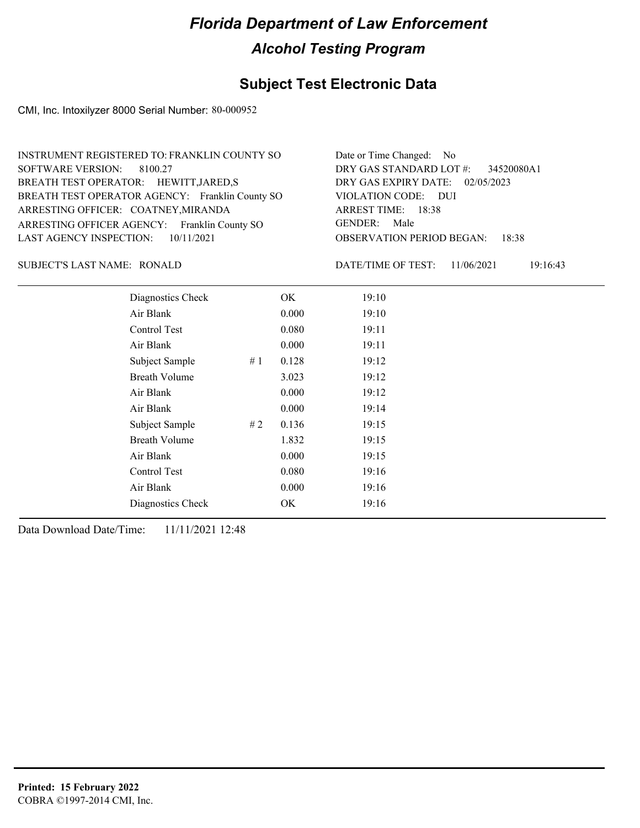### **Subject Test Electronic Data**

CMI, Inc. Intoxilyzer 8000 Serial Number: 80-000952

| INSTRUMENT REGISTERED TO: FRANKLIN COUNTY SO    | Date or Time Changed: No               |
|-------------------------------------------------|----------------------------------------|
| SOFTWARE VERSION: 8100.27                       | DRY GAS STANDARD LOT #: 34520080A1     |
| BREATH TEST OPERATOR: HEWITT, JARED, S          | DRY GAS EXPIRY DATE: $02/05/2023$      |
| BREATH TEST OPERATOR AGENCY: Franklin County SO | VIOLATION CODE: DUI                    |
| ARRESTING OFFICER: COATNEY, MIRANDA             | ARREST TIME: 18:38                     |
| ARRESTING OFFICER AGENCY: Franklin County SO    | GENDER: Male                           |
| LAST AGENCY INSPECTION: $10/11/2021$            | <b>OBSERVATION PERIOD BEGAN: 18:38</b> |

SUBJECT'S LAST NAME: RONALD DATE/TIME OF TEST:

DATE/TIME OF TEST: 11/06/2021 19:16:43

| Diagnostics Check    |    | OK    | 19:10 |
|----------------------|----|-------|-------|
| Air Blank            |    | 0.000 | 19:10 |
| Control Test         |    | 0.080 | 19:11 |
| Air Blank            |    | 0.000 | 19:11 |
| Subject Sample       | #1 | 0.128 | 19:12 |
| <b>Breath Volume</b> |    | 3.023 | 19:12 |
| Air Blank            |    | 0.000 | 19:12 |
| Air Blank            |    | 0.000 | 19:14 |
| Subject Sample       | #2 | 0.136 | 19:15 |
| <b>Breath Volume</b> |    | 1.832 | 19:15 |
| Air Blank            |    | 0.000 | 19:15 |
| Control Test         |    | 0.080 | 19:16 |
| Air Blank            |    | 0.000 | 19:16 |
| Diagnostics Check    |    | OK    | 19:16 |
|                      |    |       |       |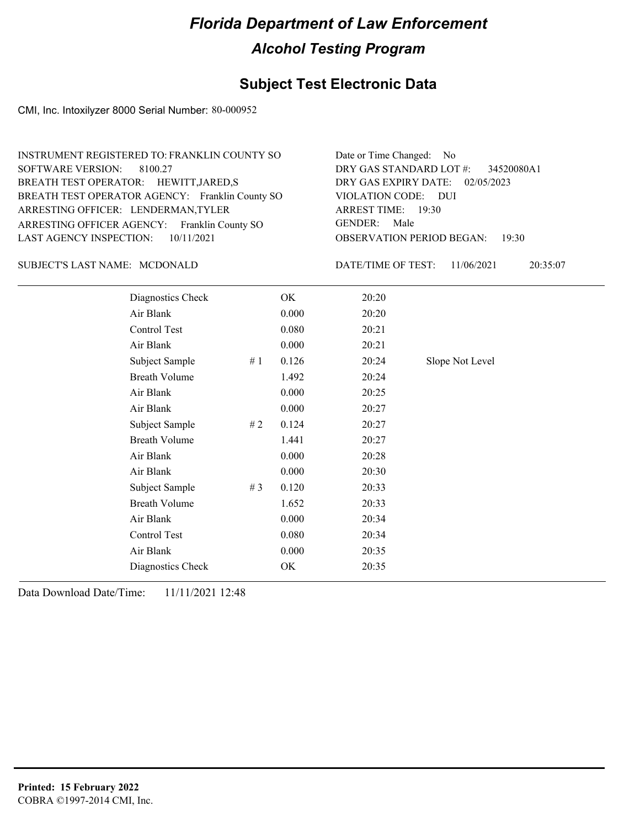### **Subject Test Electronic Data**

CMI, Inc. Intoxilyzer 8000 Serial Number: 80-000952

| INSTRUMENT REGISTERED TO: FRANKLIN COUNTY SO    | Date or Time Changed: No               |
|-------------------------------------------------|----------------------------------------|
| SOFTWARE VERSION: 8100.27                       | DRY GAS STANDARD LOT #: 34520080A1     |
| BREATH TEST OPERATOR: HEWITT, JARED, S          | DRY GAS EXPIRY DATE: 02/05/2023        |
| BREATH TEST OPERATOR AGENCY: Franklin County SO | VIOLATION CODE: DUI                    |
| ARRESTING OFFICER: LENDERMAN, TYLER             | ARREST TIME: 19:30                     |
| ARRESTING OFFICER AGENCY: Franklin County SO    | GENDER: Male                           |
| LAST AGENCY INSPECTION: $10/11/2021$            | <b>OBSERVATION PERIOD BEGAN: 19:30</b> |
|                                                 |                                        |

#### SUBJECT'S LAST NAME: MCDONALD DATE/TIME OF TEST:

DATE/TIME OF TEST: 11/06/2021 20:35:07

| Diagnostics Check    |    | OK    | 20:20 |                 |
|----------------------|----|-------|-------|-----------------|
| Air Blank            |    | 0.000 | 20:20 |                 |
| Control Test         |    | 0.080 | 20:21 |                 |
| Air Blank            |    | 0.000 | 20:21 |                 |
| Subject Sample       | #1 | 0.126 | 20:24 | Slope Not Level |
| <b>Breath Volume</b> |    | 1.492 | 20:24 |                 |
| Air Blank            |    | 0.000 | 20:25 |                 |
| Air Blank            |    | 0.000 | 20:27 |                 |
| Subject Sample       | #2 | 0.124 | 20:27 |                 |
| <b>Breath Volume</b> |    | 1.441 | 20:27 |                 |
| Air Blank            |    | 0.000 | 20:28 |                 |
| Air Blank            |    | 0.000 | 20:30 |                 |
| Subject Sample       | #3 | 0.120 | 20:33 |                 |
| <b>Breath Volume</b> |    | 1.652 | 20:33 |                 |
| Air Blank            |    | 0.000 | 20:34 |                 |
| Control Test         |    | 0.080 | 20:34 |                 |
| Air Blank            |    | 0.000 | 20:35 |                 |
| Diagnostics Check    |    | OK    | 20:35 |                 |
|                      |    |       |       |                 |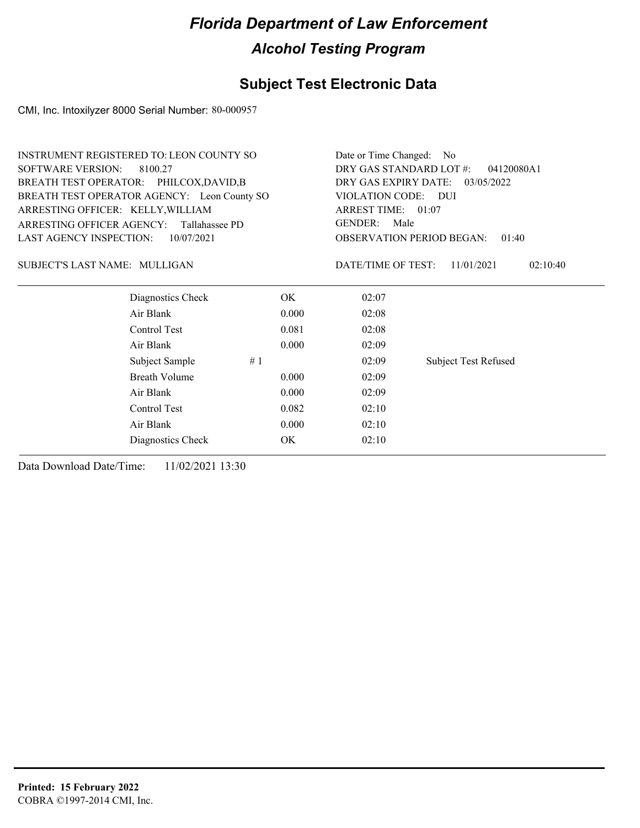### **Subject Test Electronic Data**

CMI, Inc. Intoxilyzer 8000 Serial Number: 80-000957

| <b>INSTRUMENT REGISTERED TO: LEON COUNTY SO</b>    | Date or Time Changed: No              |                        |                                           |  |
|----------------------------------------------------|---------------------------------------|------------------------|-------------------------------------------|--|
| <b>SOFTWARE VERSION:</b><br>8100.27                | DRY GAS STANDARD LOT #:<br>04120080A1 |                        |                                           |  |
| BREATH TEST OPERATOR: PHILCOX, DAVID, B            | DRY GAS EXPIRY DATE:                  | 03/05/2022             |                                           |  |
| BREATH TEST OPERATOR AGENCY: Leon County SO        |                                       | VIOLATION CODE: DUI    |                                           |  |
| ARRESTING OFFICER: KELLY, WILLIAM                  |                                       | ARREST TIME: 01:07     |                                           |  |
| <b>ARRESTING OFFICER AGENCY:</b><br>Tallahassee PD |                                       | <b>GENDER:</b><br>Male |                                           |  |
| LAST AGENCY INSPECTION:<br>10/07/2021              |                                       |                        | <b>OBSERVATION PERIOD BEGAN:</b><br>01:40 |  |
| SUBJECT'S LAST NAME: MULLIGAN                      |                                       | DATE/TIME OF TEST:     | 02:10:40<br>11/01/2021                    |  |
| Diagnostics Check                                  | OK.                                   | 02:07                  |                                           |  |
| Air Blank                                          | 0.000                                 | 02:08                  |                                           |  |
| Control Test                                       | 0.081                                 | 02:08                  |                                           |  |
| Air Blank                                          | 0.000                                 | 02:09                  |                                           |  |
| Subject Sample                                     | #1                                    | 02:09                  | <b>Subject Test Refused</b>               |  |
| <b>Breath Volume</b>                               | 0.000                                 | 02:09                  |                                           |  |
| Air Blank                                          | 0.000                                 | 02:09                  |                                           |  |
| Control Test                                       | 0.082                                 | 02:10                  |                                           |  |
| Air Blank                                          | 02:10                                 |                        |                                           |  |
| Diagnostics Check                                  | OK                                    | 02:10                  |                                           |  |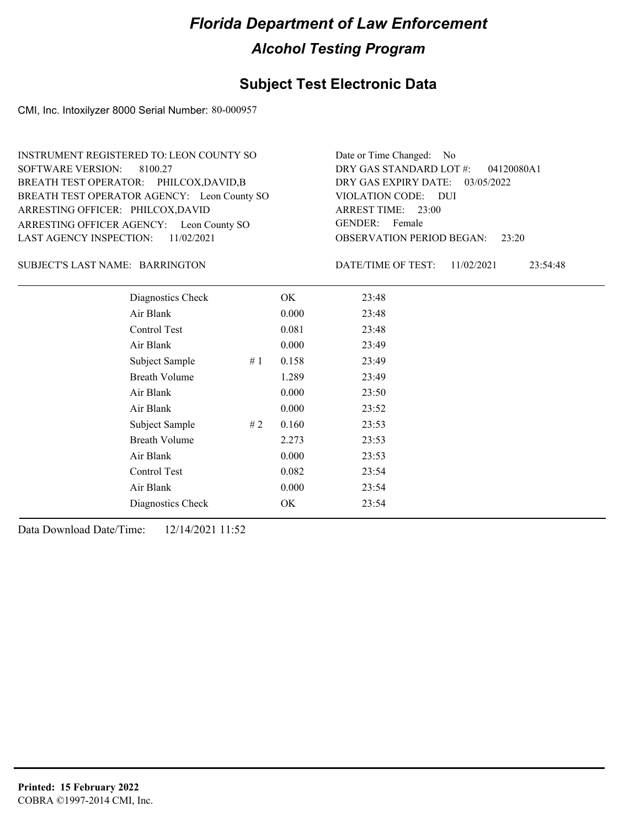### **Subject Test Electronic Data**

CMI, Inc. Intoxilyzer 8000 Serial Number: 80-000957

ARRESTING OFFICER AGENCY: Leon County SO GENDER: BREATH TEST OPERATOR AGENCY: Leon County SO VIOLATION CODE: SOFTWARE VERSION: 8100.27 ARRESTING OFFICER: PHILCOX,DAVID BREATH TEST OPERATOR: PHILCOX,DAVID,B LAST AGENCY INSPECTION: 11/02/2021 INSTRUMENT REGISTERED TO: LEON COUNTY SO

OBSERVATION PERIOD BEGAN: 23:20 VIOLATION CODE: DUI 23:00 ARREST TIME: DRY GAS EXPIRY DATE: 03/05/2022 04120080A1 DRY GAS STANDARD LOT #: Date or Time Changed: No GENDER: Female

BARRINGTON SUBJECT'S LAST NAME: DATE/TIME OF TEST:

DATE/TIME OF TEST: 11/02/2021 23:54:48

| Diagnostics Check    |    | OK    | 23:48 |
|----------------------|----|-------|-------|
| Air Blank            |    | 0.000 | 23:48 |
| Control Test         |    | 0.081 | 23:48 |
| Air Blank            |    | 0.000 | 23:49 |
| Subject Sample       | #1 | 0.158 | 23:49 |
| <b>Breath Volume</b> |    | 1.289 | 23:49 |
| Air Blank            |    | 0.000 | 23:50 |
| Air Blank            |    | 0.000 | 23:52 |
| Subject Sample       | #2 | 0.160 | 23:53 |
| <b>Breath Volume</b> |    | 2.273 | 23:53 |
| Air Blank            |    | 0.000 | 23:53 |
| <b>Control Test</b>  |    | 0.082 | 23:54 |
| Air Blank            |    | 0.000 | 23:54 |
| Diagnostics Check    |    | OK    | 23:54 |
|                      |    |       |       |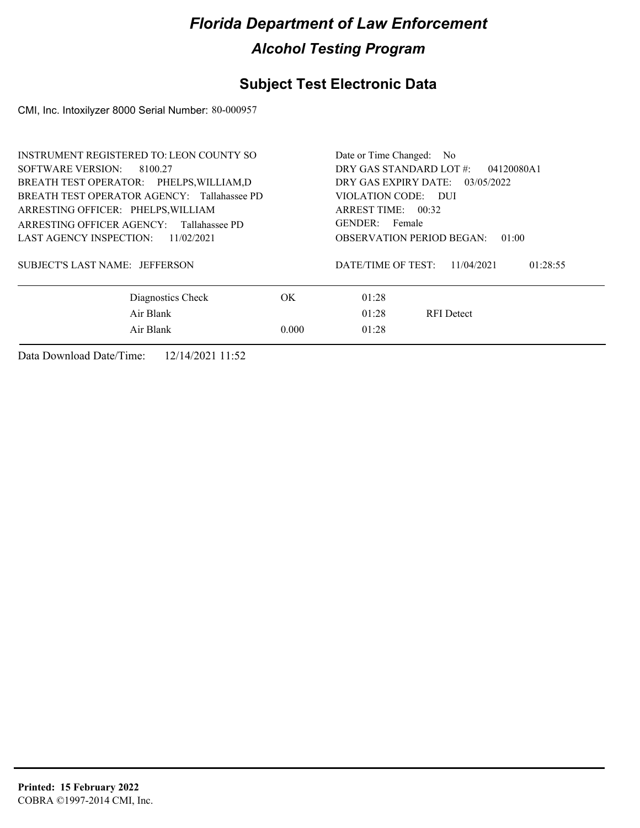### **Subject Test Electronic Data**

CMI, Inc. Intoxilyzer 8000 Serial Number: 80-000957

| <b>INSTRUMENT REGISTERED TO: LEON COUNTY SO</b> | Date or Time Changed: No                     |  |
|-------------------------------------------------|----------------------------------------------|--|
| SOFTWARE VERSION: 8100.27                       | DRY GAS STANDARD LOT #:<br>04120080A1        |  |
| BREATH TEST OPERATOR: PHELPS, WILLIAM, D        | DRY GAS EXPIRY DATE:<br>03/05/2022           |  |
| BREATH TEST OPERATOR AGENCY: Tallahassee PD     | VIOLATION CODE: DUI                          |  |
| ARRESTING OFFICER: PHELPS, WILLIAM              | ARREST TIME: $00:32$                         |  |
| ARRESTING OFFICER AGENCY: Tallahassee PD        | GENDER: Female                               |  |
| LAST AGENCY INSPECTION:<br>11/02/2021           | <b>OBSERVATION PERIOD BEGAN:</b><br>01:00    |  |
| SUBJECT'S LAST NAME: JEFFERSON                  | DATE/TIME OF TEST:<br>01:28:55<br>11/04/2021 |  |
| Diagnostics Check                               | OK.<br>01:28                                 |  |
| Air Blank                                       | 01:28<br><b>RFI</b> Detect                   |  |
| Air Blank                                       | 0.000<br>01:28                               |  |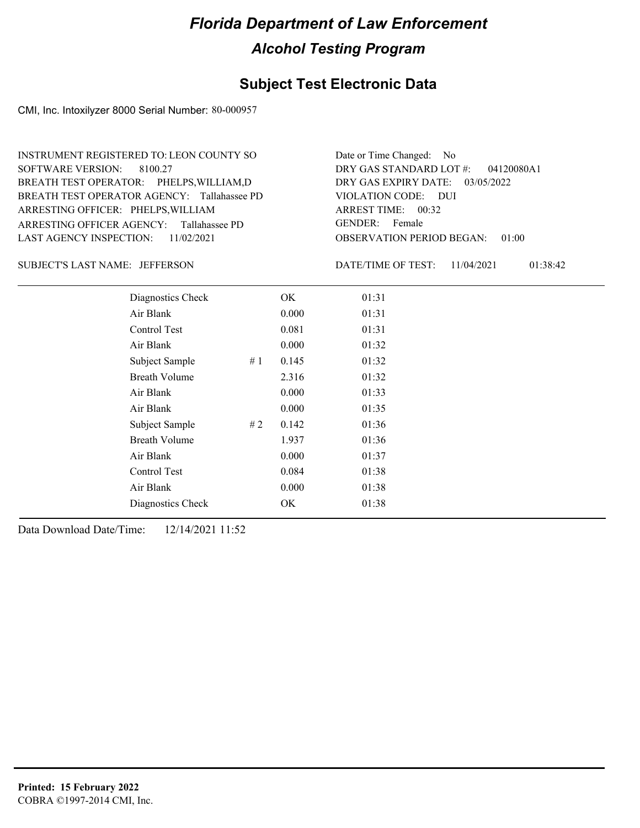### **Subject Test Electronic Data**

CMI, Inc. Intoxilyzer 8000 Serial Number: 80-000957

ARRESTING OFFICER AGENCY: Tallahassee PD GENDER: BREATH TEST OPERATOR AGENCY: Tallahassee PD VIOLATION CODE: SOFTWARE VERSION: 8100.27 ARRESTING OFFICER: PHELPS, WILLIAM BREATH TEST OPERATOR: PHELPS,WILLIAM,D LAST AGENCY INSPECTION: 11/02/2021 INSTRUMENT REGISTERED TO: LEON COUNTY SO

OBSERVATION PERIOD BEGAN: 01:00 VIOLATION CODE: DUI ARREST TIME: 00:32 DRY GAS EXPIRY DATE: 03/05/2022 04120080A1 DRY GAS STANDARD LOT #: Date or Time Changed: No GENDER: Female

JEFFERSON SUBJECT'S LAST NAME: DATE/TIME OF TEST:

DATE/TIME OF TEST: 11/04/2021 01:38:42

| Diagnostics Check    |    | OK    | 01:31 |
|----------------------|----|-------|-------|
| Air Blank            |    | 0.000 | 01:31 |
| Control Test         |    | 0.081 | 01:31 |
| Air Blank            |    | 0.000 | 01:32 |
| Subject Sample       | #1 | 0.145 | 01:32 |
| <b>Breath Volume</b> |    | 2.316 | 01:32 |
| Air Blank            |    | 0.000 | 01:33 |
| Air Blank            |    | 0.000 | 01:35 |
| Subject Sample       | #2 | 0.142 | 01:36 |
| <b>Breath Volume</b> |    | 1.937 | 01:36 |
| Air Blank            |    | 0.000 | 01:37 |
| Control Test         |    | 0.084 | 01:38 |
| Air Blank            |    | 0.000 | 01:38 |
| Diagnostics Check    |    | OK    | 01:38 |
|                      |    |       |       |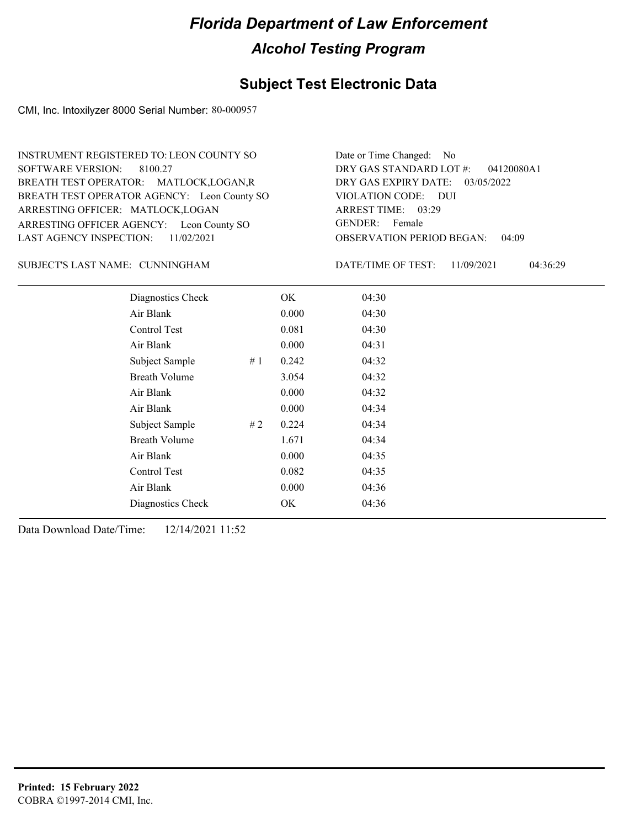### **Subject Test Electronic Data**

CMI, Inc. Intoxilyzer 8000 Serial Number: 80-000957

ARRESTING OFFICER AGENCY: Leon County SO GENDER: BREATH TEST OPERATOR AGENCY: Leon County SO VIOLATION CODE: SOFTWARE VERSION: 8100.27 ARRESTING OFFICER: MATLOCK,LOGAN BREATH TEST OPERATOR: MATLOCK,LOGAN,R LAST AGENCY INSPECTION: 11/02/2021 INSTRUMENT REGISTERED TO: LEON COUNTY SO

OBSERVATION PERIOD BEGAN: 04:09 VIOLATION CODE: DUI 03:29 ARREST TIME: DRY GAS EXPIRY DATE: 03/05/2022 04120080A1 DRY GAS STANDARD LOT #: GENDER: Female

Date or Time Changed: No

CUNNINGHAM SUBJECT'S LAST NAME: DATE/TIME OF TEST:

DATE/TIME OF TEST: 11/09/2021 04:36:29

| Diagnostics Check    |    | OK    | 04:30 |  |
|----------------------|----|-------|-------|--|
| Air Blank            |    | 0.000 | 04:30 |  |
| Control Test         |    | 0.081 | 04:30 |  |
| Air Blank            |    | 0.000 | 04:31 |  |
| Subject Sample       | #1 | 0.242 | 04:32 |  |
| <b>Breath Volume</b> |    | 3.054 | 04:32 |  |
| Air Blank            |    | 0.000 | 04:32 |  |
| Air Blank            |    | 0.000 | 04:34 |  |
| Subject Sample       | #2 | 0.224 | 04:34 |  |
| <b>Breath Volume</b> |    | 1.671 | 04:34 |  |
| Air Blank            |    | 0.000 | 04:35 |  |
| Control Test         |    | 0.082 | 04:35 |  |
| Air Blank            |    | 0.000 | 04:36 |  |
| Diagnostics Check    |    | OK    | 04:36 |  |
|                      |    |       |       |  |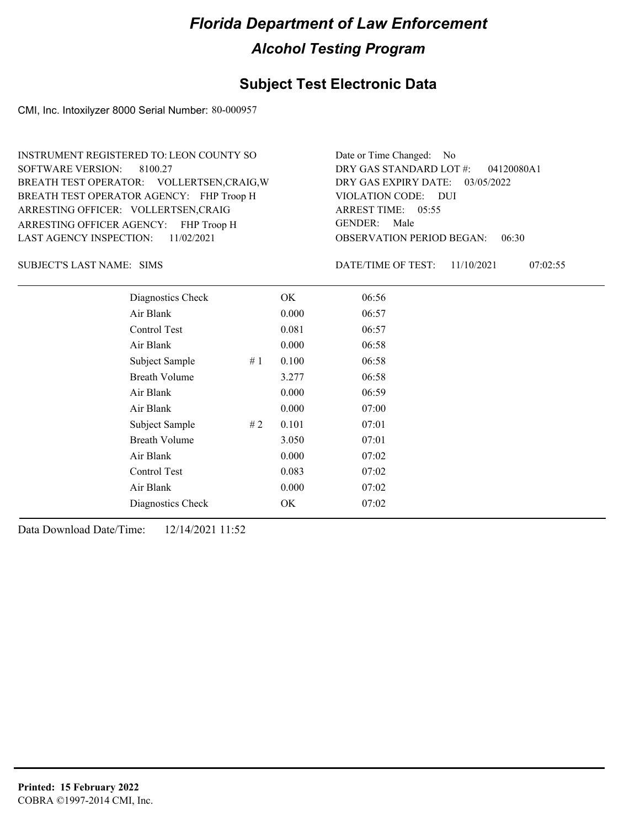### **Subject Test Electronic Data**

CMI, Inc. Intoxilyzer 8000 Serial Number: 80-000957

ARRESTING OFFICER AGENCY: FHP Troop H GENDER: BREATH TEST OPERATOR AGENCY: FHP Troop H VIOLATION CODE: SOFTWARE VERSION: ARRESTING OFFICER: VOLLERTSEN,CRAIG BREATH TEST OPERATOR: VOLLERTSEN,CRAIG,W LAST AGENCY INSPECTION: 11/02/2021 8100.27 INSTRUMENT REGISTERED TO: LEON COUNTY SO

OBSERVATION PERIOD BEGAN: 06:30 VIOLATION CODE: DUI ARREST TIME: 05:55 DRY GAS EXPIRY DATE: 03/05/2022 04120080A1 DRY GAS STANDARD LOT #: Date or Time Changed: No GENDER: Male

SIMS SUBJECT'S LAST NAME: DATE/TIME OF TEST:

DATE/TIME OF TEST: 11/10/2021 07:02:55

| Diagnostics Check    | OK    | 06:56 |
|----------------------|-------|-------|
| Air Blank            | 0.000 | 06:57 |
| Control Test         | 0.081 | 06:57 |
| Air Blank            | 0.000 | 06:58 |
| Subject Sample<br>#1 | 0.100 | 06:58 |
| <b>Breath Volume</b> | 3.277 | 06:58 |
| Air Blank            | 0.000 | 06:59 |
| Air Blank            | 0.000 | 07:00 |
| Subject Sample<br>#2 | 0.101 | 07:01 |
| <b>Breath Volume</b> | 3.050 | 07:01 |
| Air Blank            | 0.000 | 07:02 |
| <b>Control Test</b>  | 0.083 | 07:02 |
| Air Blank            | 0.000 | 07:02 |
| Diagnostics Check    | OK    | 07:02 |
|                      |       |       |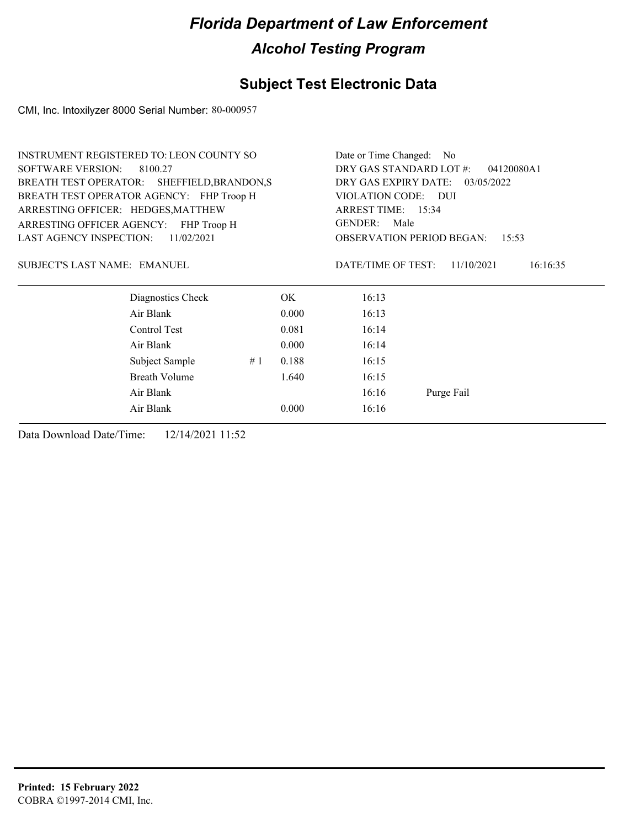### **Subject Test Electronic Data**

CMI, Inc. Intoxilyzer 8000 Serial Number: 80-000957

|                                     | <b>INSTRUMENT REGISTERED TO: LEON COUNTY SO</b> |    |       | Date or Time Changed: No              |                                           |  |  |
|-------------------------------------|-------------------------------------------------|----|-------|---------------------------------------|-------------------------------------------|--|--|
| <b>SOFTWARE VERSION:</b><br>8100.27 |                                                 |    |       | DRY GAS STANDARD LOT #:<br>04120080A1 |                                           |  |  |
|                                     | BREATH TEST OPERATOR: SHEFFIELD, BRANDON, S     |    |       | DRY GAS EXPIRY DATE: 03/05/2022       |                                           |  |  |
|                                     | BREATH TEST OPERATOR AGENCY: FHP Troop H        |    |       | VIOLATION CODE: DUI                   |                                           |  |  |
| ARRESTING OFFICER: HEDGES, MATTHEW  |                                                 |    |       | ARREST TIME: 15:34                    |                                           |  |  |
|                                     | ARRESTING OFFICER AGENCY: FHP Troop H           |    |       | <b>GENDER:</b><br>Male                |                                           |  |  |
|                                     | LAST AGENCY INSPECTION:<br>11/02/2021           |    |       |                                       | <b>OBSERVATION PERIOD BEGAN:</b><br>15:53 |  |  |
| SUBJECT'S LAST NAME: EMANUEL        |                                                 |    |       | DATE/TIME OF TEST:                    | 11/10/2021<br>16:16:35                    |  |  |
|                                     | Diagnostics Check                               |    | ОK    | 16:13                                 |                                           |  |  |
|                                     | Air Blank                                       |    | 0.000 | 16:13                                 |                                           |  |  |
|                                     | Control Test                                    |    | 0.081 | 16:14                                 |                                           |  |  |
|                                     | Air Blank                                       |    | 0.000 | 16:14                                 |                                           |  |  |
|                                     | Subject Sample                                  | #1 | 0.188 | 16:15                                 |                                           |  |  |
|                                     | <b>Breath Volume</b>                            |    | 1.640 | 16:15                                 |                                           |  |  |
|                                     | Air Blank                                       |    |       | 16:16                                 | Purge Fail                                |  |  |
|                                     | Air Blank                                       |    | 0.000 | 16:16                                 |                                           |  |  |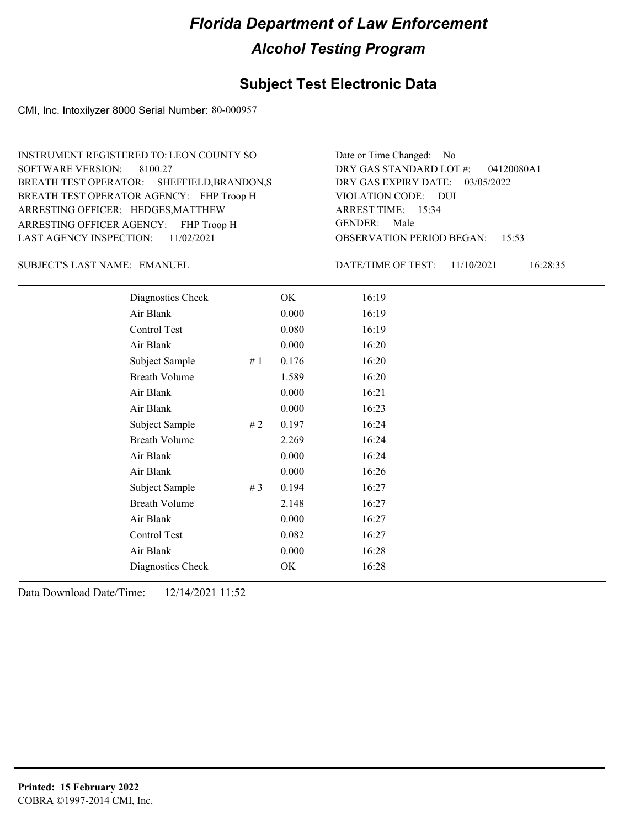### **Subject Test Electronic Data**

CMI, Inc. Intoxilyzer 8000 Serial Number: 80-000957

ARRESTING OFFICER AGENCY: FHP Troop H GENDER: BREATH TEST OPERATOR AGENCY: FHP Troop H VIOLATION CODE: SOFTWARE VERSION: ARRESTING OFFICER: HEDGES, MATTHEW BREATH TEST OPERATOR: SHEFFIELD,BRANDON,S LAST AGENCY INSPECTION: 11/02/2021 8100.27 INSTRUMENT REGISTERED TO: LEON COUNTY SO

OBSERVATION PERIOD BEGAN: 15:53 VIOLATION CODE: DUI 15:34 ARREST TIME: DRY GAS EXPIRY DATE: 03/05/2022 04120080A1 DRY GAS STANDARD LOT #: Date or Time Changed: No GENDER: Male

SUBJECT'S LAST NAME: EMANUEL **EXAMUEL** DATE/TIME OF TEST:

DATE/TIME OF TEST: 11/10/2021 16:28:35

| Diagnostics Check    |     | OK    | 16:19 |
|----------------------|-----|-------|-------|
| Air Blank            |     | 0.000 | 16:19 |
| Control Test         |     | 0.080 | 16:19 |
| Air Blank            |     | 0.000 | 16:20 |
| Subject Sample       | #1  | 0.176 | 16:20 |
| <b>Breath Volume</b> |     | 1.589 | 16:20 |
| Air Blank            |     | 0.000 | 16:21 |
| Air Blank            |     | 0.000 | 16:23 |
| Subject Sample       | # 2 | 0.197 | 16:24 |
| <b>Breath Volume</b> |     | 2.269 | 16:24 |
| Air Blank            |     | 0.000 | 16:24 |
| Air Blank            |     | 0.000 | 16:26 |
| Subject Sample       | #3  | 0.194 | 16:27 |
| <b>Breath Volume</b> |     | 2.148 | 16:27 |
| Air Blank            |     | 0.000 | 16:27 |
| Control Test         |     | 0.082 | 16:27 |
| Air Blank            |     | 0.000 | 16:28 |
| Diagnostics Check    |     | OK    | 16:28 |
|                      |     |       |       |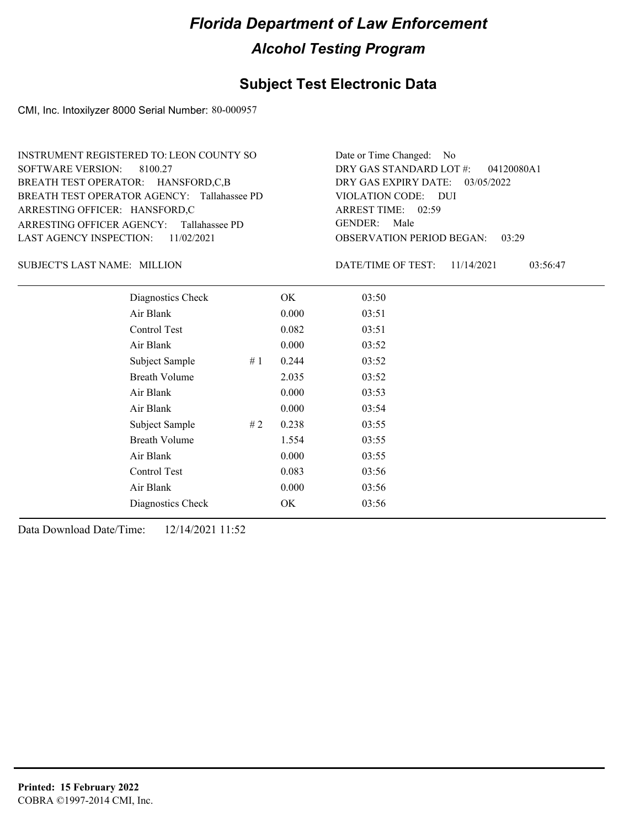### **Subject Test Electronic Data**

CMI, Inc. Intoxilyzer 8000 Serial Number: 80-000957

ARRESTING OFFICER AGENCY: Tallahassee PD GENDER: BREATH TEST OPERATOR AGENCY: Tallahassee PD VIOLATION CODE: SOFTWARE VERSION: 8100.27 ARRESTING OFFICER: HANSFORD,C BREATH TEST OPERATOR: HANSFORD,C,B LAST AGENCY INSPECTION: 11/02/2021 INSTRUMENT REGISTERED TO: LEON COUNTY SO

OBSERVATION PERIOD BEGAN: 03:29 VIOLATION CODE: DUI 02:59 ARREST TIME: DRY GAS EXPIRY DATE: 03/05/2022 04120080A1 DRY GAS STANDARD LOT #: Date or Time Changed: No GENDER: Male

SUBJECT'S LAST NAME: MILLION DATE/TIME OF TEST:

DATE/TIME OF TEST: 11/14/2021 03:56:47

| Diagnostics Check    | OK    | 03:50 |
|----------------------|-------|-------|
| Air Blank            | 0.000 | 03:51 |
| Control Test         | 0.082 | 03:51 |
| Air Blank            | 0.000 | 03:52 |
| Subject Sample<br>#1 | 0.244 | 03:52 |
| <b>Breath Volume</b> | 2.035 | 03:52 |
| Air Blank            | 0.000 | 03:53 |
| Air Blank            | 0.000 | 03:54 |
| Subject Sample<br>#2 | 0.238 | 03:55 |
| <b>Breath Volume</b> | 1.554 | 03:55 |
| Air Blank            | 0.000 | 03:55 |
| Control Test         | 0.083 | 03:56 |
| Air Blank            | 0.000 | 03:56 |
| Diagnostics Check    | OK    | 03:56 |
|                      |       |       |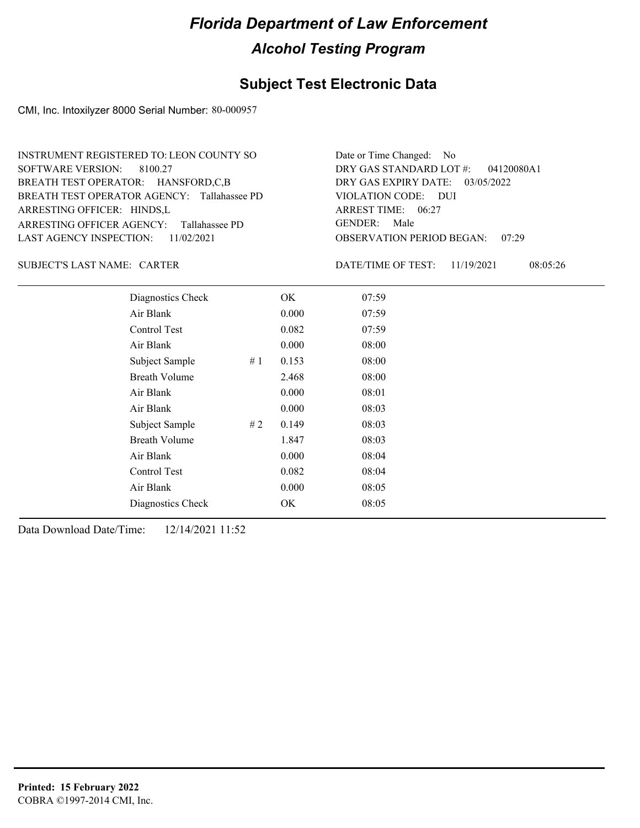### **Subject Test Electronic Data**

CMI, Inc. Intoxilyzer 8000 Serial Number: 80-000957

| INSTRUMENT REGISTERED TO: LEON COUNTY SO    | Date or Time Changed: No               |
|---------------------------------------------|----------------------------------------|
| SOFTWARE VERSION: 8100.27                   | DRY GAS STANDARD LOT #: 04120080A1     |
| BREATH TEST OPERATOR: HANSFORD,C,B          | DRY GAS EXPIRY DATE: 03/05/2022        |
| BREATH TEST OPERATOR AGENCY: Tallahassee PD | VIOLATION CODE: DUI                    |
| ARRESTING OFFICER: HINDS,L                  | ARREST TIME: 06:27                     |
| ARRESTING OFFICER AGENCY: Tallahassee PD    | GENDER: Male                           |
| LAST AGENCY INSPECTION: $11/02/2021$        | <b>OBSERVATION PERIOD BEGAN: 07:29</b> |

#### SUBJECT'S LAST NAME: CARTER DATE/TIME OF TEST:

DATE/TIME OF TEST: 11/19/2021 08:05:26

| Diagnostics Check    |    | OK    | 07:59 |
|----------------------|----|-------|-------|
| Air Blank            |    | 0.000 | 07:59 |
| Control Test         |    | 0.082 | 07:59 |
| Air Blank            |    | 0.000 | 08:00 |
| Subject Sample       | #1 | 0.153 | 08:00 |
| <b>Breath Volume</b> |    | 2.468 | 08:00 |
| Air Blank            |    | 0.000 | 08:01 |
| Air Blank            |    | 0.000 | 08:03 |
| Subject Sample       | #2 | 0.149 | 08:03 |
| <b>Breath Volume</b> |    | 1.847 | 08:03 |
| Air Blank            |    | 0.000 | 08:04 |
| <b>Control Test</b>  |    | 0.082 | 08:04 |
| Air Blank            |    | 0.000 | 08:05 |
| Diagnostics Check    |    | OK    | 08:05 |
|                      |    |       |       |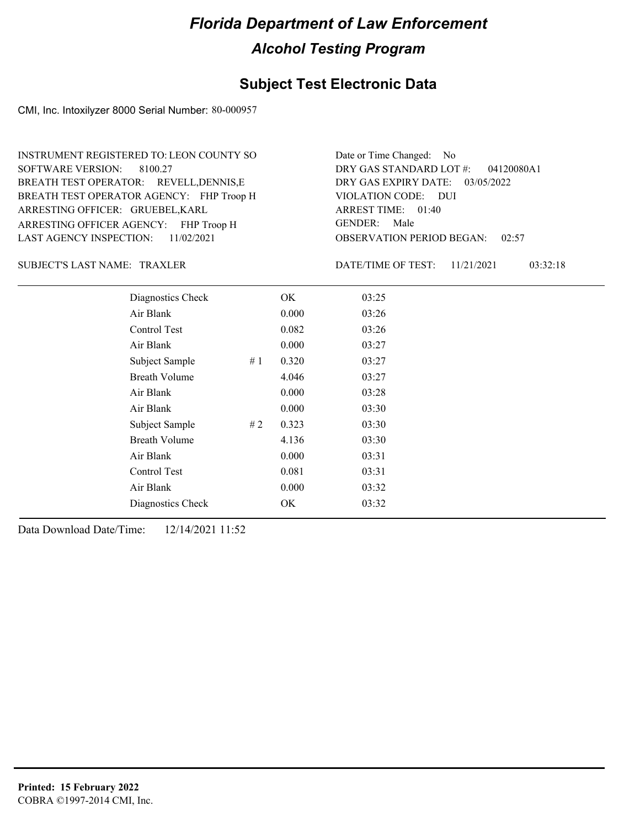### **Subject Test Electronic Data**

CMI, Inc. Intoxilyzer 8000 Serial Number: 80-000957

ARRESTING OFFICER AGENCY: FHP Troop H GENDER: BREATH TEST OPERATOR AGENCY: FHP Troop H VIOLATION CODE: SOFTWARE VERSION: 8100.27 ARRESTING OFFICER: GRUEBEL,KARL BREATH TEST OPERATOR: REVELL, DENNIS, E LAST AGENCY INSPECTION: 11/02/2021 INSTRUMENT REGISTERED TO: LEON COUNTY SO

OBSERVATION PERIOD BEGAN: 02:57 VIOLATION CODE: DUI 01:40 ARREST TIME: DRY GAS EXPIRY DATE: 03/05/2022 04120080A1 DRY GAS STANDARD LOT #: Date or Time Changed: No GENDER: Male

TRAXLER SUBJECT'S LAST NAME: DATE/TIME OF TEST:

DATE/TIME OF TEST: 11/21/2021 03:32:18

| Diagnostics Check    |    | OK    | 03:25 |
|----------------------|----|-------|-------|
| Air Blank            |    | 0.000 | 03:26 |
| Control Test         |    | 0.082 | 03:26 |
| Air Blank            |    | 0.000 | 03:27 |
| Subject Sample       | #1 | 0.320 | 03:27 |
| <b>Breath Volume</b> |    | 4.046 | 03:27 |
| Air Blank            |    | 0.000 | 03:28 |
| Air Blank            |    | 0.000 | 03:30 |
| Subject Sample       | #2 | 0.323 | 03:30 |
| <b>Breath Volume</b> |    | 4.136 | 03:30 |
| Air Blank            |    | 0.000 | 03:31 |
| Control Test         |    | 0.081 | 03:31 |
| Air Blank            |    | 0.000 | 03:32 |
| Diagnostics Check    |    | OK    | 03:32 |
|                      |    |       |       |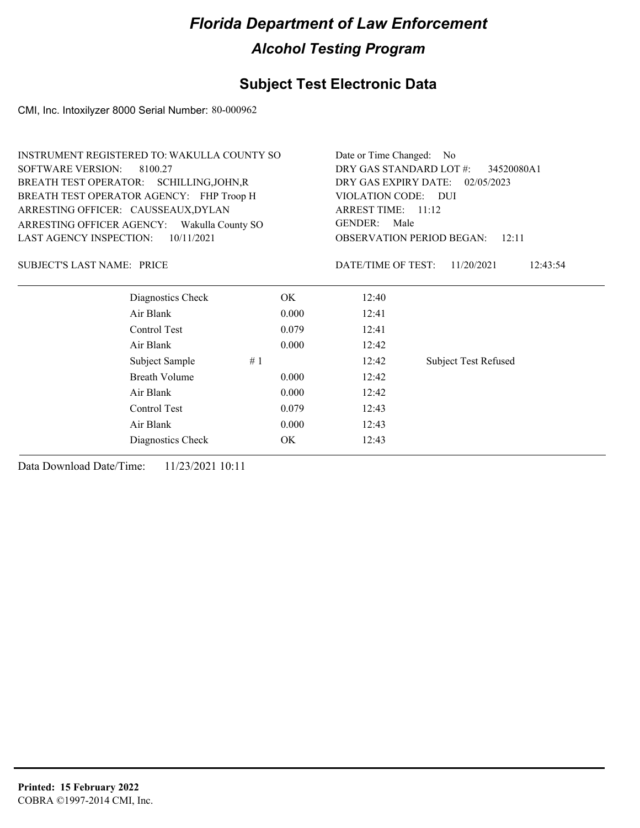### **Subject Test Electronic Data**

CMI, Inc. Intoxilyzer 8000 Serial Number: 80-000962

|                                   | <b>INSTRUMENT REGISTERED TO: WAKULLA COUNTY SO</b> |       | Date or Time Changed: No                                                           |                             |  |  |
|-----------------------------------|----------------------------------------------------|-------|------------------------------------------------------------------------------------|-----------------------------|--|--|
| <b>SOFTWARE VERSION:</b>          | 8100.27                                            |       | DRY GAS STANDARD LOT #:<br>34520080A1                                              |                             |  |  |
|                                   | BREATH TEST OPERATOR: SCHILLING, JOHN, R           |       | DRY GAS EXPIRY DATE:<br>02/05/2023                                                 |                             |  |  |
|                                   | BREATH TEST OPERATOR AGENCY: FHP Troop H           |       | VIOLATION CODE: DUI                                                                |                             |  |  |
|                                   | ARRESTING OFFICER: CAUSSEAUX, DYLAN                |       | ARREST TIME: 11:12<br>GENDER:<br>Male<br><b>OBSERVATION PERIOD BEGAN:</b><br>12:11 |                             |  |  |
|                                   | ARRESTING OFFICER AGENCY: Wakulla County SO        |       |                                                                                    |                             |  |  |
| <b>LAST AGENCY INSPECTION:</b>    | 10/11/2021                                         |       |                                                                                    |                             |  |  |
| <b>SUBJECT'S LAST NAME: PRICE</b> |                                                    |       | DATE/TIME OF TEST:                                                                 | 11/20/2021<br>12:43:54      |  |  |
|                                   | Diagnostics Check                                  | OK.   | 12:40                                                                              |                             |  |  |
|                                   | Air Blank                                          | 0.000 | 12:41                                                                              |                             |  |  |
|                                   | Control Test                                       | 0.079 | 12:41                                                                              |                             |  |  |
|                                   | Air Blank                                          | 0.000 | 12:42                                                                              |                             |  |  |
|                                   | Subject Sample                                     | #1    | 12:42                                                                              | <b>Subject Test Refused</b> |  |  |
|                                   | <b>Breath Volume</b>                               | 0.000 | 12:42                                                                              |                             |  |  |
|                                   | Air Blank                                          | 0.000 | 12:42                                                                              |                             |  |  |
|                                   | Control Test                                       | 0.079 | 12:43                                                                              |                             |  |  |
|                                   | Air Blank                                          | 0.000 | 12:43                                                                              |                             |  |  |
|                                   | Diagnostics Check                                  | OK    | 12:43                                                                              |                             |  |  |
|                                   |                                                    |       |                                                                                    |                             |  |  |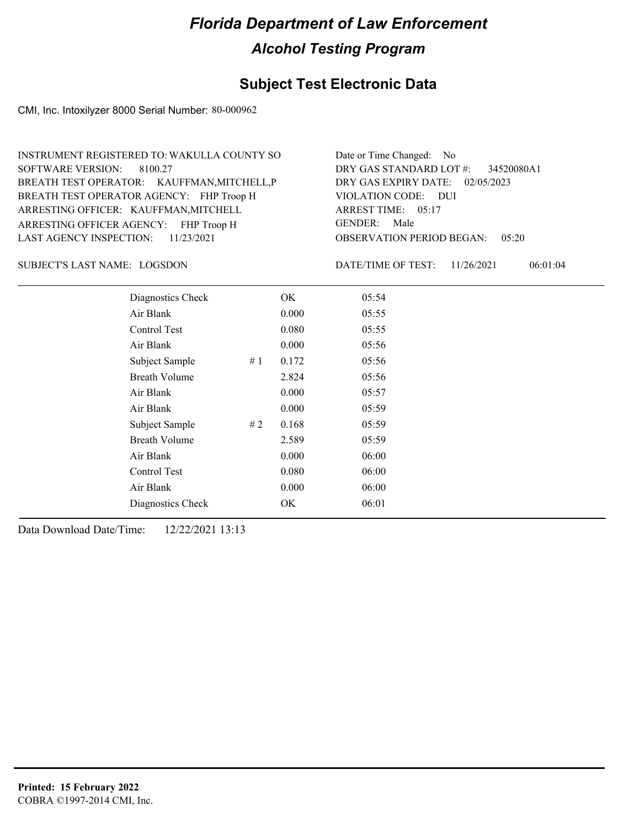### **Subject Test Electronic Data**

CMI, Inc. Intoxilyzer 8000 Serial Number: 80-000962

| INSTRUMENT REGISTERED TO: WAKULLA COUNTY SO | Date or Time Changed: No               |
|---------------------------------------------|----------------------------------------|
| SOFTWARE VERSION: 8100.27                   | DRY GAS STANDARD LOT $\#$ : 34520080A1 |
| BREATH TEST OPERATOR: KAUFFMAN, MITCHELL, P | DRY GAS EXPIRY DATE: 02/05/2023        |
| BREATH TEST OPERATOR AGENCY: FHP Troop H    | VIOLATION CODE: DUI                    |
| ARRESTING OFFICER: KAUFFMAN, MITCHELL       | ARREST TIME: 05:17                     |
| ARRESTING OFFICER AGENCY: FHP Troop H       | GENDER: Male                           |
| LAST AGENCY INSPECTION: $11/23/2021$        | <b>OBSERVATION PERIOD BEGAN: 05:20</b> |

#### SUBJECT'S LAST NAME: LOGSDON DATE/TIME OF TEST:

DATE/TIME OF TEST: 11/26/2021 06:01:04

| Diagnostics Check    |    | OK    | 05:54 |
|----------------------|----|-------|-------|
| Air Blank            |    | 0.000 | 05:55 |
| Control Test         |    | 0.080 | 05:55 |
| Air Blank            |    | 0.000 | 05:56 |
| Subject Sample       | #1 | 0.172 | 05:56 |
| <b>Breath Volume</b> |    | 2.824 | 05:56 |
| Air Blank            |    | 0.000 | 05:57 |
| Air Blank            |    | 0.000 | 05:59 |
| Subject Sample       | #2 | 0.168 | 05:59 |
| <b>Breath Volume</b> |    | 2.589 | 05:59 |
| Air Blank            |    | 0.000 | 06:00 |
| Control Test         |    | 0.080 | 06:00 |
| Air Blank            |    | 0.000 | 06:00 |
| Diagnostics Check    |    | OK    | 06:01 |
|                      |    |       |       |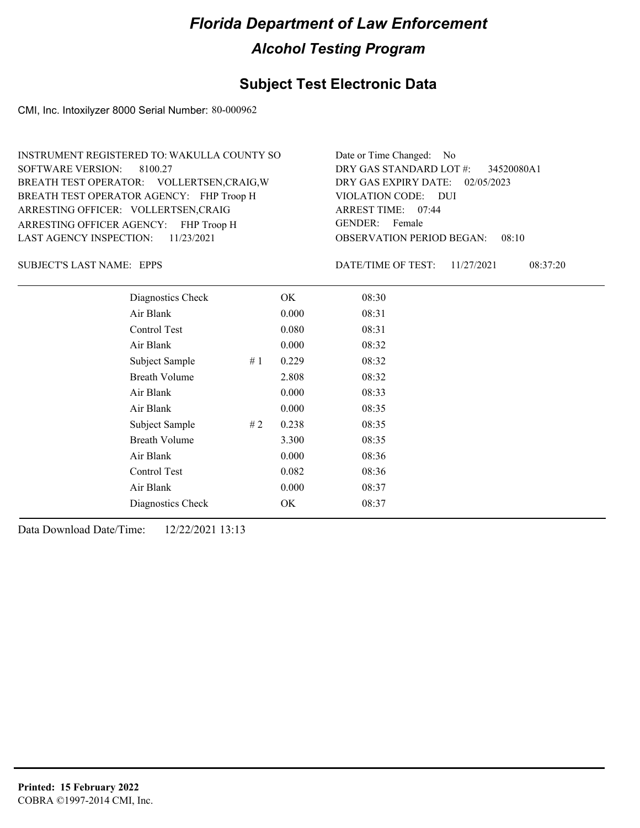### **Subject Test Electronic Data**

CMI, Inc. Intoxilyzer 8000 Serial Number: 80-000962

| INSTRUMENT REGISTERED TO: WAKULLA COUNTY SO | Date or Time Changed: No               |
|---------------------------------------------|----------------------------------------|
| SOFTWARE VERSION: 8100.27                   | DRY GAS STANDARD LOT $\#$ : 34520080A1 |
| BREATH TEST OPERATOR: VOLLERTSEN, CRAIG, W  | DRY GAS EXPIRY DATE: 02/05/2023        |
| BREATH TEST OPERATOR AGENCY: FHP Troop H    | VIOLATION CODE: DUI                    |
| ARRESTING OFFICER: VOLLERTSEN, CRAIG        | ARREST TIME: 07:44                     |
| ARRESTING OFFICER AGENCY: FHP Troop H       | GENDER: Female                         |
| LAST AGENCY INSPECTION: $11/23/2021$        | <b>OBSERVATION PERIOD BEGAN: 08:10</b> |

EPPS SUBJECT'S LAST NAME: DATE/TIME OF TEST:

DATE/TIME OF TEST: 11/27/2021 08:37:20

| Diagnostics Check    |    | OK    | 08:30 |  |
|----------------------|----|-------|-------|--|
| Air Blank            |    | 0.000 | 08:31 |  |
| Control Test         |    | 0.080 | 08:31 |  |
| Air Blank            |    | 0.000 | 08:32 |  |
| Subject Sample       | #1 | 0.229 | 08:32 |  |
| <b>Breath Volume</b> |    | 2.808 | 08:32 |  |
| Air Blank            |    | 0.000 | 08:33 |  |
| Air Blank            |    | 0.000 | 08:35 |  |
| Subject Sample       | #2 | 0.238 | 08:35 |  |
| <b>Breath Volume</b> |    | 3.300 | 08:35 |  |
| Air Blank            |    | 0.000 | 08:36 |  |
| Control Test         |    | 0.082 | 08:36 |  |
| Air Blank            |    | 0.000 | 08:37 |  |
| Diagnostics Check    |    | OK    | 08:37 |  |
|                      |    |       |       |  |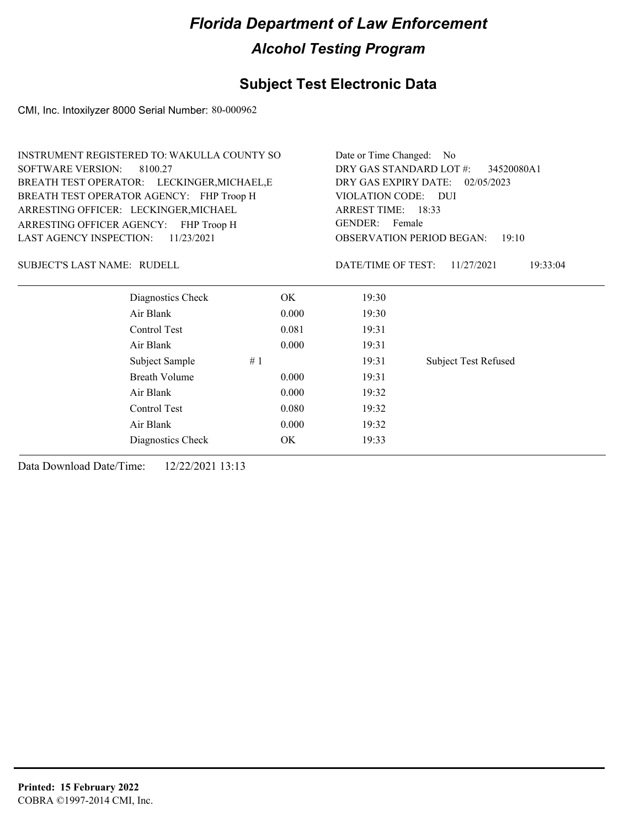### **Subject Test Electronic Data**

CMI, Inc. Intoxilyzer 8000 Serial Number: 80-000962

|                                    | <b>INSTRUMENT REGISTERED TO: WAKULLA COUNTY SO</b> |       | Date or Time Changed: No                                                                                             |                             |  |
|------------------------------------|----------------------------------------------------|-------|----------------------------------------------------------------------------------------------------------------------|-----------------------------|--|
| <b>SOFTWARE VERSION:</b>           | 8100.27                                            |       | DRY GAS STANDARD LOT #:<br>34520080A1                                                                                |                             |  |
|                                    | BREATH TEST OPERATOR: LECKINGER, MICHAEL, E        |       | DRY GAS EXPIRY DATE:<br>02/05/2023                                                                                   |                             |  |
|                                    | BREATH TEST OPERATOR AGENCY: FHP Troop H           |       | <b>VIOLATION CODE:</b><br>- DUI<br>ARREST TIME: 18:33<br>GENDER: Female<br><b>OBSERVATION PERIOD BEGAN:</b><br>19:10 |                             |  |
|                                    | ARRESTING OFFICER: LECKINGER, MICHAEL              |       |                                                                                                                      |                             |  |
| ARRESTING OFFICER AGENCY:          | FHP Troop H                                        |       |                                                                                                                      |                             |  |
| <b>LAST AGENCY INSPECTION:</b>     | 11/23/2021                                         |       |                                                                                                                      |                             |  |
| <b>SUBJECT'S LAST NAME: RUDELL</b> |                                                    |       | DATE/TIME OF TEST:                                                                                                   | 11/27/2021<br>19:33:04      |  |
|                                    | Diagnostics Check                                  | OK.   | 19:30                                                                                                                |                             |  |
|                                    | Air Blank                                          | 0.000 | 19:30                                                                                                                |                             |  |
|                                    | Control Test                                       | 0.081 | 19:31                                                                                                                |                             |  |
|                                    | Air Blank                                          | 0.000 | 19:31                                                                                                                |                             |  |
|                                    | Subject Sample                                     | #1    | 19:31                                                                                                                | <b>Subject Test Refused</b> |  |
|                                    | <b>Breath Volume</b>                               | 0.000 | 19:31                                                                                                                |                             |  |
|                                    | Air Blank<br>0.000                                 |       |                                                                                                                      |                             |  |
|                                    | Control Test                                       | 0.080 | 19:32                                                                                                                |                             |  |
|                                    | Air Blank                                          | 0.000 | 19:32                                                                                                                |                             |  |
|                                    | Diagnostics Check                                  | OK    | 19:33                                                                                                                |                             |  |
|                                    |                                                    |       |                                                                                                                      |                             |  |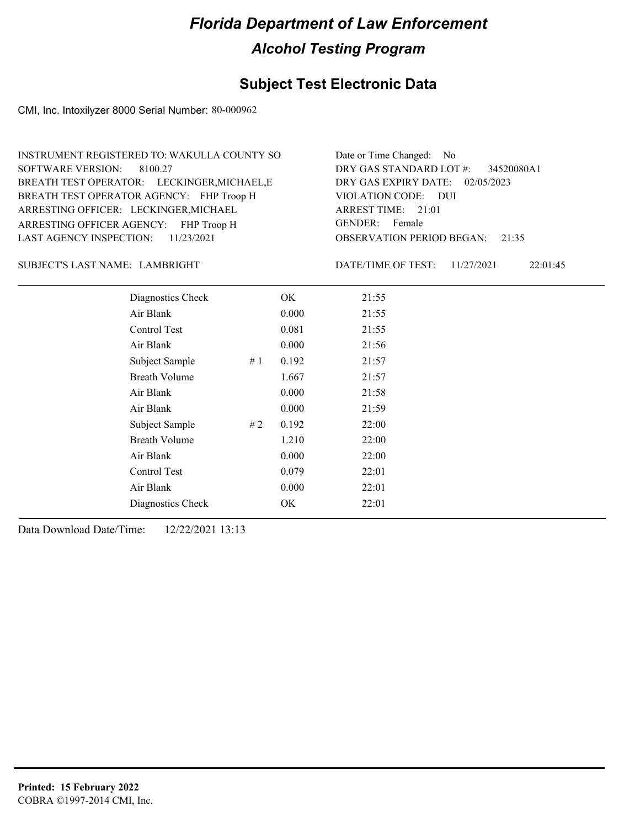### **Subject Test Electronic Data**

CMI, Inc. Intoxilyzer 8000 Serial Number: 80-000962

| INSTRUMENT REGISTERED TO: WAKULLA COUNTY SO | Date or Time Changed: No               |
|---------------------------------------------|----------------------------------------|
| SOFTWARE VERSION: 8100.27                   | DRY GAS STANDARD LOT $\#$ : 34520080A1 |
| BREATH TEST OPERATOR: LECKINGER, MICHAEL, E | DRY GAS EXPIRY DATE: 02/05/2023        |
| BREATH TEST OPERATOR AGENCY: FHP Troop H    | VIOLATION CODE: DUI                    |
| ARRESTING OFFICER: LECKINGER, MICHAEL       | ARREST TIME: 21:01                     |
| ARRESTING OFFICER AGENCY: FHP Troop H       | GENDER: Female                         |
| LAST AGENCY INSPECTION: $11/23/2021$        | <b>OBSERVATION PERIOD BEGAN: 21:35</b> |

#### LAMBRIGHT SUBJECT'S LAST NAME: DATE/TIME OF TEST:

DATE/TIME OF TEST: 11/27/2021 22:01:45

| Diagnostics Check    |    | OK    | 21:55 |
|----------------------|----|-------|-------|
| Air Blank            |    | 0.000 | 21:55 |
| Control Test         |    | 0.081 | 21:55 |
| Air Blank            |    | 0.000 | 21:56 |
| Subject Sample       | #1 | 0.192 | 21:57 |
| <b>Breath Volume</b> |    | 1.667 | 21:57 |
| Air Blank            |    | 0.000 | 21:58 |
| Air Blank            |    | 0.000 | 21:59 |
| Subject Sample       | #2 | 0.192 | 22:00 |
| <b>Breath Volume</b> |    | 1.210 | 22:00 |
| Air Blank            |    | 0.000 | 22:00 |
| Control Test         |    | 0.079 | 22:01 |
| Air Blank            |    | 0.000 | 22:01 |
| Diagnostics Check    |    | OK    | 22:01 |
|                      |    |       |       |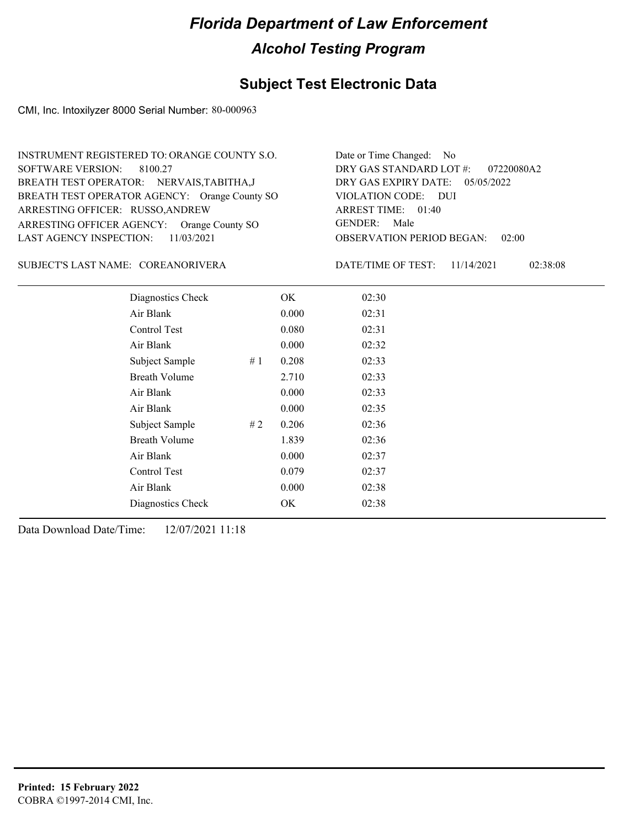### **Subject Test Electronic Data**

CMI, Inc. Intoxilyzer 8000 Serial Number: 80-000963

| INSTRUMENT REGISTERED TO: ORANGE COUNTY S.O.  | Date or Time Changed: No               |
|-----------------------------------------------|----------------------------------------|
| SOFTWARE VERSION: 8100.27                     | DRY GAS STANDARD LOT $\#$ : 07220080A2 |
| BREATH TEST OPERATOR: NERVAIS, TABITHA, J     | DRY GAS EXPIRY DATE: $05/05/2022$      |
| BREATH TEST OPERATOR AGENCY: Orange County SO | VIOLATION CODE: DUI                    |
| ARRESTING OFFICER: RUSSO, ANDREW              | ARREST TIME: 01:40                     |
| ARRESTING OFFICER AGENCY: Orange County SO    | GENDER: Male                           |
| LAST AGENCY INSPECTION: 11/03/2021            | <b>OBSERVATION PERIOD BEGAN: 02:00</b> |

#### COREANORIVERA SUBJECT'S LAST NAME: DATE/TIME OF TEST:

DATE/TIME OF TEST: 11/14/2021 02:38:08

| Diagnostics Check    | OK    | 02:30 |
|----------------------|-------|-------|
| Air Blank            | 0.000 | 02:31 |
| Control Test         | 0.080 | 02:31 |
| Air Blank            | 0.000 | 02:32 |
| Subject Sample<br>#1 | 0.208 | 02:33 |
| <b>Breath Volume</b> | 2.710 | 02:33 |
| Air Blank            | 0.000 | 02:33 |
| Air Blank            | 0.000 | 02:35 |
| Subject Sample<br>#2 | 0.206 | 02:36 |
| <b>Breath Volume</b> | 1.839 | 02:36 |
| Air Blank            | 0.000 | 02:37 |
| Control Test         | 0.079 | 02:37 |
| Air Blank            | 0.000 | 02:38 |
| Diagnostics Check    | OK    | 02:38 |
|                      |       |       |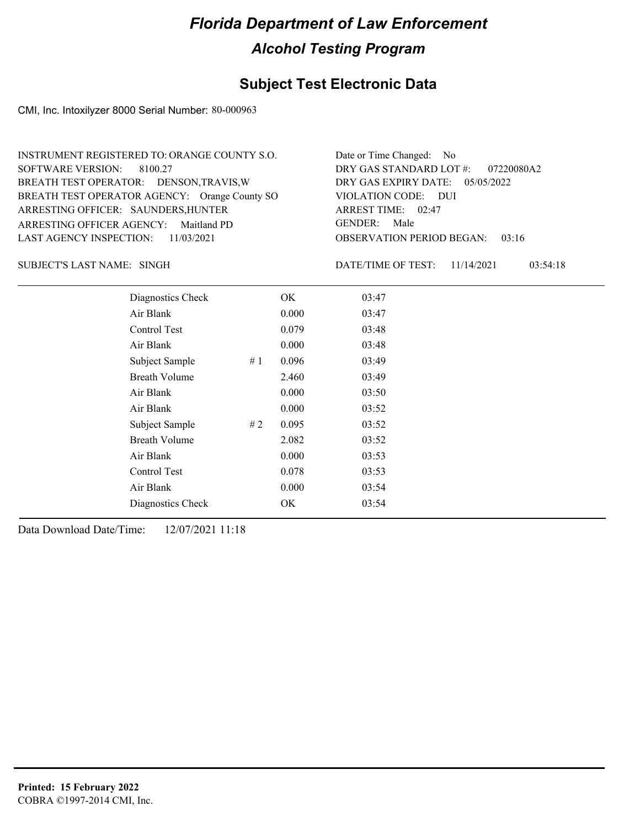### **Subject Test Electronic Data**

CMI, Inc. Intoxilyzer 8000 Serial Number: 80-000963

| INSTRUMENT REGISTERED TO: ORANGE COUNTY S.O.  | Date or Time Changed: No               |
|-----------------------------------------------|----------------------------------------|
| SOFTWARE VERSION: 8100.27                     | DRY GAS STANDARD LOT #: 07220080A2     |
| BREATH TEST OPERATOR: DENSON, TRAVIS, W       | DRY GAS EXPIRY DATE: $05/05/2022$      |
| BREATH TEST OPERATOR AGENCY: Orange County SO | VIOLATION CODE: DUI                    |
| ARRESTING OFFICER: SAUNDERS, HUNTER           | ARREST TIME: 02:47                     |
| ARRESTING OFFICER AGENCY: Maitland PD         | GENDER: Male                           |
| LAST AGENCY INSPECTION: $11/03/2021$          | <b>OBSERVATION PERIOD BEGAN: 03:16</b> |
|                                               |                                        |

SINGH SUBJECT'S LAST NAME: DATE/TIME OF TEST:

DATE/TIME OF TEST: 11/14/2021 03:54:18

| Diagnostics Check    |    | OK    | 03:47 |
|----------------------|----|-------|-------|
| Air Blank            |    | 0.000 | 03:47 |
| Control Test         |    | 0.079 | 03:48 |
| Air Blank            |    | 0.000 | 03:48 |
| Subject Sample       | #1 | 0.096 | 03:49 |
| <b>Breath Volume</b> |    | 2.460 | 03:49 |
| Air Blank            |    | 0.000 | 03:50 |
| Air Blank            |    | 0.000 | 03:52 |
| Subject Sample       | #2 | 0.095 | 03:52 |
| <b>Breath Volume</b> |    | 2.082 | 03:52 |
| Air Blank            |    | 0.000 | 03:53 |
| Control Test         |    | 0.078 | 03:53 |
| Air Blank            |    | 0.000 | 03:54 |
| Diagnostics Check    |    | OK    | 03:54 |
|                      |    |       |       |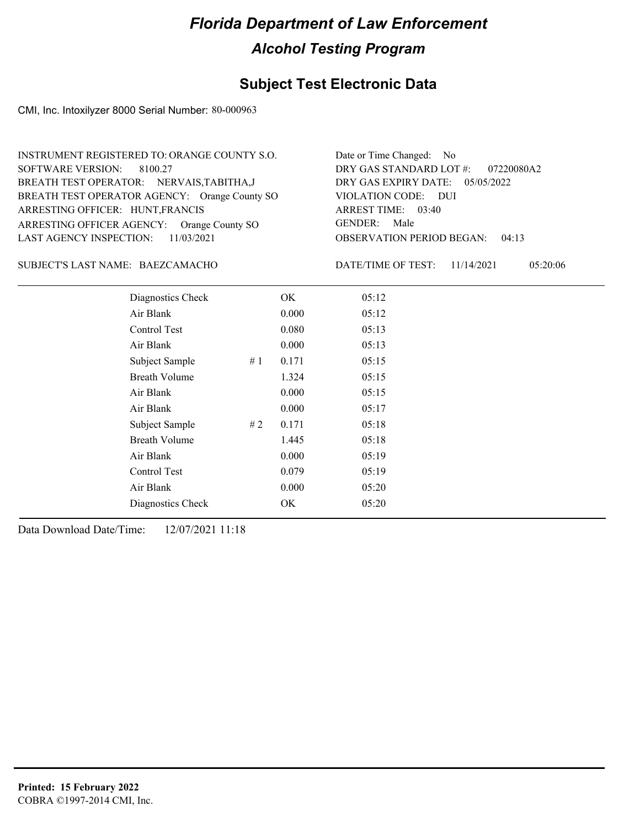### **Subject Test Electronic Data**

CMI, Inc. Intoxilyzer 8000 Serial Number: 80-000963

| INSTRUMENT REGISTERED TO: ORANGE COUNTY S.O.  | Date or Time Changed: No               |
|-----------------------------------------------|----------------------------------------|
| SOFTWARE VERSION: 8100.27                     | DRY GAS STANDARD LOT $\#$ : 07220080A2 |
| BREATH TEST OPERATOR: NERVAIS, TABITHA, J     | DRY GAS EXPIRY DATE: 05/05/2022        |
| BREATH TEST OPERATOR AGENCY: Orange County SO | VIOLATION CODE: DUI                    |
| ARRESTING OFFICER: HUNT, FRANCIS              | ARREST TIME: 03:40                     |
| ARRESTING OFFICER AGENCY: Orange County SO    | GENDER: Male                           |
| LAST AGENCY INSPECTION: $11/03/2021$          | <b>OBSERVATION PERIOD BEGAN: 04:13</b> |

#### BAEZCAMACHO SUBJECT'S LAST NAME: DATE/TIME OF TEST:

DATE/TIME OF TEST: 11/14/2021 05:20:06

| Diagnostics Check    | OK    | 05:12 |
|----------------------|-------|-------|
| Air Blank            | 0.000 | 05:12 |
| Control Test         | 0.080 | 05:13 |
| Air Blank            | 0.000 | 05:13 |
| Subject Sample<br>#1 | 0.171 | 05:15 |
| <b>Breath Volume</b> | 1.324 | 05:15 |
| Air Blank            | 0.000 | 05:15 |
| Air Blank            | 0.000 | 05:17 |
| Subject Sample<br>#2 | 0.171 | 05:18 |
| <b>Breath Volume</b> | 1.445 | 05:18 |
| Air Blank            | 0.000 | 05:19 |
| Control Test         | 0.079 | 05:19 |
| Air Blank            | 0.000 | 05:20 |
| Diagnostics Check    | OK    | 05:20 |
|                      |       |       |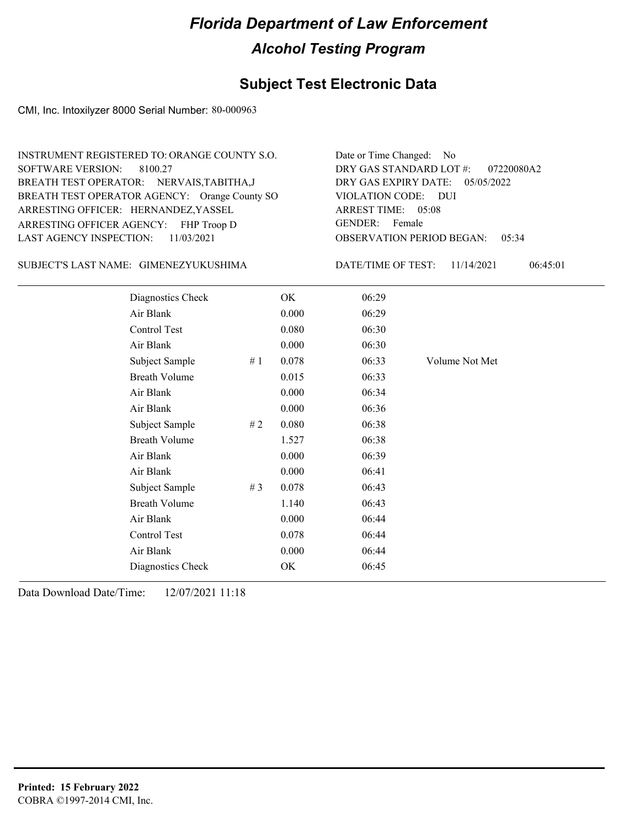### **Subject Test Electronic Data**

CMI, Inc. Intoxilyzer 8000 Serial Number: 80-000963

| INSTRUMENT REGISTERED TO: ORANGE COUNTY S.O.  | Date or Time Changed: No               |
|-----------------------------------------------|----------------------------------------|
| SOFTWARE VERSION: 8100.27                     | DRY GAS STANDARD LOT #: 07220080A2     |
| BREATH TEST OPERATOR: NERVAIS, TABITHA, J     | DRY GAS EXPIRY DATE: 05/05/2022        |
| BREATH TEST OPERATOR AGENCY: Orange County SO | VIOLATION CODE: DUI                    |
| ARRESTING OFFICER: HERNANDEZ, YASSEL          | ARREST TIME: 05:08                     |
| ARRESTING OFFICER AGENCY: FHP Troop D         | GENDER: Female                         |
| LAST AGENCY INSPECTION: 11/03/2021            | <b>OBSERVATION PERIOD BEGAN: 05:34</b> |
|                                               |                                        |

GIMENEZYUKUSHIMA SUBJECT'S LAST NAME: DATE/TIME OF TEST:

DATE/TIME OF TEST: 11/14/2021 06:45:01

| Diagnostics Check    |    | OK    | 06:29 |                |
|----------------------|----|-------|-------|----------------|
| Air Blank            |    | 0.000 | 06:29 |                |
| Control Test         |    | 0.080 | 06:30 |                |
| Air Blank            |    | 0.000 | 06:30 |                |
| Subject Sample       | #1 | 0.078 | 06:33 | Volume Not Met |
| <b>Breath Volume</b> |    | 0.015 | 06:33 |                |
| Air Blank            |    | 0.000 | 06:34 |                |
| Air Blank            |    | 0.000 | 06:36 |                |
| Subject Sample       | #2 | 0.080 | 06:38 |                |
| <b>Breath Volume</b> |    | 1.527 | 06:38 |                |
| Air Blank            |    | 0.000 | 06:39 |                |
| Air Blank            |    | 0.000 | 06:41 |                |
| Subject Sample       | #3 | 0.078 | 06:43 |                |
| <b>Breath Volume</b> |    | 1.140 | 06:43 |                |
| Air Blank            |    | 0.000 | 06:44 |                |
| Control Test         |    | 0.078 | 06:44 |                |
| Air Blank            |    | 0.000 | 06:44 |                |
| Diagnostics Check    |    | OK    | 06:45 |                |
|                      |    |       |       |                |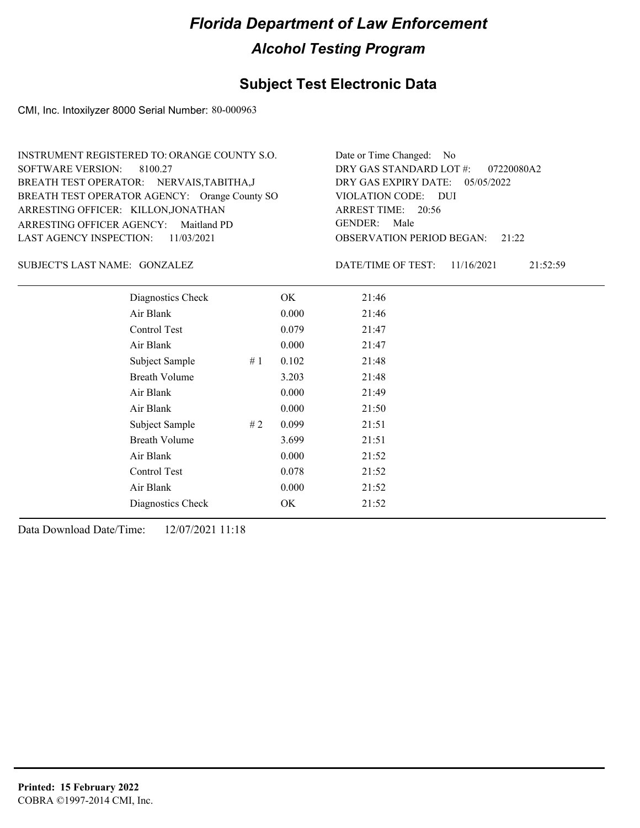### **Subject Test Electronic Data**

CMI, Inc. Intoxilyzer 8000 Serial Number: 80-000963

| INSTRUMENT REGISTERED TO: ORANGE COUNTY S.O.  | Date or Time Changed: No               |
|-----------------------------------------------|----------------------------------------|
| SOFTWARE VERSION: 8100.27                     | DRY GAS STANDARD LOT #: 07220080A2     |
| BREATH TEST OPERATOR: NERVAIS, TABITHA, J     | DRY GAS EXPIRY DATE: 05/05/2022        |
| BREATH TEST OPERATOR AGENCY: Orange County SO | VIOLATION CODE: DUI                    |
| ARRESTING OFFICER: KILLON, JONATHAN           | ARREST TIME: 20:56                     |
| ARRESTING OFFICER AGENCY: Maitland PD         | GENDER: Male                           |
| LAST AGENCY INSPECTION: 11/03/2021            | <b>OBSERVATION PERIOD BEGAN:</b> 21:22 |

GONZALEZ SUBJECT'S LAST NAME: DATE/TIME OF TEST:

DATE/TIME OF TEST: 11/16/2021 21:52:59

| Diagnostics Check    |    | OK    | 21:46 |
|----------------------|----|-------|-------|
| Air Blank            |    | 0.000 | 21:46 |
| Control Test         |    | 0.079 | 21:47 |
| Air Blank            |    | 0.000 | 21:47 |
| Subject Sample       | #1 | 0.102 | 21:48 |
| <b>Breath Volume</b> |    | 3.203 | 21:48 |
| Air Blank            |    | 0.000 | 21:49 |
| Air Blank            |    | 0.000 | 21:50 |
| Subject Sample       | #2 | 0.099 | 21:51 |
| <b>Breath Volume</b> |    | 3.699 | 21:51 |
| Air Blank            |    | 0.000 | 21:52 |
| Control Test         |    | 0.078 | 21:52 |
| Air Blank            |    | 0.000 | 21:52 |
| Diagnostics Check    |    | OK    | 21:52 |
|                      |    |       |       |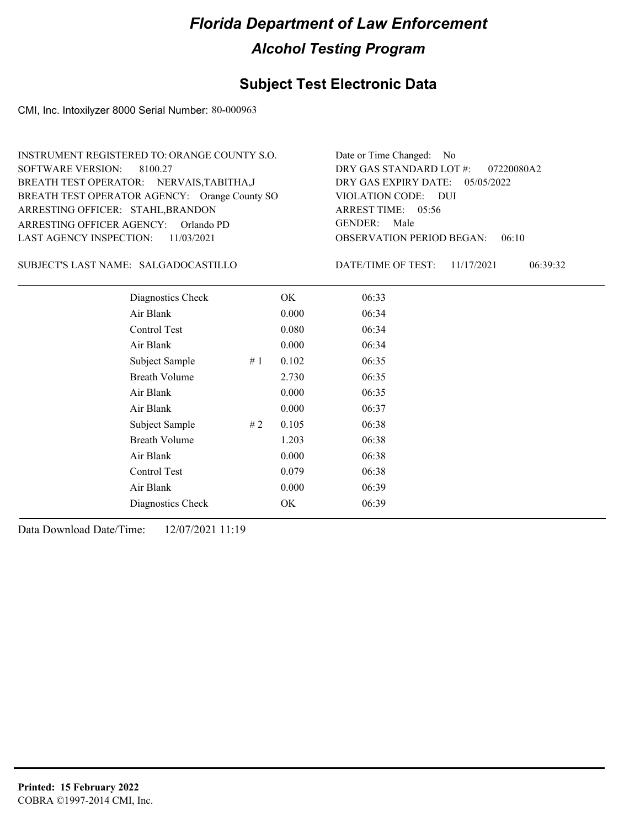### **Subject Test Electronic Data**

CMI, Inc. Intoxilyzer 8000 Serial Number: 80-000963

| INSTRUMENT REGISTERED TO: ORANGE COUNTY S.O.  | Date or Time Changed: No               |
|-----------------------------------------------|----------------------------------------|
| SOFTWARE VERSION: 8100.27                     | DRY GAS STANDARD LOT $\#$ : 07220080A2 |
| BREATH TEST OPERATOR: NERVAIS, TABITHA, J     | DRY GAS EXPIRY DATE: $05/05/2022$      |
| BREATH TEST OPERATOR AGENCY: Orange County SO | VIOLATION CODE: DUI                    |
| ARRESTING OFFICER: STAHL, BRANDON             | ARREST TIME: 05:56                     |
| ARRESTING OFFICER AGENCY: Orlando PD          | GENDER: Male                           |
| LAST AGENCY INSPECTION: 11/03/2021            | <b>OBSERVATION PERIOD BEGAN: 06:10</b> |

#### SALGADOCASTILLO SUBJECT'S LAST NAME: DATE/TIME OF TEST:

DATE/TIME OF TEST: 11/17/2021 06:39:32

| Diagnostics Check    | OK    | 06:33 |
|----------------------|-------|-------|
| Air Blank            | 0.000 | 06:34 |
| Control Test         | 0.080 | 06:34 |
| Air Blank            | 0.000 | 06:34 |
| Subject Sample<br>#1 | 0.102 | 06:35 |
| <b>Breath Volume</b> | 2.730 | 06:35 |
| Air Blank            | 0.000 | 06:35 |
| Air Blank            | 0.000 | 06:37 |
| Subject Sample<br>#2 | 0.105 | 06:38 |
| <b>Breath Volume</b> | 1.203 | 06:38 |
| Air Blank            | 0.000 | 06:38 |
| Control Test         | 0.079 | 06:38 |
| Air Blank            | 0.000 | 06:39 |
| Diagnostics Check    | OK    | 06:39 |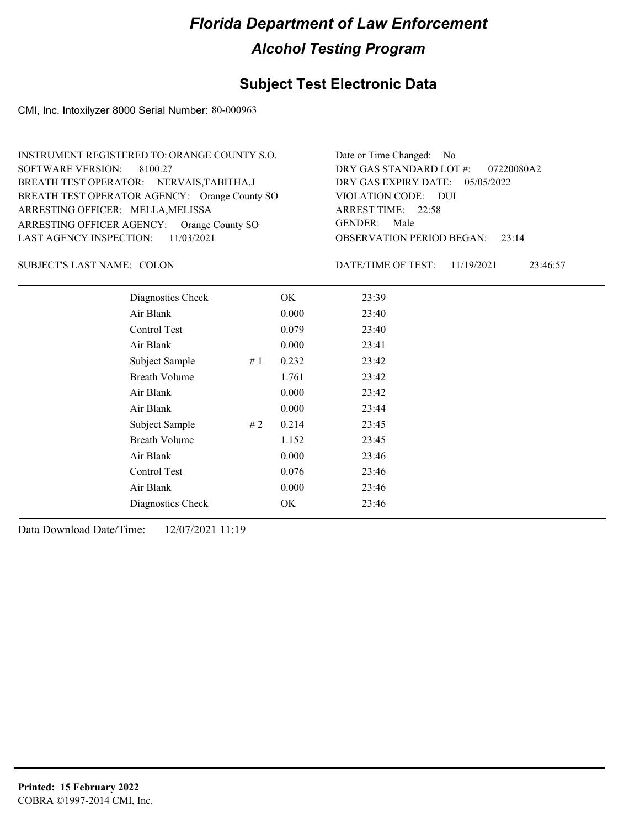### **Subject Test Electronic Data**

CMI, Inc. Intoxilyzer 8000 Serial Number: 80-000963

| INSTRUMENT REGISTERED TO: ORANGE COUNTY S.O.  | Date or Time Changed: No               |
|-----------------------------------------------|----------------------------------------|
| SOFTWARE VERSION: 8100.27                     | DRY GAS STANDARD LOT $\#$ : 07220080A2 |
| BREATH TEST OPERATOR: NERVAIS, TABITHA, J     | DRY GAS EXPIRY DATE: $05/05/2022$      |
| BREATH TEST OPERATOR AGENCY: Orange County SO | VIOLATION CODE: DUI                    |
| ARRESTING OFFICER: MELLA, MELISSA             | ARREST TIME: 22:58                     |
| ARRESTING OFFICER AGENCY: Orange County SO    | GENDER: Male                           |
| LAST AGENCY INSPECTION: $11/03/2021$          | <b>OBSERVATION PERIOD BEGAN:</b> 23:14 |

SUBJECT'S LAST NAME: COLON DATE/TIME OF TEST:

DATE/TIME OF TEST: 11/19/2021 23:46:57

| Diagnostics Check    |    | OK    | 23:39 |
|----------------------|----|-------|-------|
| Air Blank            |    | 0.000 | 23:40 |
| Control Test         |    | 0.079 | 23:40 |
| Air Blank            |    | 0.000 | 23:41 |
| Subject Sample       | #1 | 0.232 | 23:42 |
| <b>Breath Volume</b> |    | 1.761 | 23:42 |
| Air Blank            |    | 0.000 | 23:42 |
| Air Blank            |    | 0.000 | 23:44 |
| Subject Sample       | #2 | 0.214 | 23:45 |
| <b>Breath Volume</b> |    | 1.152 | 23:45 |
| Air Blank            |    | 0.000 | 23:46 |
| Control Test         |    | 0.076 | 23:46 |
| Air Blank            |    | 0.000 | 23:46 |
| Diagnostics Check    |    | OK    | 23:46 |
|                      |    |       |       |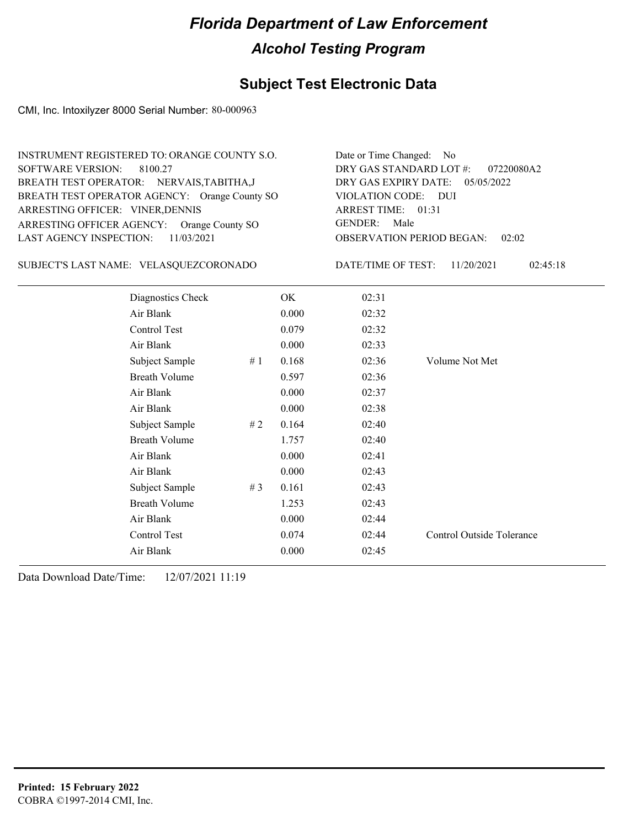### **Subject Test Electronic Data**

CMI, Inc. Intoxilyzer 8000 Serial Number: 80-000963

| <b>INSTRUMENT REGISTERED TO: ORANGE COUNTY S.O.</b><br><b>SOFTWARE VERSION:</b><br>8100.27<br>BREATH TEST OPERATOR: NERVAIS, TABITHA, J<br>BREATH TEST OPERATOR AGENCY: Orange County SO<br>ARRESTING OFFICER: VINER, DENNIS<br>ARRESTING OFFICER AGENCY: Orange County SO<br><b>LAST AGENCY INSPECTION:</b><br>11/03/2021 |                                        |                    |                        | Date or Time Changed: No<br>DRY GAS STANDARD LOT #:<br>07220080A2<br>DRY GAS EXPIRY DATE:<br>05/05/2022<br><b>VIOLATION CODE:</b><br><b>DUI</b><br>ARREST TIME: 01:31<br><b>GENDER:</b><br>Male<br><b>OBSERVATION PERIOD BEGAN:</b><br>02:02 |                |  |
|----------------------------------------------------------------------------------------------------------------------------------------------------------------------------------------------------------------------------------------------------------------------------------------------------------------------------|----------------------------------------|--------------------|------------------------|----------------------------------------------------------------------------------------------------------------------------------------------------------------------------------------------------------------------------------------------|----------------|--|
|                                                                                                                                                                                                                                                                                                                            | SUBJECT'S LAST NAME: VELASQUEZCORONADO | DATE/TIME OF TEST: | 11/20/2021<br>02:45:18 |                                                                                                                                                                                                                                              |                |  |
|                                                                                                                                                                                                                                                                                                                            | Diagnostics Check                      |                    | OK.                    | 02:31                                                                                                                                                                                                                                        |                |  |
|                                                                                                                                                                                                                                                                                                                            | Air Blank                              |                    | 0.000                  | 02:32                                                                                                                                                                                                                                        |                |  |
|                                                                                                                                                                                                                                                                                                                            | Control Test                           |                    | 0.079                  | 02:32                                                                                                                                                                                                                                        |                |  |
|                                                                                                                                                                                                                                                                                                                            | Air Blank                              |                    | 0.000                  | 02:33                                                                                                                                                                                                                                        |                |  |
|                                                                                                                                                                                                                                                                                                                            | Subject Sample                         | #1                 | 0.168                  | 02:36                                                                                                                                                                                                                                        | Volume Not Met |  |
|                                                                                                                                                                                                                                                                                                                            | <b>Breath Volume</b>                   |                    | 0.597                  | 02:36                                                                                                                                                                                                                                        |                |  |
|                                                                                                                                                                                                                                                                                                                            | Air Blank                              |                    | 0.000                  | 02:37                                                                                                                                                                                                                                        |                |  |
|                                                                                                                                                                                                                                                                                                                            | Air Blank                              |                    | 0.000                  | 02:38                                                                                                                                                                                                                                        |                |  |
|                                                                                                                                                                                                                                                                                                                            | Subject Sample                         | #2                 | 0.164                  | 02:40                                                                                                                                                                                                                                        |                |  |
|                                                                                                                                                                                                                                                                                                                            | <b>Breath Volume</b>                   |                    | 1.757                  | 02:40                                                                                                                                                                                                                                        |                |  |
|                                                                                                                                                                                                                                                                                                                            | Air Blank                              |                    | 0.000                  | 02:41                                                                                                                                                                                                                                        |                |  |
|                                                                                                                                                                                                                                                                                                                            | Air Blank                              |                    | 0.000                  | 02:43                                                                                                                                                                                                                                        |                |  |
|                                                                                                                                                                                                                                                                                                                            |                                        |                    |                        |                                                                                                                                                                                                                                              |                |  |

Control Test 0.074 02:44 Control Outside Tolerance

Subject Sample # 3 0.161 02:43 Breath Volume 1.253 02:43 Air Blank 0.000 02:44

Air Blank 0.000 02:45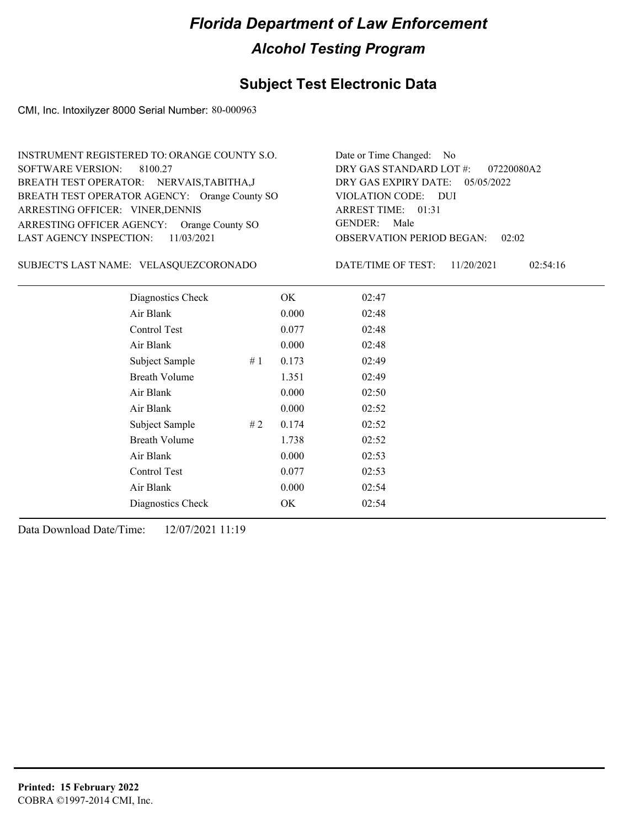## **Subject Test Electronic Data**

CMI, Inc. Intoxilyzer 8000 Serial Number: 80-000963

| INSTRUMENT REGISTERED TO: ORANGE COUNTY S.O.  | Date or Time Changed: No               |
|-----------------------------------------------|----------------------------------------|
| SOFTWARE VERSION: 8100.27                     | DRY GAS STANDARD LOT $\#$ : 07220080A2 |
| BREATH TEST OPERATOR: NERVAIS, TABITHA, J     | DRY GAS EXPIRY DATE: $05/05/2022$      |
| BREATH TEST OPERATOR AGENCY: Orange County SO | VIOLATION CODE: DUI                    |
| ARRESTING OFFICER: VINER, DENNIS              | ARREST TIME: 01:31                     |
| ARRESTING OFFICER AGENCY: Orange County SO    | GENDER: Male                           |
| LAST AGENCY INSPECTION: 11/03/2021            | <b>OBSERVATION PERIOD BEGAN: 02:02</b> |

VELASQUEZCORONADO SUBJECT'S LAST NAME: DATE/TIME OF TEST:

DATE/TIME OF TEST: 11/20/2021 02:54:16

| Diagnostics Check    | OK    | 02:47 |
|----------------------|-------|-------|
| Air Blank            | 0.000 | 02:48 |
| Control Test         | 0.077 | 02:48 |
| Air Blank            | 0.000 | 02:48 |
| Subject Sample<br>#1 | 0.173 | 02:49 |
| <b>Breath Volume</b> | 1.351 | 02:49 |
| Air Blank            | 0.000 | 02:50 |
| Air Blank            | 0.000 | 02:52 |
| Subject Sample<br>#2 | 0.174 | 02:52 |
| Breath Volume        | 1.738 | 02:52 |
| Air Blank            | 0.000 | 02:53 |
| Control Test         | 0.077 | 02:53 |
| Air Blank            | 0.000 | 02:54 |
| Diagnostics Check    | OK    | 02:54 |
|                      |       |       |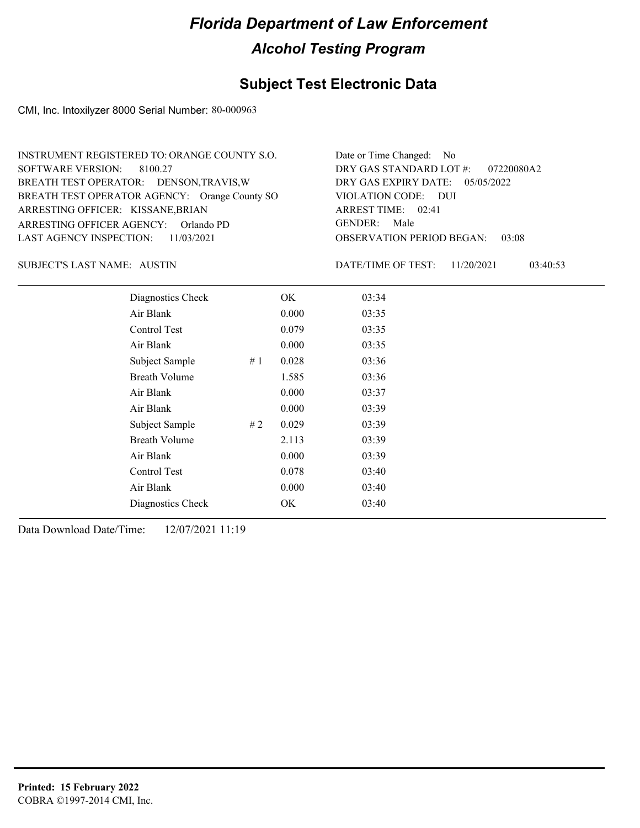## **Subject Test Electronic Data**

CMI, Inc. Intoxilyzer 8000 Serial Number: 80-000963

| INSTRUMENT REGISTERED TO: ORANGE COUNTY S.O.  | Date or Time Changed: No               |
|-----------------------------------------------|----------------------------------------|
| SOFTWARE VERSION: 8100.27                     | DRY GAS STANDARD LOT $\#$ : 07220080A2 |
| BREATH TEST OPERATOR: DENSON, TRAVIS, W       | DRY GAS EXPIRY DATE: 05/05/2022        |
| BREATH TEST OPERATOR AGENCY: Orange County SO | VIOLATION CODE: DUI                    |
| ARRESTING OFFICER: KISSANE, BRIAN             | ARREST TIME: 02:41                     |
| ARRESTING OFFICER AGENCY: Orlando PD          | GENDER: Male                           |
| LAST AGENCY INSPECTION: 11/03/2021            | <b>OBSERVATION PERIOD BEGAN: 03:08</b> |

SUBJECT'S LAST NAME: AUSTIN **Example 20** DATE/TIME OF TEST:

DATE/TIME OF TEST: 11/20/2021 03:40:53

| Diagnostics Check    |    | OK    | 03:34 |
|----------------------|----|-------|-------|
| Air Blank            |    | 0.000 | 03:35 |
| Control Test         |    | 0.079 | 03:35 |
| Air Blank            |    | 0.000 | 03:35 |
| Subject Sample       | #1 | 0.028 | 03:36 |
| <b>Breath Volume</b> |    | 1.585 | 03:36 |
| Air Blank            |    | 0.000 | 03:37 |
| Air Blank            |    | 0.000 | 03:39 |
| Subject Sample       | #2 | 0.029 | 03:39 |
| <b>Breath Volume</b> |    | 2.113 | 03:39 |
| Air Blank            |    | 0.000 | 03:39 |
| Control Test         |    | 0.078 | 03:40 |
| Air Blank            |    | 0.000 | 03:40 |
| Diagnostics Check    |    | OK    | 03:40 |
|                      |    |       |       |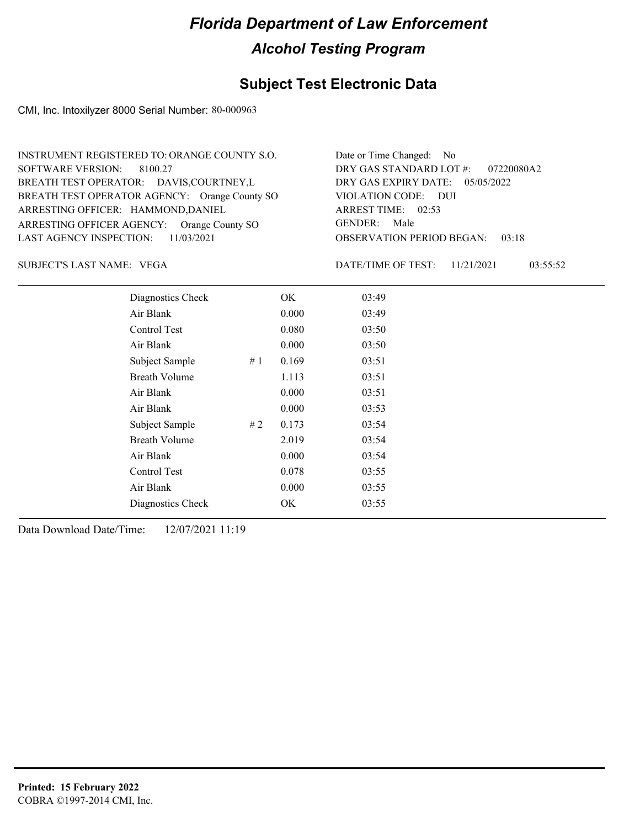## **Subject Test Electronic Data**

CMI, Inc. Intoxilyzer 8000 Serial Number: 80-000963

| INSTRUMENT REGISTERED TO: ORANGE COUNTY S.O.  | Date or Time Changed: No               |
|-----------------------------------------------|----------------------------------------|
| SOFTWARE VERSION: 8100.27                     | DRY GAS STANDARD LOT #: 07220080A2     |
| BREATH TEST OPERATOR: DAVIS, COURTNEY, L      | DRY GAS EXPIRY DATE: 05/05/2022        |
| BREATH TEST OPERATOR AGENCY: Orange County SO | VIOLATION CODE: DUI                    |
| ARRESTING OFFICER: HAMMOND, DANIEL            | ARREST TIME: 02:53                     |
| ARRESTING OFFICER AGENCY: Orange County SO    | GENDER: Male                           |
| LAST AGENCY INSPECTION: $11/03/2021$          | <b>OBSERVATION PERIOD BEGAN: 03:18</b> |

VEGA SUBJECT'S LAST NAME: DATE/TIME OF TEST:

DATE/TIME OF TEST: 11/21/2021 03:55:52

| Diagnostics Check    |    | OK    | 03:49 |
|----------------------|----|-------|-------|
| Air Blank            |    | 0.000 | 03:49 |
| Control Test         |    | 0.080 | 03:50 |
| Air Blank            |    | 0.000 | 03:50 |
| Subject Sample       | #1 | 0.169 | 03:51 |
| <b>Breath Volume</b> |    | 1.113 | 03:51 |
| Air Blank            |    | 0.000 | 03:51 |
| Air Blank            |    | 0.000 | 03:53 |
| Subject Sample       | #2 | 0.173 | 03:54 |
| <b>Breath Volume</b> |    | 2.019 | 03:54 |
| Air Blank            |    | 0.000 | 03:54 |
| Control Test         |    | 0.078 | 03:55 |
| Air Blank            |    | 0.000 | 03:55 |
| Diagnostics Check    |    | OK    | 03:55 |
|                      |    |       |       |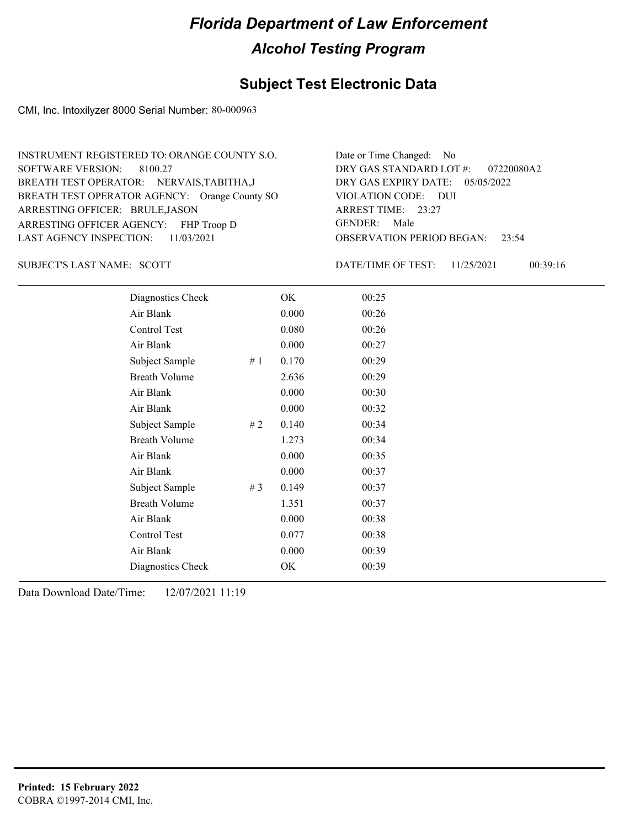## **Subject Test Electronic Data**

CMI, Inc. Intoxilyzer 8000 Serial Number: 80-000963

| INSTRUMENT REGISTERED TO: ORANGE COUNTY S.O.  | Date or Time Changed: No               |
|-----------------------------------------------|----------------------------------------|
| SOFTWARE VERSION: 8100.27                     | DRY GAS STANDARD LOT #: 07220080A2     |
| BREATH TEST OPERATOR: NERVAIS, TABITHA, J     | DRY GAS EXPIRY DATE: $05/05/2022$      |
| BREATH TEST OPERATOR AGENCY: Orange County SO | VIOLATION CODE: DUI                    |
| ARRESTING OFFICER: BRULE, JASON               | ARREST TIME: 23:27                     |
| ARRESTING OFFICER AGENCY: FHP Troop D         | GENDER: Male                           |
| LAST AGENCY INSPECTION: $11/03/2021$          | <b>OBSERVATION PERIOD BEGAN: 23:54</b> |

SUBJECT'S LAST NAME: SCOTT DATE/TIME OF TEST:

DATE/TIME OF TEST: 11/25/2021 00:39:16

| Diagnostics Check    |       | OK    | 00:25 |
|----------------------|-------|-------|-------|
| Air Blank            |       | 0.000 | 00:26 |
| Control Test         |       | 0.080 | 00:26 |
| Air Blank            |       | 0.000 | 00:27 |
| Subject Sample       | #1    | 0.170 | 00:29 |
| <b>Breath Volume</b> |       | 2.636 | 00:29 |
| Air Blank            |       | 0.000 | 00:30 |
| Air Blank            |       | 0.000 | 00:32 |
| Subject Sample       | #2    | 0.140 | 00:34 |
| <b>Breath Volume</b> |       | 1.273 | 00:34 |
| Air Blank            |       | 0.000 | 00:35 |
| Air Blank            |       | 0.000 | 00:37 |
| Subject Sample       | # $3$ | 0.149 | 00:37 |
| <b>Breath Volume</b> |       | 1.351 | 00:37 |
| Air Blank            |       | 0.000 | 00:38 |
| Control Test         |       | 0.077 | 00:38 |
| Air Blank            |       | 0.000 | 00:39 |
| Diagnostics Check    |       | OK    | 00:39 |
|                      |       |       |       |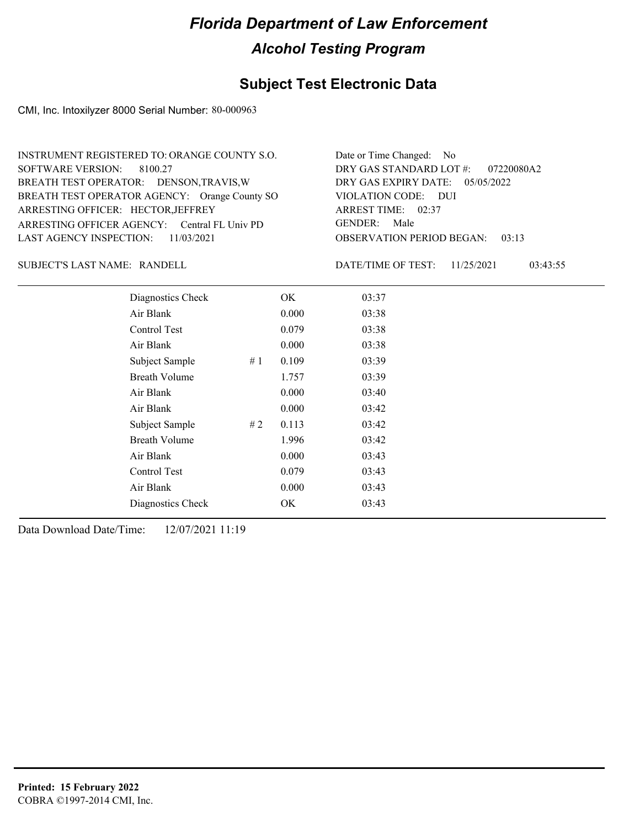## **Subject Test Electronic Data**

CMI, Inc. Intoxilyzer 8000 Serial Number: 80-000963

| INSTRUMENT REGISTERED TO: ORANGE COUNTY S.O.  | Date or Time Changed: No               |
|-----------------------------------------------|----------------------------------------|
| SOFTWARE VERSION: 8100.27                     | DRY GAS STANDARD LOT #: 07220080A2     |
| BREATH TEST OPERATOR: DENSON, TRAVIS, W       | DRY GAS EXPIRY DATE: $05/05/2022$      |
| BREATH TEST OPERATOR AGENCY: Orange County SO | VIOLATION CODE: DUI                    |
| ARRESTING OFFICER: HECTOR, JEFFREY            | ARREST TIME: 02:37                     |
| ARRESTING OFFICER AGENCY: Central FL Univ PD  | GENDER: Male                           |
| LAST AGENCY INSPECTION: $11/03/2021$          | <b>OBSERVATION PERIOD BEGAN: 03:13</b> |

SUBJECT'S LAST NAME: RANDELL DATE/TIME OF TEST:

DATE/TIME OF TEST: 11/25/2021 03:43:55

| Diagnostics Check    |    | OK    | 03:37 |  |  |
|----------------------|----|-------|-------|--|--|
| Air Blank            |    | 0.000 | 03:38 |  |  |
| Control Test         |    | 0.079 | 03:38 |  |  |
| Air Blank            |    | 0.000 | 03:38 |  |  |
| Subject Sample       | #1 | 0.109 | 03:39 |  |  |
| <b>Breath Volume</b> |    | 1.757 | 03:39 |  |  |
| Air Blank            |    | 0.000 | 03:40 |  |  |
| Air Blank            |    | 0.000 | 03:42 |  |  |
| Subject Sample       | #2 | 0.113 | 03:42 |  |  |
| <b>Breath Volume</b> |    | 1.996 | 03:42 |  |  |
| Air Blank            |    | 0.000 | 03:43 |  |  |
| <b>Control Test</b>  |    | 0.079 | 03:43 |  |  |
| Air Blank            |    | 0.000 | 03:43 |  |  |
| Diagnostics Check    |    | OK    | 03:43 |  |  |
|                      |    |       |       |  |  |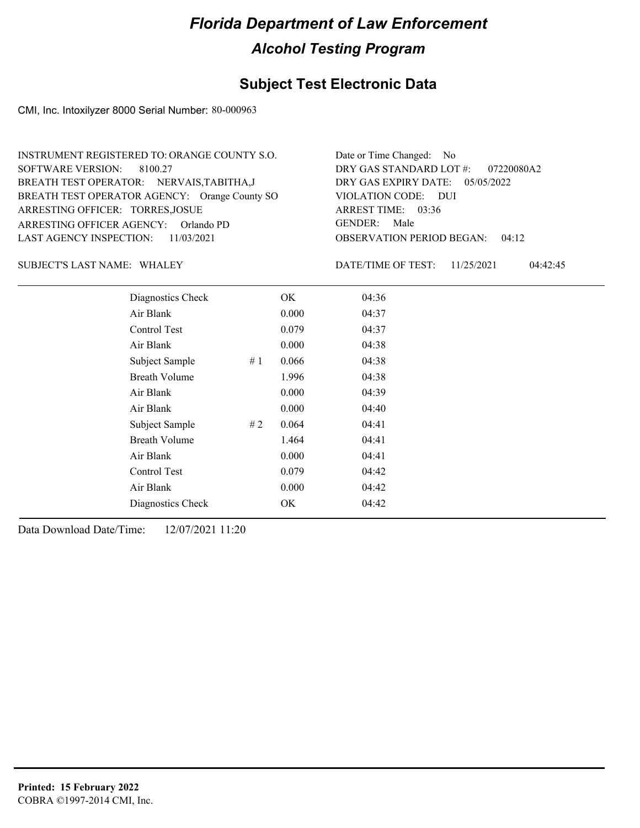## **Subject Test Electronic Data**

CMI, Inc. Intoxilyzer 8000 Serial Number: 80-000963

| INSTRUMENT REGISTERED TO: ORANGE COUNTY S.O.  | Date or Time Changed: No               |
|-----------------------------------------------|----------------------------------------|
| SOFTWARE VERSION: 8100.27                     | DRY GAS STANDARD LOT $\#$ : 07220080A2 |
| BREATH TEST OPERATOR: NERVAIS, TABITHA, J     | DRY GAS EXPIRY DATE: $05/05/2022$      |
| BREATH TEST OPERATOR AGENCY: Orange County SO | VIOLATION CODE: DUI                    |
| ARRESTING OFFICER: TORRES, JOSUE              | ARREST TIME: 03:36                     |
| ARRESTING OFFICER AGENCY: Orlando PD          | GENDER: Male                           |
| LAST AGENCY INSPECTION: 11/03/2021            | <b>OBSERVATION PERIOD BEGAN: 04:12</b> |

SUBJECT'S LAST NAME: WHALEY **Example 20** DATE/TIME OF TEST:

DATE/TIME OF TEST: 11/25/2021 04:42:45

| Diagnostics Check    |    | OK    | 04:36 |
|----------------------|----|-------|-------|
| Air Blank            |    | 0.000 | 04:37 |
| Control Test         |    | 0.079 | 04:37 |
| Air Blank            |    | 0.000 | 04:38 |
| Subject Sample       | #1 | 0.066 | 04:38 |
| <b>Breath Volume</b> |    | 1.996 | 04:38 |
| Air Blank            |    | 0.000 | 04:39 |
| Air Blank            |    | 0.000 | 04:40 |
| Subject Sample       | #2 | 0.064 | 04:41 |
| <b>Breath Volume</b> |    | 1.464 | 04:41 |
| Air Blank            |    | 0.000 | 04:41 |
| Control Test         |    | 0.079 | 04:42 |
| Air Blank            |    | 0.000 | 04:42 |
| Diagnostics Check    |    | OK    | 04:42 |
|                      |    |       |       |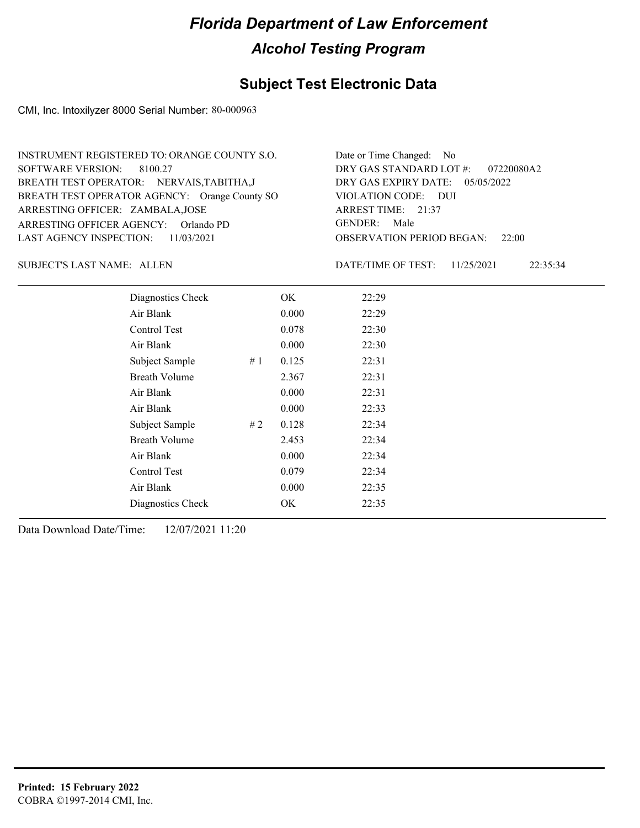## **Subject Test Electronic Data**

CMI, Inc. Intoxilyzer 8000 Serial Number: 80-000963

| INSTRUMENT REGISTERED TO: ORANGE COUNTY S.O.  | Date or Time Changed: No               |
|-----------------------------------------------|----------------------------------------|
| SOFTWARE VERSION: 8100.27                     | DRY GAS STANDARD LOT $\#$ : 07220080A2 |
| BREATH TEST OPERATOR: NERVAIS, TABITHA, J     | DRY GAS EXPIRY DATE: 05/05/2022        |
| BREATH TEST OPERATOR AGENCY: Orange County SO | VIOLATION CODE: DUI                    |
| ARRESTING OFFICER: ZAMBALA, JOSE              | ARREST TIME: 21:37                     |
| ARRESTING OFFICER AGENCY: Orlando PD          | GENDER: Male                           |
| LAST AGENCY INSPECTION: 11/03/2021            | <b>OBSERVATION PERIOD BEGAN: 22:00</b> |

SUBJECT'S LAST NAME: ALLEN DATE/TIME OF TEST:

DATE/TIME OF TEST: 11/25/2021 22:35:34

| Diagnostics Check    |    | OK    | 22:29 |
|----------------------|----|-------|-------|
| Air Blank            |    | 0.000 | 22:29 |
| Control Test         |    | 0.078 | 22:30 |
| Air Blank            |    | 0.000 | 22:30 |
| Subject Sample       | #1 | 0.125 | 22:31 |
| <b>Breath Volume</b> |    | 2.367 | 22:31 |
| Air Blank            |    | 0.000 | 22:31 |
| Air Blank            |    | 0.000 | 22:33 |
| Subject Sample       | #2 | 0.128 | 22:34 |
| <b>Breath Volume</b> |    | 2.453 | 22:34 |
| Air Blank            |    | 0.000 | 22:34 |
| Control Test         |    | 0.079 | 22:34 |
| Air Blank            |    | 0.000 | 22:35 |
| Diagnostics Check    |    | OK    | 22:35 |
|                      |    |       |       |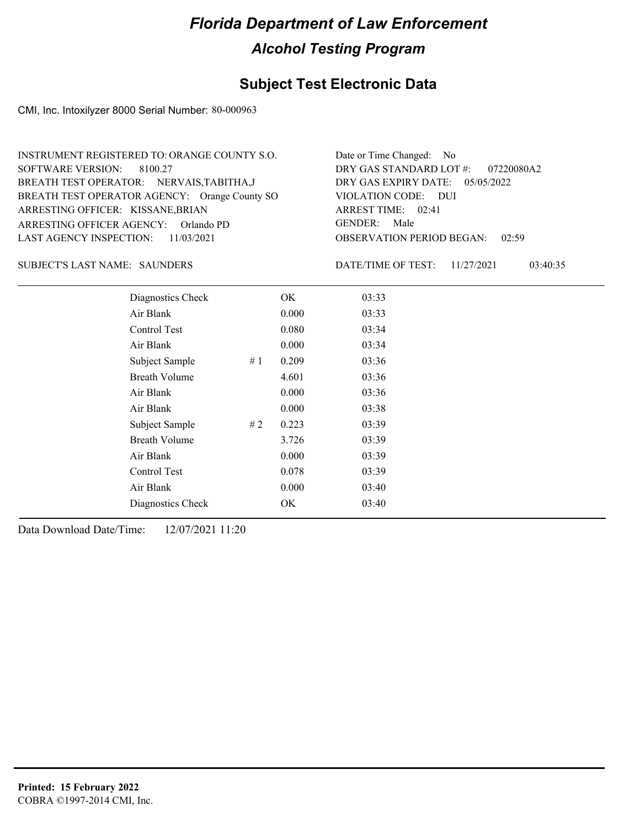## **Subject Test Electronic Data**

CMI, Inc. Intoxilyzer 8000 Serial Number: 80-000963

| INSTRUMENT REGISTERED TO: ORANGE COUNTY S.O.  | Date or Time Changed: No               |
|-----------------------------------------------|----------------------------------------|
| SOFTWARE VERSION: 8100.27                     | DRY GAS STANDARD LOT $\#$ : 07220080A2 |
| BREATH TEST OPERATOR: NERVAIS, TABITHA, J     | DRY GAS EXPIRY DATE: 05/05/2022        |
| BREATH TEST OPERATOR AGENCY: Orange County SO | VIOLATION CODE: DUI                    |
| ARRESTING OFFICER: KISSANE, BRIAN             | ARREST TIME: 02:41                     |
| ARRESTING OFFICER AGENCY: Orlando PD          | GENDER: Male                           |
| LAST AGENCY INSPECTION: 11/03/2021            | <b>OBSERVATION PERIOD BEGAN: 02:59</b> |

### SUBJECT'S LAST NAME: SAUNDERS DATE/TIME OF TEST:

DATE/TIME OF TEST: 11/27/2021 03:40:35

| Diagnostics Check    |    | OK    | 03:33 |
|----------------------|----|-------|-------|
| Air Blank            |    | 0.000 | 03:33 |
| Control Test         |    | 0.080 | 03:34 |
| Air Blank            |    | 0.000 | 03:34 |
| Subject Sample       | #1 | 0.209 | 03:36 |
| <b>Breath Volume</b> |    | 4.601 | 03:36 |
| Air Blank            |    | 0.000 | 03:36 |
| Air Blank            |    | 0.000 | 03:38 |
| Subject Sample       | #2 | 0.223 | 03:39 |
| <b>Breath Volume</b> |    | 3.726 | 03:39 |
| Air Blank            |    | 0.000 | 03:39 |
| Control Test         |    | 0.078 | 03:39 |
| Air Blank            |    | 0.000 | 03:40 |
| Diagnostics Check    |    | OK    | 03:40 |
|                      |    |       |       |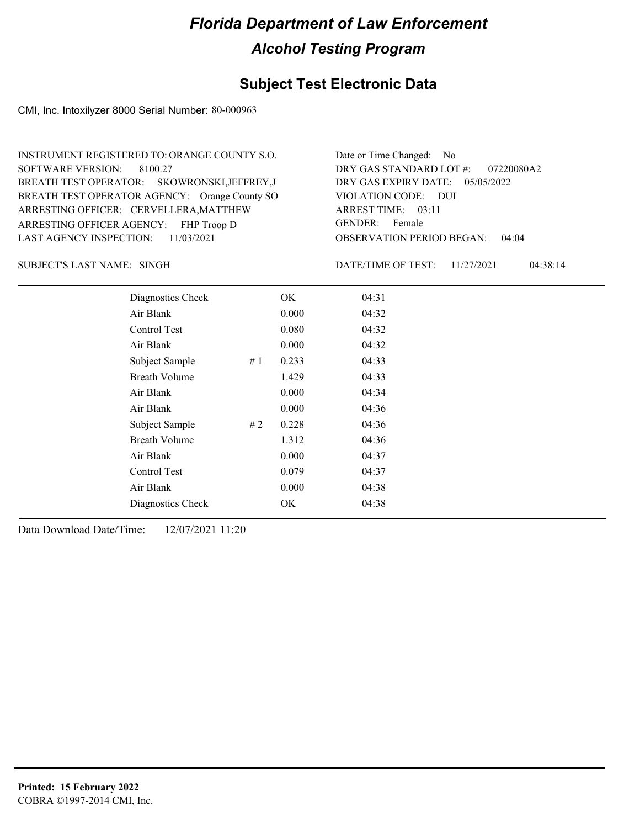## **Subject Test Electronic Data**

CMI, Inc. Intoxilyzer 8000 Serial Number: 80-000963

| INSTRUMENT REGISTERED TO: ORANGE COUNTY S.O.  | Date or Time Changed: No               |
|-----------------------------------------------|----------------------------------------|
| SOFTWARE VERSION: 8100.27                     | DRY GAS STANDARD LOT $\#$ : 07220080A2 |
| BREATH TEST OPERATOR: SKOWRONSKI, JEFFREY, J  | DRY GAS EXPIRY DATE: 05/05/2022        |
| BREATH TEST OPERATOR AGENCY: Orange County SO | VIOLATION CODE: DUI                    |
| ARRESTING OFFICER: CERVELLERA, MATTHEW        | ARREST TIME: 03:11                     |
| ARRESTING OFFICER AGENCY: FHP Troop D         | GENDER: Female                         |
| LAST AGENCY INSPECTION: $11/03/2021$          | <b>OBSERVATION PERIOD BEGAN: 04:04</b> |

SINGH SUBJECT'S LAST NAME: DATE/TIME OF TEST:

DATE/TIME OF TEST: 11/27/2021 04:38:14

| Diagnostics Check    |    | OK    | 04:31 |
|----------------------|----|-------|-------|
| Air Blank            |    | 0.000 | 04:32 |
| <b>Control Test</b>  |    | 0.080 | 04:32 |
| Air Blank            |    | 0.000 | 04:32 |
| Subject Sample       | #1 | 0.233 | 04:33 |
| <b>Breath Volume</b> |    | 1.429 | 04:33 |
| Air Blank            |    | 0.000 | 04:34 |
| Air Blank            |    | 0.000 | 04:36 |
| Subject Sample       | #2 | 0.228 | 04:36 |
| <b>Breath Volume</b> |    | 1.312 | 04:36 |
| Air Blank            |    | 0.000 | 04:37 |
| <b>Control Test</b>  |    | 0.079 | 04:37 |
| Air Blank            |    | 0.000 | 04:38 |
| Diagnostics Check    |    | OK    | 04:38 |
|                      |    |       |       |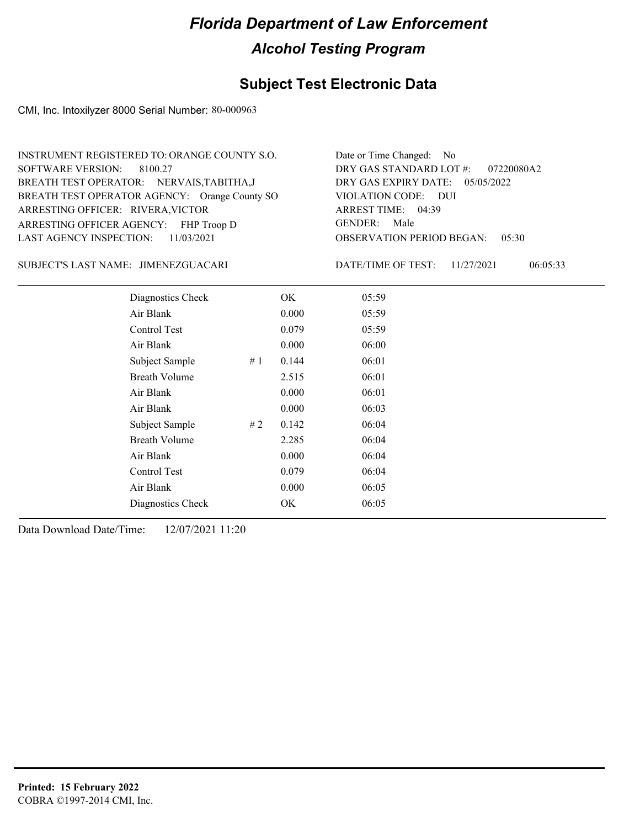## **Subject Test Electronic Data**

CMI, Inc. Intoxilyzer 8000 Serial Number: 80-000963

| INSTRUMENT REGISTERED TO: ORANGE COUNTY S.O.                               | Date or Time Changed: No                                              |
|----------------------------------------------------------------------------|-----------------------------------------------------------------------|
| SOFTWARE VERSION: 8100.27<br>BREATH TEST OPERATOR: NERVAIS, TABITHA, J     | DRY GAS STANDARD LOT #: 07220080A2<br>DRY GAS EXPIRY DATE: 05/05/2022 |
| BREATH TEST OPERATOR AGENCY: Orange County SO                              | VIOLATION CODE: DUI                                                   |
| ARRESTING OFFICER: RIVERA, VICTOR<br>ARRESTING OFFICER AGENCY: FHP Troop D | ARREST TIME: 04:39<br>GENDER: Male                                    |
| LAST AGENCY INSPECTION: $11/03/2021$                                       | <b>OBSERVATION PERIOD BEGAN: 05:30</b>                                |

### JIMENEZGUACARI SUBJECT'S LAST NAME: DATE/TIME OF TEST:

DATE/TIME OF TEST: 11/27/2021 06:05:33

| Diagnostics Check    |    | OK    | 05:59 |
|----------------------|----|-------|-------|
| Air Blank            |    | 0.000 | 05:59 |
| Control Test         |    | 0.079 | 05:59 |
| Air Blank            |    | 0.000 | 06:00 |
| Subject Sample       | #1 | 0.144 | 06:01 |
| <b>Breath Volume</b> |    | 2.515 | 06:01 |
| Air Blank            |    | 0.000 | 06:01 |
| Air Blank            |    | 0.000 | 06:03 |
| Subject Sample       | #2 | 0.142 | 06:04 |
| <b>Breath Volume</b> |    | 2.285 | 06:04 |
| Air Blank            |    | 0.000 | 06:04 |
| Control Test         |    | 0.079 | 06:04 |
| Air Blank            |    | 0.000 | 06:05 |
| Diagnostics Check    |    | OK    | 06:05 |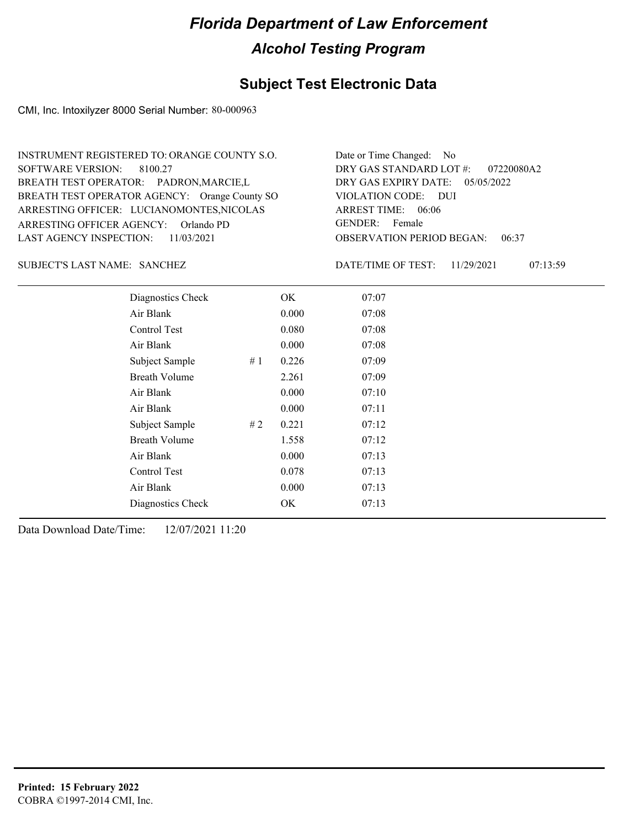## **Subject Test Electronic Data**

CMI, Inc. Intoxilyzer 8000 Serial Number: 80-000963

| INSTRUMENT REGISTERED TO: ORANGE COUNTY S.O.  | Date or Time Changed: No               |
|-----------------------------------------------|----------------------------------------|
| SOFTWARE VERSION: 8100.27                     | DRY GAS STANDARD LOT #: 07220080A2     |
| BREATH TEST OPERATOR: PADRON, MARCIE, L       | DRY GAS EXPIRY DATE: 05/05/2022        |
| BREATH TEST OPERATOR AGENCY: Orange County SO | VIOLATION CODE: DUI                    |
| ARRESTING OFFICER: LUCIANOMONTES, NICOLAS     | ARREST TIME: 06:06                     |
| ARRESTING OFFICER AGENCY: Orlando PD          | GENDER: Female                         |
| LAST AGENCY INSPECTION: 11/03/2021            | <b>OBSERVATION PERIOD BEGAN: 06:37</b> |

### SANCHEZ SUBJECT'S LAST NAME: DATE/TIME OF TEST:

DATE/TIME OF TEST: 11/29/2021 07:13:59

| Diagnostics Check    |    | OK    | 07:07 |
|----------------------|----|-------|-------|
| Air Blank            |    | 0.000 | 07:08 |
| Control Test         |    | 0.080 | 07:08 |
| Air Blank            |    | 0.000 | 07:08 |
| Subject Sample       | #1 | 0.226 | 07:09 |
| <b>Breath Volume</b> |    | 2.261 | 07:09 |
| Air Blank            |    | 0.000 | 07:10 |
| Air Blank            |    | 0.000 | 07:11 |
| Subject Sample       | #2 | 0.221 | 07:12 |
| <b>Breath Volume</b> |    | 1.558 | 07:12 |
| Air Blank            |    | 0.000 | 07:13 |
| Control Test         |    | 0.078 | 07:13 |
| Air Blank            |    | 0.000 | 07:13 |
| Diagnostics Check    |    | OK    | 07:13 |
|                      |    |       |       |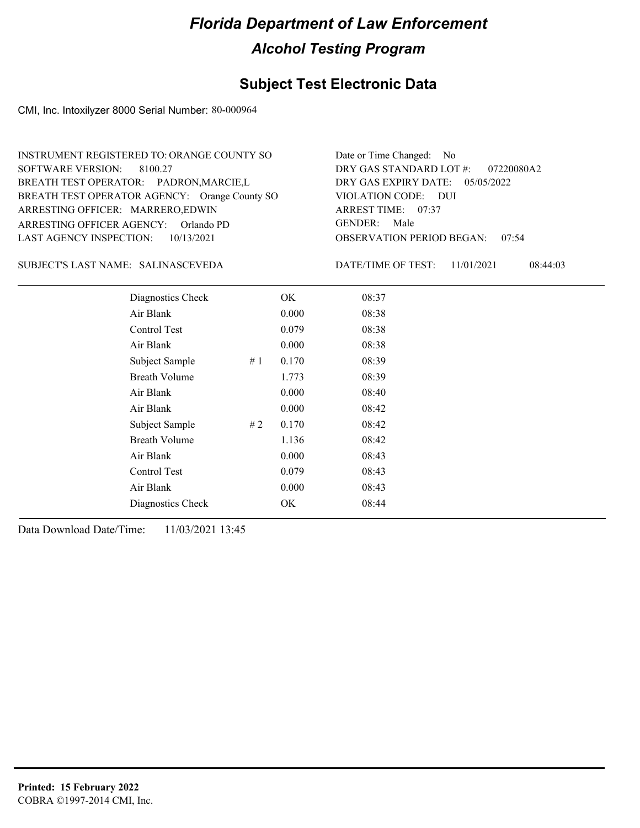## **Subject Test Electronic Data**

CMI, Inc. Intoxilyzer 8000 Serial Number: 80-000964

| INSTRUMENT REGISTERED TO: ORANGE COUNTY SO    | Date or Time Changed: No               |
|-----------------------------------------------|----------------------------------------|
| SOFTWARE VERSION: 8100.27                     | DRY GAS STANDARD LOT $\#$ : 07220080A2 |
| BREATH TEST OPERATOR: PADRON, MARCIE, L       | DRY GAS EXPIRY DATE: 05/05/2022        |
| BREATH TEST OPERATOR AGENCY: Orange County SO | VIOLATION CODE: DUI                    |
| ARRESTING OFFICER: MARRERO, EDWIN             | ARREST TIME: 07:37                     |
| ARRESTING OFFICER AGENCY: Orlando PD          | GENDER: Male                           |
| LAST AGENCY INSPECTION: 10/13/2021            | <b>OBSERVATION PERIOD BEGAN: 07:54</b> |

### SALINASCEVEDA SUBJECT'S LAST NAME: DATE/TIME OF TEST:

DATE/TIME OF TEST: 11/01/2021 08:44:03

| Diagnostics Check    |    | OK    | 08:37 |  |
|----------------------|----|-------|-------|--|
| Air Blank            |    | 0.000 | 08:38 |  |
| Control Test         |    | 0.079 | 08:38 |  |
| Air Blank            |    | 0.000 | 08:38 |  |
| Subject Sample       | #1 | 0.170 | 08:39 |  |
| <b>Breath Volume</b> |    | 1.773 | 08:39 |  |
| Air Blank            |    | 0.000 | 08:40 |  |
| Air Blank            |    | 0.000 | 08:42 |  |
| Subject Sample       | #2 | 0.170 | 08:42 |  |
| <b>Breath Volume</b> |    | 1.136 | 08:42 |  |
| Air Blank            |    | 0.000 | 08:43 |  |
| Control Test         |    | 0.079 | 08:43 |  |
| Air Blank            |    | 0.000 | 08:43 |  |
| Diagnostics Check    |    | OK    | 08:44 |  |
|                      |    |       |       |  |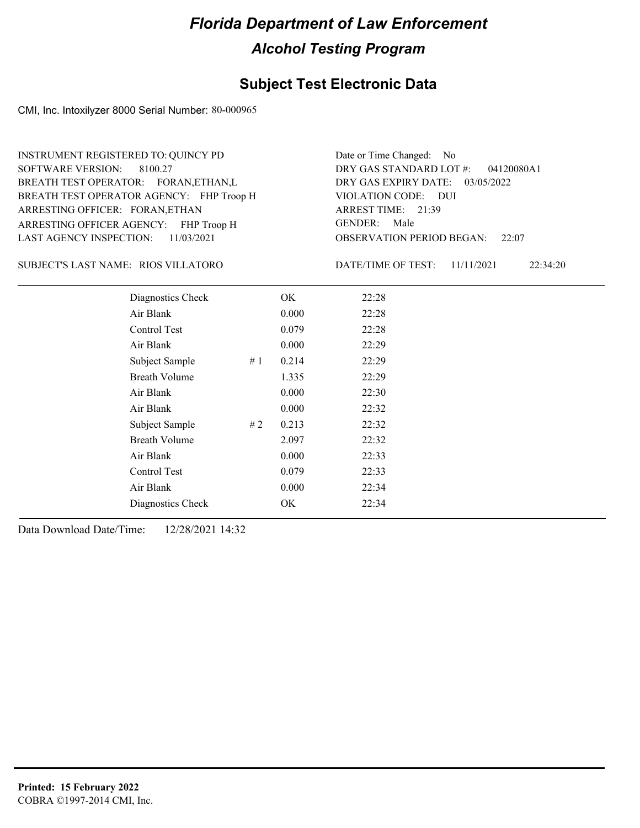### **Subject Test Electronic Data**

CMI, Inc. Intoxilyzer 8000 Serial Number: 80-000965

ARRESTING OFFICER AGENCY: FHP Troop H GENDER: BREATH TEST OPERATOR AGENCY: FHP Troop H VIOLATION CODE: SOFTWARE VERSION: ARRESTING OFFICER: FORAN,ETHAN BREATH TEST OPERATOR: FORAN,ETHAN,L LAST AGENCY INSPECTION: 11/03/2021 8100.27 INSTRUMENT REGISTERED TO: QUINCY PD

OBSERVATION PERIOD BEGAN: 22:07 VIOLATION CODE: DUI ARREST TIME: 21:39 DRY GAS EXPIRY DATE: 03/05/2022 04120080A1 DRY GAS STANDARD LOT #: Date or Time Changed: No GENDER: Male

RIOS VILLATORO SUBJECT'S LAST NAME: DATE/TIME OF TEST:

DATE/TIME OF TEST: 11/11/2021 22:34:20

| Diagnostics Check    | OK    | 22:28 |
|----------------------|-------|-------|
| Air Blank            | 0.000 | 22:28 |
| Control Test         | 0.079 | 22:28 |
| Air Blank            | 0.000 | 22:29 |
| Subject Sample<br>#1 | 0.214 | 22:29 |
| <b>Breath Volume</b> | 1.335 | 22:29 |
| Air Blank            | 0.000 | 22:30 |
| Air Blank            | 0.000 | 22:32 |
| Subject Sample<br>#2 | 0.213 | 22:32 |
| <b>Breath Volume</b> | 2.097 | 22:32 |
| Air Blank            | 0.000 | 22:33 |
| Control Test         | 0.079 | 22:33 |
| Air Blank            | 0.000 | 22:34 |
| Diagnostics Check    | OK    | 22:34 |
|                      |       |       |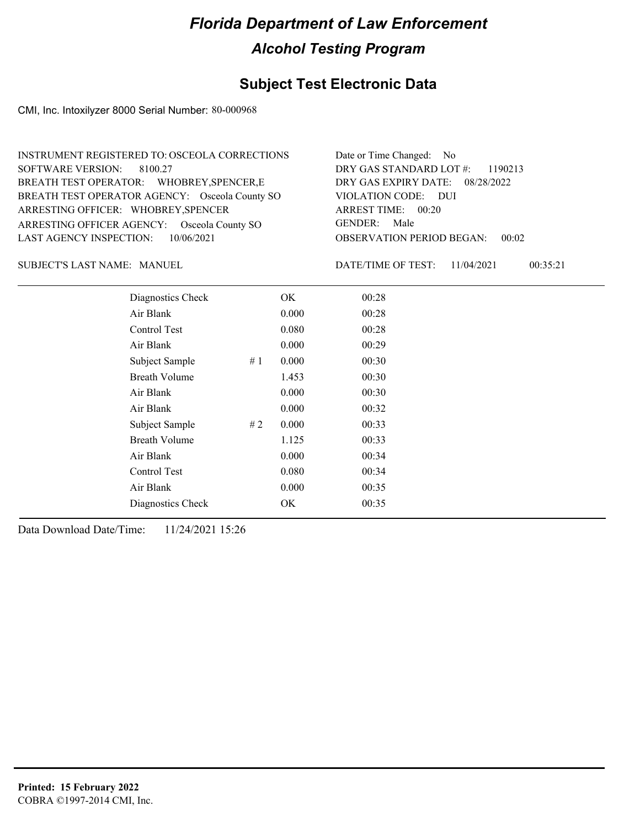## **Subject Test Electronic Data**

CMI, Inc. Intoxilyzer 8000 Serial Number: 80-000968

| INSTRUMENT REGISTERED TO: OSCEOLA CORRECTIONS  | Date or Time Changed: No               |
|------------------------------------------------|----------------------------------------|
| SOFTWARE VERSION: 8100.27                      | DRY GAS STANDARD LOT $\#$ : 1190213    |
| BREATH TEST OPERATOR: WHOBREY, SPENCER, E      | DRY GAS EXPIRY DATE: 08/28/2022        |
| BREATH TEST OPERATOR AGENCY: Osceola County SO | VIOLATION CODE: DUI                    |
| ARRESTING OFFICER: WHOBREY, SPENCER            | ARREST TIME: 00:20                     |
| ARRESTING OFFICER AGENCY: Osceola County SO    | GENDER: Male                           |
| LAST AGENCY INSPECTION: 10/06/2021             | <b>OBSERVATION PERIOD BEGAN: 00:02</b> |

SUBJECT'S LAST NAME: MANUEL **Example 20 SUBJECT'S LAST NAME:** MANUEL

DATE/TIME OF TEST: 11/04/2021 00:35:21

| Diagnostics Check    |    | OK    | 00:28 |
|----------------------|----|-------|-------|
| Air Blank            |    | 0.000 | 00:28 |
| Control Test         |    | 0.080 | 00:28 |
| Air Blank            |    | 0.000 | 00:29 |
| Subject Sample       | #1 | 0.000 | 00:30 |
| <b>Breath Volume</b> |    | 1.453 | 00:30 |
| Air Blank            |    | 0.000 | 00:30 |
| Air Blank            |    | 0.000 | 00:32 |
| Subject Sample       | #2 | 0.000 | 00:33 |
| <b>Breath Volume</b> |    | 1.125 | 00:33 |
| Air Blank            |    | 0.000 | 00:34 |
| Control Test         |    | 0.080 | 00:34 |
| Air Blank            |    | 0.000 | 00:35 |
| Diagnostics Check    |    | OK    | 00:35 |
|                      |    |       |       |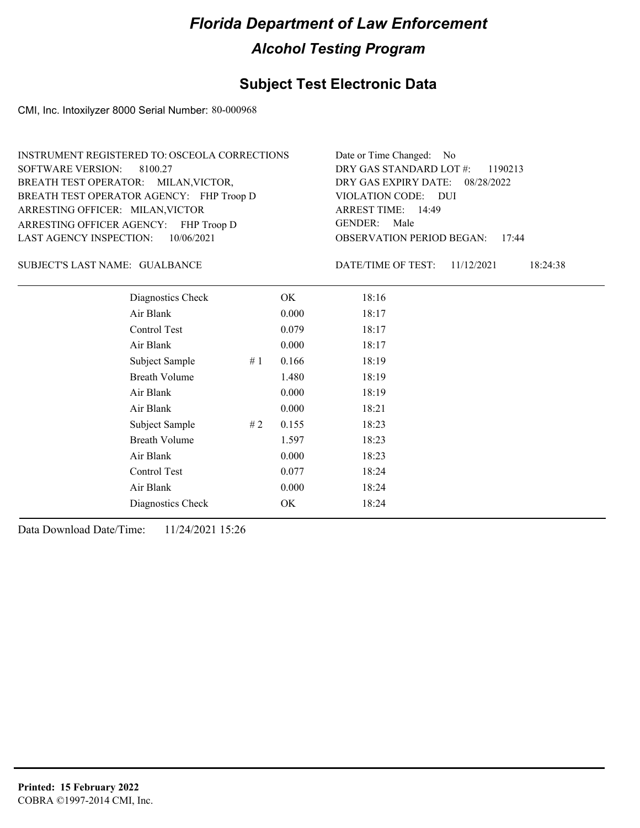## **Subject Test Electronic Data**

CMI, Inc. Intoxilyzer 8000 Serial Number: 80-000968

| INSTRUMENT REGISTERED TO: OSCEOLA CORRECTIONS | Date or Time Changed: No               |
|-----------------------------------------------|----------------------------------------|
| SOFTWARE VERSION: 8100.27                     | DRY GAS STANDARD LOT $\#$ : 1190213    |
| BREATH TEST OPERATOR: MILAN, VICTOR,          | DRY GAS EXPIRY DATE: 08/28/2022        |
| BREATH TEST OPERATOR AGENCY: FHP Troop D      | VIOLATION CODE: DUI                    |
| ARRESTING OFFICER: MILAN, VICTOR              | ARREST TIME: 14:49                     |
| ARRESTING OFFICER AGENCY: FHP Troop D         | GENDER: Male                           |
| LAST AGENCY INSPECTION: 10/06/2021            | <b>OBSERVATION PERIOD BEGAN: 17:44</b> |

GUALBANCE SUBJECT'S LAST NAME: DATE/TIME OF TEST:

DATE/TIME OF TEST: 11/12/2021 18:24:38

| Diagnostics Check    | OK    | 18:16 |
|----------------------|-------|-------|
| Air Blank            | 0.000 | 18:17 |
| Control Test         | 0.079 | 18:17 |
| Air Blank            | 0.000 | 18:17 |
| Subject Sample<br>#1 | 0.166 | 18:19 |
| <b>Breath Volume</b> | 1.480 | 18:19 |
| Air Blank            | 0.000 | 18:19 |
| Air Blank            | 0.000 | 18:21 |
| Subject Sample<br>#2 | 0.155 | 18:23 |
| <b>Breath Volume</b> | 1.597 | 18:23 |
| Air Blank            | 0.000 | 18:23 |
| <b>Control Test</b>  | 0.077 | 18:24 |
| Air Blank            | 0.000 | 18:24 |
| Diagnostics Check    | OK    | 18:24 |
|                      |       |       |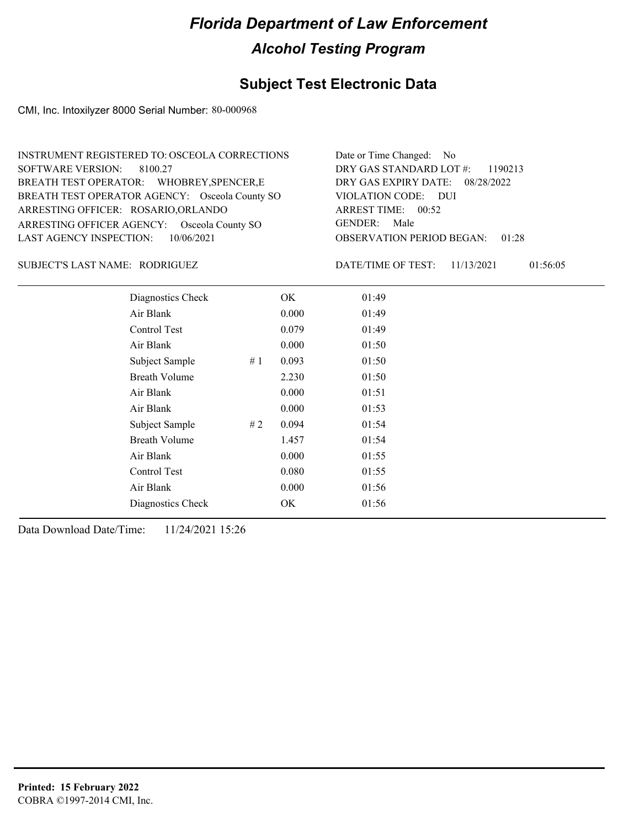## **Subject Test Electronic Data**

CMI, Inc. Intoxilyzer 8000 Serial Number: 80-000968

| INSTRUMENT REGISTERED TO: OSCEOLA CORRECTIONS  | Date or Time Changed: No               |
|------------------------------------------------|----------------------------------------|
| SOFTWARE VERSION: 8100.27                      | DRY GAS STANDARD LOT $\#$ : 1190213    |
| BREATH TEST OPERATOR: WHOBREY, SPENCER, E      | DRY GAS EXPIRY DATE: 08/28/2022        |
| BREATH TEST OPERATOR AGENCY: Osceola County SO | VIOLATION CODE: DUI                    |
| ARRESTING OFFICER: ROSARIO, ORLANDO            | ARREST TIME: 00:52                     |
| ARRESTING OFFICER AGENCY: Osceola County SO    | GENDER: Male                           |
| LAST AGENCY INSPECTION: $10/06/2021$           | <b>OBSERVATION PERIOD BEGAN: 01:28</b> |

### RODRIGUEZ SUBJECT'S LAST NAME: DATE/TIME OF TEST:

DATE/TIME OF TEST: 11/13/2021 01:56:05

| Diagnostics Check    |    | OK    | 01:49 |
|----------------------|----|-------|-------|
| Air Blank            |    | 0.000 | 01:49 |
| Control Test         |    | 0.079 | 01:49 |
| Air Blank            |    | 0.000 | 01:50 |
| Subject Sample       | #1 | 0.093 | 01:50 |
| <b>Breath Volume</b> |    | 2.230 | 01:50 |
| Air Blank            |    | 0.000 | 01:51 |
| Air Blank            |    | 0.000 | 01:53 |
| Subject Sample       | #2 | 0.094 | 01:54 |
| <b>Breath Volume</b> |    | 1.457 | 01:54 |
| Air Blank            |    | 0.000 | 01:55 |
| Control Test         |    | 0.080 | 01:55 |
| Air Blank            |    | 0.000 | 01:56 |
| Diagnostics Check    |    | OK    | 01:56 |
|                      |    |       |       |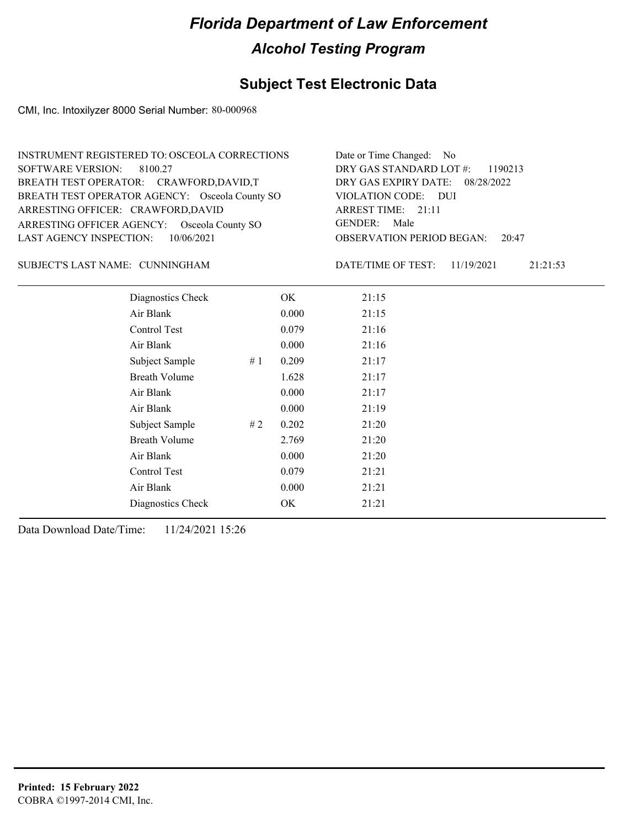## **Subject Test Electronic Data**

CMI, Inc. Intoxilyzer 8000 Serial Number: 80-000968

| INSTRUMENT REGISTERED TO: OSCEOLA CORRECTIONS  | Date or Time Changed: No               |
|------------------------------------------------|----------------------------------------|
| SOFTWARE VERSION: 8100.27                      | DRY GAS STANDARD LOT $\#$ : 1190213    |
| BREATH TEST OPERATOR: CRAWFORD, DAVID, T       | DRY GAS EXPIRY DATE: 08/28/2022        |
| BREATH TEST OPERATOR AGENCY: Osceola County SO | VIOLATION CODE: DUI                    |
| ARRESTING OFFICER: CRAWFORD, DAVID             | ARREST TIME: $21:11$                   |
| ARRESTING OFFICER AGENCY: Osceola County SO    | GENDER: Male                           |
| LAST AGENCY INSPECTION: $10/06/2021$           | <b>OBSERVATION PERIOD BEGAN: 20:47</b> |

### CUNNINGHAM SUBJECT'S LAST NAME: DATE/TIME OF TEST:

DATE/TIME OF TEST: 11/19/2021 21:21:53

| Diagnostics Check    |    | OK    | 21:15 |
|----------------------|----|-------|-------|
| Air Blank            |    | 0.000 | 21:15 |
| Control Test         |    | 0.079 | 21:16 |
| Air Blank            |    | 0.000 | 21:16 |
| Subject Sample       | #1 | 0.209 | 21:17 |
| <b>Breath Volume</b> |    | 1.628 | 21:17 |
| Air Blank            |    | 0.000 | 21:17 |
| Air Blank            |    | 0.000 | 21:19 |
| Subject Sample       | #2 | 0.202 | 21:20 |
| <b>Breath Volume</b> |    | 2.769 | 21:20 |
| Air Blank            |    | 0.000 | 21:20 |
| Control Test         |    | 0.079 | 21:21 |
| Air Blank            |    | 0.000 | 21:21 |
| Diagnostics Check    |    | OK    | 21:21 |
|                      |    |       |       |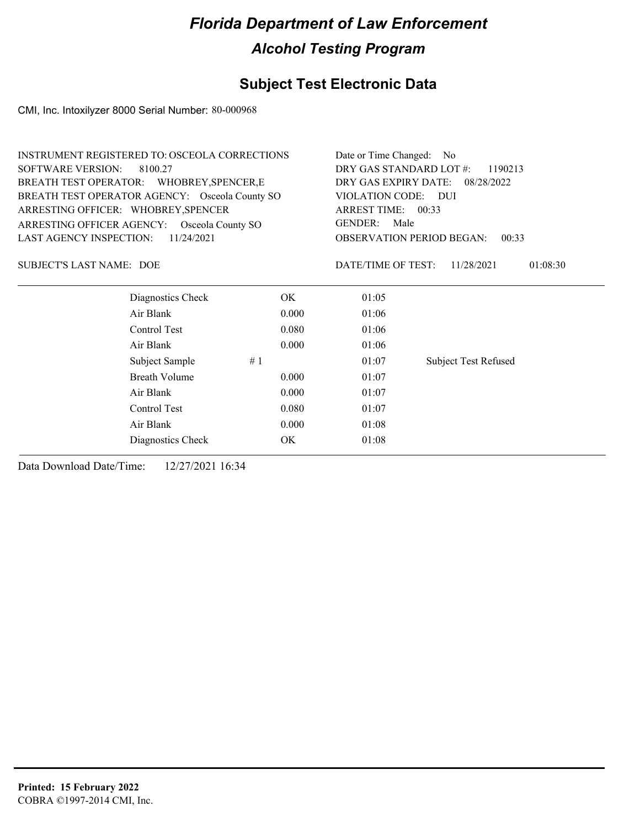## **Subject Test Electronic Data**

CMI, Inc. Intoxilyzer 8000 Serial Number: 80-000968

| <b>INSTRUMENT REGISTERED TO: OSCEOLA CORRECTIONS</b> |                      | Date or Time Changed: No                  |                                                                                   |                             |  |
|------------------------------------------------------|----------------------|-------------------------------------------|-----------------------------------------------------------------------------------|-----------------------------|--|
| <b>SOFTWARE VERSION:</b><br>8100.27                  |                      | DRY GAS STANDARD LOT #:<br>1190213        |                                                                                   |                             |  |
| BREATH TEST OPERATOR: WHOBREY, SPENCER, E            |                      | DRY GAS EXPIRY DATE:                      | 08/28/2022                                                                        |                             |  |
| BREATH TEST OPERATOR AGENCY: Osceola County SO       |                      |                                           | VIOLATION CODE:<br>$\overline{D}$<br>ARREST TIME: 00:33<br><b>GENDER:</b><br>Male |                             |  |
| ARRESTING OFFICER: WHOBREY, SPENCER                  |                      |                                           |                                                                                   |                             |  |
| ARRESTING OFFICER AGENCY: Osceola County SO          |                      |                                           |                                                                                   |                             |  |
| LAST AGENCY INSPECTION:                              | 11/24/2021           | <b>OBSERVATION PERIOD BEGAN:</b><br>00:33 |                                                                                   |                             |  |
| <b>SUBJECT'S LAST NAME: DOE</b>                      |                      |                                           | DATE/TIME OF TEST:                                                                | 01:08:30<br>11/28/2021      |  |
|                                                      | Diagnostics Check    | OK                                        | 01:05                                                                             |                             |  |
| Air Blank                                            |                      | 0.000                                     | 01:06                                                                             |                             |  |
| Control Test                                         |                      | 0.080                                     | 01:06                                                                             |                             |  |
| Air Blank                                            |                      | 0.000                                     | 01:06                                                                             |                             |  |
|                                                      | Subject Sample<br>#1 |                                           | 01:07                                                                             | <b>Subject Test Refused</b> |  |
|                                                      | <b>Breath Volume</b> | 0.000                                     | 01:07                                                                             |                             |  |
| Air Blank                                            |                      | 0.000                                     | 01:07                                                                             |                             |  |
| Control Test                                         |                      | 0.080                                     | 01:07                                                                             |                             |  |
| Air Blank                                            |                      | 01:08                                     |                                                                                   |                             |  |
|                                                      | Diagnostics Check    | ОK                                        | 01:08                                                                             |                             |  |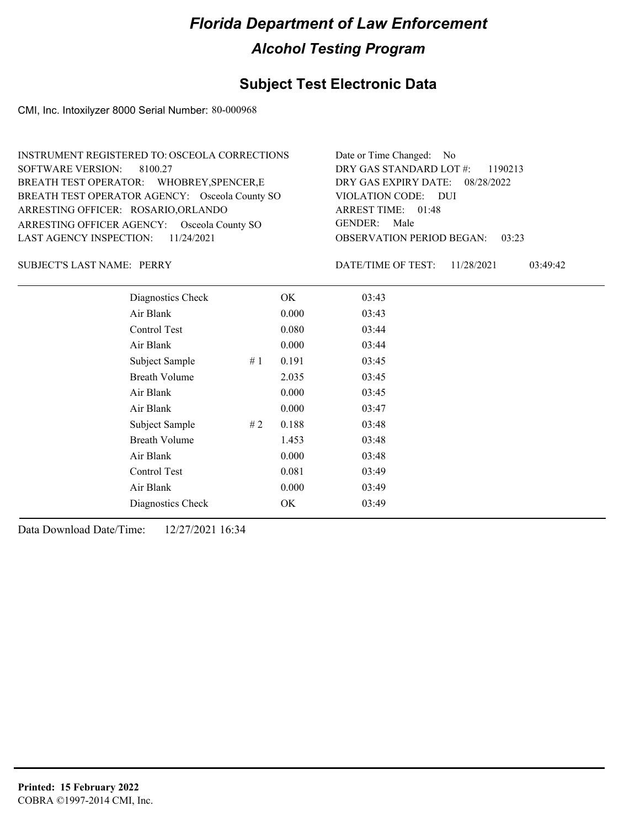## **Subject Test Electronic Data**

CMI, Inc. Intoxilyzer 8000 Serial Number: 80-000968

| INSTRUMENT REGISTERED TO: OSCEOLA CORRECTIONS  | Date or Time Changed: No               |
|------------------------------------------------|----------------------------------------|
| SOFTWARE VERSION: 8100.27                      | DRY GAS STANDARD LOT $\#$ : 1190213    |
| BREATH TEST OPERATOR: WHOBREY, SPENCER, E      | DRY GAS EXPIRY DATE: 08/28/2022        |
| BREATH TEST OPERATOR AGENCY: Osceola County SO | VIOLATION CODE: DUI                    |
| ARRESTING OFFICER: ROSARIO, ORLANDO            | ARREST TIME: 01:48                     |
| ARRESTING OFFICER AGENCY: Osceola County SO    | GENDER: Male                           |
| LAST AGENCY INSPECTION: $11/24/2021$           | <b>OBSERVATION PERIOD BEGAN: 03:23</b> |

SUBJECT'S LAST NAME: PERRY DATE/TIME OF TEST:

DATE/TIME OF TEST: 11/28/2021 03:49:42

| Diagnostics Check    |    | OK    | 03:43 |
|----------------------|----|-------|-------|
| Air Blank            |    | 0.000 | 03:43 |
| Control Test         |    | 0.080 | 03:44 |
| Air Blank            |    | 0.000 | 03:44 |
| Subject Sample       | #1 | 0.191 | 03:45 |
| <b>Breath Volume</b> |    | 2.035 | 03:45 |
| Air Blank            |    | 0.000 | 03:45 |
| Air Blank            |    | 0.000 | 03:47 |
| Subject Sample       | #2 | 0.188 | 03:48 |
| <b>Breath Volume</b> |    | 1.453 | 03:48 |
| Air Blank            |    | 0.000 | 03:48 |
| Control Test         |    | 0.081 | 03:49 |
| Air Blank            |    | 0.000 | 03:49 |
| Diagnostics Check    |    | OK    | 03:49 |
|                      |    |       |       |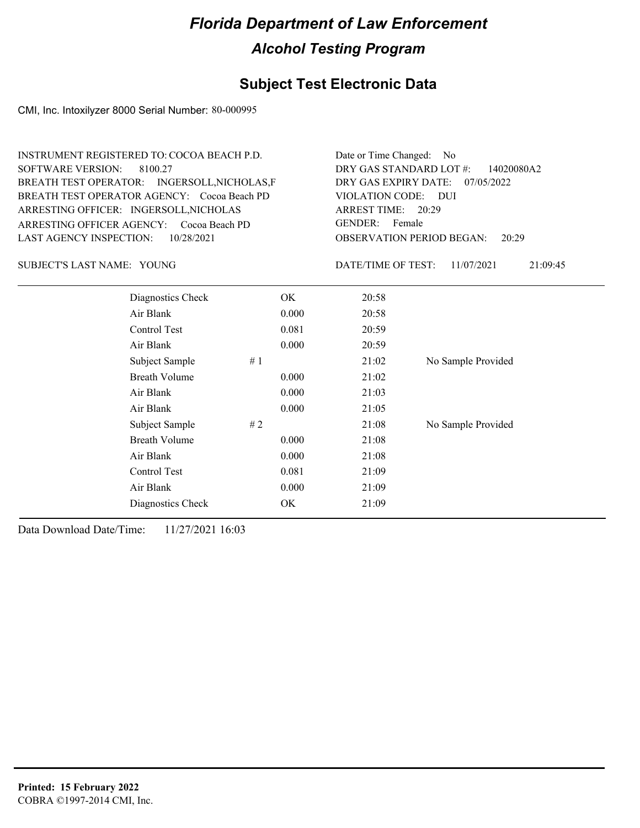## **Subject Test Electronic Data**

CMI, Inc. Intoxilyzer 8000 Serial Number: 80-000995

| <b>SOFTWARE VERSION:</b>       | <b>INSTRUMENT REGISTERED TO: COCOA BEACH P.D.</b><br>8100.27<br>BREATH TEST OPERATOR: INGERSOLL, NICHOLAS, F<br>BREATH TEST OPERATOR AGENCY: Cocoa Beach PD<br>ARRESTING OFFICER: INGERSOLL, NICHOLAS<br>ARRESTING OFFICER AGENCY: Cocoa Beach PD | Date or Time Changed: No<br>DRY GAS STANDARD LOT #:<br>14020080A2<br>DRY GAS EXPIRY DATE:<br>07/05/2022<br><b>VIOLATION CODE:</b><br><b>DUI</b><br><b>ARREST TIME:</b><br>20:29<br><b>GENDER:</b><br>Female |       |       |                    |
|--------------------------------|---------------------------------------------------------------------------------------------------------------------------------------------------------------------------------------------------------------------------------------------------|-------------------------------------------------------------------------------------------------------------------------------------------------------------------------------------------------------------|-------|-------|--------------------|
| <b>LAST AGENCY INSPECTION:</b> | 10/28/2021                                                                                                                                                                                                                                        | <b>OBSERVATION PERIOD BEGAN:</b><br>20:29                                                                                                                                                                   |       |       |                    |
| SUBJECT'S LAST NAME: YOUNG     |                                                                                                                                                                                                                                                   | DATE/TIME OF TEST:<br>11/07/2021<br>21:09:45                                                                                                                                                                |       |       |                    |
|                                | Diagnostics Check                                                                                                                                                                                                                                 |                                                                                                                                                                                                             | OK    | 20:58 |                    |
|                                | Air Blank                                                                                                                                                                                                                                         |                                                                                                                                                                                                             | 0.000 | 20:58 |                    |
|                                | Control Test                                                                                                                                                                                                                                      |                                                                                                                                                                                                             | 0.081 | 20:59 |                    |
|                                | Air Blank                                                                                                                                                                                                                                         |                                                                                                                                                                                                             | 0.000 | 20:59 |                    |
|                                | Subject Sample                                                                                                                                                                                                                                    | #1                                                                                                                                                                                                          |       | 21:02 | No Sample Provided |
|                                | <b>Breath Volume</b>                                                                                                                                                                                                                              |                                                                                                                                                                                                             | 0.000 | 21:02 |                    |
|                                | Air Blank                                                                                                                                                                                                                                         |                                                                                                                                                                                                             | 0.000 | 21:03 |                    |
|                                | Air Blank                                                                                                                                                                                                                                         |                                                                                                                                                                                                             | 0.000 | 21:05 |                    |
|                                | Subject Sample                                                                                                                                                                                                                                    | #2                                                                                                                                                                                                          |       | 21:08 | No Sample Provided |
|                                | <b>Breath Volume</b>                                                                                                                                                                                                                              |                                                                                                                                                                                                             | 0.000 | 21:08 |                    |
|                                | Air Blank                                                                                                                                                                                                                                         |                                                                                                                                                                                                             | 0.000 | 21:08 |                    |
|                                | Control Test                                                                                                                                                                                                                                      |                                                                                                                                                                                                             | 0.081 | 21:09 |                    |
|                                | Air Blank                                                                                                                                                                                                                                         |                                                                                                                                                                                                             | 0.000 | 21:09 |                    |
|                                | Diagnostics Check                                                                                                                                                                                                                                 |                                                                                                                                                                                                             | OK    | 21:09 |                    |
|                                |                                                                                                                                                                                                                                                   |                                                                                                                                                                                                             |       |       |                    |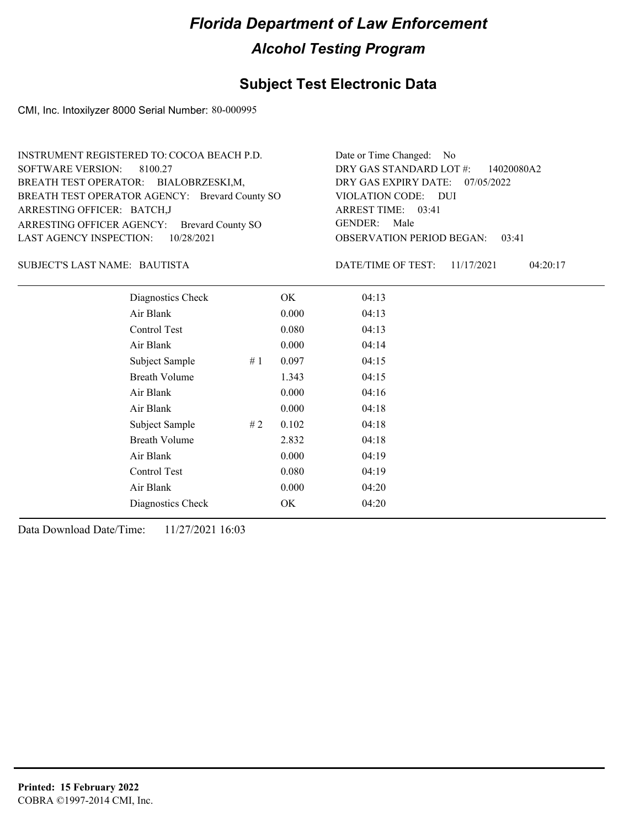## **Subject Test Electronic Data**

CMI, Inc. Intoxilyzer 8000 Serial Number: 80-000995

| INSTRUMENT REGISTERED TO: COCOA BEACH P.D.     | Date or Time Changed: No               |
|------------------------------------------------|----------------------------------------|
| SOFTWARE VERSION: 8100.27                      | DRY GAS STANDARD LOT $\#$ : 14020080A2 |
| BREATH TEST OPERATOR: BIALOBRZESKI,M,          | DRY GAS EXPIRY DATE: 07/05/2022        |
| BREATH TEST OPERATOR AGENCY: Brevard County SO | VIOLATION CODE: DUI                    |
| ARRESTING OFFICER: BATCH, J                    | ARREST TIME: 03:41                     |
| ARRESTING OFFICER AGENCY: Brevard County SO    | GENDER: Male                           |
| LAST AGENCY INSPECTION: 10/28/2021             | <b>OBSERVATION PERIOD BEGAN: 03:41</b> |

### BAUTISTA SUBJECT'S LAST NAME: DATE/TIME OF TEST:

DATE/TIME OF TEST: 11/17/2021 04:20:17

| Diagnostics Check    |    | OK    | 04:13 |  |  |
|----------------------|----|-------|-------|--|--|
| Air Blank            |    | 0.000 | 04:13 |  |  |
| Control Test         |    | 0.080 | 04:13 |  |  |
| Air Blank            |    | 0.000 | 04:14 |  |  |
| Subject Sample       | #1 | 0.097 | 04:15 |  |  |
| <b>Breath Volume</b> |    | 1.343 | 04:15 |  |  |
| Air Blank            |    | 0.000 | 04:16 |  |  |
| Air Blank            |    | 0.000 | 04:18 |  |  |
| Subject Sample       | #2 | 0.102 | 04:18 |  |  |
| <b>Breath Volume</b> |    | 2.832 | 04:18 |  |  |
| Air Blank            |    | 0.000 | 04:19 |  |  |
| <b>Control Test</b>  |    | 0.080 | 04:19 |  |  |
| Air Blank            |    | 0.000 | 04:20 |  |  |
| Diagnostics Check    |    | OK    | 04:20 |  |  |
|                      |    |       |       |  |  |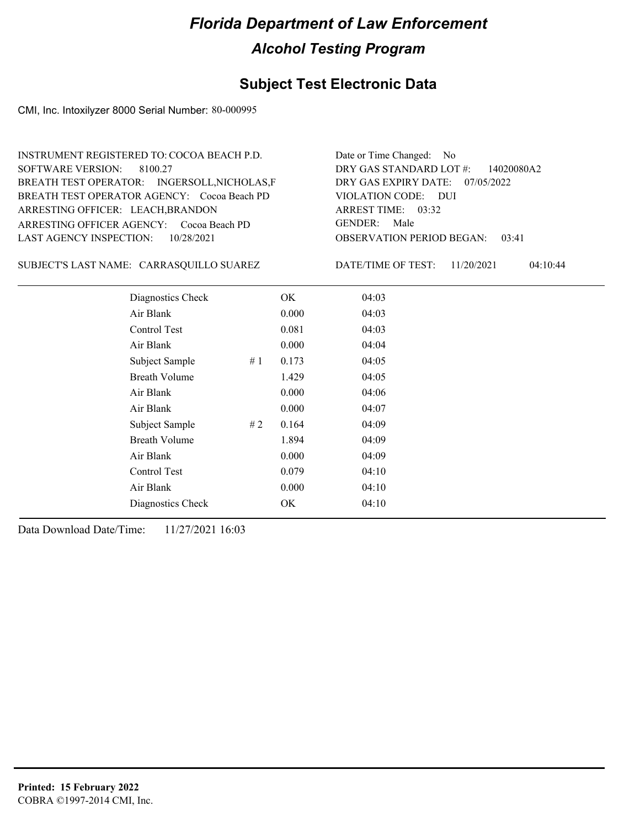## **Subject Test Electronic Data**

CMI, Inc. Intoxilyzer 8000 Serial Number: 80-000995

| INSTRUMENT REGISTERED TO: COCOA BEACH P.D.   | Date or Time Changed: No               |
|----------------------------------------------|----------------------------------------|
| SOFTWARE VERSION: 8100.27                    | DRY GAS STANDARD LOT $\#$ : 14020080A2 |
| BREATH TEST OPERATOR: INGERSOLL, NICHOLAS, F | DRY GAS EXPIRY DATE: $07/05/2022$      |
| BREATH TEST OPERATOR AGENCY: Cocoa Beach PD  | VIOLATION CODE: DUI                    |
| ARRESTING OFFICER: LEACH, BRANDON            | ARREST TIME: $03:32$                   |
| ARRESTING OFFICER AGENCY: Cocoa Beach PD     | GENDER: Male                           |
| LAST AGENCY INSPECTION: $10/28/2021$         | <b>OBSERVATION PERIOD BEGAN: 03:41</b> |

SUBJECT'S LAST NAME: CARRASQUILLO SUAREZ DATE/TIME OF TEST:

DATE/TIME OF TEST: 11/20/2021 04:10:44

| Diagnostics Check    |       | OK    | 04:03 |
|----------------------|-------|-------|-------|
| Air Blank            |       | 0.000 | 04:03 |
| Control Test         |       | 0.081 | 04:03 |
| Air Blank            |       | 0.000 | 04:04 |
| Subject Sample       | #1    | 0.173 | 04:05 |
| <b>Breath Volume</b> |       | 1.429 | 04:05 |
| Air Blank            |       | 0.000 | 04:06 |
| Air Blank            |       | 0.000 | 04:07 |
| Subject Sample       | # $2$ | 0.164 | 04:09 |
| <b>Breath Volume</b> |       | 1.894 | 04:09 |
| Air Blank            |       | 0.000 | 04:09 |
| Control Test         |       | 0.079 | 04:10 |
| Air Blank            |       | 0.000 | 04:10 |
| Diagnostics Check    |       | OK    | 04:10 |
|                      |       |       |       |